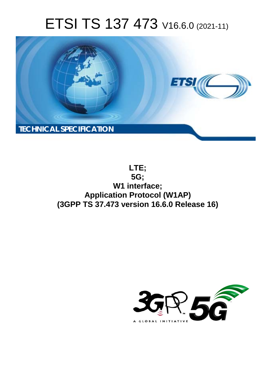# ETSI TS 137 473 V16.6.0 (2021-11)



**LTE; 5G; W1 interface; Application Protocol (W1AP) (3GPP TS 37.473 version 16.6.0 Release 16)** 

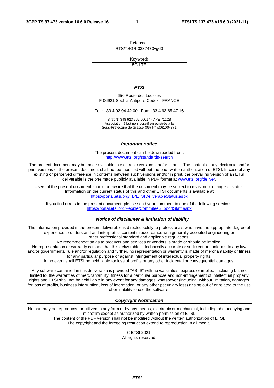Reference RTS/TSGR-0337473vg60

Keywords

5G,LTE

#### *ETSI*

650 Route des Lucioles F-06921 Sophia Antipolis Cedex - FRANCE

Tel.: +33 4 92 94 42 00 Fax: +33 4 93 65 47 16

Siret N° 348 623 562 00017 - APE 7112B Association à but non lucratif enregistrée à la Sous-Préfecture de Grasse (06) N° w061004871

#### *Important notice*

The present document can be downloaded from: <http://www.etsi.org/standards-search>

The present document may be made available in electronic versions and/or in print. The content of any electronic and/or print versions of the present document shall not be modified without the prior written authorization of ETSI. In case of any existing or perceived difference in contents between such versions and/or in print, the prevailing version of an ETSI deliverable is the one made publicly available in PDF format at [www.etsi.org/deliver](http://www.etsi.org/deliver).

Users of the present document should be aware that the document may be subject to revision or change of status. Information on the current status of this and other ETSI documents is available at <https://portal.etsi.org/TB/ETSIDeliverableStatus.aspx>

If you find errors in the present document, please send your comment to one of the following services: <https://portal.etsi.org/People/CommiteeSupportStaff.aspx>

#### *Notice of disclaimer & limitation of liability*

The information provided in the present deliverable is directed solely to professionals who have the appropriate degree of experience to understand and interpret its content in accordance with generally accepted engineering or other professional standard and applicable regulations.

No recommendation as to products and services or vendors is made or should be implied.

No representation or warranty is made that this deliverable is technically accurate or sufficient or conforms to any law and/or governmental rule and/or regulation and further, no representation or warranty is made of merchantability or fitness for any particular purpose or against infringement of intellectual property rights.

In no event shall ETSI be held liable for loss of profits or any other incidental or consequential damages.

Any software contained in this deliverable is provided "AS IS" with no warranties, express or implied, including but not limited to, the warranties of merchantability, fitness for a particular purpose and non-infringement of intellectual property rights and ETSI shall not be held liable in any event for any damages whatsoever (including, without limitation, damages for loss of profits, business interruption, loss of information, or any other pecuniary loss) arising out of or related to the use of or inability to use the software.

#### *Copyright Notification*

No part may be reproduced or utilized in any form or by any means, electronic or mechanical, including photocopying and microfilm except as authorized by written permission of ETSI. The content of the PDF version shall not be modified without the written authorization of ETSI.

The copyright and the foregoing restriction extend to reproduction in all media.

© ETSI 2021. All rights reserved.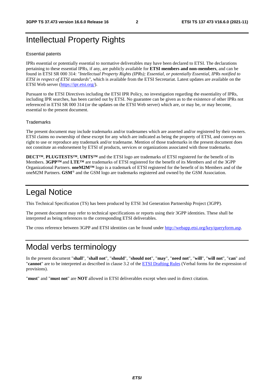# Intellectual Property Rights

#### Essential patents

IPRs essential or potentially essential to normative deliverables may have been declared to ETSI. The declarations pertaining to these essential IPRs, if any, are publicly available for **ETSI members and non-members**, and can be found in ETSI SR 000 314: *"Intellectual Property Rights (IPRs); Essential, or potentially Essential, IPRs notified to ETSI in respect of ETSI standards"*, which is available from the ETSI Secretariat. Latest updates are available on the ETSI Web server ([https://ipr.etsi.org/\)](https://ipr.etsi.org/).

Pursuant to the ETSI Directives including the ETSI IPR Policy, no investigation regarding the essentiality of IPRs, including IPR searches, has been carried out by ETSI. No guarantee can be given as to the existence of other IPRs not referenced in ETSI SR 000 314 (or the updates on the ETSI Web server) which are, or may be, or may become, essential to the present document.

#### **Trademarks**

The present document may include trademarks and/or tradenames which are asserted and/or registered by their owners. ETSI claims no ownership of these except for any which are indicated as being the property of ETSI, and conveys no right to use or reproduce any trademark and/or tradename. Mention of those trademarks in the present document does not constitute an endorsement by ETSI of products, services or organizations associated with those trademarks.

**DECT™**, **PLUGTESTS™**, **UMTS™** and the ETSI logo are trademarks of ETSI registered for the benefit of its Members. **3GPP™** and **LTE™** are trademarks of ETSI registered for the benefit of its Members and of the 3GPP Organizational Partners. **oneM2M™** logo is a trademark of ETSI registered for the benefit of its Members and of the oneM2M Partners. **GSM**® and the GSM logo are trademarks registered and owned by the GSM Association.

# Legal Notice

This Technical Specification (TS) has been produced by ETSI 3rd Generation Partnership Project (3GPP).

The present document may refer to technical specifications or reports using their 3GPP identities. These shall be interpreted as being references to the corresponding ETSI deliverables.

The cross reference between 3GPP and ETSI identities can be found under<http://webapp.etsi.org/key/queryform.asp>.

# Modal verbs terminology

In the present document "**shall**", "**shall not**", "**should**", "**should not**", "**may**", "**need not**", "**will**", "**will not**", "**can**" and "**cannot**" are to be interpreted as described in clause 3.2 of the [ETSI Drafting Rules](https://portal.etsi.org/Services/editHelp!/Howtostart/ETSIDraftingRules.aspx) (Verbal forms for the expression of provisions).

"**must**" and "**must not**" are **NOT** allowed in ETSI deliverables except when used in direct citation.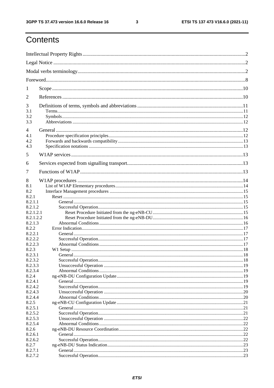$\mathbf{3}$ 

# Contents

| 1                      |  |  |  |
|------------------------|--|--|--|
| 2                      |  |  |  |
| 3                      |  |  |  |
| 3.1<br>3.2             |  |  |  |
| 3.3                    |  |  |  |
| $\overline{4}$         |  |  |  |
| 4.1                    |  |  |  |
| 4.2                    |  |  |  |
| 4.3                    |  |  |  |
| 5                      |  |  |  |
| 6                      |  |  |  |
| 7                      |  |  |  |
| 8                      |  |  |  |
| 8.1                    |  |  |  |
| 8.2                    |  |  |  |
| 8.2.1                  |  |  |  |
| 8.2.1.1                |  |  |  |
| 8.2.1.2                |  |  |  |
| 8.2.1.2.1<br>8.2.1.2.2 |  |  |  |
| 8.2.1.3                |  |  |  |
| 8.2.2                  |  |  |  |
| 8.2.2.1                |  |  |  |
| 8.2.2.2                |  |  |  |
| 8.2.2.3                |  |  |  |
| 8.2.3                  |  |  |  |
| 8.2.3.1                |  |  |  |
| 8.2.3.2                |  |  |  |
| 8.2.3.3<br>8.2.3.4     |  |  |  |
| 8.2.4                  |  |  |  |
| 8.2.4.1                |  |  |  |
| 8.2.4.2                |  |  |  |
| 8.2.4.3                |  |  |  |
| 8.2.4.4                |  |  |  |
| 8.2.5                  |  |  |  |
| 8.2.5.1                |  |  |  |
| 8.2.5.2                |  |  |  |
| 8.2.5.3<br>8.2.5.4     |  |  |  |
| 8.2.6                  |  |  |  |
| 8.2.6.1                |  |  |  |
| 8.2.6.2                |  |  |  |
| 8.2.7                  |  |  |  |
| 8.2.7.1                |  |  |  |
| 8.2.7.2                |  |  |  |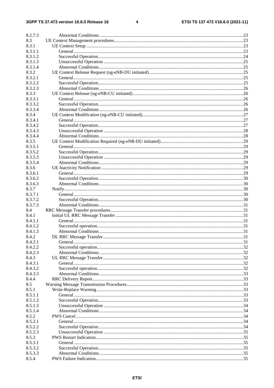$\overline{\mathbf{4}}$ 

| 8.2.7.3 |  |
|---------|--|
| 8.3     |  |
| 8.3.1   |  |
| 8.3.1.1 |  |
| 8.3.1.2 |  |
| 8.3.1.3 |  |
| 8.3.1.4 |  |
| 8.3.2   |  |
| 8.3.2.1 |  |
| 8.3.2.2 |  |
| 8.3.2.3 |  |
| 8.3.3   |  |
| 8.3.3.1 |  |
| 8.3.3.2 |  |
| 8.3.3.4 |  |
| 8.3.4   |  |
| 8.3.4.1 |  |
| 8.3.4.2 |  |
| 8.3.4.3 |  |
| 8.3.4.4 |  |
| 8.3.5   |  |
| 8.3.5.1 |  |
| 8.3.5.2 |  |
| 8.3.5.3 |  |
| 8.3.5.4 |  |
| 8.3.6   |  |
| 8.3.6.1 |  |
| 8.3.6.2 |  |
| 8.3.6.3 |  |
| 8.3.7   |  |
| 8.3.7.1 |  |
| 8.3.7.2 |  |
| 8.3.7.3 |  |
| 8.4     |  |
| 8.4.1   |  |
| 8.4.1.1 |  |
| 8.4.1.2 |  |
| 8.4.1.3 |  |
| 8.4.2   |  |
| 8.4.2.1 |  |
| 8.4.2.2 |  |
| 8.4.2.3 |  |
| 8.4.3   |  |
| 8.4.3.1 |  |
| 8.4.3.2 |  |
| 8.4.3.3 |  |
| 8.4.4   |  |
| 8.5     |  |
| 8.5.1   |  |
| 8.5.1.1 |  |
| 8.5.1.2 |  |
| 8.5.1.3 |  |
| 8.5.1.4 |  |
| 8.5.2   |  |
| 8.5.2.1 |  |
| 8.5.2.2 |  |
| 8.5.2.3 |  |
| 8.5.3   |  |
| 8.5.3.1 |  |
| 8.5.3.2 |  |
| 8.5.3.3 |  |
| 8.5.4   |  |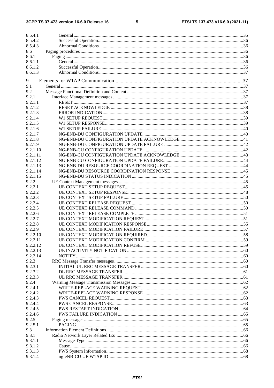#### $5\phantom{a}$

| 8.5.4.1            |  |
|--------------------|--|
| 8.5.4.2            |  |
|                    |  |
| 8.5.4.3            |  |
| 8.6                |  |
| 8.6.1              |  |
| 8.6.1.1<br>8.6.1.2 |  |
| 8.6.1.3            |  |
|                    |  |
| 9                  |  |
| 9.1                |  |
| 9.2                |  |
| 9.2.1              |  |
| 9.2.1.1            |  |
| 9.2.1.2            |  |
| 9.2.1.3            |  |
| 9.2.1.4            |  |
| 9.2.1.5            |  |
| 9.2.1.6            |  |
| 9.2.1.7            |  |
| 9.2.1.8            |  |
| 9.2.1.9            |  |
| 9.2.1.10           |  |
| 9.2.1.11           |  |
| 9.2.1.12           |  |
| 9.2.1.13           |  |
| 9.2.1.14           |  |
| 9.2.1.15           |  |
| 9.2.2              |  |
| 9.2.2.1            |  |
| 9.2.2.2            |  |
| 9.2.2.3            |  |
| 9.2.2.4            |  |
| 9.2.2.5            |  |
| 9.2.2.6            |  |
| 9.2.2.7            |  |
| 9.2.2.8            |  |
| 9.2.2.9            |  |
| 9.2.2.10           |  |
| 9.2.2.11           |  |
| 9.2.2.12           |  |
| 9.2.2.13           |  |
| 9.2.2.14           |  |
| 9.2.3              |  |
| 9.2.3.1            |  |
| 9.2.3.2            |  |
| 9.2.3.3            |  |
| 9.2.4              |  |
| 9.2.4.1            |  |
| 9.2.4.2            |  |
| 9.2.4.3            |  |
| 9.2.4.4            |  |
| 9.2.4.5            |  |
| 9.2.4.6            |  |
| 9.2.5              |  |
| 9.2.5.1            |  |
| 9.3                |  |
| 9.3.1<br>9.3.1.1   |  |
|                    |  |
| 9.3.1.2<br>9.3.1.3 |  |
| 9.3.1.4            |  |
|                    |  |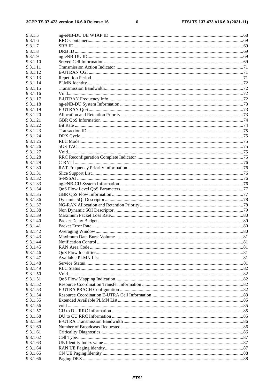$\bf 6$ 

| 9.3.1.5              |  |
|----------------------|--|
| 9.3.1.6              |  |
| 9.3.1.7              |  |
| 9.3.1.8              |  |
| 9.3.1.9              |  |
| 9.3.1.10             |  |
| 9.3.1.11             |  |
| 9.3.1.12             |  |
| 9.3.1.13             |  |
| 9.3.1.14<br>9.3.1.15 |  |
| 9.3.1.16             |  |
| 9.3.1.17             |  |
| 9.3.1.18             |  |
| 9.3.1.19             |  |
| 9.3.1.20             |  |
| 9.3.1.21             |  |
| 9.3.1.22             |  |
| 9.3.1.23             |  |
| 9.3.1.24             |  |
| 9.3.1.25             |  |
| 9.3.1.26             |  |
| 9.3.1.27             |  |
| 9.3.1.28             |  |
| 9.3.1.29             |  |
| 9.3.1.30             |  |
| 9.3.1.31             |  |
| 9.3.1.32             |  |
| 9.3.1.33             |  |
| 9.3.1.34             |  |
| 9.3.1.35             |  |
| 9.3.1.36             |  |
| 9.3.1.37             |  |
| 9.3.1.38             |  |
| 9.3.1.39             |  |
| 9.3.1.40             |  |
| 9.3.1.41             |  |
| 9.3.1.42<br>9.3.1.43 |  |
| 9.3.1.44             |  |
| 9.3.1.45             |  |
| 9.3.1.46             |  |
| 9.3.1.47             |  |
| 9.3.1.48             |  |
| 9.3.1.49             |  |
| 9.3.1.50             |  |
| 9.3.1.51             |  |
| 9.3.1.52             |  |
| 9.3.1.53             |  |
| 9.3.1.54             |  |
| 9.3.1.55             |  |
| 9.3.1.56             |  |
| 9.3.1.57             |  |
| 9.3.1.58             |  |
| 9.3.1.59             |  |
| 9.3.1.60             |  |
| 9.3.1.61             |  |
| 9.3.1.62             |  |
| 9.3.1.63             |  |
| 9.3.1.64             |  |
| 9.3.1.65             |  |
| 9.3.1.66             |  |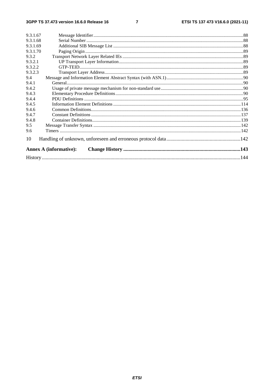$\overline{7}$ 

| 9.3.1.68<br>9.3.1.69<br>9.3.1.70<br>9.3.2<br>9.3.2.1<br>9.3.2.2<br>9.3.2.3<br>9.4<br>9.4.1<br>9.4.2<br>9.4.3<br>9.4.4<br>9.4.5<br>9.4.6<br>9.4.7<br>9.4.8<br>9.5<br>9.6<br>10<br><b>Annex A (informative):</b> | 9.3.1.67 |  |
|----------------------------------------------------------------------------------------------------------------------------------------------------------------------------------------------------------------|----------|--|
|                                                                                                                                                                                                                |          |  |
|                                                                                                                                                                                                                |          |  |
|                                                                                                                                                                                                                |          |  |
|                                                                                                                                                                                                                |          |  |
|                                                                                                                                                                                                                |          |  |
|                                                                                                                                                                                                                |          |  |
|                                                                                                                                                                                                                |          |  |
|                                                                                                                                                                                                                |          |  |
|                                                                                                                                                                                                                |          |  |
|                                                                                                                                                                                                                |          |  |
|                                                                                                                                                                                                                |          |  |
|                                                                                                                                                                                                                |          |  |
|                                                                                                                                                                                                                |          |  |
|                                                                                                                                                                                                                |          |  |
|                                                                                                                                                                                                                |          |  |
|                                                                                                                                                                                                                |          |  |
|                                                                                                                                                                                                                |          |  |
|                                                                                                                                                                                                                |          |  |
|                                                                                                                                                                                                                |          |  |
|                                                                                                                                                                                                                |          |  |
|                                                                                                                                                                                                                |          |  |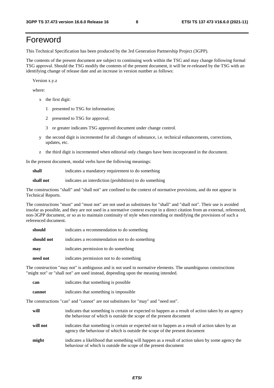# Foreword

This Technical Specification has been produced by the 3rd Generation Partnership Project (3GPP).

The contents of the present document are subject to continuing work within the TSG and may change following formal TSG approval. Should the TSG modify the contents of the present document, it will be re-released by the TSG with an identifying change of release date and an increase in version number as follows:

Version x.y.z

where:

- x the first digit:
	- 1 presented to TSG for information;
	- 2 presented to TSG for approval;
	- 3 or greater indicates TSG approved document under change control.
- y the second digit is incremented for all changes of substance, i.e. technical enhancements, corrections, updates, etc.
- z the third digit is incremented when editorial only changes have been incorporated in the document.

In the present document, modal verbs have the following meanings:

**shall** indicates a mandatory requirement to do something

**shall not** indicates an interdiction (prohibition) to do something

The constructions "shall" and "shall not" are confined to the context of normative provisions, and do not appear in Technical Reports.

The constructions "must" and "must not" are not used as substitutes for "shall" and "shall not". Their use is avoided insofar as possible, and they are not used in a normative context except in a direct citation from an external, referenced, non-3GPP document, or so as to maintain continuity of style when extending or modifying the provisions of such a referenced document.

| should     | indicates a recommendation to do something     |
|------------|------------------------------------------------|
| should not | indicates a recommendation not to do something |
| may        | indicates permission to do something           |
| need not   | indicates permission not to do something       |

The construction "may not" is ambiguous and is not used in normative elements. The unambiguous constructions "might not" or "shall not" are used instead, depending upon the meaning intended.

| can    | indicates that something is possible   |
|--------|----------------------------------------|
| cannot | indicates that something is impossible |

The constructions "can" and "cannot" are not substitutes for "may" and "need not".

| will     | indicates that something is certain or expected to happen as a result of action taken by an agency<br>the behaviour of which is outside the scope of the present document     |
|----------|-------------------------------------------------------------------------------------------------------------------------------------------------------------------------------|
| will not | indicates that something is certain or expected not to happen as a result of action taken by an<br>agency the behaviour of which is outside the scope of the present document |
| might    | indicates a likelihood that something will happen as a result of action taken by some agency the<br>behaviour of which is outside the scope of the present document           |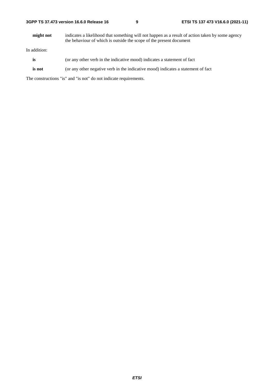| 3GPP TS 37.473 version 16.6.0 Release 16 |  |
|------------------------------------------|--|
|------------------------------------------|--|

**might not** indicates a likelihood that something will not happen as a result of action taken by some agency the behaviour of which is outside the scope of the present document

In addition:

- is (or any other verb in the indicative mood) indicates a statement of fact
- **is not** (or any other negative verb in the indicative mood) indicates a statement of fact

The constructions "is" and "is not" do not indicate requirements.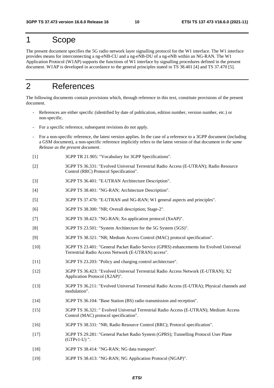# 1 Scope

The present document specifies the 5G radio network layer signalling protocol for the W1 interface. The W1 interface provides means for interconnecting a ng-eNB-CU and a ng-eNB-DU of a ng-eNB within an NG-RAN. The W1 Application Protocol (W1AP) supports the functions of W1 interface by signalling procedures defined in the present document. W1AP is developed in accordance to the general principles stated in TS 38.401 [4] and TS 37.470 [5].

# 2 References

The following documents contain provisions which, through reference in this text, constitute provisions of the present document.

- References are either specific (identified by date of publication, edition number, version number, etc.) or non-specific.
- For a specific reference, subsequent revisions do not apply.
- For a non-specific reference, the latest version applies. In the case of a reference to a 3GPP document (including a GSM document), a non-specific reference implicitly refers to the latest version of that document *in the same Release as the present document*.
- [1] 3GPP TR 21.905: "Vocabulary for 3GPP Specifications".
- [2] 3GPP TS 36.331: "Evolved Universal Terrestrial Radio Access (E-UTRAN); Radio Resource Control (RRC) Protocol Specification".
- [3] 3GPP TS 36.401: "E-UTRAN Architecture Description".
- [4] 3GPP TS 38.401: "NG-RAN; Architecture Description".
- [5] 3GPP TS 37.470: "E-UTRAN and NG-RAN; W1 general aspects and principles".
- [6] 3GPP TS 38.300: "NR; Overall description; Stage-2".
- [7] 3GPP TS 38.423: "NG-RAN; Xn application protocol (XnAP)".
- [8] 3GPP TS 23.501: "System Architecture for the 5G System (5GS)".
- [9] 3GPP TS 38.321: "NR; Medium Access Control (MAC) protocol specification".
- [10] 3GPP TS 23.401: "General Packet Radio Service (GPRS) enhancements for Evolved Universal Terrestrial Radio Access Network (E-UTRAN) access".
- [11] 3GPP TS 23.203: "Policy and charging control architecture".
- [12] 3GPP TS 36.423: "Evolved Universal Terrestrial Radio Access Network (E-UTRAN); X2 Application Protocol (X2AP)".
- [13] 3GPP TS 36.211: "Evolved Universal Terrestrial Radio Access (E-UTRA); Physical channels and modulation".
- [14] 3GPP TS 36.104: "Base Station (BS) radio transmission and reception".
- [15] 3GPP TS 36.321: " Evolved Universal Terrestrial Radio Access (E-UTRAN); Medium Access Control (MAC) protocol specification".
- [16] 3GPP TS 38.331: "NR; Radio Resource Control (RRC); Protocol specification".
- [17] 3GPP TS 29.281: "General Packet Radio System (GPRS); Tunnelling Protocol User Plane (GTPv1-U) ".
- [18] 3GPP TS 38.414: "NG-RAN; NG data transport".
- [19] 3GPP TS 38.413: "NG-RAN; NG Application Protocol (NGAP)".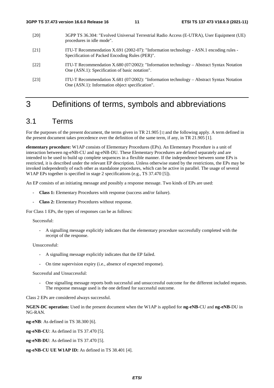- [20] 3GPP TS 36.304: "Evolved Universal Terrestrial Radio Access (E-UTRA), User Equipment (UE) procedures in idle mode".
- [21] ITU-T Recommendation X.691 (2002-07): "Information technology ASN.1 encoding rules Specification of Packed Encoding Rules (PER)".
- [22] ITU-T Recommendation X.680 (07/2002): "Information technology Abstract Syntax Notation One (ASN.1): Specification of basic notation".
- [23] ITU-T Recommendation X.681 (07/2002): "Information technology Abstract Syntax Notation One (ASN.1): Information object specification".

# 3 Definitions of terms, symbols and abbreviations

# 3.1 Terms

For the purposes of the present document, the terms given in TR 21.905 [1] and the following apply. A term defined in the present document takes precedence over the definition of the same term, if any, in TR 21.905 [1].

**elementary procedure:** W1AP consists of Elementary Procedures (EPs). An Elementary Procedure is a unit of interaction between ng-eNB-CU and ng-eNB-DU. These Elementary Procedures are defined separately and are intended to be used to build up complete sequences in a flexible manner. If the independence between some EPs is restricted, it is described under the relevant EP description. Unless otherwise stated by the restrictions, the EPs may be invoked independently of each other as standalone procedures, which can be active in parallel. The usage of several W1AP EPs together is specified in stage 2 specifications (e.g., TS 37.470 [5]).

An EP consists of an initiating message and possibly a response message. Two kinds of EPs are used:

- **Class 1:** Elementary Procedures with response (success and/or failure).
- **Class 2:** Elementary Procedures without response.

For Class 1 EPs, the types of responses can be as follows:

#### Successful:

- A signalling message explicitly indicates that the elementary procedure successfully completed with the receipt of the response.

Unsuccessful:

- A signalling message explicitly indicates that the EP failed.
- On time supervision expiry (i.e., absence of expected response).

Successful and Unsuccessful:

- One signalling message reports both successful and unsuccessful outcome for the different included requests. The response message used is the one defined for successful outcome.

Class 2 EPs are considered always successful.

**NGEN-DC operation:** Used in the present document when the W1AP is applied for **ng-eNB**-CU and **ng-eNB**-DU in NG-RAN.

**ng-eNB**: As defined in TS 38.300 [6].

**ng-eNB-CU**: As defined in TS 37.470 [5].

**ng-eNB-DU**: As defined in TS 37.470 [5].

**ng-eNB-CU UE W1AP ID:** As defined in TS 38.401 [4].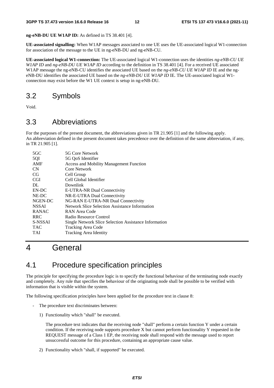**ng-eNB-DU UE W1AP ID:** As defined in TS 38.401 [4].

**UE-associated signalling:** When W1AP messages associated to one UE uses the UE-associated logical W1-connection for association of the message to the UE in ng-eNB-DU and ng-eNB-CU.

**UE-associated logical W1-connection:** The UE-associated logical W1-connection uses the identities *ng-eNB-CU UE W1AP ID* and *ng-eNB-DU UE W1AP ID* according to the definition in TS 38.401 [4]. For a received UE associated W1AP message the ng-eNB-CU identifies the associated UE based on the *ng-eNB-CU UE W1AP ID* IE and the ngeNB-DU identifies the associated UE based on the *ng-eNB-DU UE W1AP ID* IE*.* The UE-associated logical W1 connection may exist before the W1 UE context is setup in ng-eNB-DU.

# 3.2 Symbols

Void.

# 3.3 Abbreviations

For the purposes of the present document, the abbreviations given in TR 21.905 [1] and the following apply. An abbreviation defined in the present document takes precedence over the definition of the same abbreviation, if any, in TR 21.905 [1].

| $5 \times C$ | 5G Core Network                                       |
|--------------|-------------------------------------------------------|
| 5QI          | 5G QoS Identifier                                     |
| AMF          | Access and Mobility Management Function               |
| <b>CN</b>    | Core Network                                          |
| CG           | Cell Group                                            |
| <b>CGI</b>   | Cell Global Identifier                                |
| DL.          | Downlink                                              |
| EN-DC        | E-UTRA-NR Dual Connectivity                           |
| NE-DC        | NR-E-UTRA Dual Connectivity                           |
| NGEN-DC      | NG-RAN E-UTRA-NR Dual Connectivity                    |
| <b>NSSAI</b> | Network Slice Selection Assistance Information        |
| <b>RANAC</b> | RAN Area Code                                         |
| <b>RRC</b>   | Radio Resource Control                                |
| S-NSSAI      | Single Network Slice Selection Assistance Information |
| TAC          | Tracking Area Code                                    |
| TAI          | <b>Tracking Area Identity</b>                         |
|              |                                                       |

# 4 General

# 4.1 Procedure specification principles

The principle for specifying the procedure logic is to specify the functional behaviour of the terminating node exactly and completely. Any rule that specifies the behaviour of the originating node shall be possible to be verified with information that is visible within the system.

The following specification principles have been applied for the procedure text in clause 8:

- The procedure text discriminates between:
	- 1) Functionality which "shall" be executed.

 The procedure text indicates that the receiving node "shall" perform a certain function Y under a certain condition. If the receiving node supports procedure X but cannot perform functionality Y requested in the REQUEST message of a Class 1 EP, the receiving node shall respond with the message used to report unsuccessful outcome for this procedure, containing an appropriate cause value.

2) Functionality which "shall, if supported" be executed.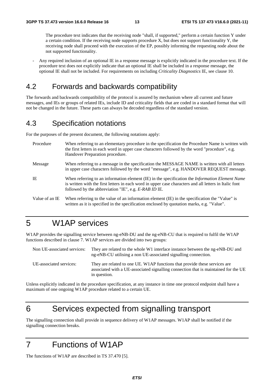The procedure text indicates that the receiving node "shall, if supported," perform a certain function Y under a certain condition. If the receiving node supports procedure X, but does not support functionality Y, the receiving node shall proceed with the execution of the EP, possibly informing the requesting node about the not supported functionality.

- Any required inclusion of an optional IE in a response message is explicitly indicated in the procedure text. If the procedure text does not explicitly indicate that an optional IE shall be included in a response message, the optional IE shall not be included. For requirements on including *Criticality Diagnostics* IE, see clause 10.

# 4.2 Forwards and backwards compatibility

The forwards and backwards compatibility of the protocol is assured by mechanism where all current and future messages, and IEs or groups of related IEs, include ID and criticality fields that are coded in a standard format that will not be changed in the future. These parts can always be decoded regardless of the standard version.

# 4.3 Specification notations

For the purposes of the present document, the following notations apply:

| Procedure      | When referring to an elementary procedure in the specification the Procedure Name is written with<br>the first letters in each word in upper case characters followed by the word "procedure", e.g.<br>Handover Preparation procedure.                                   |
|----------------|--------------------------------------------------------------------------------------------------------------------------------------------------------------------------------------------------------------------------------------------------------------------------|
| Message        | When referring to a message in the specification the MESSAGE NAME is written with all letters<br>in upper case characters followed by the word "message", e.g. HANDOVER REQUEST message.                                                                                 |
| IE             | When referring to an information element (IE) in the specification the <i>Information Element Name</i><br>is written with the first letters in each word in upper case characters and all letters in Italic font<br>followed by the abbreviation "IE", e.g. E-RAB ID IE. |
| Value of an IE | When referring to the value of an information element (IE) in the specification the "Value" is<br>written as it is specified in the specification enclosed by quotation marks, e.g. "Value".                                                                             |

# 5 W1AP services

W1AP provides the signalling service between ng-eNB-DU and the ng-eNB-CU that is required to fulfil the W1AP functions described in clause 7. W1AP services are divided into two groups:

| Non UE-associated services: | They are related to the whole W1 interface instance between the ng-eNB-DU and<br>ng-eNB-CU utilising a non UE-associated signalling connection.                                   |
|-----------------------------|-----------------------------------------------------------------------------------------------------------------------------------------------------------------------------------|
| UE-associated services:     | They are related to one UE. W1AP functions that provide these services are<br>associated with a UE-associated signalling connection that is maintained for the UE<br>in question. |

Unless explicitly indicated in the procedure specification, at any instance in time one protocol endpoint shall have a maximum of one ongoing W1AP procedure related to a certain UE.

# 6 Services expected from signalling transport

The signalling connection shall provide in sequence delivery of W1AP messages. W1AP shall be notified if the signalling connection breaks.

# 7 Functions of W1AP

The functions of W1AP are described in TS 37.470 [5].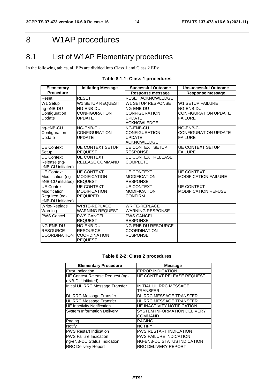# 8 W1AP procedures

# 8.1 List of W1AP Elementary procedures

In the following tables, all EPs are divided into Class 1 and Class 2 EPs:

| <b>Elementary</b>    | <b>Initiating Message</b> | <b>Successful Outcome</b> | <b>Unsuccessful Outcome</b> |  |
|----------------------|---------------------------|---------------------------|-----------------------------|--|
| <b>Procedure</b>     |                           | <b>Response message</b>   | Response message            |  |
| Reset                | <b>RESET</b>              | <b>RESET ACKNOWLEDGE</b>  |                             |  |
| W1 Setup             | <b>W1 SETUP REQUEST</b>   | W1 SETUP RESPONSE         | <b>W1 SETUP FAILURE</b>     |  |
| ng-eNB-DU            | NG-ENB-DU                 | NG-ENB-DU                 | NG-ENB-DU                   |  |
| Configuration        | <b>CONFIGURATION</b>      | CONFIGURATION             | <b>CONFIGURATION UPDATE</b> |  |
| Update               | <b>UPDATE</b>             | <b>UPDATE</b>             | <b>FAILURE</b>              |  |
|                      |                           | <b>ACKNOWLEDGE</b>        |                             |  |
| ng-eNB-CU            | NG-ENB-CU                 | NG-ENB-CU                 | NG-ENB-CU                   |  |
| Configuration        | <b>CONFIGURATION</b>      | <b>CONFIGURATION</b>      | <b>CONFIGURATION UPDATE</b> |  |
| <b>Update</b>        | <b>UPDATE</b>             | <b>UPDATE</b>             | <b>FAILURE</b>              |  |
|                      |                           | <b>ACKNOWLEDGE</b>        |                             |  |
| <b>UE Context</b>    | <b>UE CONTEXT SETUP</b>   | <b>UE CONTEXT SETUP</b>   | <b>UE CONTEXT SETUP</b>     |  |
| Setup                | <b>REQUEST</b>            | <b>RESPONSE</b>           | <b>FAILURE</b>              |  |
| <b>UE Context</b>    | <b>UE CONTEXT</b>         | <b>UE CONTEXT RELEASE</b> |                             |  |
| Release (ng-         | <b>RELEASE COMMAND</b>    | <b>COMPLETE</b>           |                             |  |
| eNB-CU initiated)    |                           |                           |                             |  |
| <b>UE Context</b>    | <b>UE CONTEXT</b>         | <b>UE CONTEXT</b>         | <b>UE CONTEXT</b>           |  |
| Modification (ng-    | <b>MODIFICATION</b>       | <b>MODIFICATION</b>       | <b>MODIFICATION FAILURE</b> |  |
| eNB-CU initiated)    | <b>REQUEST</b>            | <b>RESPONSE</b>           |                             |  |
| <b>UE</b> Context    | <b>UE CONTEXT</b>         | <b>UE CONTEXT</b>         | <b>UE CONTEXT</b>           |  |
| Modification         | <b>MODIFICATION</b>       | <b>MODIFICATION</b>       | <b>MODIFICATION REFUSE</b>  |  |
| Required (ng-        | <b>REQUIRED</b>           | <b>CONFIRM</b>            |                             |  |
| eNB-DU initiated)    |                           |                           |                             |  |
| Write-Replace        | <b>WRITE-REPLACE</b>      | <b>WRITE-REPLACE</b>      |                             |  |
| Warning              | <b>WARNING REQUEST</b>    | <b>WARNING RESPONSE</b>   |                             |  |
| <b>PWS Cancel</b>    | <b>PWS CANCEL</b>         | <b>PWS CANCEL</b>         |                             |  |
|                      | <b>REQUEST</b>            | <b>RESPONSE</b>           |                             |  |
| NG-ENB-DU            | NG-ENB-DU                 | <b>NG-ENB-DU RESOURCE</b> |                             |  |
| <b>RESOURCE</b>      | <b>RESOURCE</b>           | <b>COORDINATION</b>       |                             |  |
| <b>ICOORDINATION</b> | <b>COORDINATION</b>       | <b>RESPONSE</b>           |                             |  |
|                      | <b>REQUEST</b>            |                           |                             |  |

### **Table 8.1-1: Class 1 procedures**

#### **Table 8.2-2: Class 2 procedures**

| <b>Elementary Procedure</b>                          | <b>Message</b>                                |  |
|------------------------------------------------------|-----------------------------------------------|--|
| Error Indication                                     | <b>ERROR INDICATION</b>                       |  |
| UE Context Release Request (ng-<br>eNB-DU initiated) | <b>UE CONTEXT RELEASE REQUEST</b>             |  |
| Initial UL RRC Message Transfer                      | <b>INITIAL UL RRC MESSAGE</b><br>TRANSFER     |  |
| DL RRC Message Transfer                              | DL RRC MESSAGE TRANSFER                       |  |
| UL RRC Message Transfer                              | UL RRC MESSAGE TRANSFER                       |  |
| <b>UE Inactivity Notification</b>                    | <b>UE INACTIVITY NOTIFICATION</b>             |  |
| <b>System Information Delivery</b>                   | <b>SYSTEM INFORMATION DELIVERY</b><br>COMMAND |  |
| Paging                                               | <b>PAGING</b>                                 |  |
| Notify                                               | <b>NOTIFY</b>                                 |  |
| <b>PWS Restart Indication</b>                        | <b>PWS RESTART INDICATION</b>                 |  |
| <b>PWS Failure Indication</b>                        | <b>PWS FAILURE INDICATION</b>                 |  |
| ng-eNB-DU Status Indication                          | <b>NG-ENB-DU STATUS INDICATION</b>            |  |
| <b>RRC Delivery Report</b>                           | <b>RRC DELIVERY REPORT</b>                    |  |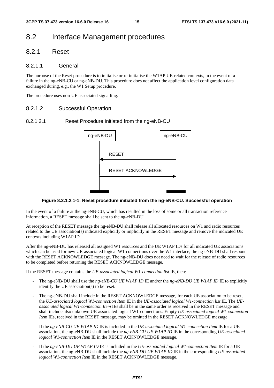# 8.2 Interface Management procedures

### 8.2.1 Reset

#### 8.2.1.1 General

The purpose of the Reset procedure is to initialise or re-initialise the W1AP UE-related contexts, in the event of a failure in the ng-eNB-CU or ng-eNB-DU. This procedure does not affect the application level configuration data exchanged during, e.g., the W1 Setup procedure.

The procedure uses non-UE associated signalling.

#### 8.2.1.2 Successful Operation

#### 8.2.1.2.1 Reset Procedure Initiated from the ng-eNB-CU



#### **Figure 8.2.1.2.1-1: Reset procedure initiated from the ng-eNB-CU. Successful operation**

In the event of a failure at the ng-eNB-CU, which has resulted in the loss of some or all transaction reference information, a RESET message shall be sent to the ng-eNB-DU.

At reception of the RESET message the ng-eNB-DU shall release all allocated resources on W1 and radio resources related to the UE association(s) indicated explicitly or implicitly in the RESET message and remove the indicated UE contexts including W1AP ID.

After the ng-eNB-DU has released all assigned W1 resources and the UE W1AP IDs for all indicated UE associations which can be used for new UE-associated logical W1-connections over the W1 interface, the ng-eNB-DU shall respond with the RESET ACKNOWLEDGE message. The ng-eNB-DU does not need to wait for the release of radio resources to be completed before returning the RESET ACKNOWLEDGE message.

If the RESET message contains the *UE-associated logical W1-connection list* IE, then:

- The ng-eNB-DU shall use the *ng-eNB-CU UE W1AP ID* IE and/or the *ng-eNB-DU UE W1AP ID* IE to explicitly identify the UE association(s) to be reset.
- The ng-eNB-DU shall include in the RESET ACKNOWLEDGE message, for each UE association to be reset, the *UE-associated logical W1-connection Item* IE in the *UE-associated logical W1-connection list* IE. The *UEassociated logical W1-connection Item* IEs shall be in the same order as received in the RESET message and shall include also unknown UE-associated logical W1-connections. Empty *UE-associated logical W1-connection Item* IEs, received in the RESET message, may be omitted in the RESET ACKNOWLEDGE message.
- If the *ng-eNB-CU UE W1AP ID* IE is included in the *UE-associated logical W1-connection Item* IE for a UE association, the ng-eNB-DU shall include the *ng-eNB-CU UE W1AP ID* IE in the corresponding *UE-associated logical W1-connection Item* IE in the RESET ACKNOWLEDGE message.
- If the *ng-eNB-DU UE W1AP ID* IE is included in the *UE-associated logical W1-connection Item* IE for a UE association, the ng-eNB-DU shall include the *ng-eNB-DU UE W1AP ID* IE in the corresponding *UE-associated logical W1-connection Item* IE in the RESET ACKNOWLEDGE message.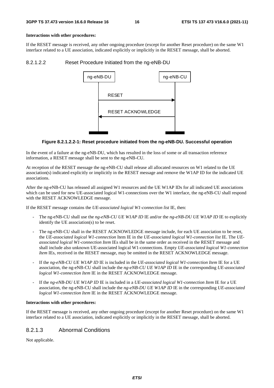#### **Interactions with other procedures:**

If the RESET message is received, any other ongoing procedure (except for another Reset procedure) on the same W1 interface related to a UE association, indicated explicitly or implicitly in the RESET message, shall be aborted.

#### 8.2.1.2.2 Reset Procedure Initiated from the ng-eNB-DU



#### **Figure 8.2.1.2.2-1: Reset procedure initiated from the ng-eNB-DU. Successful operation**

In the event of a failure at the ng-eNB-DU, which has resulted in the loss of some or all transaction reference information, a RESET message shall be sent to the ng-eNB-CU.

At reception of the RESET message the ng-eNB-CU shall release all allocated resources on W1 related to the UE association(s) indicated explicitly or implicitly in the RESET message and remove the W1AP ID for the indicated UE associations.

After the ng-eNB-CU has released all assigned W1 resources and the UE W1AP IDs for all indicated UE associations which can be used for new UE-associated logical W1-connections over the W1 interface, the ng-eNB-CU shall respond with the RESET ACKNOWLEDGE message.

If the RESET message contains the *UE-associated logical W1-connection list* IE, then:

- The ng-eNB-CU shall use the *ng-eNB-CU UE W1AP ID* IE and/or the *ng-eNB-DU UE W1AP ID* IE to explicitly identify the UE association(s) to be reset.
- The ng-eNB-CU shall in the RESET ACKNOWLEDGE message include, for each UE association to be reset, the *UE-associated logical W1-connection* Item IE in the *UE-associated logical W1-connection list* IE. The *UEassociated logical W1-connection Item* IEs shall be in the same order as received in the RESET message and shall include also unknown UE-associated logical W1-connections. Empty *UE-associated logical W1-connection Item* IEs, received in the RESET message, may be omitted in the RESET ACKNOWLEDGE message.
- If the *ng-eNB-CU UE W1AP ID* IE is included in the *UE-associated logical W1-connection Item* IE for a UE association, the ng-eNB-CU shall include the *ng-eNB-CU UE W1AP ID* IE in the corresponding *UE-associated logical W1-connection Item* IE in the RESET ACKNOWLEDGE message.
- If the *ng-eNB-DU UE W1AP ID* IE is included in a *UE-associated logical W1-connection Item* IE for a UE association, the ng-eNB-CU shall include the *ng-eNB-DU UE W1AP ID* IE in the corresponding *UE-associated logical W1-connection Item* IE in the RESET ACKNOWLEDGE message.

#### **Interactions with other procedures:**

If the RESET message is received, any other ongoing procedure (except for another Reset procedure) on the same W1 interface related to a UE association, indicated explicitly or implicitly in the RESET message, shall be aborted.

#### 8.2.1.3 Abnormal Conditions

Not applicable.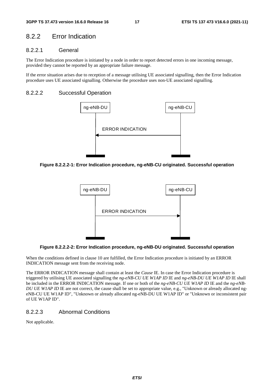# 8.2.2 Error Indication

### 8.2.2.1 General

The Error Indication procedure is initiated by a node in order to report detected errors in one incoming message, provided they cannot be reported by an appropriate failure message.

If the error situation arises due to reception of a message utilising UE associated signalling, then the Error Indication procedure uses UE associated signalling. Otherwise the procedure uses non-UE associated signalling.

#### 8.2.2.2 Successful Operation



**Figure 8.2.2.2-1: Error Indication procedure, ng-eNB-CU originated. Successful operation** 



**Figure 8.2.2.2-2: Error Indication procedure, ng-eNB-DU originated. Successful operation** 

When the conditions defined in clause 10 are fulfilled, the Error Indication procedure is initiated by an ERROR INDICATION message sent from the receiving node.

The ERROR INDICATION message shall contain at least the *Cause* IE. In case the Error Indication procedure is triggered by utilising UE associated signalling the *ng-eNB-CU UE W1AP ID* IE and *ng-eNB-DU UE W1AP ID* IE shall be included in the ERROR INDICATION message. If one or both of the *ng-eNB-CU UE W1AP ID* IE and the *ng-eNB-DU UE W1AP ID* IE are not correct, the cause shall be set to appropriate value, e.g., "Unknown or already allocated ngeNB-CU UE W1AP ID", "Unknown or already allocated ng-eNB-DU UE W1AP ID" or "Unknown or inconsistent pair of UE W1AP ID".

#### 8.2.2.3 Abnormal Conditions

Not applicable.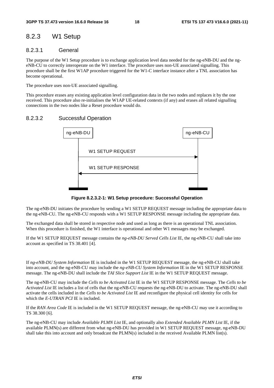# 8.2.3 W1 Setup

#### 8.2.3.1 General

The purpose of the W1 Setup procedure is to exchange application level data needed for the ng-eNB-DU and the ngeNB-CU to correctly interoperate on the W1 interface. The procedure uses non-UE associated signalling. This procedure shall be the first W1AP procedure triggered for the W1-C interface instance after a TNL association has become operational.

The procedure uses non-UE associated signalling.

This procedure erases any existing application level configuration data in the two nodes and replaces it by the one received. This procedure also re-initialises the W1AP UE-related contexts (if any) and erases all related signalling connections in the two nodes like a Reset procedure would do.

### 8.2.3.2 Successful Operation



**Figure 8.2.3.2-1: W1 Setup procedure: Successful Operation** 

The ng-eNB-DU initiates the procedure by sending a W1 SETUP REQUEST message including the appropriate data to the ng-eNB-CU. The ng-eNB-CU responds with a W1 SETUP RESPONSE message including the appropriate data.

The exchanged data shall be stored in respective node and used as long as there is an operational TNL association. When this procedure is finished, the W1 interface is operational and other W1 messages may be exchanged.

If the W1 SETUP REQUEST message contains the *ng-eNB-DU Served Cells List* IE, the ng-eNB-CU shall take into account as specified in TS 38.401 [4].

If *ng-eNB-DU System Information* IE is included in the W1 SETUP REQUEST message, the ng-eNB-CU shall take into account, and the ng-eNB-CU may include the *ng-eNB-CU System Information* IE in the W1 SETUP RESPONSE message. The ng-eNB-DU shall include the *TAI Slice Support List* IE in the W1 SETUP REQUEST message.

The ng-eNB-CU may include the *Cells to be Activated List* IE in the W1 SETUP RESPONSE message. The *Cells to be Activated List* IE includes a list of cells that the ng-eNB-CU requests the ng-eNB-DU to activate. The ng-eNB-DU shall activate the cells included in the *Cells to be Activated List* IE and reconfigure the physical cell identity for cells for which the *E-UTRAN PCI* IE is included.

If the *RAN Area Code* IE is included in the W1 SETUP REQUEST message, the ng-eNB-CU may use it according to TS 38.300 [6].

The ng-eNB-CU may include *Available PLMN List* IE, and optionally also *Extended Available PLMN List* IE, if the available PLMN(s) are different from what ng-eNB-DU has provided in W1 SETUP REQUEST message, ng-eNB-DU shall take this into account and only broadcast the PLMN(s) included in the received Available PLMN list(s).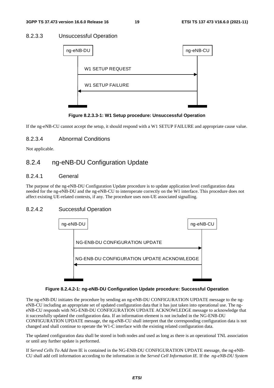### 8.2.3.3 Unsuccessful Operation

| ng-eNB-DU               | ng-eNB-CU |  |
|-------------------------|-----------|--|
|                         |           |  |
| <b>W1 SETUP REQUEST</b> |           |  |
| <b>W1 SETUP FAILURE</b> |           |  |
|                         |           |  |
|                         |           |  |

**Figure 8.2.3.3-1: W1 Setup procedure: Unsuccessful Operation** 

If the ng-eNB-CU cannot accept the setup, it should respond with a W1 SETUP FAILURE and appropriate cause value.

### 8.2.3.4 Abnormal Conditions

Not applicable.

# 8.2.4 ng-eNB-DU Configuration Update

#### 8.2.4.1 General

The purpose of the ng-eNB-DU Configuration Update procedure is to update application level configuration data needed for the ng-eNB-DU and the ng-eNB-CU to interoperate correctly on the W1 interface. This procedure does not affect existing UE-related contexts, if any. The procedure uses non-UE associated signalling.

#### 8.2.4.2 Successful Operation



#### **Figure 8.2.4.2-1: ng-eNB-DU Configuration Update procedure: Successful Operation**

The ng-eNB-DU initiates the procedure by sending an ng-eNB-DU CONFIGURATION UPDATE message to the ngeNB-CU including an appropriate set of updated configuration data that it has just taken into operational use. The ngeNB-CU responds with NG-ENB-DU CONFIGURATION UPDATE ACKNOWLEDGE message to acknowledge that it successfully updated the configuration data. If an information element is not included in the NG-ENB-DU CONFIGURATION UPDATE message, the ng-eNB-CU shall interpret that the corresponding configuration data is not changed and shall continue to operate the W1-C interface with the existing related configuration data.

The updated configuration data shall be stored in both nodes and used as long as there is an operational TNL association or until any further update is performed.

If *Served Cells To Add Item* IE is contained in the NG-ENB-DU CONFIGURATION UPDATE message, the ng-eNB-CU shall add cell information according to the information in the *Served Cell Information IE*. If the *ng-eNB-DU System*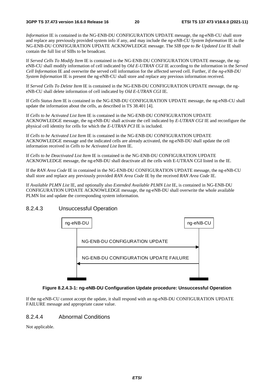*Information* IE is contained in the NG-ENB-DU CONFIGURATION UPDATE message, the ng-eNB-CU shall store and replace any previously provided system info if any, and may include the *ng-eNB-CU System Information* IE in the NG-ENB-DU CONFIGURATION UPDATE ACKNOWLEDGE message. The *SIB type to Be Updated List* IE shall contain the full list of SIBs to be broadcast*.*

If *Served Cells To Modify Item* IE is contained in the NG-ENB-DU CONFIGURATION UPDATE message, the ngeNB-CU shall modify information of cell indicated by *Old E-UTRAN CGI* IE according to the information in the *Served Cell Informatio*n IE and overwrite the served cell information for the affected served cell. Further, if the *ng-eNB-DU System Information* IE is present the ng-eNB-CU shall store and replace any previous information received.

If *Served Cells To Delete Item* IE is contained in the NG-ENB-DU CONFIGURATION UPDATE message, the ngeNB-CU shall delete information of cell indicated by *Old E-UTRAN CGI* IE.

If *Cells Status Item* IE is contained in the NG-ENB-DU CONFIGURATION UPDATE message, the ng-eNB-CU shall update the information about the cells, as described in TS 38.401 [4].

If *Cells to be Activated List Item* IE is contained in the NG-ENB-DU CONFIGURATION UPDATE ACKNOWLEDGE message, the ng-eNB-DU shall activate the cell indicated by *E-UTRAN CGI* IE and reconfigure the physical cell identity for cells for which the *E-UTRAN PCI* IE is included.

If *Cells to be Activated List Item* IE is contained in the NG-ENB-DU CONFIGURATION UPDATE ACKNOWLEDGE message and the indicated cells are already activated, the ng-eNB-DU shall update the cell information received in *Cells to be Activated List Item* IE.

If *Cells to be Deactivated List Item* IE is contained in the NG-ENB-DU CONFIGURATION UPDATE ACKNOWLEDGE message, the ng-eNB-DU shall deactivate all the cells with E-UTRAN CGI listed in the IE.

If the *RAN Area Code* IE in contained in the NG-ENB-DU CONFIGURATION UPDATE message, the ng-eNB-CU shall store and replace any previously provided *RAN Area Code* IE by the received *RAN Area Code* IE.

If *Available PLMN List* IE, and optionally also *Extended Available PLMN List* IE, is contained in NG-ENB-DU CONFIGURATION UPDATE ACKNOWLEDGE message, the ng-eNB-DU shall overwrite the whole available PLMN list and update the corresponding system information.

#### 8.2.4.3 Unsuccessful Operation



#### **Figure 8.2.4.3-1: ng-eNB-DU Configuration Update procedure: Unsuccessful Operation**

If the ng-eNB-CU cannot accept the update, it shall respond with an ng-eNB-DU CONFIGURATION UPDATE FAILURE message and appropriate cause value.

#### 8.2.4.4 Abnormal Conditions

Not applicable.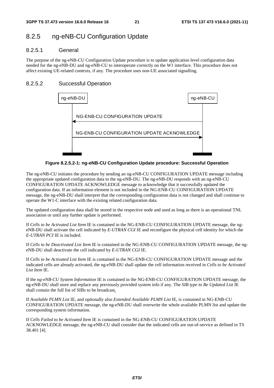# 8.2.5 ng-eNB-CU Configuration Update

### 8.2.5.1 General

The purpose of the ng-eNB-CU Configuration Update procedure is to update application level configuration data needed for the ng-eNB-DU and ng-eNB-CU to interoperate correctly on the W1 interface. This procedure does not affect existing UE-related contexts, if any. The procedure uses non-UE associated signalling.

### 8.2.5.2 Successful Operation



**Figure 8.2.5.2-1: ng-eNB-CU Configuration Update procedure: Successful Operation** 

The ng-eNB-CU initiates the procedure by sending an ng-eNB-CU CONFIGURATION UPDATE message including the appropriate updated configuration data to the ng-eNB-DU. The ng-eNB-DU responds with an ng-eNB-CU CONFIGURATION UPDATE ACKNOWLEDGE message to acknowledge that it successfully updated the configuration data. If an information element is not included in the NG-ENB-CU CONFIGURATION UPDATE message, the ng-eNB-DU shall interpret that the corresponding configuration data is not changed and shall continue to operate the W1-C interface with the existing related configuration data.

The updated configuration data shall be stored in the respective node and used as long as there is an operational TNL association or until any further update is performed.

If *Cells to be Activated List Item* IE is contained in the NG-ENB-CU CONFIGURATION UPDATE message, the ngeNB-DU shall activate the cell indicated by *E-UTRAN CGI* IE and reconfigure the physical cell identity for which the *E-UTRAN PCI* IE is included.

If *Cells to be Deactivated List Item* IE is contained in the NG-ENB-CU CONFIGURATION UPDATE message, the ngeNB-DU shall deactivate the cell indicated by *E-UTRAN CGI* IE.

If *Cells to be Activated List Item* IE is contained in the NG-ENB-CU CONFIGURATION UPDATE message and the indicated cells are already activated, the ng-eNB-DU shall update the cell information received in *Cells to be Activated List Item* IE.

If the *ng-eNB-CU System Information* IE is contained in the NG-ENB-CU CONFIGURATION UPDATE message, the ng-eNB-DU shall store and replace any previously provided system info if any. The *SIB type to Be Updated List* IE shall contain the full list of SIBs to be broadcast*.*

If *Available PLMN List* IE, and optionally also *Extended Available PLMN List* IE, is contained in NG-ENB-CU CONFIGURATION UPDATE message, the ng-eNB-DU shall overwrite the whole available PLMN list and update the corresponding system information.

If *Cells Failed to be Activated Item* IE is contained in the NG-ENB-CU CONFIGURATION UPDATE ACKNOWLEDGE message, the ng-eNB-CU shall consider that the indicated cells are out-of-service as defined in TS 38.401 [4].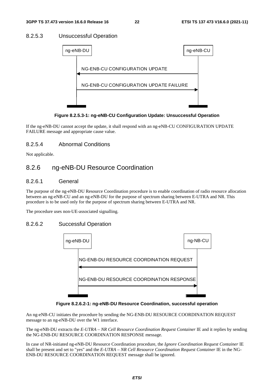### 8.2.5.3 Unsuccessful Operation





If the ng-eNB-DU cannot accept the update, it shall respond with an ng-eNB-CU CONFIGURATION UPDATE FAILURE message and appropriate cause value.

### 8.2.5.4 Abnormal Conditions

Not applicable.

# 8.2.6 ng-eNB-DU Resource Coordination

#### 8.2.6.1 General

The purpose of the ng-eNB-DU Resource Coordination procedure is to enable coordination of radio resource allocation between an ng-eNB-CU and an ng-eNB-DU for the purpose of spectrum sharing between E-UTRA and NR. This procedure is to be used only for the purpose of spectrum sharing between E-UTRA and NR.

The procedure uses non-UE-associated signalling.

#### 8.2.6.2 Successful Operation



**Figure 8.2.6.2-1: ng-eNB-DU Resource Coordination, successful operation** 

An ng-eNB-CU initiates the procedure by sending the NG-ENB-DU RESOURCE COORDINATION REQUEST message to an ng-eNB-DU over the W1 interface.

The ng-eNB-DU extracts the *E-UTRA – NR Cell Resource Coordination Request Container* IE and it replies by sending the NG-ENB-DU RESOURCE COORDINATION RESPONSE message.

In case of NR-initiated ng-eNB-DU Resource Coordination procedure, the *Ignore Coordination Request Container* IE shall be present and set to "yes" and the *E-UTRA – NR Cell Resource Coordination Request Container* IE in the NG-ENB-DU RESOURCE COORDINATION REQUEST message shall be ignored.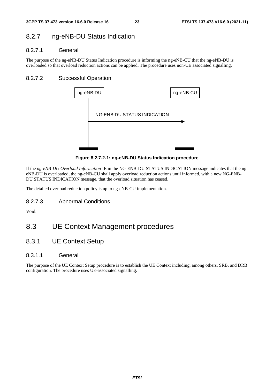# 8.2.7 ng-eNB-DU Status Indication

### 8.2.7.1 General

The purpose of the ng-eNB-DU Status Indication procedure is informing the ng-eNB-CU that the ng-eNB-DU is overloaded so that overload reduction actions can be applied. The procedure uses non-UE associated signalling.

### 8.2.7.2 Successful Operation



**Figure 8.2.7.2-1: ng-eNB-DU Status Indication procedure** 

If the *ng-eNB-DU Overload Information* IE in the NG-ENB-DU STATUS INDICATION message indicates that the ngeNB-DU is overloaded, the ng-eNB-CU shall apply overload reduction actions until informed, with a new NG-ENB-DU STATUS INDICATION message, that the overload situation has ceased.

The detailed overload reduction policy is up to ng-eNB-CU implementation.

8.2.7.3 Abnormal Conditions

Void.

# 8.3 UE Context Management procedures

8.3.1 UE Context Setup

#### 8.3.1.1 General

The purpose of the UE Context Setup procedure is to establish the UE Context including, among others, SRB, and DRB configuration. The procedure uses UE-associated signalling.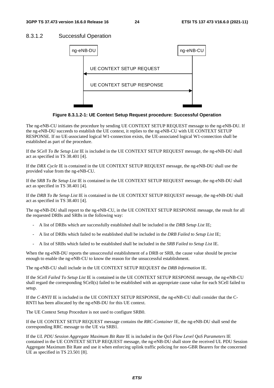#### 8.3.1.2 Successful Operation



**Figure 8.3.1.2-1: UE Context Setup Request procedure: Successful Operation** 

The ng-eNB-CU initiates the procedure by sending UE CONTEXT SETUP REQUEST message to the ng-eNB-DU. If the ng-eNB-DU succeeds to establish the UE context, it replies to the ng-eNB-CU with UE CONTEXT SETUP RESPONSE. If no UE-associated logical W1-connection exists, the UE-associated logical W1-connection shall be established as part of the procedure.

If the *SCell To Be Setup List* IE is included in the UE CONTEXT SETUP REQUEST message, the ng-eNB-DU shall act as specified in TS 38.401 [4].

If the *DRX Cycle* IE is contained in the UE CONTEXT SETUP REQUEST message, the ng-eNB-DU shall use the provided value from the ng-eNB-CU.

If the *SRB To Be Setup List* IE is contained in the UE CONTEXT SETUP REQUEST message, the ng-eNB-DU shall act as specified in TS 38.401 [4].

If the *DRB To Be Setup List* IE is contained in the UE CONTEXT SETUP REQUEST message, the ng-eNB-DU shall act as specified in TS 38.401 [4].

The ng-eNB-DU shall report to the ng-eNB-CU, in the UE CONTEXT SETUP RESPONSE message, the result for all the requested DRBs and SRBs in the following way:

- A list of DRBs which are successfully established shall be included in the *DRB Setup List* IE;
- A list of DRBs which failed to be established shall be included in the *DRB Failed to Setup List* IE;
- A list of SRBs which failed to be established shall be included in the *SRB Failed to Setup List* IE.

When the ng-eNB-DU reports the unsuccessful establishment of a DRB or SRB, the cause value should be precise enough to enable the ng-eNB-CU to know the reason for the unsuccessful establishment.

The ng-eNB-CU shall include in the UE CONTEXT SETUP REQUEST the *DRB Information* IE.

If the *SCell Failed To Setup List* IE is contained in the UE CONTEXT SETUP RESPONSE message, the ng-eNB-CU shall regard the corresponding SCell(s) failed to be established with an appropriate cause value for each SCell failed to setup.

If the *C-RNTI* IE is included in the UE CONTEXT SETUP RESPONSE, the ng-eNB-CU shall consider that the C-RNTI has been allocated by the ng-eNB-DU for this UE context.

The UE Context Setup Procedure is not used to configure SRB0.

If the UE CONTEXT SETUP REQUEST message contains the *RRC-Container* IE, the ng-eNB-DU shall send the corresponding RRC message to the UE via SRB1.

If the *UL PDU Session Aggregate Maximum Bit Rate* IE is included in the *QoS Flow Level QoS Parameters* IE contained in the UE CONTEXT SETUP REQUEST message, the ng-eNB-DU shall store the received UL PDU Session Aggregate Maximum Bit Rate and use it when enforcing uplink traffic policing for non-GBR Bearers for the concerned UE as specified in TS 23.501 [8].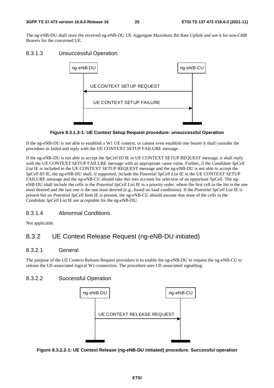The ng-eNB-DU shall store the received ng-eNB-DU UE Aggregate Maximum Bit Rate Uplink and use it for non-GBR Bearers for the concerned UE.

### 8.3.1.3 Unsuccessful Operation



#### **Figure 8.3.1.3-1: UE Context Setup Request procedure: unsuccessful Operation**

If the ng-eNB-DU is not able to establish a W1 UE context, or cannot even establish one bearer it shall consider the procedure as failed and reply with the UE CONTEXT SETUP FAILURE message.

If the ng-eNB-DU is not able to accept the *SpCell ID* IE in UE CONTEXT SETUP REQUEST message, it shall reply with the UE CONTEXT SETUP FAILURE message with an appropriate cause value. Further, if the *Candidate SpCell*  List IE is included in the UE CONTEXT SETUP REQUEST message and the ng-eNB-DU is not able to accept the *SpCell ID* IE, the ng-eNB-DU shall, if supported, include the *Potential SpCell List* IE in the UE CONTEXT SETUP FAILURE message and the ng-eNB-CU should take this into account for selection of an opportune SpCell. The ngeNB-DU shall include the cells in the *Potential SpCell List* IE in a priority order, where the first cell in the list is the one most desired and the last one is the one least desired (e.g., based on load conditions). If the *Potential SpCell List* IE is present but no *Potential SpCell Item* IE is present, the ng-eNB-CU should assume that none of the cells in the *Candidate SpCell List* IE are acceptable for the ng-eNB-DU.

### 8.3.1.4 Abnormal Conditions

Not applicable.

# 8.3.2 UE Context Release Request (ng-eNB-DU initiated)

#### 8.3.2.1 General

The purpose of the UE Context Release Request procedure is to enable the ng-eNB-DU to request the ng-eNB-CU to release the UE-associated logical W1-connection. The procedure uses UE-associated signalling.

### 8.3.2.2 Successful Operation



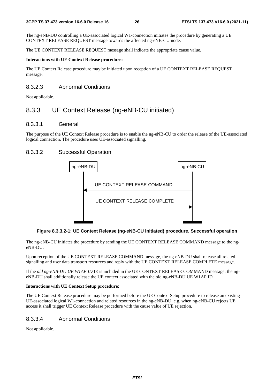The ng-eNB-DU controlling a UE-associated logical W1-connection initiates the procedure by generating a UE CONTEXT RELEASE REQUEST message towards the affected ng-eNB-CU node.

The UE CONTEXT RELEASE REQUEST message shall indicate the appropriate cause value.

#### **Interactions with UE Context Release procedure:**

The UE Context Release procedure may be initiated upon reception of a UE CONTEXT RELEASE REQUEST message.

### 8.3.2.3 Abnormal Conditions

Not applicable.

# 8.3.3 UE Context Release (ng-eNB-CU initiated)

#### 8.3.3.1 General

The purpose of the UE Context Release procedure is to enable the ng-eNB-CU to order the release of the UE-associated logical connection. The procedure uses UE-associated signalling.

### 8.3.3.2 Successful Operation



#### **Figure 8.3.3.2-1: UE Context Release (ng-eNB-CU initiated) procedure. Successful operation**

The ng-eNB-CU initiates the procedure by sending the UE CONTEXT RELEASE COMMAND message to the ngeNB-DU.

Upon reception of the UE CONTEXT RELEASE COMMAND message, the ng-eNB-DU shall release all related signalling and user data transport resources and reply with the UE CONTEXT RELEASE COMPLETE message.

If the *old ng-eNB-DU UE W1AP ID* IE is included in the UE CONTEXT RELEASE COMMAND message, the ngeNB-DU shall additionally release the UE context associated with the old ng-eNB-DU UE W1AP ID.

#### **Interactions with UE Context Setup procedure:**

The UE Context Release procedure may be performed before the UE Context Setup procedure to release an existing UE-associated logical W1-connection and related resources in the ng-eNB-DU, e.g. when ng-eNB-CU rejects UE access it shall trigger UE Context Release procedure with the cause value of UE rejection.

### 8.3.3.4 Abnormal Conditions

Not applicable.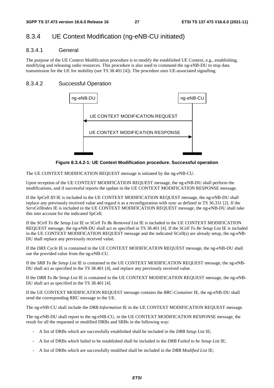# 8.3.4 UE Context Modification (ng-eNB-CU initiated)

#### 8.3.4.1 General

The purpose of the UE Context Modification procedure is to modify the established UE Context, e.g., establishing, modifying and releasing radio resources. This procedure is also used to command the ng-eNB-DU to stop data transmission for the UE for mobility (see TS 38.401 [4]). The procedure uses UE-associated signalling.

### 8.3.4.2 Successful Operation



**Figure 8.3.4.2-1: UE Context Modification procedure. Successful operation** 

The UE CONTEXT MODIFICATION REQUEST message is initiated by the ng-eNB-CU.

Upon reception of the UE CONTEXT MODIFICATION REQUEST message, the ng-eNB-DU shall perform the modifications, and if successful reports the update in the UE CONTEXT MODIFICATION RESPONSE message.

If the *SpCell ID* IE is included in the UE CONTEXT MODIFICATION REQUEST message, the ng-eNB-DU shall replace any previously received value and regard it as a reconfiguration with sync as defined in TS 36.331 [2]. If the *ServCellIndex* IE is included in the UE CONTEXT MODIFICATION REQUEST message, the ng-eNB-DU shall take this into account for the indicated SpCell.

If the *SCell To Be Setup List* IE or *SCell To Be Removed List* IE is included in the UE CONTEXT MODIFICATION REQUEST message, the ng-eNB-DU shall act as specified in TS 38.401 [4]. If the *SCell To Be Setup List* IE is included in the UE CONTEXT MODIFICATION REQUEST message and the indicated SCell(s) are already setup, the ng-eNB-DU shall replace any previously received value.

If the *DRX Cycle* IE is contained in the UE CONTEXT MODIFICATION REQUEST message, the ng-eNB-DU shall use the provided value from the ng-eNB-CU.

If the *SRB To Be Setup List* IE is contained in the UE CONTEXT MODIFICATION REQUEST message, the ng-eNB-DU shall act as specified in the TS 38.401 [4], and replace any previously received value.

If the *DRB To Be Setup List* IE is contained in the UE CONTEXT MODIFICATION REQUEST message, the ng-eNB-DU shall act as specified in the TS 38.401 [4].

If the UE CONTEXT MODIFICATION REQUEST message contains the *RRC-Container* IE, the ng-eNB-DU shall send the corresponding RRC message to the UE.

The ng-eNB-CU shall include the *DRB Information* IE in the UE CONTEXT MODIFICATION REQUEST message.

The ng-eNB-DU shall report to the ng-eNB-CU, in the UE CONTEXT MODIFICATION RESPONSE message, the result for all the requested or modified DRBs and SRBs in the following way:

- A list of DRBs which are successfully established shall be included in the *DRB Setup List* IE;
- A list of DRBs which failed to be established shall be included in the *DRB Failed to be Setup List* IE;
- A list of DRBs which are successfully modified shall be included in the *DRB Modified List* IE;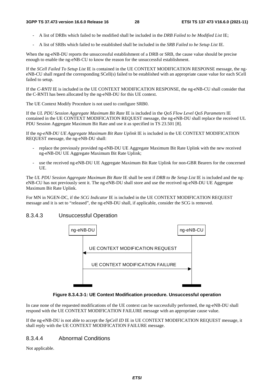- A list of DRBs which failed to be modified shall be included in the *DRB Failed to be Modified List* IE;
- A list of SRBs which failed to be established shall be included in the *SRB Failed to be Setup List* IE.

When the ng-eNB-DU reports the unsuccessful establishment of a DRB or SRB, the cause value should be precise enough to enable the ng-eNB-CU to know the reason for the unsuccessful establishment.

If the *SCell Failed To Setup List* IE is contained in the UE CONTEXT MODIFICATION RESPONSE message, the ngeNB-CU shall regard the corresponding SCell(s) failed to be established with an appropriate cause value for each SCell failed to setup.

If the *C-RNTI* IE is included in the UE CONTEXT MODIFICATION RESPONSE, the ng-eNB-CU shall consider that the C-RNTI has been allocated by the ng-eNB-DU for this UE context.

The UE Context Modify Procedure is not used to configure SRB0.

If the *UL PDU Session Aggregate Maximum Bit Rate* IE is included in the *QoS Flow Level QoS Parameters* IE contained in the UE CONTEXT MODIFICATION REQUEST message, the ng-eNB-DU shall replace the received UL PDU Session Aggregate Maximum Bit Rate and use it as specified in TS 23.501 [8].

If the *ng-eNB-DU UE Aggregate Maximum Bit Rate Uplink* IE is included in the UE CONTEXT MODIFICATION REQUEST message, the ng-eNB-DU shall:

- replace the previously provided ng-eNB-DU UE Aggregate Maximum Bit Rate Uplink with the new received ng-eNB-DU UE Aggregate Maximum Bit Rate Uplink;
- use the received ng-eNB-DU UE Aggregate Maximum Bit Rate Uplink for non-GBR Bearers for the concerned UE.

The *UL PDU Session Aggregate Maximum Bit Rate* IE shall be sent if *DRB to Be Setup List* IE is included and the ngeNB-CU has not previously sent it. The ng-eNB-DU shall store and use the received ng-eNB-DU UE Aggregate Maximum Bit Rate Uplink.

For MN in NGEN-DC, if the *SCG Indicator* IE is included in the UE CONTEXT MODIFICATION REQUEST message and it is set to "released", the ng-eNB-DU shall, if applicable, consider the SCG is removed.

# 8.3.4.3 Unsuccessful Operation



**Figure 8.3.4.3-1: UE Context Modification procedure. Unsuccessful operation** 

In case none of the requested modifications of the UE context can be successfully performed, the ng-eNB-DU shall respond with the UE CONTEXT MODIFICATION FAILURE message with an appropriate cause value.

If the ng-eNB-DU is not able to accept the *SpCell ID* IE in UE CONTEXT MODIFICATION REQUEST message, it shall reply with the UE CONTEXT MODIFICATION FAILURE message.

# 8.3.4.4 Abnormal Conditions

Not applicable.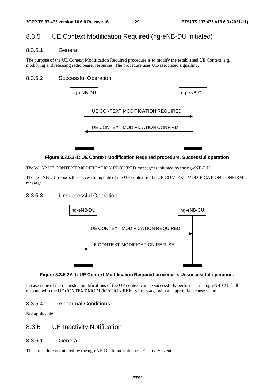# 8.3.5 UE Context Modification Required (ng-eNB-DU initiated)

#### 8.3.5.1 General

The purpose of the UE Context Modification Required procedure is to modify the established UE Context, e.g., modifying and releasing radio bearer resources. The procedure uses UE-associated signalling.

### 8.3.5.2 Successful Operation



#### **Figure 8.3.5.2-1: UE Context Modification Required procedure. Successful operation**

The W1AP UE CONTEXT MODIFICATION REQUIRED message is initiated by the ng-eNB-DU.

The ng-eNB-CU reports the successful update of the UE context in the UE CONTEXT MODIFICATION CONFIRM message.

#### 8.3.5.3 Unsuccessful Operation



#### **Figure 8.3.5.2A-1: UE Context Modification Required procedure. Unsuccessful operation.**

In case none of the requested modifications of the UE context can be successfully performed, the ng-eNB-CU shall respond with the UE CONTEXT MODIFICATION REFUSE message with an appropriate cause value.

#### 8.3.5.4 Abnormal Conditions

Not applicable.

### 8.3.6 UE Inactivity Notification

#### 8.3.6.1 General

This procedure is initiated by the ng-eNB-DU to indicate the UE activity event.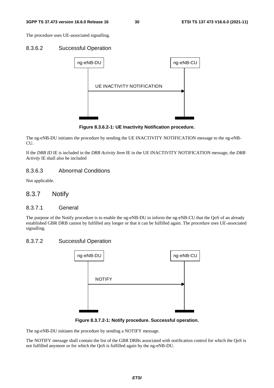The procedure uses UE-associated signalling.

#### 8.3.6.2 Successful Operation



**Figure 8.3.6.2-1: UE Inactivity Notification procedure.** 

The ng-eNB-DU initiates the procedure by sending the UE INACTIVITY NOTIFICATION message to the ng-eNB-CU.

If the *DRB ID* IE is included in the *DRB Activity Item* IE in the UE INACTIVITY NOTIFICATION message, the *DRB Activity* IE shall also be included

#### 8.3.6.3 Abnormal Conditions

Not applicable.

#### 8.3.7 Notify

#### 8.3.7.1 General

The purpose of the Notify procedure is to enable the ng-eNB-DU to inform the ng-eNB-CU that the QoS of an already established GBR DRB cannot by fulfilled any longer or that it can be fulfilled again. The procedure uses UE-associated signalling.

#### 8.3.7.2 Successful Operation



**Figure 8.3.7.2-1: Notify procedure. Successful operation.** 

The ng-eNB-DU initiates the procedure by sending a NOTIFY message.

The NOTIFY message shall contain the list of the GBR DRBs associated with notification control for which the QoS is not fulfilled anymore or for which the QoS is fulfilled again by the ng-eNB-DU.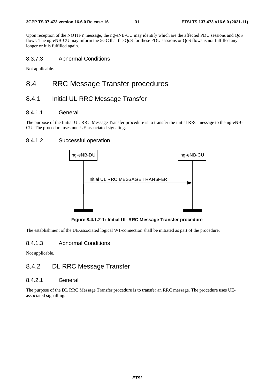Upon reception of the NOTIFY message, the ng-eNB-CU may identify which are the affected PDU sessions and QoS flows. The ng-eNB-CU may inform the 5GC that the QoS for these PDU sessions or QoS flows is not fulfilled any longer or it is fulfilled again.

### 8.3.7.3 Abnormal Conditions

Not applicable.

# 8.4 RRC Message Transfer procedures

# 8.4.1 Initial UL RRC Message Transfer

#### 8.4.1.1 General

The purpose of the Initial UL RRC Message Transfer procedure is to transfer the initial RRC message to the ng-eNB-CU. The procedure uses non-UE-associated signaling.

### 8.4.1.2 Successful operation



**Figure 8.4.1.2-1: Initial UL RRC Message Transfer procedure** 

The establishment of the UE-associated logical W1-connection shall be initiated as part of the procedure.

#### 8.4.1.3 Abnormal Conditions

Not applicable.

# 8.4.2 DL RRC Message Transfer

#### 8.4.2.1 General

The purpose of the DL RRC Message Transfer procedure is to transfer an RRC message. The procedure uses UEassociated signalling.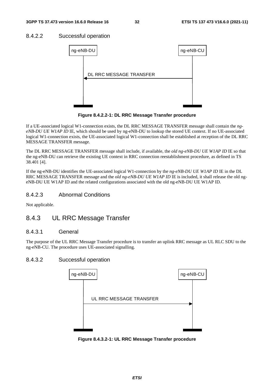#### 8.4.2.2 Successful operation



**Figure 8.4.2.2-1: DL RRC Message Transfer procedure** 

If a UE-associated logical W1-connection exists, the DL RRC MESSAGE TRANSFER message shall contain the *ngeNB-DU UE W1AP ID* IE, which should be used by ng-eNB-DU to lookup the stored UE context. If no UE-associated logical W1-connection exists, the UE-associated logical W1-connection shall be established at reception of the DL RRC MESSAGE TRANSFER message.

The DL RRC MESSAGE TRANSFER message shall include, if available, the *old ng-eNB-DU UE W1AP ID* IE so that the ng-eNB-DU can retrieve the existing UE context in RRC connection reestablishment procedure, as defined in TS 38.401 [4].

If the ng-eNB-DU identifies the UE-associated logical W1-connection by the *ng-eNB-DU UE W1AP ID* IE in the DL RRC MESSAGE TRANSFER message and the *old ng-eNB-DU UE W1AP ID* IE is included, it shall release the old ngeNB-DU UE W1AP ID and the related configurations associated with the old ng-eNB-DU UE W1AP ID.

#### 8.4.2.3 Abnormal Conditions

Not applicable.

# 8.4.3 UL RRC Message Transfer

#### 8.4.3.1 General

The purpose of the UL RRC Message Transfer procedure is to transfer an uplink RRC message as UL RLC SDU to the ng-eNB-CU. The procedure uses UE-associated signalling.

#### 8.4.3.2 Successful operation



**Figure 8.4.3.2-1: UL RRC Message Transfer procedure**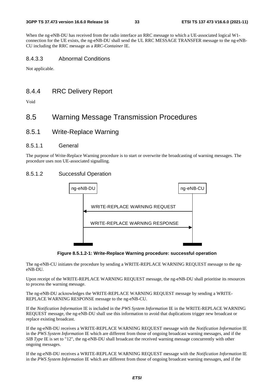When the ng-eNB-DU has received from the radio interface an RRC message to which a UE-associated logical W1 connection for the UE exists, the ng-eNB-DU shall send the UL RRC MESSAGE TRANSFER message to the ng-eNB-CU including the RRC message as a *RRC-Container* IE.

#### 8.4.3.3 Abnormal Conditions

Not applicable.

# 8.4.4 RRC Delivery Report

Void

# 8.5 Warning Message Transmission Procedures

8.5.1 Write-Replace Warning

#### 8.5.1.1 General

The purpose of Write-Replace Warning procedure is to start or overwrite the broadcasting of warning messages. The procedure uses non UE-associated signalling.

#### 8.5.1.2 Successful Operation



**Figure 8.5.1.2-1: Write-Replace Warning procedure: successful operation** 

The ng-eNB-CU initiates the procedure by sending a WRITE-REPLACE WARNING REQUEST message to the ngeNB-DU.

Upon receipt of the WRITE-REPLACE WARNING REQUEST message, the ng-eNB-DU shall prioritise its resources to process the warning message.

The ng-eNB-DU acknowledges the WRITE-REPLACE WARNING REQUEST message by sending a WRITE-REPLACE WARNING RESPONSE message to the ng-eNB-CU.

If the *Notification Information* IE is included in the *PWS System Information* IE in the WRITE-REPLACE WARNING REQUEST message, the ng-eNB-DU shall use this information to avoid that duplications trigger new broadcast or replace existing broadcast.

If the ng-eNB-DU receives a WRITE-REPLACE WARNING REQUEST message with the *Notification Information* IE in the *PWS System Information* IE which are different from those of ongoing broadcast warning messages, and if the *SIB Type* IE is set to "12", the ng-eNB-DU shall broadcast the received warning message concurrently with other ongoing messages.

If the ng-eNB-DU receives a WRITE-REPLACE WARNING REQUEST message with the *Notification Information* IE in the *PWS System Information* IE which are different from those of ongoing broadcast warning messages, and if the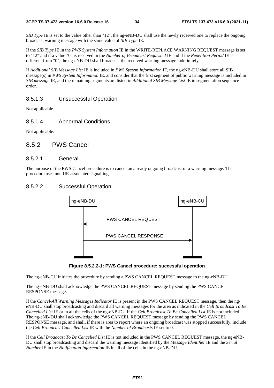*SIB Type* IE is set to the value other than "12", the ng-eNB-DU shall use the newly received one to replace the ongoing broadcast warning message with the same value of *SIB Type* IE.

If the *SIB Type* IE in the *PWS System Information* IE in the WRITE-REPLACE WARNING REQUEST message is set to "12" and if a value "0" is received in the *Number of Broadcast Requested* IE and if the *Repetition Period* IE is different from "0", the ng-eNB-DU shall broadcast the received warning message indefinitely.

If *Additional SIB Message List* IE is included in *PWS System Information* IE, the ng-eNB-DU shall store all SIB message(s) in *PWS System Information* IE, and consider that the first segment of public warning message is included in *SIB message* IE, and the remaining segments are listed in *Additional SIB Message List* IE in segmentation sequence order.

### 8.5.1.3 Unsuccessful Operation

Not applicable.

#### 8.5.1.4 Abnormal Conditions

Not applicable.

### 8.5.2 PWS Cancel

#### 8.5.2.1 General

The purpose of the PWS Cancel procedure is to cancel an already ongoing broadcast of a warning message. The procedure uses non UE-associated signalling.

#### 8.5.2.2 Successful Operation





The ng-eNB-CU initiates the procedure by sending a PWS CANCEL REQUEST message to the ng-eNB-DU.

The ng-eNB-DU shall acknowledge the PWS CANCEL REQUEST message by sending the PWS CANCEL RESPONSE message.

If the *Cancel-All Warning Messages Indicator* IE is present in the PWS CANCEL REQUEST message, then the ngeNB-DU shall stop broadcasting and discard all warning messages for the area as indicated in the *Cell Broadcast To Be Cancelled List* IE or in all the cells of the ng-eNB-DU if the *Cell Broadcast To Be Cancelled List* IE is not included. The ng-eNB-DU shall acknowledge the PWS CANCEL REQUEST message by sending the PWS CANCEL RESPONSE message, and shall, if there is area to report where an ongoing broadcast was stopped successfully, include the *Cell Broadcast Cancelled List* IE with the *Number of Broadcasts* IE set to 0.

If the *Cell Broadcast To Be Cancelled List* IE is not included in the PWS CANCEL REQUEST message, the ng-eNB-DU shall stop broadcasting and discard the warning message identified by the *Message Identifier* IE and the *Serial Number* IE in the *Notification Information* IE in all of the cells in the ng-eNB-DU.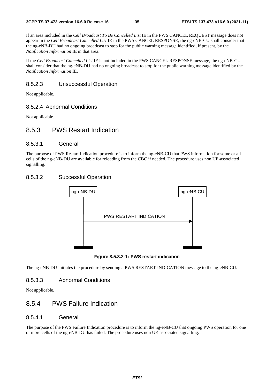If an area included in the *Cell Broadcast To Be Cancelled List* IE in the PWS CANCEL REQUEST message does not appear in the *Cell Broadcast Cancelled List* IE in the PWS CANCEL RESPONSE, the ng-eNB-CU shall consider that the ng-eNB-DU had no ongoing broadcast to stop for the public warning message identified, if present, by the *Notification Information* IE in that area.

If the *Cell Broadcast Cancelled List* IE is not included in the PWS CANCEL RESPONSE message, the ng-eNB-CU shall consider that the ng-eNB-DU had no ongoing broadcast to stop for the public warning message identified by the *Notification Information* IE.

#### 8.5.2.3 Unsuccessful Operation

Not applicable.

#### 8.5.2.4 Abnormal Conditions

Not applicable.

# 8.5.3 PWS Restart Indication

#### 8.5.3.1 General

The purpose of PWS Restart Indication procedure is to inform the ng-eNB-CU that PWS information for some or all cells of the ng-eNB-DU are available for reloading from the CBC if needed. The procedure uses non UE-associated signalling.

#### 8.5.3.2 Successful Operation



**Figure 8.5.3.2-1: PWS restart indication** 

The ng-eNB-DU initiates the procedure by sending a PWS RESTART INDICATION message to the ng-eNB-CU.

#### 8.5.3.3 Abnormal Conditions

Not applicable.

# 8.5.4 PWS Failure Indication

#### 8.5.4.1 General

The purpose of the PWS Failure Indication procedure is to inform the ng-eNB-CU that ongoing PWS operation for one or more cells of the ng-eNB-DU has failed. The procedure uses non UE-associated signalling.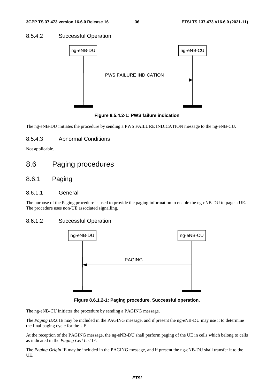#### 8.5.4.2 Successful Operation



**Figure 8.5.4.2-1: PWS failure indication** 

The ng-eNB-DU initiates the procedure by sending a PWS FAILURE INDICATION message to the ng-eNB-CU.

### 8.5.4.3 Abnormal Conditions

Not applicable.

# 8.6 Paging procedures

# 8.6.1 Paging

#### 8.6.1.1 General

The purpose of the Paging procedure is used to provide the paging information to enable the ng-eNB-DU to page a UE. The procedure uses non-UE associated signalling.

#### 8.6.1.2 Successful Operation



**Figure 8.6.1.2-1: Paging procedure. Successful operation.** 

The ng-eNB-CU initiates the procedure by sending a PAGING message.

The *Paging DRX* IE may be included in the PAGING message, and if present the ng-eNB-DU may use it to determine the final paging cycle for the UE.

At the reception of the PAGING message, the ng-eNB-DU shall perform paging of the UE in cells which belong to cells as indicated in the *Paging Cell List* IE.

The *Paging Origin* IE may be included in the PAGING message, and if present the ng-eNB-DU shall transfer it to the UE.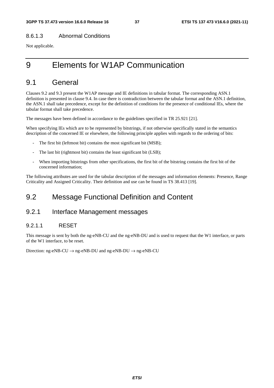#### 8.6.1.3 Abnormal Conditions

Not applicable.

# 9 Elements for W1AP Communication

# 9.1 General

Clauses 9.2 and 9.3 present the W1AP message and IE definitions in tabular format. The corresponding ASN.1 definition is presented in clause 9.4. In case there is contradiction between the tabular format and the ASN.1 definition, the ASN.1 shall take precedence, except for the definition of conditions for the presence of conditional IEs, where the tabular format shall take precedence.

The messages have been defined in accordance to the guidelines specified in TR 25.921 [21].

When specifying IEs which are to be represented by bitstrings, if not otherwise specifically stated in the semantics description of the concerned IE or elsewhere, the following principle applies with regards to the ordering of bits:

- The first bit (leftmost bit) contains the most significant bit (MSB);
- The last bit (rightmost bit) contains the least significant bit (LSB);
- When importing bitstrings from other specifications, the first bit of the bitstring contains the first bit of the concerned information;

The following attributes are used for the tabular description of the messages and information elements: Presence, Range Criticality and Assigned Criticality. Their definition and use can be found in TS 38.413 [19].

# 9.2 Message Functional Definition and Content

# 9.2.1 Interface Management messages

### 9.2.1.1 RESET

This message is sent by both the ng-eNB-CU and the ng-eNB-DU and is used to request that the W1 interface, or parts of the W1 interface, to be reset.

Direction: ng-eNB-CU  $\rightarrow$  ng-eNB-DU and ng-eNB-DU  $\rightarrow$  ng-eNB-CU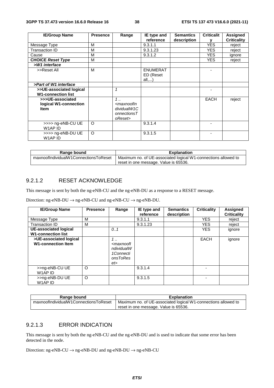| <b>IE/Group Name</b>                                     | <b>Presence</b> | Range                                                                                                   | IE type and                           | <b>Semantics</b> | <b>Criticalit</b> | <b>Assigned</b>    |
|----------------------------------------------------------|-----------------|---------------------------------------------------------------------------------------------------------|---------------------------------------|------------------|-------------------|--------------------|
|                                                          |                 |                                                                                                         | reference                             | description      |                   | <b>Criticality</b> |
| Message Type                                             | М               |                                                                                                         | 9.3.1.1                               |                  | <b>YES</b>        | reject             |
| Transaction ID                                           | M               |                                                                                                         | 9.3.1.23                              |                  | <b>YES</b>        | reject             |
| Cause                                                    | M               |                                                                                                         | 9.3.1.2                               |                  | <b>YES</b>        | ignore             |
| <b>CHOICE Reset Type</b>                                 | М               |                                                                                                         |                                       |                  | <b>YES</b>        | reject             |
| >W1 interface                                            |                 |                                                                                                         |                                       |                  |                   |                    |
| >>Reset All                                              | м               |                                                                                                         | <b>ENUMERAT</b><br>ED (Reset<br>all,) |                  |                   |                    |
| >Part of W1 interface                                    |                 |                                                                                                         |                                       |                  |                   |                    |
| >>UE-associated logical<br><b>W1-connection list</b>     |                 | 1                                                                                                       |                                       |                  |                   |                    |
| >>>UE-associated<br>logical W1-connection<br><b>Item</b> |                 | 1<br><maxnoofin<br>dividualW1C<br/><math>onnections <math>T</math></math><br/>oReset&gt;</maxnoofin<br> |                                       |                  | <b>EACH</b>       | reject             |
| >>>> ng-eNB-CU UE<br>W1AP ID                             | O               |                                                                                                         | 9.3.1.4                               |                  |                   |                    |
| >>>> ng-eNB-DU UE<br>W1AP ID                             | O               |                                                                                                         | 9.3.1.5                               |                  |                   |                    |

| Range bound                           | <b>Explanation</b>                                             |
|---------------------------------------|----------------------------------------------------------------|
| maxnoofIndividualW1ConnectionsToReset | Maximum no. of UE-associated logical W1-connections allowed to |
|                                       | reset in one message. Value is 65536.                          |

### 9.2.1.2 RESET ACKNOWLEDGE

This message is sent by both the ng-eNB-CU and the ng-eNB-DU as a response to a RESET message.

Direction: ng-eNB-DU  $\rightarrow$  ng-eNB-CU and ng-eNB-CU  $\rightarrow$  ng-eNB-DU.

| <b>IE/Group Name</b>                                | <b>Presence</b> | Range                                                                                     | IE type and<br>reference | <b>Semantics</b><br>description | <b>Criticality</b> | <b>Assigned</b><br><b>Criticality</b> |
|-----------------------------------------------------|-----------------|-------------------------------------------------------------------------------------------|--------------------------|---------------------------------|--------------------|---------------------------------------|
| Message Type                                        | м               |                                                                                           | 9.3.1.1                  |                                 | <b>YES</b>         | reject                                |
| Transaction ID                                      | м               |                                                                                           | 9.3.1.23                 |                                 | <b>YES</b>         | reject                                |
| UE-associated logical<br><b>W1-connection list</b>  |                 | 0.1                                                                                       |                          |                                 | <b>YES</b>         | ignore                                |
| >UE-associated logical<br><b>W1-connection Item</b> |                 | $1 \ldots$<br><maxnoofl<br>ndividualW<br/>1Connecti<br/>onsToRes<br/>et&gt;</maxnoofl<br> |                          |                                 | <b>EACH</b>        | ignore                                |
| >>ng-eNB-CU UE<br>W1AP ID                           | $\circ$         |                                                                                           | 9.3.1.4                  |                                 |                    |                                       |
| >>ng-eNB-DU UE<br>W1AP ID                           | $\circ$         |                                                                                           | 9.3.1.5                  |                                 |                    |                                       |

| Range bound                           | <b>Explanation</b>                                             |  |  |  |
|---------------------------------------|----------------------------------------------------------------|--|--|--|
| maxnoofIndividualW1ConnectionsToReset | Maximum no. of UE-associated logical W1-connections allowed to |  |  |  |
|                                       | reset in one message. Value is 65536.                          |  |  |  |

#### 9.2.1.3 ERROR INDICATION

This message is sent by both the ng-eNB-CU and the ng-eNB-DU and is used to indicate that some error has been detected in the node.

Direction: ng-eNB-CU  $\rightarrow$  ng-eNB-DU and ng-eNB-DU  $\rightarrow$  ng-eNB-CU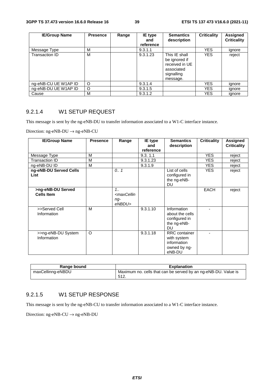| <b>IE/Group Name</b> | <b>Presence</b> | Range | IE type<br>and<br>reference | <b>Semantics</b><br>description                                                          | <b>Criticality</b> | Assigned<br><b>Criticality</b> |
|----------------------|-----------------|-------|-----------------------------|------------------------------------------------------------------------------------------|--------------------|--------------------------------|
| Message Type         | М               |       | 9.3.1.1                     |                                                                                          | <b>YES</b>         | ignore                         |
| Transaction ID       | M               |       | 9.3.1.23                    | This IE shall<br>be ignored if<br>received in UE<br>associated<br>signalling<br>message. | <b>YES</b>         | reject                         |
| ng-eNB-CU UE W1AP ID | $\circ$         |       | 9.3.1.4                     |                                                                                          | <b>YES</b>         | ignore                         |
| ng-eNB-DU UE W1AP ID | O               |       | 9.3.1.5                     |                                                                                          | <b>YES</b>         | ignore                         |
| Cause                | м               |       | 9.3.1.2                     |                                                                                          | YES                | ignore                         |

#### 9.2.1.4 W1 SETUP REQUEST

This message is sent by the ng-eNB-DU to transfer information associated to a W1-C interface instance.

Direction: ng-eNB-DU → ng-eNB-CU

| <b>IE/Group Name</b>                   | <b>Presence</b> | Range                                                     | IE type<br>and<br>reference | <b>Semantics</b><br>description                                              | <b>Criticality</b> | <b>Assigned</b><br><b>Criticality</b> |
|----------------------------------------|-----------------|-----------------------------------------------------------|-----------------------------|------------------------------------------------------------------------------|--------------------|---------------------------------------|
| Message Type                           | M               |                                                           | 9.3.11                      |                                                                              | <b>YES</b>         | reject                                |
| Transaction ID                         | M               |                                                           | 9.3.1.23                    |                                                                              | <b>YES</b>         | reject                                |
| ng-eNB-DU ID                           | M               |                                                           | 9.3.1.9                     |                                                                              | <b>YES</b>         | reject                                |
| ng-eNB-DU Served Cells<br><b>List</b>  |                 | 0.1                                                       |                             | List of cells<br>configured in<br>the ng-eNB-<br><b>DU</b>                   | <b>YES</b>         | reject                                |
| >ng-eNB-DU Served<br><b>Cells Item</b> |                 | $1_{1}$<br><maxcellin<br>ng-<br/>eNBDU&gt;</maxcellin<br> |                             |                                                                              | <b>EACH</b>        | reject                                |
| >>Served Cell<br>Information           | M               |                                                           | 9.3.1.10                    | Information<br>about the cells<br>configured in<br>the ng-eNB-<br><b>DU</b>  |                    |                                       |
| >>ng-eNB-DU System<br>Information      | $\circ$         |                                                           | 9.3.1.18                    | <b>RRC</b> container<br>with system<br>information<br>owned by ng-<br>eNB-DU |                    |                                       |

| Range bound       | <b>Explanation</b>                                                     |
|-------------------|------------------------------------------------------------------------|
| maxCellinng-eNBDU | Maximum no. cells that can be served by an ng-eNB-DU. Value is<br>512. |

## 9.2.1.5 W1 SETUP RESPONSE

This message is sent by the ng-eNB-CU to transfer information associated to a W1-C interface instance.

Direction: ng-eNB-CU  $\rightarrow$  ng-eNB-DU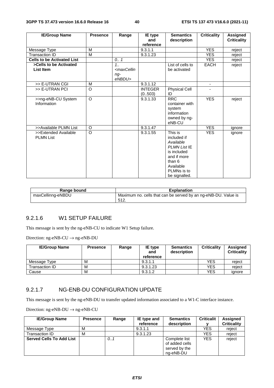| <b>IE/Group Name</b>                     | <b>Presence</b> | Range                                                                           | IE type<br>and           | <b>Semantics</b><br>description                                                                                                                 | <b>Criticality</b>       | <b>Assigned</b><br><b>Criticality</b> |
|------------------------------------------|-----------------|---------------------------------------------------------------------------------|--------------------------|-------------------------------------------------------------------------------------------------------------------------------------------------|--------------------------|---------------------------------------|
|                                          |                 |                                                                                 | reference                |                                                                                                                                                 |                          |                                       |
| Message Type                             | M               |                                                                                 | 9.3.1.1                  |                                                                                                                                                 | <b>YES</b>               | reject                                |
| <b>Transaction ID</b>                    | M               |                                                                                 | 9.3.1.23                 |                                                                                                                                                 | <b>YES</b>               | reject                                |
| <b>Cells to be Activated List</b>        |                 | 0.1                                                                             |                          |                                                                                                                                                 | <b>YES</b>               | reject                                |
| >Cells to be Activated                   |                 | 1.1                                                                             |                          | List of cells to                                                                                                                                | EACH                     | reject                                |
| List Item                                |                 | <maxcellin< td=""><td></td><td>be activated</td><td></td><td></td></maxcellin<> |                          | be activated                                                                                                                                    |                          |                                       |
|                                          |                 | $ng-$<br>eNBDU>                                                                 |                          |                                                                                                                                                 |                          |                                       |
| >> E-UTRAN CGI                           | M               |                                                                                 | 9.3.1.12                 |                                                                                                                                                 | $\overline{\phantom{a}}$ |                                       |
| >> E-UTRAN PCI                           | O               |                                                                                 | <b>INTEGER</b><br>(0503) | <b>Physical Cell</b><br>ID                                                                                                                      |                          |                                       |
| >>ng-eNB-CU System<br>Information        | $\Omega$        |                                                                                 | 9.3.1.33                 | <b>RRC</b><br>container with<br>system<br>information<br>owned by ng-<br>eNB-CU                                                                 | <b>YES</b>               | reject                                |
| >>Available PLMN List                    | $\circ$         |                                                                                 | 9.3.1.47                 |                                                                                                                                                 | <b>YES</b>               | ignore                                |
| >>Extended Available<br><b>PLMN List</b> | $\circ$         |                                                                                 | 9.3.1.55                 | This is<br>included if<br>Available<br><b>PLMN List IE</b><br>is included<br>and if more<br>than 6<br>Available<br>PLMNs is to<br>be signalled. | <b>YES</b>               | ignore                                |

| Range bound       | <b>Explanation</b>                                                      |
|-------------------|-------------------------------------------------------------------------|
| maxCellinng-eNBDU | Maximum no. cells that can be served by an ng-eNB-DU. Value is<br>-512. |

# 9.2.1.6 W1 SETUP FAILURE

This message is sent by the ng-eNB-CU to indicate W1 Setup failure.

Direction: ng-eNB-CU  $\rightarrow$  ng-eNB-DU

| <b>IE/Group Name</b> | <b>Presence</b> | Range | IE type<br>and<br>reference | <b>Semantics</b><br>description | <b>Criticality</b> | <b>Assigned</b><br><b>Criticality</b> |
|----------------------|-----------------|-------|-----------------------------|---------------------------------|--------------------|---------------------------------------|
| Message Type         | M               |       | 9.3.1.1                     |                                 | YES                | reiect                                |
| Transaction ID       | M               |       | 9.3.1.23                    |                                 | YES                | reiect                                |
| Cause                | M               |       | 9.3.1.2                     |                                 | YES                | ianore                                |

#### 9.2.1.7 NG-ENB-DU CONFIGURATION UPDATE

This message is sent by the ng-eNB-DU to transfer updated information associated to a W1-C interface instance.

| <b>IE/Group Name</b>            | <b>Presence</b> | Range | IE type and<br>reference | <b>Semantics</b><br>description                               | <b>Criticalit</b> | Assigned<br><b>Criticality</b> |
|---------------------------------|-----------------|-------|--------------------------|---------------------------------------------------------------|-------------------|--------------------------------|
| Message Type                    | M               |       | 9.3.1.1                  |                                                               | YES               | reject                         |
| Transaction ID                  | M               |       | 9.3.1.23                 |                                                               | YES               | reject                         |
| <b>Served Cells To Add List</b> |                 | 0.1   |                          | Complete list<br>of added cells<br>served by the<br>ng-eNB-DU | <b>YES</b>        | reject                         |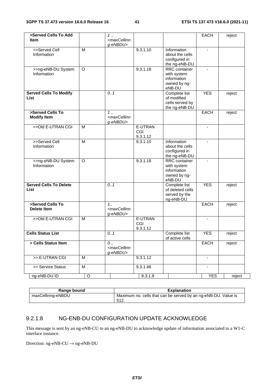| >Served Cells To Add<br><b>Item</b>          |                | 1<br><maxcellinn< th=""><th></th><th></th><th>EACH</th><th>reject</th></maxcellinn<> |                            |                                                                              | EACH                     | reject |
|----------------------------------------------|----------------|--------------------------------------------------------------------------------------|----------------------------|------------------------------------------------------------------------------|--------------------------|--------|
|                                              |                | g-eNBDU>                                                                             |                            |                                                                              |                          |        |
| >>Served Cell<br>Information                 | M              |                                                                                      | 9.3.1.10                   | Information<br>about the cells<br>configured in<br>the ng-eNB-DU             | $\blacksquare$           |        |
| >>ng-eNB-DU System<br>Information            | $\circ$        |                                                                                      | 9.3.1.18                   | RRC container<br>with system<br>information<br>owned by ng-<br>eNB-DU        | $\blacksquare$           |        |
| <b>Served Cells To Modify</b><br>List        |                | 0.1                                                                                  |                            | Complete list<br>of modified<br>cells served by<br>the ng-eNB-DU             | <b>YES</b>               | reject |
| >Served Cells To<br><b>Modify Item</b>       |                | $1 \ldots$<br><maxcellinn<br>g-eNBDU&gt;</maxcellinn<br>                             |                            |                                                                              | EACH                     | reject |
| >>Old E-UTRAN CGI                            | M              |                                                                                      | E-UTRAN<br>CGI<br>9.3.1.12 |                                                                              | $\blacksquare$           |        |
| >>Served Cell<br>Information                 | $\overline{M}$ |                                                                                      | 9.3.1.10                   | Information<br>about the cells<br>configured in<br>the ng-eNB-DU             |                          |        |
| >>ng-eNB-DU System<br>Information            | $\circ$        |                                                                                      | 9.3.1.18                   | <b>RRC</b> container<br>with system<br>information<br>owned by ng-<br>eNB-DU |                          |        |
| <b>Served Cells To Delete</b><br><b>List</b> |                | 0.1                                                                                  |                            | Complete list<br>of deleted cells<br>served by the<br>ng-eNB-DU              | <b>YES</b>               | reject |
| >Served Cells To<br><b>Delete Item</b>       |                | $1_{1}$<br><maxcellinn<br>g-eNBDU&gt;</maxcellinn<br>                                |                            |                                                                              | <b>EACH</b>              | reject |
| >>Old E-UTRAN CGI                            | M              |                                                                                      | E-UTRAN<br>CGI<br>9.3.1.12 |                                                                              | $\blacksquare$           |        |
| <b>Cells Status List</b>                     |                | 0.1                                                                                  |                            | Complete list<br>of active cells                                             | <b>YES</b>               | reject |
| > Cells Status Item                          |                | 0<br><maxcellinn<br>g-eNBDU&gt;</maxcellinn<br>                                      |                            |                                                                              | EACH                     | reject |
| >> E-UTRAN CGI                               | M              |                                                                                      | 9.3.1.12                   |                                                                              |                          |        |
| >> Service Status                            | M              |                                                                                      | 9.3.1.48                   |                                                                              | $\overline{\phantom{a}}$ |        |
| ng-eNB-DU ID                                 | $\mathsf O$    |                                                                                      | 9.3.1.9                    |                                                                              | <b>YES</b>               | reject |

| Range bound       | <b>Explanation</b>                                             |
|-------------------|----------------------------------------------------------------|
| maxCellinng-eNBDU | Maximum no. cells that can be served by an ng-eNB-DU. Value is |
|                   | 512<br>. تــا ل                                                |

# 9.2.1.8 NG-ENB-DU CONFIGURATION UPDATE ACKNOWLEDGE

This message is sent by an ng-eNB-CU to an ng-eNB-DU to acknowledge update of information associated to a W1-C interface instance.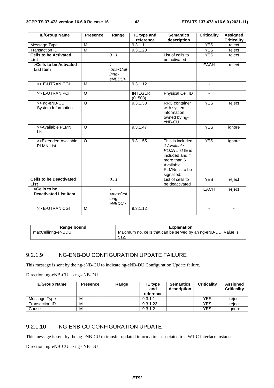| <b>IE/Group Name</b>           | <b>Presence</b>         | Range                                                           | IE type and    | <b>Semantics</b>               | <b>Criticality</b>       | <b>Assigned</b>    |
|--------------------------------|-------------------------|-----------------------------------------------------------------|----------------|--------------------------------|--------------------------|--------------------|
|                                |                         |                                                                 | reference      | description                    |                          | <b>Criticality</b> |
| Message Type                   | M                       |                                                                 | 9.3.1.1        |                                | <b>YES</b>               | reject             |
| <b>Transaction ID</b>          | $\overline{\mathsf{M}}$ |                                                                 | 9.3.1.23       |                                | <b>YES</b>               | reject             |
| <b>Cells to be Activated</b>   |                         | 0.1                                                             |                | List of cells to               | <b>YES</b>               | reject             |
| List                           |                         |                                                                 |                | be activated                   |                          |                    |
| >Cells to be Activated         |                         | 1.1                                                             |                |                                | <b>EACH</b>              | reject             |
| List Item                      |                         | <maxcell< td=""><td></td><td></td><td></td><td></td></maxcell<> |                |                                |                          |                    |
|                                |                         | inna-                                                           |                |                                |                          |                    |
|                                |                         | eNBDU>                                                          |                |                                |                          |                    |
| >> E-UTRAN CGI                 | М                       |                                                                 | 9.3.1.12       |                                | $\overline{\phantom{a}}$ |                    |
| >> E-UTRAN PCI                 | $\overline{\circ}$      |                                                                 | <b>INTEGER</b> | Physical Cell ID               |                          |                    |
|                                |                         |                                                                 | (0.503)        |                                |                          |                    |
| >> ng-eNB-CU                   | $\overline{\circ}$      |                                                                 | 9.3.1.33       | <b>RRC</b> container           | <b>YES</b>               | reject             |
| System Information             |                         |                                                                 |                | with system                    |                          |                    |
|                                |                         |                                                                 |                | information                    |                          |                    |
|                                |                         |                                                                 |                | owned by ng-                   |                          |                    |
| >>Available PLMN               | $\circ$                 |                                                                 | 9.3.1.47       | eNB-CU                         | <b>YES</b>               |                    |
| List                           |                         |                                                                 |                |                                |                          | ignore             |
|                                |                         |                                                                 |                |                                |                          |                    |
| >>Extended Available           | $\circ$                 |                                                                 | 9.3.1.55       | This is included               | <b>YES</b>               | ignore             |
| <b>PLMN List</b>               |                         |                                                                 |                | if Available                   |                          |                    |
|                                |                         |                                                                 |                | PLMN List IE is                |                          |                    |
|                                |                         |                                                                 |                | included and if                |                          |                    |
|                                |                         |                                                                 |                | more than 6                    |                          |                    |
|                                |                         |                                                                 |                | Available                      |                          |                    |
|                                |                         |                                                                 |                | PLMNs is to be                 |                          |                    |
| <b>Cells to be Deactivated</b> |                         | 0.1                                                             |                | signalled.<br>List of cells to | <b>YES</b>               |                    |
| List                           |                         |                                                                 |                | be deactivated                 |                          | reject             |
| >Cells to be                   |                         | 1.1                                                             |                |                                | <b>EACH</b>              | reject             |
| <b>Deactivated List Item</b>   |                         | <maxcell< td=""><td></td><td></td><td></td><td></td></maxcell<> |                |                                |                          |                    |
|                                |                         | inng-                                                           |                |                                |                          |                    |
|                                |                         | eNBDU>                                                          |                |                                |                          |                    |
| >> E-UTRAN CGI                 | M                       |                                                                 | 9.3.1.12       |                                |                          |                    |

| Range bound       | <b>Explanation</b>                                                      |
|-------------------|-------------------------------------------------------------------------|
| maxCellinng-eNBDU | Maximum no. cells that can be served by an ng-eNB-DU. Value is<br>-512. |

#### 9.2.1.9 NG-ENB-DU CONFIGURATION UPDATE FAILURE

This message is sent by the ng-eNB-CU to indicate ng-eNB-DU Configuration Update failure.

Direction: ng-eNB-CU  $\rightarrow$  ng-eNB-DU

| <b>IE/Group Name</b> | <b>Presence</b> | Range | IE type<br>and<br>reference | <b>Semantics</b><br>description | <b>Criticality</b> | Assigned<br><b>Criticality</b> |
|----------------------|-----------------|-------|-----------------------------|---------------------------------|--------------------|--------------------------------|
| Message Type         | м               |       | 9.3.1.1                     |                                 | <b>YES</b>         | reject                         |
| Transaction ID       | м               |       | 9.3.1.23                    |                                 | <b>YES</b>         | reject                         |
| Cause                | M               |       | 9.3.1.2                     |                                 | <b>YES</b>         | ignore                         |

#### 9.2.1.10 NG-ENB-CU CONFIGURATION UPDATE

This message is sent by the ng-eNB-CU to transfer updated information associated to a W1-C interface instance.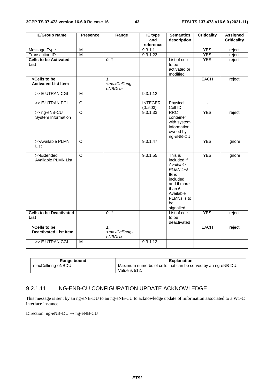| <b>IE/Group Name</b>                         | <b>Presence</b>         | Range                                               | <b>IE</b> type<br>and     | <b>Semantics</b><br>description                                                                                                                       | <b>Criticality</b> | <b>Assigned</b><br><b>Criticality</b> |
|----------------------------------------------|-------------------------|-----------------------------------------------------|---------------------------|-------------------------------------------------------------------------------------------------------------------------------------------------------|--------------------|---------------------------------------|
|                                              |                         |                                                     | reference                 |                                                                                                                                                       |                    |                                       |
| Message Type                                 | M                       |                                                     | 9.3.1.1                   |                                                                                                                                                       | <b>YES</b>         | reject                                |
| <b>Transaction ID</b>                        | $\overline{\mathsf{M}}$ |                                                     | 9.3.1.23                  |                                                                                                                                                       | <b>YES</b>         | reject                                |
| <b>Cells to be Activated</b><br>List         |                         | 0.1                                                 |                           | List of cells<br>to be<br>activated or<br>modified                                                                                                    | <b>YES</b>         | reject                                |
| >Cells to be<br><b>Activated List Item</b>   |                         | 1.1<br><maxcellinng-<br>eNBDU&gt;</maxcellinng-<br> |                           |                                                                                                                                                       | EACH               | reject                                |
| >> E-UTRAN CGI                               | M                       |                                                     | 9.3.1.12                  |                                                                                                                                                       | ä,                 |                                       |
| >> E-UTRAN PCI                               | $\overline{\circ}$      |                                                     | <b>INTEGER</b><br>(0.503) | Physical<br>Cell ID                                                                                                                                   | $\blacksquare$     |                                       |
| >> ng-eNB-CU<br>System Information           | $\overline{O}$          |                                                     | 9.3.1.33                  | <b>RRC</b><br>container<br>with system<br>information<br>owned by<br>ng-eNB-CU                                                                        | <b>YES</b>         | reject                                |
| >>Available PLMN<br>List                     | $\circ$                 |                                                     | 9.3.1.47                  |                                                                                                                                                       | <b>YES</b>         | ignore                                |
| >>Extended<br>Available PLMN List            | $\overline{\circ}$      |                                                     | 9.3.1.55                  | This is<br>included if<br>Available<br><b>PLMN List</b><br>IE is<br>included<br>and if more<br>than 6<br>Available<br>PLMNs is to<br>be<br>signalled. | <b>YES</b>         | ignore                                |
| <b>Cells to be Deactivated</b><br>List       |                         | 0.1                                                 |                           | List of cells<br>to be<br>deactivated                                                                                                                 | <b>YES</b>         | reject                                |
| >Cells to be<br><b>Deactivated List Item</b> |                         | 1.1<br><maxcellinng-<br>eNBDU&gt;</maxcellinng-<br> |                           |                                                                                                                                                       | <b>EACH</b>        | reject                                |
| >> E-UTRAN CGI                               | $\overline{M}$          |                                                     | 9.3.1.12                  |                                                                                                                                                       | $\blacksquare$     |                                       |

| Range bound       | Explanation                                                  |
|-------------------|--------------------------------------------------------------|
| maxCellinng-eNBDU | Maximum numerbs of cells that can be served by an ng-eNB-DU. |
|                   | Value is 512.                                                |

#### 9.2.1.11 NG-ENB-CU CONFIGURATION UPDATE ACKNOWLEDGE

This message is sent by an ng-eNB-DU to an ng-eNB-CU to acknowledge update of information associated to a W1-C interface instance.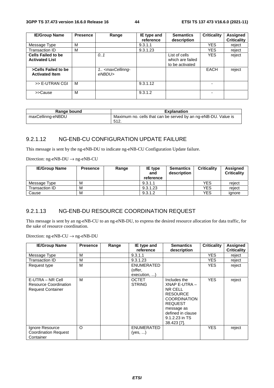| <b>IE/Group Name</b>                               | <b>Presence</b> | Range                                           | IE type and<br>reference | <b>Semantics</b><br>description                      | <b>Criticality</b> | <b>Assigned</b><br><b>Criticality</b> |
|----------------------------------------------------|-----------------|-------------------------------------------------|--------------------------|------------------------------------------------------|--------------------|---------------------------------------|
| Message Type                                       | M               |                                                 | 9.3.1.1                  |                                                      | <b>YES</b>         | reject                                |
| Transaction ID                                     | M               |                                                 | 9.3.1.23                 |                                                      | <b>YES</b>         | reject                                |
| <b>Cells Failed to be</b><br><b>Activated List</b> |                 | 0.1                                             |                          | List of cells<br>which are failed<br>to be activated | <b>YES</b>         | reject                                |
| >Cells Failed to be<br><b>Activated Item</b>       |                 | 1. <maxcellinng-<br>eNBDU&gt;</maxcellinng-<br> |                          |                                                      | <b>EACH</b>        | reject                                |
| >> E-UTRAN CGI                                     | M               |                                                 | 9.3.1.12                 |                                                      |                    |                                       |
| >>Cause                                            | M               |                                                 | 9.3.1.2                  |                                                      |                    |                                       |

| Range bound       | <b>Explanation</b>                                                     |
|-------------------|------------------------------------------------------------------------|
| maxCellinng-eNBDU | Maximum no. cells that can be served by an ng-eNB-DU. Value is<br>512. |

# 9.2.1.12 NG-ENB-CU CONFIGURATION UPDATE FAILURE

This message is sent by the ng-eNB-DU to indicate ng-eNB-CU Configuration Update failure.

Direction: ng-eNB-DU → ng-eNB-CU

| <b>IE/Group Name</b> | <b>Presence</b> | Range | IE type<br>and<br>reference | <b>Semantics</b><br>description | <b>Criticality</b> | Assigned<br><b>Criticality</b> |
|----------------------|-----------------|-------|-----------------------------|---------------------------------|--------------------|--------------------------------|
| Message Type         | M               |       | 9.3.1.1                     |                                 | <b>YES</b>         | reiect                         |
| Transaction ID       | M               |       | 9.3.1.23                    |                                 | <b>YES</b>         | reject                         |
| Cause                | M               |       | 9.3.1.2                     |                                 | YES                | ianore                         |

# 9.2.1.13 NG-ENB-DU RESOURCE COORDINATION REQUEST

This message is sent by an ng-eNB-CU to an ng-eNB-DU, to express the desired resource allocation for data traffic, for the sake of resource coordination.

| <b>IE/Group Name</b>                                                         | <b>Presence</b> | Range | IE type and<br>reference      | <b>Semantics</b><br>description                                                                                                                                         | <b>Criticality</b> | <b>Assigned</b><br><b>Criticality</b> |
|------------------------------------------------------------------------------|-----------------|-------|-------------------------------|-------------------------------------------------------------------------------------------------------------------------------------------------------------------------|--------------------|---------------------------------------|
| Message Type                                                                 | M               |       | 9.3.1.1                       |                                                                                                                                                                         | YES.               | reject                                |
| Transaction ID                                                               | M               |       | 9.3.1.23                      |                                                                                                                                                                         | YES.               | reject                                |
| Request type                                                                 | М               |       | <b>ENUMERATED</b>             |                                                                                                                                                                         | <b>YES</b>         | reject                                |
|                                                                              |                 |       | (offer,                       |                                                                                                                                                                         |                    |                                       |
|                                                                              |                 |       | execution, )                  |                                                                                                                                                                         |                    |                                       |
| E-UTRA – NR Cell<br><b>Resource Coordination</b><br><b>Request Container</b> | M               |       | <b>OCTET</b><br><b>STRING</b> | Includes the<br>XNAP E-UTRA-<br>NR CELL<br><b>RESOURCE</b><br><b>COORDINATION</b><br><b>REQUEST</b><br>message as<br>defined in clause<br>9.1.2.23 in TS<br>38.423 [7]. | <b>YES</b>         | reject                                |
| Ignore Resource<br><b>Coordination Request</b><br>Container                  | O               |       | <b>ENUMERATED</b><br>(yes, )  |                                                                                                                                                                         | <b>YES</b>         | reject                                |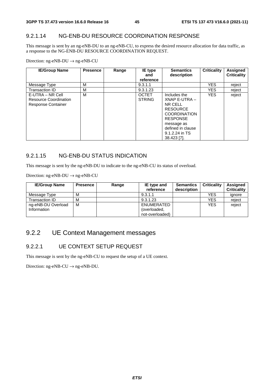### 9.2.1.14 NG-ENB-DU RESOURCE COORDINATION RESPONSE

This message is sent by an ng-eNB-DU to an ng-eNB-CU, to express the desired resource allocation for data traffic, as a response to the NG-ENB-DU RESOURCE COORDINATION REQUEST.

Direction: ng-eNB-DU → ng-eNB-CU

| <b>IE/Group Name</b>                                                   | <b>Presence</b> | Range | IE type<br>and<br>reference   | <b>Semantics</b><br>description                                                                                                                                           | Criticality | Assigned<br><b>Criticality</b> |
|------------------------------------------------------------------------|-----------------|-------|-------------------------------|---------------------------------------------------------------------------------------------------------------------------------------------------------------------------|-------------|--------------------------------|
| Message Type                                                           | М               |       | 9.3.1.1                       |                                                                                                                                                                           | <b>YES</b>  | reject                         |
| Transaction ID                                                         | M               |       | 9.3.1.23                      |                                                                                                                                                                           | <b>YES</b>  | reject                         |
| E-UTRA – NR Cell<br>Resource Coordination<br><b>Response Container</b> | M               |       | <b>OCTET</b><br><b>STRING</b> | Includes the<br>XNAP E-UTRA -<br>NR CELL<br><b>RESOURCE</b><br><b>COORDINATION</b><br><b>RESPONSE</b><br>message as<br>defined in clause<br>9.1.2.24 in TS<br>38.423 [7]. | <b>YES</b>  | reject                         |

### 9.2.1.15 NG-ENB-DU STATUS INDICATION

This message is sent by the ng-eNB-DU to indicate to the ng-eNB-CU its status of overload.

Direction: ng-eNB-DU → ng-eNB-CU

| <b>IE/Group Name</b> | <b>Presence</b> | Range | <b>IE</b> type and<br>reference | <b>Semantics</b><br>description | <b>Criticality</b> | <b>Assigned</b><br><b>Criticality</b> |
|----------------------|-----------------|-------|---------------------------------|---------------------------------|--------------------|---------------------------------------|
| Message Type         | М               |       | 9.3.1.1                         |                                 | <b>YES</b>         | ignore                                |
| Transaction ID       | М               |       | 9.3.1.23                        |                                 | YES                | reject                                |
| ng-eNB-DU Overload   | M               |       | ENUMERATED                      |                                 | <b>YES</b>         | reject                                |
| Information          |                 |       | (overloaded,                    |                                 |                    |                                       |
|                      |                 |       | not-overloaded)                 |                                 |                    |                                       |

# 9.2.2 UE Context Management messages

### 9.2.2.1 UE CONTEXT SETUP REQUEST

This message is sent by the ng-eNB-CU to request the setup of a UE context.

Direction:  $ng-eNB-CU \rightarrow ng-eNB-DU$ .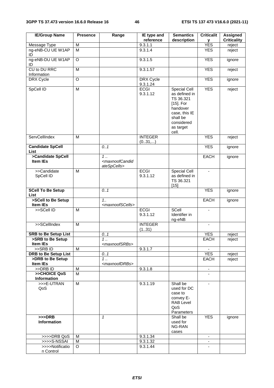| <b>IE/Group Name</b>                    | <b>Presence</b> | Range                                                        | IE type and<br>reference | <b>Semantics</b><br>description                                                                                                                | <b>Criticalit</b><br>У | <b>Assigned</b><br><b>Criticality</b> |
|-----------------------------------------|-----------------|--------------------------------------------------------------|--------------------------|------------------------------------------------------------------------------------------------------------------------------------------------|------------------------|---------------------------------------|
| Message Type                            | M               |                                                              | 9.3.1.1                  |                                                                                                                                                | <b>YES</b>             | reject                                |
| ng-eNB-CU UE W1AP<br>ID                 | $\overline{M}$  |                                                              | 9.3.1.4                  |                                                                                                                                                | <b>YES</b>             | reject                                |
| ng-eNB-DU UE W1AP<br>ID                 | O               |                                                              | 9.3.1.5                  |                                                                                                                                                | <b>YES</b>             | ignore                                |
| CU to DU RRC<br>Information             | M               |                                                              | 9.3.1.57                 |                                                                                                                                                | <b>YES</b>             | reject                                |
| <b>DRX Cycle</b>                        | O               |                                                              | DRX Cycle<br>9.3.1.24    |                                                                                                                                                | <b>YES</b>             | ignore                                |
| SpCell ID                               | M               |                                                              | <b>ECGI</b><br>9.3.1.12  | <b>Special Cell</b><br>as defined in<br>TS 36.321<br>$[15]$ . For<br>handover<br>case, this IE<br>shall be<br>considered<br>as target<br>cell. | <b>YES</b>             | reject                                |
| ServCellIndex                           | M               |                                                              | <b>INTEGER</b><br>(031,) |                                                                                                                                                | <b>YES</b>             | reject                                |
| <b>Candidate SpCell</b><br>List         |                 | 0.1                                                          |                          |                                                                                                                                                | <b>YES</b>             | ignore                                |
| >Candidate SpCell<br><b>Item IEs</b>    |                 | $1$ .<br><maxnoofcandid<br>ateSpCells&gt;</maxnoofcandid<br> |                          |                                                                                                                                                | <b>EACH</b>            | ignore                                |
| >>Candidate<br>SpCell ID                | M               |                                                              | <b>ECGI</b><br>9.3.1.12  | Special Cell<br>as defined in<br>TS 36.321<br>$[15]$                                                                                           | $\blacksquare$         |                                       |
| <b>SCell To Be Setup</b><br><b>List</b> |                 | 0.1                                                          |                          |                                                                                                                                                | <b>YES</b>             | ignore                                |
| >SCell to Be Setup<br>Item IEs          |                 | 1.1<br><maxnoofscells></maxnoofscells>                       |                          |                                                                                                                                                | <b>EACH</b>            | ignore                                |
| >>SCell ID                              | M               |                                                              | <b>ECGI</b><br>9.3.1.12  | SCell<br>Identifier in<br>ng-eNB                                                                                                               | $\mathbf{r}$           |                                       |
| >>SCellIndex                            | M               |                                                              | <b>INTEGER</b><br>(131)  |                                                                                                                                                |                        |                                       |
| <b>SRB to Be Setup List</b>             |                 | 0.1                                                          |                          |                                                                                                                                                | <b>YES</b>             | reject                                |
| >SRB to Be Setup                        |                 | 1                                                            |                          |                                                                                                                                                | EACH                   | reject                                |
| Item IEs                                |                 | <maxnoofsrbs></maxnoofsrbs>                                  |                          |                                                                                                                                                |                        |                                       |
| $>>$ SRB ID                             | M               |                                                              | 9.3.1.7                  |                                                                                                                                                |                        |                                       |
| <b>DRB to Be Setup List</b>             |                 | 0.1                                                          |                          |                                                                                                                                                | <b>YES</b>             | reject                                |
| >DRB to Be Setup<br><b>Item IEs</b>     |                 | 1<br><maxnoofdrbs></maxnoofdrbs>                             |                          |                                                                                                                                                | EACH                   | reject                                |
| >>DRB ID                                | M               |                                                              | 9.3.1.8                  |                                                                                                                                                | $\blacksquare$         |                                       |
| >>CHOICE QoS                            | M               |                                                              |                          |                                                                                                                                                |                        |                                       |
| <b>Information</b>                      |                 |                                                              |                          |                                                                                                                                                |                        |                                       |
| >>>E-UTRAN<br>QoS                       | M               |                                                              | 9.3.1.19                 | Shall be<br>used for DC<br>case to<br>convey E-<br><b>RAB Level</b><br>QoS<br>Parameters                                                       | $\blacksquare$         |                                       |
| $>>$ DRB<br>Information                 |                 | $\mathbf{1}$                                                 |                          | Shall be<br>used for<br>NG-RAN<br>cases                                                                                                        | <b>YES</b>             | ignore                                |
| >>>>DRB QoS                             | M               |                                                              | 9.3.1.34                 |                                                                                                                                                | $\sim$                 |                                       |
| >>>>S-NSSAI                             | M               |                                                              | 9.3.1.32                 |                                                                                                                                                |                        |                                       |
| >>>>Notificatio<br>n Control            | O               |                                                              | 9.3.1.44                 |                                                                                                                                                |                        |                                       |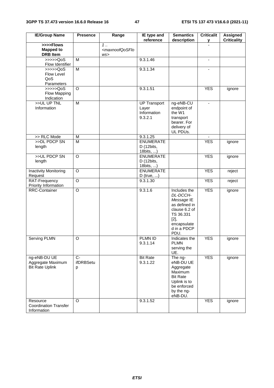| <b>IE/Group Name</b>                                        | <b>Presence</b>        | Range                                         | IE type and<br>reference                               | <b>Semantics</b><br>description                                                                                                        | <b>Criticalit</b><br>y | <b>Assigned</b><br><b>Criticality</b> |
|-------------------------------------------------------------|------------------------|-----------------------------------------------|--------------------------------------------------------|----------------------------------------------------------------------------------------------------------------------------------------|------------------------|---------------------------------------|
| >>>>Flows<br><b>Mapped to</b><br><b>DRB</b> Item            |                        | 1.<br><maxnoofqosflo<br>WS</maxnoofqosflo<br> |                                                        |                                                                                                                                        |                        |                                       |
| >>>>QoS<br>Flow Identifier                                  | M                      |                                               | 9.3.1.46                                               |                                                                                                                                        | $\blacksquare$         |                                       |
| >>>>>QoS<br>Flow Level<br>QoS<br>Parameters                 | $\overline{M}$         |                                               | 9.3.1.34                                               |                                                                                                                                        |                        |                                       |
| $\rightarrow$ >>>Q0S<br>Flow Mapping<br>Indication          | $\overline{O}$         |                                               | 9.3.1.51                                               |                                                                                                                                        | <b>YES</b>             | ignore                                |
| >>UL UP TNL<br>Information                                  | M                      |                                               | <b>UP Transport</b><br>Layer<br>Information<br>9.3.2.1 | ng-eNB-CU<br>endpoint of<br>the W1<br>transport<br>bearer. For<br>delivery of<br>UL PDUs.                                              |                        |                                       |
| >> RLC Mode                                                 | M                      |                                               | 9.3.1.25                                               |                                                                                                                                        |                        |                                       |
| >>DL PDCP SN<br>length                                      | $\overline{M}$         |                                               | <b>ENUMERATE</b><br>D (12bits,<br>18bits, )            |                                                                                                                                        | <b>YES</b>             | ignore                                |
| >>UL PDCP SN<br>length                                      | O                      |                                               | <b>ENUMERATE</b><br>D (12bits,<br>18bits, )            |                                                                                                                                        | <b>YES</b>             | ignore                                |
| <b>Inactivity Monitoring</b><br>Request                     | O                      |                                               | <b>ENUMERATE</b><br>$D$ (true, )                       |                                                                                                                                        | <b>YES</b>             | reject                                |
| RAT-Frequency<br>Priority Information                       | $\overline{O}$         |                                               | 9.3.1.30                                               |                                                                                                                                        | <b>YES</b>             | reject                                |
| RRC-Container                                               | $\circ$                |                                               | 9.3.1.6                                                | Includes the<br>DL-DCCH-<br>Message IE<br>as defined in<br>clause 6.2 of<br>TS 36.331<br>$[2]$ ,<br>encapsulate<br>d in a PDCP<br>PDU. | <b>YES</b>             | ignore                                |
| <b>Serving PLMN</b>                                         | O                      |                                               | PLMN ID<br>9.3.1.14                                    | Indicates the<br><b>PLMN</b><br>serving the<br>UE.                                                                                     | <b>YES</b>             | ignore                                |
| ng-eNB-DU UE<br>Aggregate Maximum<br><b>Bit Rate Uplink</b> | $C-$<br>ifDRBSetu<br>р |                                               | <b>Bit Rate</b><br>9.3.1.22                            | The ng-<br>eNB-DU UE<br>Aggregate<br>Maximum<br><b>Bit Rate</b><br>Uplink is to<br>be enforced<br>by the ng-<br>eNB-DU.                | <b>YES</b>             | ignore                                |
| Resource<br><b>Coordination Transfer</b><br>Information     | $\circ$                |                                               | 9.3.1.52                                               |                                                                                                                                        | <b>YES</b>             | ignore                                |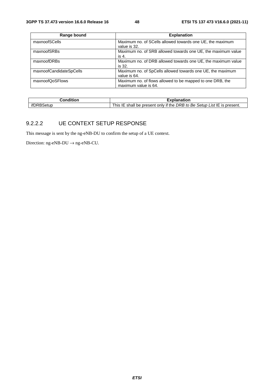| Range bound             | <b>Explanation</b>                                           |
|-------------------------|--------------------------------------------------------------|
| maxnoofSCells           | Maximum no. of SCells allowed towards one UE, the maximum    |
|                         | value is 32.                                                 |
| maxnoofSRBs             | Maximum no. of SRB allowed towards one UE, the maximum value |
|                         | is 4.                                                        |
| maxnoofDRBs             | Maximum no. of DRB allowed towards one UE, the maximum value |
|                         | is 32.                                                       |
| maxnoofCandidateSpCells | Maximum no. of SpCells allowed towards one UE, the maximum   |
|                         | value is 64.                                                 |
| maxnoofQoSFlows         | Maximum no. of flows allowed to be mapped to one DRB, the    |
|                         | maximum value is 64.                                         |

| ∶ondition | $-100$<br>kplanation                                                                               |
|-----------|----------------------------------------------------------------------------------------------------|
| ∗tun      | List IE is present.<br>if the<br>Setup L<br>DRB to<br>Be,<br>This .<br>shall<br>only<br>be present |

#### 9.2.2.2 UE CONTEXT SETUP RESPONSE

This message is sent by the ng-eNB-DU to confirm the setup of a UE context.

Direction:  $ng-eNB-DU \rightarrow ng-eNB-CU$ .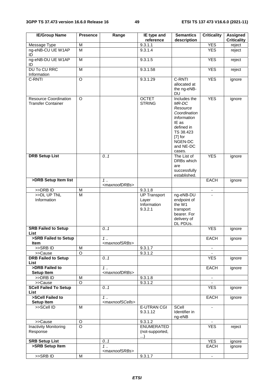| <b>IE/Group Name</b>                                      | <b>Presence</b>         | Range                                         | IE type and<br>reference                  | <b>Semantics</b><br>description                                                                                                                     | <b>Criticality</b> | <b>Assigned</b><br><b>Criticality</b> |
|-----------------------------------------------------------|-------------------------|-----------------------------------------------|-------------------------------------------|-----------------------------------------------------------------------------------------------------------------------------------------------------|--------------------|---------------------------------------|
| Message Type                                              | M                       |                                               | 9.3.1.1                                   |                                                                                                                                                     | <b>YES</b>         | reject                                |
| ng-eNB-CU UE W1AP<br>ID                                   | $\overline{\mathsf{M}}$ |                                               | 9.3.1.4                                   |                                                                                                                                                     | <b>YES</b>         | reject                                |
| ng-eNB-DU UE W1AP<br>ID                                   | ${\sf M}$               |                                               | 9.3.1.5                                   |                                                                                                                                                     | <b>YES</b>         | reject                                |
| <b>DU To CU RRC</b><br>Information                        | M                       |                                               | 9.3.1.58                                  |                                                                                                                                                     | <b>YES</b>         | reject                                |
| C-RNTI                                                    | $\overline{O}$          |                                               | 9.3.1.29                                  | C-RNTI<br>allocated at<br>the ng-eNB-<br><b>DU</b>                                                                                                  | <b>YES</b>         | ignore                                |
| <b>Resource Coordination</b><br><b>Transfer Container</b> | O                       |                                               | <b>OCTET</b><br><b>STRING</b>             | Includes the<br>MR-DC<br>Resource<br>Coordination<br>Information<br>IE as<br>defined in<br>TS 38.423<br>$[7]$ for<br>NGEN-DC<br>and NE-DC<br>cases. | <b>YES</b>         | ignore                                |
| <b>DRB Setup List</b>                                     |                         | 0.1                                           |                                           | The List of<br>DRBs which<br>are<br>successfully<br>established.                                                                                    | <b>YES</b>         | ignore                                |
| >DRB Setup Item list                                      |                         | 1.<br><maxnoofdrbs></maxnoofdrbs>             |                                           |                                                                                                                                                     | <b>EACH</b>        | ignore                                |
| $>>DRB$ ID                                                | M                       |                                               | 9.3.1.8                                   |                                                                                                                                                     | $\blacksquare$     |                                       |
| >>DL UP TNL                                               | M                       |                                               | <b>UP Transport</b>                       | ng-eNB-DU                                                                                                                                           |                    |                                       |
| Information                                               |                         |                                               | Layer<br>Information<br>9.3.2.1           | endpoint of<br>the W1<br>transport<br>bearer. For<br>delivery of<br>DL PDUs.                                                                        |                    |                                       |
| <b>SRB Failed to Setup</b><br>List                        |                         | 0.1                                           |                                           |                                                                                                                                                     | <b>YES</b>         | ignore                                |
| >SRB Failed to Setup<br><b>Item</b>                       |                         | 1.<br><maxnoofsrbs></maxnoofsrbs>             |                                           |                                                                                                                                                     | <b>EACH</b>        | ignore                                |
| $>$ SRB ID                                                | M                       |                                               | 9.3.1.7                                   |                                                                                                                                                     | $\blacksquare$     |                                       |
| >>Cause<br><b>DRB Failed to Setup</b><br>List             | O                       | 0.1                                           | 9.3.1.2                                   |                                                                                                                                                     | <b>YES</b>         | ignore                                |
| >DRB Failed to<br><b>Setup Item</b>                       |                         | $\overline{1}$<br><maxnoofdrbs></maxnoofdrbs> |                                           |                                                                                                                                                     | EACH               | ignore                                |
| >>DRB ID                                                  | M                       |                                               | 9.3.1.8                                   |                                                                                                                                                     | $\blacksquare$     |                                       |
| >>Cause                                                   | $\overline{O}$          |                                               | 9.3.1.2                                   |                                                                                                                                                     |                    |                                       |
| <b>SCell Failed To Setup</b><br><b>List</b>               |                         | 0.1                                           |                                           |                                                                                                                                                     | <b>YES</b>         | ignore                                |
| >SCell Failed to                                          |                         | 1.1                                           |                                           |                                                                                                                                                     | <b>EACH</b>        | ignore                                |
| <b>Setup Item</b>                                         |                         | <maxnoofscells></maxnoofscells>               |                                           |                                                                                                                                                     |                    |                                       |
| >>SCell ID                                                | M                       |                                               | <b>E-UTRAN CGI</b><br>9.3.1.12            | SCell<br>Identifier in<br>ng-eNB                                                                                                                    |                    |                                       |
| >>Cause                                                   | O                       |                                               | 9.3.1.2                                   |                                                                                                                                                     |                    |                                       |
| <b>Inactivity Monitoring</b><br>Response                  | $\overline{\circ}$      |                                               | <b>ENUMERATED</b><br>(not-supported,<br>) |                                                                                                                                                     | <b>YES</b>         | reject                                |
| <b>SRB Setup List</b>                                     |                         | 0.1                                           |                                           |                                                                                                                                                     | <b>YES</b>         | ignore                                |
| >SRB Setup Item                                           |                         | $1 \ldots$<br><maxnoofsrbs></maxnoofsrbs>     |                                           |                                                                                                                                                     | EACH               | ignore                                |
| >>SRB ID                                                  | ${\sf M}$               |                                               | 9.3.1.7                                   |                                                                                                                                                     | $\blacksquare$     |                                       |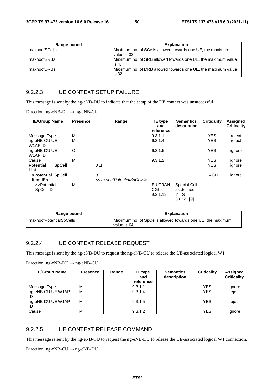| Range bound   | <b>Explanation</b>                                                        |
|---------------|---------------------------------------------------------------------------|
| maxnoofSCells | Maximum no. of SCells allowed towards one UE, the maximum<br>value is 32. |
| maxnoofSRBs   | Maximum no. of SRB allowed towards one UE, the maximum value<br>is 4.     |
| maxnoofDRBs   | Maximum no. of DRB allowed towards one UE, the maximum value<br>is 32.    |

#### 9.2.2.3 UE CONTEXT SETUP FAILURE

This message is sent by the ng-eNB-DU to indicate that the setup of the UE context was unsuccessful.

Direction: ng-eNB-DU → ng-eNB-CU

| <b>IE/Group Name</b>                      | <b>Presence</b> | Range                                                                | <b>IE</b> type<br>and      | <b>Semantics</b><br>description                          | <b>Criticality</b> | Assigned<br><b>Criticality</b> |
|-------------------------------------------|-----------------|----------------------------------------------------------------------|----------------------------|----------------------------------------------------------|--------------------|--------------------------------|
|                                           |                 |                                                                      | reference                  |                                                          |                    |                                |
| Message Type                              | м               |                                                                      | 9.3.1.1                    |                                                          | <b>YES</b>         | reject                         |
| ng-eNB-CU UE<br>W1AP ID                   | M               |                                                                      | 9.3.1.4                    |                                                          | <b>YES</b>         | reject                         |
| ng-eNB-DU UE<br>W1AP ID                   | O               |                                                                      | 9.3.1.5                    |                                                          | <b>YES</b>         | ignore                         |
| Cause                                     | М               |                                                                      | 9.3.1.2                    |                                                          | <b>YES</b>         | ignore                         |
| <b>Potential</b><br><b>SpCell</b><br>List |                 | 0.1                                                                  |                            |                                                          | <b>YES</b>         | ignore                         |
| >Potential SpCell<br><b>Item IEs</b>      |                 | $\mathcal{O}$<br><maxnoofpotentialspcells></maxnoofpotentialspcells> |                            |                                                          | <b>EACH</b>        | ignore                         |
| >>Potential<br>SpCell ID                  | м               |                                                                      | E-UTRAN<br>CGI<br>9.3.1.12 | <b>Special Cell</b><br>as defined<br>in TS<br>38.321 [9] |                    |                                |

| Range bound             | <b>Explanation</b>                                                         |
|-------------------------|----------------------------------------------------------------------------|
| maxnoofPotentialSpCells | Maximum no. of SpCells allowed towards one UE, the maximum<br>value is 64. |

#### 9.2.2.4 UE CONTEXT RELEASE REQUEST

This message is sent by the ng-eNB-DU to request the ng-eNB-CU to release the UE-associated logical W1.

Direction: ng-eNB-DU → ng-eNB-CU

| <b>IE/Group Name</b>    | <b>Presence</b> | Range | <b>IE</b> type<br>and<br>reference | <b>Semantics</b><br>description | <b>Criticality</b> | Assigned<br><b>Criticality</b> |
|-------------------------|-----------------|-------|------------------------------------|---------------------------------|--------------------|--------------------------------|
| Message Type            | м               |       | 9.3.1.1                            |                                 | <b>YES</b>         | ignore                         |
| ng-eNB-CU UE W1AP<br>ID | M               |       | 9.3.1.4                            |                                 | <b>YES</b>         | reject                         |
| ng-eNB-DU UE W1AP<br>ID | M               |       | 9.3.1.5                            |                                 | <b>YES</b>         | reject                         |
| Cause                   | M               |       | 9.3.1.2                            |                                 | <b>YES</b>         | ignore                         |

#### 9.2.2.5 UE CONTEXT RELEASE COMMAND

This message is sent by the ng-eNB-CU to request the ng-eNB-DU to release the UE-associated logical W1 connection.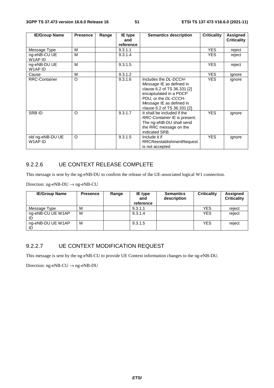| <b>IE/Group Name</b>        | <b>Presence</b> | Range | IE type<br>and<br>reference | <b>Semantics description</b>                                                                                                                                                                   | <b>Criticality</b> | Assigned<br><b>Criticality</b> |
|-----------------------------|-----------------|-------|-----------------------------|------------------------------------------------------------------------------------------------------------------------------------------------------------------------------------------------|--------------------|--------------------------------|
| Message Type                | M               |       | 9.3.1.1                     |                                                                                                                                                                                                | <b>YES</b>         | reject                         |
| ng-eNB-CU UE<br>W1AP ID     | м               |       | 9.3.1.4                     |                                                                                                                                                                                                | YES.               | reject                         |
| ng-eNB-DU UE<br>W1AP ID     | м               |       | 9.3.1.5                     |                                                                                                                                                                                                | <b>YES</b>         | reject                         |
| Cause                       | M               |       | 9.3.1.2                     |                                                                                                                                                                                                | <b>YES</b>         | ignore                         |
| <b>RRC-Container</b>        | $\circ$         |       | 9.3.1.6                     | Includes the DL-DCCH-<br>Message IE as defined in<br>clause 6.2 of TS 36.331 [2]<br>encapsulated in a PDCP<br>PDU, or the DL-CCCH-<br>Message IE as defined in<br>clause 6.2 of TS 36.331 [2]. | <b>YES</b>         | ignore                         |
| <b>SRBID</b>                | $\circ$         |       | 9.3.1.7                     | It shall be included if the<br>RRC-Container IE is present.<br>The ng-eNB-DU shall send<br>the RRC message on the<br>indicated SRB.                                                            | <b>YES</b>         | ignore                         |
| old ng-eNB-DU UE<br>W1AP ID | O               |       | 9.3.1.5                     | Include it if<br><b>RRCReestablishmentRequest</b><br>is not accepted                                                                                                                           | <b>YES</b>         | ignore                         |

# 9.2.2.6 UE CONTEXT RELEASE COMPLETE

This message is sent by the ng-eNB-DU to confirm the release of the UE-associated logical W1 connection.

Direction: ng-eNB-DU  $\rightarrow$  ng-eNB-CU

| <b>IE/Group Name</b> | <b>Presence</b> | Range | <b>IE</b> type<br>and<br>reference | <b>Semantics</b><br>description | <b>Criticality</b> | Assigned<br><b>Criticality</b> |
|----------------------|-----------------|-------|------------------------------------|---------------------------------|--------------------|--------------------------------|
| Message Type         | M               |       | 9.3.1.1                            |                                 | <b>YES</b>         | reject                         |
| ng-eNB-CU UE W1AP    | M               |       | 9.3.1.4                            |                                 | <b>YES</b>         | reject                         |
| ng-eNB-DU UE W1AP    | M               |       | 9.3.1.5                            |                                 | <b>YES</b>         | reject                         |

## 9.2.2.7 UE CONTEXT MODIFICATION REQUEST

This message is sent by the ng-eNB-CU to provide UE Context information changes to the ng-eNB-DU.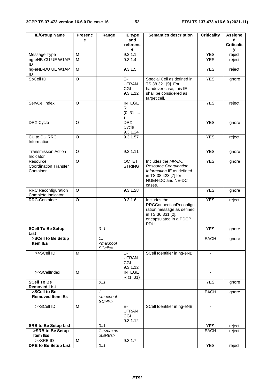| <b>IE/Group Name</b>                                  | <b>Presenc</b> | Range                                      | IE type                               | <b>Semantics description</b>                                                                                                           | <b>Criticality</b>       | <b>Assigne</b>         |
|-------------------------------------------------------|----------------|--------------------------------------------|---------------------------------------|----------------------------------------------------------------------------------------------------------------------------------------|--------------------------|------------------------|
|                                                       | е              |                                            | and<br>referenc                       |                                                                                                                                        |                          | d<br><b>Criticalit</b> |
| Message Type                                          | M              |                                            | е<br>9.3.1.1                          |                                                                                                                                        | <b>YES</b>               | v<br>reject            |
| ng-eNB-CU UE W1AP<br>ID                               | M              |                                            | 9.3.1.4                               |                                                                                                                                        | <b>YES</b>               | reject                 |
| ng-eNB-DU UE W1AP<br>ID                               | M              |                                            | 9.3.1.5                               |                                                                                                                                        | <b>YES</b>               | reject                 |
| SpCell ID                                             | O              |                                            | E-<br><b>UTRAN</b><br>CGI<br>9.3.1.12 | Special Cell as defined in<br>TS 38.321 [9]. For<br>handover case, this IE<br>shall be considered as<br>target cell.                   | <b>YES</b>               | ignore                 |
| ServCellIndex                                         | O              |                                            | <b>INTEGE</b><br>R<br>(031,           |                                                                                                                                        | <b>YES</b>               | reject                 |
| DRX Cycle                                             | $\Omega$       |                                            | <b>DRX</b><br>Cycle<br>9.3.1.24       |                                                                                                                                        | <b>YES</b>               | ignore                 |
| CU to DU RRC<br>Information                           | O              |                                            | 9.3.1.57                              |                                                                                                                                        | <b>YES</b>               | reject                 |
| <b>Transmission Action</b><br>Indicator               | $\Omega$       |                                            | 9.3.1.11                              |                                                                                                                                        | <b>YES</b>               | ignore                 |
| Resource<br><b>Coordination Transfer</b><br>Container | $\circ$        |                                            | <b>OCTET</b><br><b>STRING</b>         | Includes the MR-DC<br><b>Resource Coordination</b><br>Information IE as defined<br>in TS 38.423 [7] for<br>NGEN-DC and NE-DC<br>cases. | <b>YES</b>               | ignore                 |
| <b>RRC Reconfiguration</b><br>Complete Indicator      | $\Omega$       |                                            | 9.3.1.28                              |                                                                                                                                        | <b>YES</b>               | ignore                 |
| <b>RRC-Container</b>                                  | $\Omega$       |                                            | 9.3.1.6                               | Includes the<br><b>RRCConnectionReconfigu</b><br>ration message as defined<br>in TS 36.331 [2],<br>encapsulated in a PDCP<br>PDU.      | <b>YES</b>               | reject                 |
| <b>SCell To Be Setup</b><br>List                      |                | 0.1                                        |                                       |                                                                                                                                        | <b>YES</b>               | ignore                 |
| >SCell to Be Setup<br>Item IEs                        |                | 1.1<br><maxnoof<br>SCells&gt;</maxnoof<br> |                                       |                                                                                                                                        | <b>EACH</b>              | ignore                 |
| >>SCell ID                                            | M              |                                            | E-<br><b>UTRAN</b><br>CGI<br>9.3.1.12 | SCell Identifier in ng-eNB                                                                                                             | $\overline{\phantom{a}}$ |                        |
| >>SCellIndex                                          | M              |                                            | <b>INTEGE</b><br>R (131)              |                                                                                                                                        | $\blacksquare$           |                        |
| <b>SCell To Be</b><br><b>Removed List</b>             |                | 0.1                                        |                                       |                                                                                                                                        | <b>YES</b>               | ignore                 |
| >SCell to Be<br><b>Removed Item IEs</b>               |                | 1.<br><maxnoof<br>SCells&gt;</maxnoof<br>  |                                       |                                                                                                                                        | <b>EACH</b>              | ignore                 |
| >>SCell ID                                            | M              |                                            | E-<br><b>UTRAN</b><br>CGI<br>9.3.1.12 | SCell Identifier in ng-eNB                                                                                                             | $\sim$                   |                        |
| <b>SRB to Be Setup List</b>                           |                | 0.1                                        |                                       |                                                                                                                                        | <b>YES</b>               | reject                 |
| >SRB to Be Setup<br>Item IEs                          |                | $1.5$ <maxno<br>ofSRBs&gt;</maxno<br>      |                                       |                                                                                                                                        | <b>EACH</b>              | reject                 |
| $>$ SRB ID                                            | M              |                                            | 9.3.1.7                               |                                                                                                                                        |                          |                        |
| <b>DRB to Be Setup List</b>                           |                | 0.1                                        |                                       |                                                                                                                                        | <b>YES</b>               | reject                 |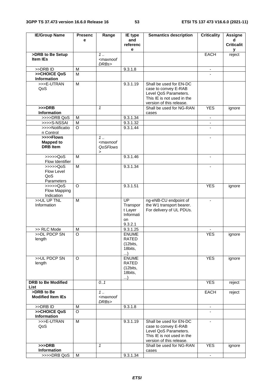| <b>IE/Group Name</b>                             | <b>Presenc</b> | Range                                                                                | IE type                                                              | <b>Semantics description</b>                                                                                                       | <b>Criticality</b> | <b>Assigne</b>         |
|--------------------------------------------------|----------------|--------------------------------------------------------------------------------------|----------------------------------------------------------------------|------------------------------------------------------------------------------------------------------------------------------------|--------------------|------------------------|
|                                                  | е              |                                                                                      | and<br>referenc<br>е                                                 |                                                                                                                                    |                    | d<br><b>Criticalit</b> |
| >DRB to Be Setup                                 |                | $1 \ldots$                                                                           |                                                                      |                                                                                                                                    | <b>EACH</b>        | v<br>reject            |
| <b>Item IEs</b>                                  |                | <maxnoof<br>DRBs&gt;</maxnoof<br>                                                    |                                                                      |                                                                                                                                    |                    |                        |
| >>DRB ID                                         | M              |                                                                                      | 9.3.1.8                                                              |                                                                                                                                    |                    |                        |
| >>CHOICE QoS<br><b>Information</b>               | M              |                                                                                      |                                                                      |                                                                                                                                    |                    |                        |
| >>>E-UTRAN<br>QoS                                | $\overline{M}$ |                                                                                      | 9.3.1.19                                                             | Shall be used for EN-DC<br>case to convey E-RAB<br>Level QoS Parameters.<br>This IE is not used in the<br>version of this release. |                    |                        |
| $>>$ DRB<br><b>Information</b>                   |                | $\mathbf{1}$                                                                         |                                                                      | Shall be used for NG-RAN<br>cases                                                                                                  | <b>YES</b>         | ignore                 |
| >>>>DRB QoS                                      | M              |                                                                                      | 9.3.1.34                                                             |                                                                                                                                    | ۰                  |                        |
| >>>>S-NSSAI                                      | M              |                                                                                      | 9.3.1.32                                                             |                                                                                                                                    | $\blacksquare$     |                        |
| >>>>Notificatio<br>n Control                     | $\circ$        |                                                                                      | 9.3.1.44                                                             |                                                                                                                                    |                    |                        |
| >>>>Flows<br><b>Mapped to</b><br><b>DRB</b> Item |                | $1 \ldots$<br><maxnoof<br>QoSFlows<br/><math display="inline">\,</math></maxnoof<br> |                                                                      |                                                                                                                                    | $\blacksquare$     |                        |
| >>>>QoS<br>Flow Identifier                       | M              |                                                                                      | 9.3.1.46                                                             |                                                                                                                                    | $\blacksquare$     |                        |
| > >> > > QoS<br>Flow Level<br>QoS<br>Parameters  | M              |                                                                                      | 9.3.1.34                                                             |                                                                                                                                    |                    |                        |
| >>>>QoS<br>Flow Mapping<br>Indication            | $\circ$        |                                                                                      | 9.3.1.51                                                             |                                                                                                                                    | <b>YES</b>         | ignore                 |
| >>UL UP TNL<br>Information                       | M              |                                                                                      | $\overline{UP}$<br>Transpor<br>t Layer<br>Informati<br>on<br>9.3.2.1 | ng-eNB-CU endpoint of<br>the W1 transport bearer.<br>For delivery of UL PDUs.                                                      | $\blacksquare$     |                        |
| >> RLC Mode                                      | M              |                                                                                      | 9.3.1.25                                                             |                                                                                                                                    |                    |                        |
| >>DL PDCP SN<br>length                           | O              |                                                                                      | <b>ENUME</b><br>RAIED<br>(12bits,<br>18bits,<br>)                    |                                                                                                                                    | <b>YES</b>         | ignore                 |
| >>UL PDCP SN<br>length                           | O              |                                                                                      | <b>ENUME</b><br>RATED<br>(12bits,<br>18bits,<br>)                    |                                                                                                                                    | <b>YES</b>         | ignore                 |
| <b>DRB to Be Modified</b><br>List                |                | 0.1                                                                                  |                                                                      |                                                                                                                                    | <b>YES</b>         | reject                 |
| >DRB to Be<br><b>Modified Item IEs</b>           |                | $1 \ldots$<br><maxnoof<br>DRBs&gt;</maxnoof<br>                                      |                                                                      |                                                                                                                                    | <b>EACH</b>        | reject                 |
| >>DRB ID                                         | M              |                                                                                      | 9.3.1.8                                                              |                                                                                                                                    | $\blacksquare$     |                        |
| >>CHOICE QoS<br><b>Information</b>               | $\circ$        |                                                                                      |                                                                      |                                                                                                                                    |                    |                        |
| >>>E-UTRAN<br>QoS                                | $\overline{M}$ |                                                                                      | 9.3.1.19                                                             | Shall be used for EN-DC<br>case to convey E-RAB<br>Level QoS Parameters.<br>This IE is not used in the<br>version of this release. |                    |                        |
| $>>$ DRB<br>Information                          |                | $\mathbf{1}$                                                                         |                                                                      | Shall be used for NG-RAN<br>cases                                                                                                  | <b>YES</b>         | ignore                 |
| >>>>DRB QoS                                      | м              |                                                                                      | 9.3.1.34                                                             |                                                                                                                                    | $\blacksquare$     |                        |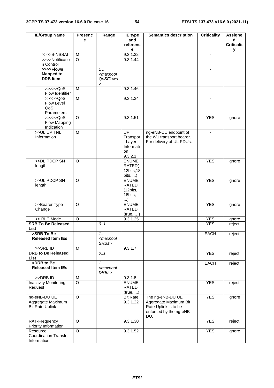| <b>IE/Group Name</b>                                        | <b>Presenc</b>     | Range                                                                                                                             | IE type                                                         | <b>Semantics description</b>                                                                        | <b>Criticality</b>       | <b>Assigne</b>         |
|-------------------------------------------------------------|--------------------|-----------------------------------------------------------------------------------------------------------------------------------|-----------------------------------------------------------------|-----------------------------------------------------------------------------------------------------|--------------------------|------------------------|
|                                                             | e                  |                                                                                                                                   | and<br>referenc                                                 |                                                                                                     |                          | d<br><b>Criticalit</b> |
|                                                             |                    |                                                                                                                                   | е                                                               |                                                                                                     |                          | у                      |
| >>>>S-NSSAI                                                 | M                  |                                                                                                                                   | 9.3.1.32                                                        |                                                                                                     | $\overline{\phantom{a}}$ |                        |
| >>>>Notificatio                                             | $\Omega$           |                                                                                                                                   | 9.3.1.44                                                        |                                                                                                     |                          |                        |
| n Control                                                   |                    |                                                                                                                                   |                                                                 |                                                                                                     |                          |                        |
| >>>>Flows<br><b>Mapped to</b>                               |                    | $1 \ldots$<br><maxnoof< td=""><td></td><td></td><td><math display="inline">\overline{\phantom{a}}</math></td><td></td></maxnoof<> |                                                                 |                                                                                                     | $\overline{\phantom{a}}$ |                        |
| <b>DRB</b> Item                                             |                    | <b>QoSFlows</b><br>$\geq$                                                                                                         |                                                                 |                                                                                                     |                          |                        |
| >>>>QoS<br>Flow Identifier                                  | M                  |                                                                                                                                   | 9.3.1.46                                                        |                                                                                                     | $\overline{\phantom{a}}$ |                        |
| $\gg >> >QoS$<br>Flow Level<br>QoS<br>Parameters            | M                  |                                                                                                                                   | 9.3.1.34                                                        |                                                                                                     |                          |                        |
| >>>>QoS<br>Flow Mapping<br>Indication                       | $\Omega$           |                                                                                                                                   | 9.3.1.51                                                        |                                                                                                     | <b>YES</b>               | ignore                 |
| >>UL UP TNL<br>Information                                  | M                  |                                                                                                                                   | UP<br>Transpor<br>t Layer<br>Informati<br>on<br>9.3.2.1         | ng-eNB-CU endpoint of<br>the W1 transport bearer.<br>For delivery of UL PDUs.                       | $\overline{\phantom{a}}$ |                        |
| >>DL PDCP SN<br>length                                      | $\circ$            |                                                                                                                                   | <b>ENUME</b><br>RATED(<br>12bits, 18<br>bits, $\dots$ )         |                                                                                                     | <b>YES</b>               | ignore                 |
| >>UL PDCP SN<br>length                                      | $\circ$            |                                                                                                                                   | <b>ENUME</b><br><b>RATED</b><br>(12bits,<br>18bits,<br>$\ldots$ |                                                                                                     | <b>YES</b>               | ignore                 |
| >>Bearer Type<br>Change                                     | O                  |                                                                                                                                   | <b>ENUME</b><br><b>RATED</b><br>(true, )                        |                                                                                                     | <b>YES</b>               | ignore                 |
| >> RLC Mode                                                 | $\circ$            |                                                                                                                                   | 9.3.1.25                                                        |                                                                                                     | <b>YES</b>               | ignore                 |
| <b>SRB To Be Released</b><br>List                           |                    | 0.1                                                                                                                               |                                                                 |                                                                                                     | <b>YES</b>               | reject                 |
| >SRB To Be<br><b>Released Item IEs</b>                      |                    | 1.1<br><maxnoof<br>SRBs&gt;</maxnoof<br>                                                                                          |                                                                 |                                                                                                     | <b>EACH</b>              | reject                 |
| >>SRBID                                                     | M                  |                                                                                                                                   | 9.3.1.7                                                         |                                                                                                     |                          |                        |
| <b>DRB to Be Released</b><br>List                           |                    | 0.1                                                                                                                               |                                                                 |                                                                                                     | <b>YES</b>               | reject                 |
| >DRB to Be<br><b>Released Item IEs</b>                      |                    | $\overline{1}$ .<br><maxnoof<br>DRBs&gt;</maxnoof<br>                                                                             |                                                                 |                                                                                                     | EACH                     | reject                 |
| $>$ DRB ID                                                  | M                  |                                                                                                                                   | 9.3.1.8                                                         |                                                                                                     |                          |                        |
| <b>Inactivity Monitoring</b><br>Request                     | $\overline{\circ}$ |                                                                                                                                   | <b>ENUME</b><br>RATED<br>(true, )                               |                                                                                                     | <b>YES</b>               | reject                 |
| ng-eNB-DU UE<br>Aggregate Maximum<br><b>Bit Rate Uplink</b> | $\overline{O}$     |                                                                                                                                   | <b>Bit Rate</b><br>9.3.1.22                                     | The ng-eNB-DU UE<br>Aggregate Maximum Bit<br>Rate Uplink is to be<br>enforced by the ng-eNB-<br>DU. | <b>YES</b>               | ignore                 |
| RAT-Frequency<br>Priority Information                       | $\overline{O}$     |                                                                                                                                   | 9.3.1.30                                                        |                                                                                                     | <b>YES</b>               | reject                 |
| Resource<br><b>Coordination Transfer</b><br>Information     | O                  |                                                                                                                                   | 9.3.1.52                                                        |                                                                                                     | <b>YES</b>               | ignore                 |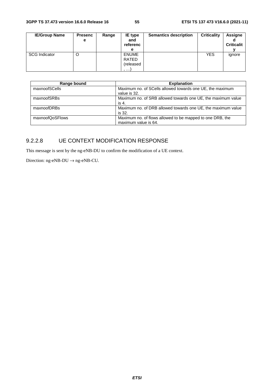| <b>IE/Group Name</b> | <b>Presenc</b><br>е | Range | <b>IE</b> type<br>and<br>referenc<br>е  | <b>Semantics description</b> | <b>Criticality</b> | <b>Assigne</b><br><b>Criticalit</b> |
|----------------------|---------------------|-------|-----------------------------------------|------------------------------|--------------------|-------------------------------------|
| <b>SCG Indicator</b> | O                   |       | <b>ENUME</b><br>RATED<br>(released<br>, |                              | <b>YES</b>         | ignore                              |

| Range bound     | <b>Explanation</b>                                                                |
|-----------------|-----------------------------------------------------------------------------------|
| maxnoofSCells   | Maximum no. of SCells allowed towards one UE, the maximum<br>value is 32.         |
| maxnoofSRBs     | Maximum no. of SRB allowed towards one UE, the maximum value<br>is 4.             |
| maxnoofDRBs     | Maximum no. of DRB allowed towards one UE, the maximum value<br>is 32.            |
| maxnoofQoSFlows | Maximum no. of flows allowed to be mapped to one DRB, the<br>maximum value is 64. |

# 9.2.2.8 UE CONTEXT MODIFICATION RESPONSE

This message is sent by the ng-eNB-DU to confirm the modification of a UE context.

Direction:  $ng-eNB-DU \rightarrow ng-eNB-CU$ .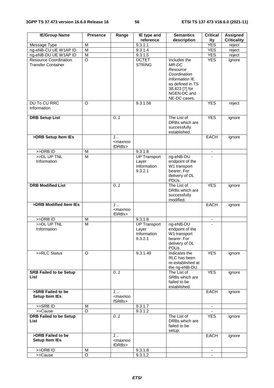| <b>IE/Group Name</b>                                      | <b>Presence</b>         | Range                                          | IE type and                                            | <b>Semantics</b>                                                                                                                         | <b>Critical</b>          | Assigned           |
|-----------------------------------------------------------|-------------------------|------------------------------------------------|--------------------------------------------------------|------------------------------------------------------------------------------------------------------------------------------------------|--------------------------|--------------------|
|                                                           |                         |                                                | reference                                              | description                                                                                                                              | ity                      | <b>Criticality</b> |
| Message Type                                              | M                       |                                                | 9.3.1.1                                                |                                                                                                                                          | <b>YES</b>               | reject             |
| ng-eNB-CU UE W1AP ID                                      | M                       |                                                | 9.3.1.4                                                |                                                                                                                                          | <b>YES</b>               | reject             |
| ng-eNB-DU UE W1AP ID                                      | $\overline{M}$          |                                                | 9.3.1.5                                                |                                                                                                                                          | <b>YES</b>               | reject             |
| <b>Resource Coordination</b><br><b>Transfer Container</b> | O                       |                                                | <b>OCTET</b><br><b>STRING</b>                          | Includes the<br>MR-DC<br>Resource<br>Coordination<br>Information IE<br>as defined in TS<br>38.423 [7] for<br>NGEN-DC and<br>NE-DC cases. | <b>YES</b>               | ignore             |
| <b>DU To CU RRC</b><br>Information                        | $\Omega$                |                                                | 9.3.1.58                                               |                                                                                                                                          | <b>YES</b>               | reject             |
| <b>DRB Setup List</b>                                     |                         | 0.1                                            |                                                        | The List of<br>DRBs which are<br>successfully<br>established.                                                                            | <b>YES</b>               | ignore             |
| >DRB Setup Item IEs                                       |                         | 1.1<br><maxnoo<br>fDRBs&gt;</maxnoo<br>        |                                                        |                                                                                                                                          | <b>EACH</b>              | ignore             |
| >DRBID                                                    | M                       |                                                | 9.3.1.8                                                |                                                                                                                                          | $\overline{\phantom{a}}$ |                    |
| >>DL UP TNL                                               | M                       |                                                | <b>UP Transport</b>                                    | ng-eNB-DU                                                                                                                                |                          |                    |
| Information                                               |                         |                                                | Layer<br>Information<br>9.3.2.1                        | endpoint of the<br>W1 transport<br>bearer. For<br>delivery of DL<br>PDUs.                                                                |                          |                    |
| <b>DRB Modified List</b>                                  |                         | 0.1                                            |                                                        | The List of<br>DRBs which are<br>successfully<br>modified.                                                                               | <b>YES</b>               | ignore             |
| >DRB Modified Item IEs                                    |                         | 1.1<br><maxnoo<br>fDRBs&gt;</maxnoo<br>        |                                                        |                                                                                                                                          | <b>EACH</b>              | ignore             |
| >>DRB ID                                                  | M                       |                                                | 9.3.1.8                                                |                                                                                                                                          |                          |                    |
| >>DL UP TNL<br>Information                                | $\overline{\mathsf{M}}$ |                                                | <b>UP Transport</b><br>Layer<br>Information<br>9.3.2.1 | ng-eNB-DU<br>endpoint of the<br>W1 transport<br>bearer. For<br>delivery of DL<br>PDUs.                                                   |                          |                    |
| >>RLC Status                                              | O                       |                                                | 9.3.1.49                                               | Indicates the<br>RLC has been<br>re-established at<br>the ng-eNB-DU.                                                                     | <b>YES</b>               | ignore             |
| <b>SRB Failed to be Setup</b><br>List                     |                         | 0.1                                            |                                                        | The List of<br>SRBs which are<br>failed to be<br>established.                                                                            | <b>YES</b>               | ignore             |
| >SRB Failed to be<br><b>Setup Item IEs</b>                |                         | 1.1<br><maxnoo<br>fSRBs&gt;</maxnoo<br>        |                                                        |                                                                                                                                          | EACH                     | ignore             |
| >>SRBID                                                   | M                       |                                                | 9.3.1.7                                                |                                                                                                                                          | ۰.                       |                    |
| >>Cause                                                   | $\circ$                 |                                                | 9.3.1.2                                                |                                                                                                                                          |                          |                    |
| <b>DRB Failed to be Setup</b><br>List                     |                         | 0.1                                            |                                                        | The List of<br>DRBs which are<br>failed to be<br>setup.                                                                                  | <b>YES</b>               | ignore             |
| >DRB Failed to be<br><b>Setup Item IEs</b>                |                         | $1 \ldots$<br><maxnoo<br>fDRBs&gt;</maxnoo<br> |                                                        |                                                                                                                                          | EACH                     | ignore             |
| >>DRB ID                                                  | М                       |                                                | 9.3.1.8                                                |                                                                                                                                          |                          |                    |
| >>Cause                                                   | O                       |                                                | 9.3.1.2                                                |                                                                                                                                          |                          |                    |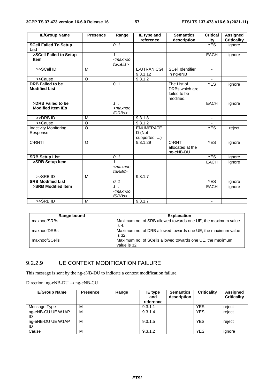| <b>IE/Group Name</b>         | <b>Presence</b> | Range      | IE type and        | <b>Semantics</b>        | <b>Critical</b> | <b>Assigned</b>    |
|------------------------------|-----------------|------------|--------------------|-------------------------|-----------------|--------------------|
|                              |                 |            | reference          | description             | ity             | <b>Criticality</b> |
| <b>SCell Failed To Setup</b> |                 | 0.1        |                    |                         | <b>YES</b>      | ignore             |
| List                         |                 |            |                    |                         |                 |                    |
| >SCell Failed to Setup       |                 | $1$ .      |                    |                         | <b>EACH</b>     | ignore             |
| <b>Item</b>                  |                 | $maxnoo$   |                    |                         |                 |                    |
|                              |                 | fSCells>   |                    |                         |                 |                    |
| >>SCell ID                   | M               |            | <b>E-UTRAN CGI</b> | <b>SCell Identifier</b> |                 |                    |
|                              |                 |            | 9.3.1.12           | in ng-eNB               |                 |                    |
| >>Cause                      | O               |            | 9.3.1.2            |                         |                 |                    |
| <b>DRB Failed to be</b>      |                 | 0.1        |                    | The List of             | <b>YES</b>      | ignore             |
| <b>Modified List</b>         |                 |            |                    | DRBs which are          |                 |                    |
|                              |                 |            |                    | failed to be            |                 |                    |
|                              |                 |            |                    | modified.               |                 |                    |
| >DRB Failed to be            |                 | $1 \ldots$ |                    |                         | <b>EACH</b>     | ignore             |
| <b>Modified Item IEs</b>     |                 | $<$ maxnoo |                    |                         |                 |                    |
|                              |                 | fDRBs>     |                    |                         |                 |                    |
| >>DRB ID                     | M               |            | 9.3.1.8            |                         |                 |                    |
| >>Cause                      | O               |            | 9.3.1.2            |                         |                 |                    |
| <b>Inactivity Monitoring</b> | $\circ$         |            | <b>ENUMERATE</b>   |                         | <b>YES</b>      | reject             |
| Response                     |                 |            | D (Not-            |                         |                 |                    |
|                              |                 |            | supported, )       |                         |                 |                    |
| C-RNTI                       | $\circ$         |            | 9.3.1.29           | C-RNTI                  | <b>YES</b>      | ignore             |
|                              |                 |            |                    | allocated at the        |                 |                    |
|                              |                 |            |                    | ng-eNB-DU               |                 |                    |
| <b>SRB Setup List</b>        |                 | 0.1        |                    |                         | <b>YES</b>      | ignore             |
| >SRB Setup Item              |                 | $1$ .      |                    |                         | <b>EACH</b>     | ignore             |
|                              |                 | $<$ maxnoo |                    |                         |                 |                    |
|                              |                 | fSRBs>     |                    |                         |                 |                    |
| >>SRBID                      | M               |            | 9.3.1.7            |                         |                 |                    |
| <b>SRB Modified List</b>     |                 | 0.1        |                    |                         | <b>YES</b>      | ignore             |
| >SRB Modified Item           |                 | $1 \ldots$ |                    |                         | <b>EACH</b>     | ignore             |
|                              |                 | $<$ maxnoo |                    |                         |                 |                    |
|                              |                 | fSRBs>     |                    |                         |                 |                    |
| >>SRBID                      | M               |            | 9.3.1.7            |                         | $\blacksquare$  |                    |

| Range bound   | <b>Explanation</b>                                                        |
|---------------|---------------------------------------------------------------------------|
| maxnoofSRBs   | Maximum no. of SRB allowed towards one UE, the maximum value<br>-is 4.    |
| maxnoofDRBs   | Maximum no. of DRB allowed towards one UE, the maximum value<br>is 32.    |
| maxnoofSCells | Maximum no. of SCells allowed towards one UE, the maximum<br>value is 32. |

#### 9.2.2.9 UE CONTEXT MODIFICATION FAILURE

This message is sent by the ng-eNB-DU to indicate a context modification failure.

Direction: ng-eNB-DU  $\rightarrow$  ng-eNB-CU

| <b>IE/Group Name</b>    | <b>Presence</b> | Range | IE type<br>and<br>reference | <b>Semantics</b><br>description | <b>Criticality</b> | Assigned<br><b>Criticality</b> |
|-------------------------|-----------------|-------|-----------------------------|---------------------------------|--------------------|--------------------------------|
| Message Type            | м               |       | 9.3.1.1                     |                                 | YES                | reject                         |
| ng-eNB-CU UE W1AP<br>ID | M               |       | 9.3.1.4                     |                                 | <b>YES</b>         | reject                         |
| ng-eNB-DU UE W1AP<br>ID | M               |       | 9.3.1.5                     |                                 | <b>YES</b>         | reject                         |
| Cause                   | M               |       | 9.3.1.2                     |                                 | YES                | ignore                         |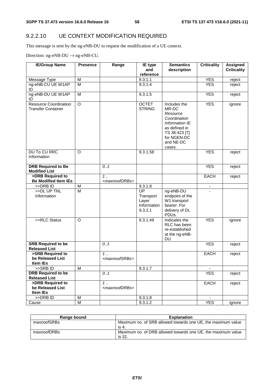# 9.2.2.10 UE CONTEXT MODIFICATION REQUIRED

This message is sent by the ng-eNB-DU to request the modification of a UE context.

Direction:  $ng$ -eNB-DU  $\rightarrow$   $ng$ -eNB-CU.

| <b>IE/Group Name</b>                                      | <b>Presence</b>         | Range                                     | IE type                                            | <b>Semantics</b>                                                                                                                            | <b>Criticality</b> | <b>Assigned</b>    |
|-----------------------------------------------------------|-------------------------|-------------------------------------------|----------------------------------------------------|---------------------------------------------------------------------------------------------------------------------------------------------|--------------------|--------------------|
|                                                           |                         |                                           | and<br>reference                                   | description                                                                                                                                 |                    | <b>Criticality</b> |
| Message Type                                              | М                       |                                           | 9.3.1.1                                            |                                                                                                                                             | <b>YES</b>         | reject             |
| ng-eNB-CU UE W1AP                                         | M                       |                                           | 9.3.1.4                                            |                                                                                                                                             | <b>YES</b>         | reject             |
| ID                                                        |                         |                                           |                                                    |                                                                                                                                             |                    |                    |
| ng-eNB-DU UE W1AP<br>ID                                   | M                       |                                           | 9.3.1.5                                            |                                                                                                                                             | <b>YES</b>         | reject             |
| <b>Resource Coordination</b><br><b>Transfer Container</b> | $\overline{O}$          |                                           | <b>OCTET</b><br><b>STRING</b>                      | Includes the<br>MR-DC<br>Resource<br>Coordination<br>Information IE<br>as defined in<br>TS 38.423 [7]<br>for NGEN-DC<br>and NE-DC<br>cases. | <b>YES</b>         | ignore             |
| <b>DU To CU RRC</b><br>Information                        | O                       |                                           | 9.3.1.58                                           |                                                                                                                                             | <b>YES</b>         | reject             |
| <b>DRB Required to Be</b><br><b>Modified List</b>         |                         | 0.1                                       |                                                    |                                                                                                                                             | <b>YES</b>         | reject             |
| >DRB Required to                                          |                         | 1.                                        |                                                    |                                                                                                                                             | <b>EACH</b>        | reject             |
| <b>Be Modified Item IEs</b>                               |                         | <maxnoofdrbs></maxnoofdrbs>               |                                                    |                                                                                                                                             |                    |                    |
| >>DRB ID                                                  | M                       |                                           | 9.3.1.8                                            |                                                                                                                                             |                    |                    |
| >>DL UP TNL<br>Information                                | $\overline{\mathsf{M}}$ |                                           | UP<br>Transport<br>Layer<br>Information<br>9.3.2.1 | ng-eNB-DU<br>endpoint of the<br>W1 transport<br>bearer. For<br>delivery of DL<br>PDUs.                                                      |                    |                    |
| >>RLC Status                                              | O                       |                                           | 9.3.1.49                                           | Indicates the<br>RLC has been<br>re-established<br>at the ng-eNB-<br>DU.                                                                    | <b>YES</b>         | ignore             |
| <b>SRB Required to be</b><br><b>Released List</b>         |                         | 0.1                                       |                                                    |                                                                                                                                             | <b>YES</b>         | reject             |
| >SRB Required to<br>be Released List<br>Item IEs          |                         | $1 \ldots$<br><maxnoofsrbs></maxnoofsrbs> |                                                    |                                                                                                                                             | <b>EACH</b>        | reject             |
| >>SRBID                                                   | М                       |                                           | 9.3.1.7                                            |                                                                                                                                             |                    |                    |
| <b>DRB Required to be</b>                                 |                         | 0.1                                       |                                                    |                                                                                                                                             | <b>YES</b>         | reject             |
| <b>Released List</b>                                      |                         |                                           |                                                    |                                                                                                                                             |                    |                    |
| >DRB Required to                                          |                         | $\overline{1}$                            |                                                    |                                                                                                                                             | <b>EACH</b>        | reject             |
| be Released List<br>Item IEs                              |                         | <maxnoofdrbs></maxnoofdrbs>               |                                                    |                                                                                                                                             |                    |                    |
| >>DRB ID                                                  | М                       |                                           | 9.3.1.8                                            |                                                                                                                                             |                    |                    |
| Cause                                                     | M                       |                                           | 9.3.1.2                                            |                                                                                                                                             | <b>YES</b>         | ignore             |

| Range bound | <b>Explanation</b>                                                     |
|-------------|------------------------------------------------------------------------|
| maxnoofSRBs | Maximum no. of SRB allowed towards one UE, the maximum value<br>is 4.  |
| maxnoofDRBs | Maximum no. of DRB allowed towards one UE, the maximum value<br>is 32. |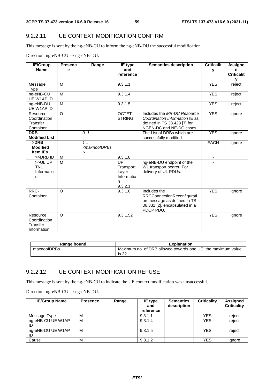#### 9.2.2.11 UE CONTEXT MODIFICATION CONFIRM

This message is sent by the ng-eNB-CU to inform the ng-eNB-DU the successful modification.

Direction:  $ng-eNB-CU \rightarrow ng-eNB-DU$ .

| <b>IE/Group</b>          | <b>Presenc</b> | Range                                                                         | <b>IE</b> type                | <b>Semantics description</b>                             | <b>Criticalit</b>        | Assigne           |
|--------------------------|----------------|-------------------------------------------------------------------------------|-------------------------------|----------------------------------------------------------|--------------------------|-------------------|
| <b>Name</b>              | е              |                                                                               | and                           |                                                          | v                        | d                 |
|                          |                |                                                                               | reference                     |                                                          |                          | <b>Criticalit</b> |
|                          |                |                                                                               |                               |                                                          |                          | v                 |
| Message                  | M              |                                                                               | 9.3.1.1                       |                                                          | <b>YES</b>               | reject            |
| Type                     |                |                                                                               |                               |                                                          |                          |                   |
| ng-eNB-CU                | M              |                                                                               | 9.3.1.4                       |                                                          | <b>YES</b>               | reject            |
| UE W1AP ID               |                |                                                                               |                               |                                                          |                          |                   |
| ng-eNB-DU                | M              |                                                                               | 9.3.1.5                       |                                                          | <b>YES</b>               | reject            |
| UE W1AP ID               |                |                                                                               |                               | Includes the MR-DC Resource                              |                          |                   |
| Resource                 | $\circ$        |                                                                               | <b>OCTET</b><br><b>STRING</b> |                                                          | <b>YES</b>               | ignore            |
| Coordination<br>Transfer |                |                                                                               |                               | Coordination Information IE as                           |                          |                   |
| Container                |                |                                                                               |                               | defined in TS 38.423 [7] for<br>NGEN-DC and NE-DC cases. |                          |                   |
| <b>DRB</b>               |                | 0.1                                                                           |                               | The List of DRBs which are                               | <b>YES</b>               | ignore            |
| <b>Modified List</b>     |                |                                                                               |                               | successfully modified.                                   |                          |                   |
| >DRB                     |                | $1$                                                                           |                               |                                                          | <b>EACH</b>              |                   |
| <b>Modified</b>          |                | <maxnoofdrbs< td=""><td></td><td></td><td></td><td>ignore</td></maxnoofdrbs<> |                               |                                                          |                          | ignore            |
| <b>Item IEs</b>          |                | $\geq$                                                                        |                               |                                                          |                          |                   |
| >>DRB ID                 | M              |                                                                               | 9.3.1.8                       |                                                          | $\overline{\phantom{a}}$ |                   |
| >>ULUP                   | M              |                                                                               | $\overline{UP}$               | ng-eNB-DU endpoint of the                                |                          |                   |
| <b>TNL</b>               |                |                                                                               | Transport                     | W1 transport bearer. For                                 |                          |                   |
| Informatio               |                |                                                                               | Layer                         | delivery of UL PDUs.                                     |                          |                   |
| n                        |                |                                                                               | Informatio                    |                                                          |                          |                   |
|                          |                |                                                                               | n                             |                                                          |                          |                   |
|                          |                |                                                                               | 9.3.2.1                       |                                                          |                          |                   |
| RRC-                     | $\circ$        |                                                                               | 9.3.1.6                       | Includes the                                             | <b>YES</b>               | ignore            |
| Container                |                |                                                                               |                               | RRCConnectionReconfigurati                               |                          |                   |
|                          |                |                                                                               |                               | on message as defined in TS                              |                          |                   |
|                          |                |                                                                               |                               | 36.331 [2], encapsulated in a                            |                          |                   |
|                          |                |                                                                               |                               | PDCP PDU.                                                |                          |                   |
| Resource                 | $\circ$        |                                                                               | 9.3.1.52                      |                                                          | <b>YES</b>               | ignore            |
| Coordination             |                |                                                                               |                               |                                                          |                          |                   |
| Transfer                 |                |                                                                               |                               |                                                          |                          |                   |
| Information              |                |                                                                               |                               |                                                          |                          |                   |

| Range bound | <b>Explanation</b>                                                     |
|-------------|------------------------------------------------------------------------|
| maxnoofDRBs | Maximum no. of DRB allowed towards one UE, the maximum value<br>is 32. |

#### 9.2.2.12 UE CONTEXT MODIFICATION REFUSE

This message is sent by the ng-eNB-CU to indicate the UE context modification was unsuccessful.

Direction:  $ng-eNB-CU \rightarrow ng-eNB-DU$ .

| <b>IE/Group Name</b>    | <b>Presence</b> | Range | IE type<br>and<br>reference | <b>Semantics</b><br>description | <b>Criticality</b> | Assigned<br><b>Criticality</b> |
|-------------------------|-----------------|-------|-----------------------------|---------------------------------|--------------------|--------------------------------|
| Message Type            | M               |       | 9.3.1.1                     |                                 | <b>YES</b>         | reject                         |
| ng-eNB-CU UE W1AP       | M               |       | 9.3.1.4                     |                                 | <b>YES</b>         | reject                         |
| ng-eNB-DU UE W1AP<br>ID | M               |       | 9.3.1.5                     |                                 | <b>YES</b>         | reject                         |
| Cause                   | M               |       | 9.3.1.2                     |                                 | <b>YES</b>         | ignore                         |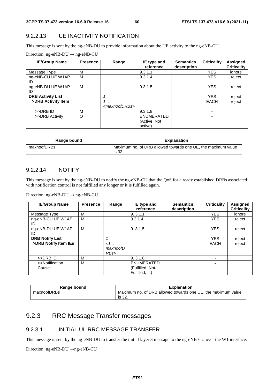#### 9.2.2.13 UE INACTIVITY NOTIFICATION

This message is sent by the ng-eNB-DU to provide information about the UE activity to the ng-eNB-CU.

| <b>IE/Group Name</b>     | <b>Presence</b> | Range                                    | IE type and<br>reference              | <b>Semantics</b><br>description | <b>Criticality</b> | <b>Assigned</b><br><b>Criticality</b> |
|--------------------------|-----------------|------------------------------------------|---------------------------------------|---------------------------------|--------------------|---------------------------------------|
| Message Type             | М               |                                          | 9.3.1.1                               |                                 | <b>YES</b>         | ignore                                |
| ng-eNB-CU UE W1AP<br>ID  | M               |                                          | 9.3.1.4                               |                                 | <b>YES</b>         | reject                                |
| ng-eNB-DU UE W1AP<br>ID  | M               |                                          | 9.3.1.5                               |                                 | <b>YES</b>         | reject                                |
| <b>DRB Activity List</b> |                 |                                          |                                       |                                 | <b>YES</b>         | reject                                |
| >DRB Activity Item       |                 | $\cdot$ .<br><maxnoofdrbs></maxnoofdrbs> |                                       |                                 | <b>EACH</b>        | reject                                |
| >>DRB ID                 | M               |                                          | 9.3.1.8                               |                                 |                    |                                       |
| >>DRB Activity           | O               |                                          | ENUMERATED<br>(Active, Not<br>active) |                                 |                    |                                       |

| Range bound | <b>Explanation</b>                                                     |
|-------------|------------------------------------------------------------------------|
| maxnoofDRBs | Maximum no. of DRB allowed towards one UE, the maximum value<br>is 32. |

#### 9.2.2.14 NOTIFY

This message is sent by the ng-eNB-DU to notify the ng-eNB-CU that the QoS for already established DRBs associated with notification control is not fulfilled any longer or it is fulfilled again.

Direction: ng-eNB-DU  $\rightarrow$  ng-eNB-CU

| <b>IE/Group Name</b>    | <b>Presence</b> | Range                    | IE type and<br>reference                              | <b>Semantics</b><br>description | <b>Criticality</b> | <b>Assigned</b><br><b>Criticality</b> |
|-------------------------|-----------------|--------------------------|-------------------------------------------------------|---------------------------------|--------------------|---------------------------------------|
| Message Type            | M               |                          | 9.3.1.1                                               |                                 | <b>YES</b>         | ignore                                |
| ng-eNB-CU UE W1AP<br>ID | M               |                          | 9.3.1.4                                               |                                 | <b>YES</b>         | reject                                |
| ng-eNB-DU UE W1AP<br>ID | м               |                          | 9.3.1.5                                               |                                 | <b>YES</b>         | reject                                |
| <b>DRB Notify List</b>  |                 | 4                        |                                                       |                                 | <b>YES</b>         | reject                                |
| >DRB Notify Item IEs    |                 | $< 1$<br>maxnoofD<br>RBs |                                                       |                                 | <b>EACH</b>        | reject                                |
| >>DRB ID                | М               |                          | 9.3.1.8                                               |                                 |                    |                                       |
| >>Notification<br>Cause | M               |                          | <b>ENUMERATED</b><br>(Fulfilled, Not-<br>Fulfilled. ) |                                 | ۰                  |                                       |

| Range bound | <b>Explanation</b>                                           |
|-------------|--------------------------------------------------------------|
| maxnoofDRBs | Maximum no. of DRB allowed towards one UE, the maximum value |
|             | is 32.                                                       |

# 9.2.3 RRC Message Transfer messages

#### 9.2.3.1 INITIAL UL RRC MESSAGE TRANSFER

This message is sent by the ng-eNB-DU to transfer the initial layer 3 message to the ng-eNB-CU over the W1 interface.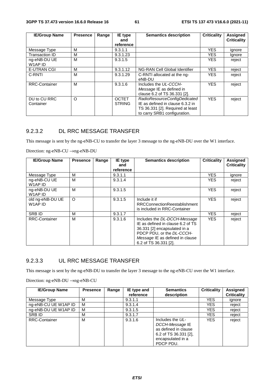| <b>IE/Group Name</b>      | <b>Presence</b> | Range | IE type                       | <b>Semantics description</b>                                                                                                         | <b>Criticality</b> | Assigned           |
|---------------------------|-----------------|-------|-------------------------------|--------------------------------------------------------------------------------------------------------------------------------------|--------------------|--------------------|
|                           |                 |       | and<br>reference              |                                                                                                                                      |                    | <b>Criticality</b> |
| Message Type              | м               |       | 9.3.1.1                       |                                                                                                                                      | <b>YES</b>         | ignore             |
| <b>Transaction ID</b>     | м               |       | 9.3.1.23                      |                                                                                                                                      | <b>YES</b>         | Ignore             |
| ng-eNB-DU UE<br>W1AP ID   | м               |       | 9.3.1.5                       |                                                                                                                                      | <b>YES</b>         | reject             |
| <b>E-UTRAN CGI</b>        | м               |       | 9.3.1.12                      | NG-RAN Cell Global Identifier                                                                                                        | <b>YES</b>         | reject             |
| C-RNTI                    | M               |       | 9.3.1.29                      | C-RNTI allocated at the ng-<br>eNB-DU                                                                                                | <b>YES</b>         | reject             |
| <b>RRC-Container</b>      | м               |       | 9.3.1.6                       | Includes the UL-CCCH-<br>Message IE as defined in<br>clause 6.2 of TS 36.331 [2].                                                    | <b>YES</b>         | reject             |
| DU to CU RRC<br>Container | O               |       | <b>OCTET</b><br><b>STRING</b> | RadioResourceConfigDedicated<br>IE as defined in clause 6.3.2 in<br>TS 36.331 [2]. Required at least<br>to carry SRB1 configuration. | <b>YES</b>         | reject             |

## 9.2.3.2 DL RRC MESSAGE TRANSFER

This message is sent by the ng-eNB-CU to transfer the layer 3 message to the ng-eNB-DU over the W1 interface.

Direction: ng-eNB-CU →ng-eNB-DU

| <b>IE/Group Name</b>        | <b>Presence</b> | Range | IE type<br>and | <b>Semantics description</b>                                                                                                                                                               | <b>Criticality</b> | Assigned<br><b>Criticality</b> |
|-----------------------------|-----------------|-------|----------------|--------------------------------------------------------------------------------------------------------------------------------------------------------------------------------------------|--------------------|--------------------------------|
|                             |                 |       | reference      |                                                                                                                                                                                            |                    |                                |
| Message Type                | м               |       | 9.3.1.1        |                                                                                                                                                                                            | <b>YES</b>         | ignore                         |
| ng-eNB-CU UE<br>W1AP ID     | М               |       | 9.3.1.4        |                                                                                                                                                                                            | <b>YES</b>         | reject                         |
| ng-eNB-DU UE<br>W1AP ID     | М               |       | 9.3.1.5        |                                                                                                                                                                                            | <b>YES</b>         | reject                         |
| old ng-eNB-DU UE<br>W1AP ID | $\circ$         |       | 9.3.1.5        | Include it if<br><b>RRCConnectionReestablishment</b><br>is included in RRC-Container                                                                                                       | <b>YES</b>         | reject                         |
| <b>SRBID</b>                | м               |       | 9.3.1.7        |                                                                                                                                                                                            | <b>YES</b>         | reject                         |
| <b>RRC-Container</b>        | М               |       | 9.3.1.6        | Includes the DL-DCCH-Message<br>IE as defined in clause 6.2 of TS<br>36.331 [2] encapsulated in a<br>PDCP PDU, or the DL-CCCH-<br>Message IE as defined in clause<br>6.2 of TS 36.331 [2]. | <b>YES</b>         | reject                         |

### 9.2.3.3 UL RRC MESSAGE TRANSFER

This message is sent by the ng-eNB-DU to transfer the layer 3 message to the ng-eNB-CU over the W1 interface.

| <b>IE/Group Name</b> | <b>Presence</b> | Range | IE type and | <b>Semantics</b>                                                                                                         | <b>Criticality</b> | <b>Assigned</b>    |
|----------------------|-----------------|-------|-------------|--------------------------------------------------------------------------------------------------------------------------|--------------------|--------------------|
|                      |                 |       | reference   | description                                                                                                              |                    | <b>Criticality</b> |
| Message Type         | м               |       | 9.3.1.1     |                                                                                                                          | <b>YES</b>         | ignore             |
| ng-eNB-CU UE W1AP ID | м               |       | 9.3.1.4     |                                                                                                                          | YES                | reject             |
| ng-eNB-DU UE W1AP ID | м               |       | 9.3.1.5     |                                                                                                                          | YES                | reject             |
| SRB ID               | М               |       | 9.3.1.7     |                                                                                                                          | YES                | reject             |
| <b>RRC-Container</b> | М               |       | 9.3.1.6     | Includes the UL-<br>DCCH-Message IE<br>as defined in clause<br>6.2 of TS $36.331$ [2],<br>encapsulated in a<br>PDCP PDU. | <b>YES</b>         | reject             |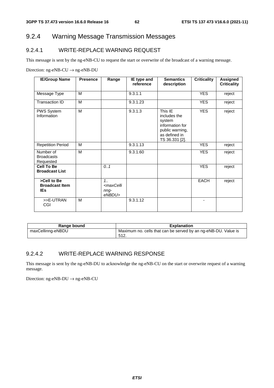# 9.2.4 Warning Message Transmission Messages

# 9.2.4.1 WRITE-REPLACE WARNING REQUEST

This message is sent by the ng-eNB-CU to request the start or overwrite of the broadcast of a warning message.

Direction: ng-eNB-CU  $\rightarrow$  ng-eNB-DU

| <b>IE/Group Name</b>                               | <b>Presence</b> | Range                                                    | IE type and<br>reference | <b>Semantics</b><br>description                                                                            | <b>Criticality</b> | <b>Assigned</b><br><b>Criticality</b> |
|----------------------------------------------------|-----------------|----------------------------------------------------------|--------------------------|------------------------------------------------------------------------------------------------------------|--------------------|---------------------------------------|
| Message Type                                       | M               |                                                          | 9.3.1.1                  |                                                                                                            | <b>YES</b>         | reject                                |
| Transaction ID                                     | M               |                                                          | 9.3.1.23                 |                                                                                                            | <b>YES</b>         | reject                                |
| PWS System<br>Information                          | M               |                                                          | 9.3.1.3                  | This IE<br>includes the<br>system<br>information for<br>public warning,<br>as defined in<br>TS 36.331 [2]. | <b>YES</b>         | reject                                |
| <b>Repetition Period</b>                           | M               |                                                          | 9.3.1.13                 |                                                                                                            | <b>YES</b>         | reject                                |
| Number of<br><b>Broadcasts</b><br>Requested        | M               |                                                          | $\overline{9.3.1.60}$    |                                                                                                            | <b>YES</b>         | reject                                |
| <b>Cell To Be</b><br><b>Broadcast List</b>         |                 | 0.1                                                      |                          |                                                                                                            | <b>YES</b>         | reject                                |
| >Cell to Be<br><b>Broadcast Item</b><br><b>IEs</b> |                 | $1_{1}$<br><maxcelli<br>nng-<br/>eNBDU&gt;</maxcelli<br> |                          |                                                                                                            | <b>EACH</b>        | reject                                |
| >>E-UTRAN<br>CGI                                   | M               |                                                          | 9.3.1.12                 |                                                                                                            | ۰                  |                                       |

| Range bound       | <b>Explanation</b>                                             |
|-------------------|----------------------------------------------------------------|
| maxCellinng-eNBDU | Maximum no. cells that can be served by an ng-eNB-DU. Value is |
|                   | 512.                                                           |

#### 9.2.4.2 WRITE-REPLACE WARNING RESPONSE

This message is sent by the ng-eNB-DU to acknowledge the ng-eNB-CU on the start or overwrite request of a warning message.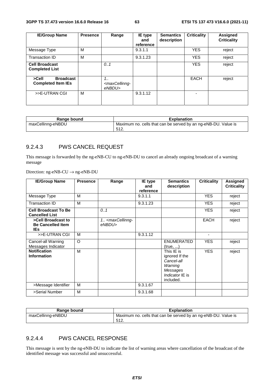| <b>IE/Group Name</b>                                   | <b>Presence</b> | Range                                                   | <b>IE</b> type<br>and<br>reference | <b>Semantics</b><br>description | <b>Criticality</b> | Assigned<br><b>Criticality</b> |
|--------------------------------------------------------|-----------------|---------------------------------------------------------|------------------------------------|---------------------------------|--------------------|--------------------------------|
| Message Type                                           | м               |                                                         | 9.3.1.1                            |                                 | <b>YES</b>         | reject                         |
| Transaction ID                                         | м               |                                                         | 9.3.1.23                           |                                 | <b>YES</b>         | reject                         |
| <b>Cell Broadcast</b><br><b>Completed List</b>         |                 | 0.1                                                     |                                    |                                 | <b>YES</b>         | reject                         |
| >Cell<br><b>Broadcast</b><br><b>Completed Item IEs</b> |                 | $1_{1}$<br><maxcellinng-<br>eNBDU&gt;</maxcellinng-<br> |                                    |                                 | <b>EACH</b>        | reject                         |
| >>E-UTRAN CGI                                          | м               |                                                         | 9.3.1.12                           |                                 | -                  |                                |

| Range bound       | <b>Explanation</b>                                             |
|-------------------|----------------------------------------------------------------|
| maxCellinng-eNBDU | Maximum no. cells that can be served by an ng-eNB-DU. Value is |
|                   | 512.                                                           |

#### 9.2.4.3 PWS CANCEL REQUEST

This message is forwarded by the ng-eNB-CU to ng-eNB-DU to cancel an already ongoing broadcast of a warning message

Direction: ng-eNB-CU → ng-eNB-DU

| <b>IE/Group Name</b>                                         | <b>Presence</b> | Range                                           | IE type<br>and<br>reference | <b>Semantics</b><br>description                                                                   | <b>Criticality</b>       | <b>Assigned</b><br><b>Criticality</b> |
|--------------------------------------------------------------|-----------------|-------------------------------------------------|-----------------------------|---------------------------------------------------------------------------------------------------|--------------------------|---------------------------------------|
| Message Type                                                 | M               |                                                 | 9.3.1.1                     |                                                                                                   | <b>YES</b>               | reject                                |
| Transaction ID                                               | M               |                                                 | 9.3.1.23                    |                                                                                                   | <b>YES</b>               | reject                                |
| <b>Cell Broadcast To Be</b><br><b>Cancelled List</b>         |                 | 0.1                                             |                             |                                                                                                   | <b>YES</b>               | reject                                |
| >Cell Broadcast to<br><b>Be Cancelled Item</b><br><b>IEs</b> |                 | 1. <maxcellinng-<br>eNBDU&gt;</maxcellinng-<br> |                             |                                                                                                   | <b>EACH</b>              | reject                                |
| >>E-UTRAN CGI                                                | М               |                                                 | 9.3.1.12                    |                                                                                                   | $\overline{\phantom{0}}$ |                                       |
| Cancel-all Warning<br>Messages Indicator                     | $\circ$         |                                                 |                             | <b>ENUMERATED</b><br>(true, )                                                                     | <b>YES</b>               | reject                                |
| <b>Notification</b><br><b>Information</b>                    | M               |                                                 |                             | This IE is<br>ignored If the<br>Cancel-all<br>Warning<br>Messages<br>Indicator IE is<br>included. | <b>YES</b>               | reject                                |
| >Message Identifier                                          | M               |                                                 | 9.3.1.67                    |                                                                                                   |                          |                                       |
| >Serial Number                                               | M               |                                                 | 9.3.1.68                    |                                                                                                   |                          |                                       |

| Range bound       | <b>Explanation</b>                                             |
|-------------------|----------------------------------------------------------------|
| maxCellinng-eNBDU | Maximum no. cells that can be served by an ng-eNB-DU. Value is |
|                   | -512.                                                          |

### 9.2.4.4 PWS CANCEL RESPONSE

This message is sent by the ng-eNB-DU to indicate the list of warning areas where cancellation of the broadcast of the identified message was successful and unsuccessful.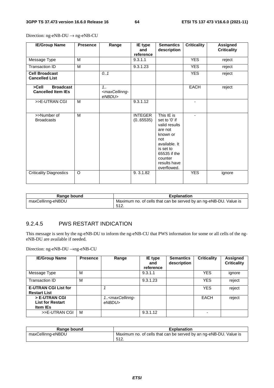| <b>IE/Group Name</b>                                   | <b>Presence</b> | Range                                               | IE type<br>and<br>reference | <b>Semantics</b><br>description                                                                                                                                    | <b>Criticality</b> | <b>Assigned</b><br><b>Criticality</b> |
|--------------------------------------------------------|-----------------|-----------------------------------------------------|-----------------------------|--------------------------------------------------------------------------------------------------------------------------------------------------------------------|--------------------|---------------------------------------|
| Message Type                                           | M               |                                                     | 9.3.1.1                     |                                                                                                                                                                    | <b>YES</b>         | reject                                |
| Transaction ID                                         | M               |                                                     | 9.3.1.23                    |                                                                                                                                                                    | <b>YES</b>         | reject                                |
| <b>Cell Broadcast</b><br><b>Cancelled List</b>         |                 | 0.1                                                 |                             |                                                                                                                                                                    | <b>YES</b>         | reject                                |
| >Cell<br><b>Broadcast</b><br><b>Cancelled Item IEs</b> |                 | 1.1<br><maxcellinng-<br>eNBDU&gt;</maxcellinng-<br> |                             |                                                                                                                                                                    | <b>EACH</b>        | reject                                |
| >>E-UTRAN CGI                                          | M               |                                                     | 9.3.1.12                    |                                                                                                                                                                    | ٠                  |                                       |
| >>Number of<br><b>Broadcasts</b>                       | M               |                                                     | <b>INTEGER</b><br>(0.65535) | This IE is<br>set to '0' if<br>valid results<br>are not<br>known or<br>not<br>available. It<br>is set to<br>65535 if the<br>counter<br>results have<br>overflowed. | ٠                  |                                       |
| <b>Criticality Diagnostics</b>                         | $\circ$         |                                                     | 9.3.1.82                    |                                                                                                                                                                    | <b>YES</b>         | ignore                                |

Direction: ng-eNB-DU → ng-eNB-CU

| Range bound       | <b>Explanation</b>                                                        |
|-------------------|---------------------------------------------------------------------------|
| maxCellinng-eNBDU | Maximum no. of cells that can be served by an ng-eNB-DU. Value is<br>512. |

#### 9.2.4.5 PWS RESTART INDICATION

This message is sent by the ng-eNB-DU to inform the ng-eNB-CU that PWS information for some or all cells of the ngeNB-DU are available if needed.

| <b>IE/Group Name</b>                                        | <b>Presence</b> | Range                                          | IE type<br>and<br>reference | <b>Semantics</b><br>description | <b>Criticality</b> | Assigned<br><b>Criticality</b> |
|-------------------------------------------------------------|-----------------|------------------------------------------------|-----------------------------|---------------------------------|--------------------|--------------------------------|
| Message Type                                                | м               |                                                | 9.3.1.1                     |                                 | <b>YES</b>         | ignore                         |
| Transaction ID                                              | M               |                                                | 9.3.1.23                    |                                 | <b>YES</b>         | reject                         |
| <b>E-UTRAN CGI List for</b><br><b>Restart List</b>          |                 |                                                |                             |                                 | <b>YES</b>         | reject                         |
| > E-UTRAN CGI<br><b>List for Restart</b><br><b>Item IEs</b> |                 | 1 <maxcellinng-<br>eNBDU&gt;</maxcellinng-<br> |                             |                                 | EACH               | reject                         |
| >>E-UTRAN CGI                                               | M               |                                                | 9.3.1.12                    |                                 |                    |                                |

| Range bound       | <b>Explanation</b>                                                |
|-------------------|-------------------------------------------------------------------|
| maxCellinng-eNBDU | Maximum no. of cells that can be served by an ng-eNB-DU. Value is |
|                   | 512<br><u>ວ⊺∠.</u>                                                |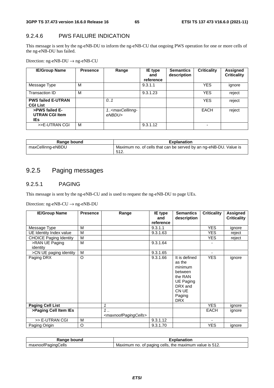# 9.2.4.6 PWS FAILURE INDICATION

This message is sent by the ng-eNB-DU to inform the ng-eNB-CU that ongoing PWS operation for one or more cells of the ng-eNB-DU has failed.

Direction: ng-eNB-DU → ng-eNB-CU

| <b>IE/Group Name</b>                            | <b>Presence</b> | Range                                          | IE type<br>and<br>reference | <b>Semantics</b><br>description | <b>Criticality</b> | Assigned<br><b>Criticality</b> |
|-------------------------------------------------|-----------------|------------------------------------------------|-----------------------------|---------------------------------|--------------------|--------------------------------|
| Message Type                                    | м               |                                                | 9.3.1.1                     |                                 | <b>YES</b>         | ignore                         |
| Transaction ID                                  | M               |                                                | 9.3.1.23                    |                                 | <b>YES</b>         | reject                         |
| <b>PWS failed E-UTRAN</b><br><b>CGI List</b>    |                 | 0.1                                            |                             |                                 | <b>YES</b>         | reject                         |
| >PWS failed E-<br><b>UTRAN CGI Item</b><br>IEs. |                 | 1 <maxcellinng-<br>eNBDU&gt;</maxcellinng-<br> |                             |                                 | EACH               | reject                         |
| >>E-UTRAN CGI                                   | M               |                                                | 9.3.1.12                    |                                 |                    |                                |

| Range bound       | <b>Explanation</b>                                                        |
|-------------------|---------------------------------------------------------------------------|
| maxCellinng-eNBDU | Maximum no. of cells that can be served by an ng-eNB-DU. Value is<br>512. |

# 9.2.5 Paging messages

#### 9.2.5.1 PAGING

This message is sent by the ng-eNB-CU and is used to request the ng-eNB-DU to page UEs.

| <b>IE/Group Name</b>          | <b>Presence</b> | Range                                                   | <b>IE</b> type<br>and<br>reference | <b>Semantics</b><br>description                                                                                          | <b>Criticality</b> | <b>Assigned</b><br><b>Criticality</b> |
|-------------------------------|-----------------|---------------------------------------------------------|------------------------------------|--------------------------------------------------------------------------------------------------------------------------|--------------------|---------------------------------------|
| Message Type                  | м               |                                                         | 9.3.1.1                            |                                                                                                                          | <b>YES</b>         | ignore                                |
| UE Identity Index value       | м               |                                                         | 9.3.1.63                           |                                                                                                                          | YES.               | reject                                |
| <b>CHOICE Paging Identity</b> | M               |                                                         |                                    |                                                                                                                          | <b>YES</b>         | reject                                |
| >RAN UE Paging<br>identity    | M               |                                                         | 9.3.1.64                           |                                                                                                                          |                    |                                       |
| >CN UE paging identity        | M               |                                                         | 9.3.1.65                           |                                                                                                                          |                    |                                       |
| Paging DRX                    | $\circ$         |                                                         | 9.3.1.66                           | It is defined<br>as the<br>minimum<br>between<br>the RAN<br><b>UE Paging</b><br>DRX and<br>CN UE<br>Paging<br><b>DRX</b> | <b>YES</b>         | ignore                                |
| <b>Paging Cell List</b>       |                 | 1                                                       |                                    |                                                                                                                          | <b>YES</b>         | ignore                                |
| >Paging Cell Item IEs         |                 | $1 \ldots$<br><maxnoofpagingcells></maxnoofpagingcells> |                                    |                                                                                                                          | <b>EACH</b>        | ignore                                |
| >> E-UTRAN CGI                | M               |                                                         | 9.3.1.12                           |                                                                                                                          |                    |                                       |
| Paging Origin                 | O               |                                                         | 9.3.1.70                           |                                                                                                                          | <b>YES</b>         | ignore                                |

| bound<br>Ranɑe<br>ue        | Explanation                                                                                     |
|-----------------------------|-------------------------------------------------------------------------------------------------|
| Cells<br>maxnoofP<br>aainat | 512<br>Maxir<br>cells.<br>num<br>the<br>mum<br>, maxım<br>paging<br>` IS∶<br>no.<br>value<br>0t |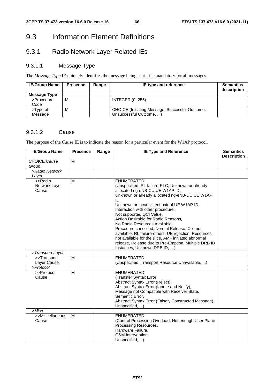# 9.3 Information Element Definitions

# 9.3.1 Radio Network Layer Related IEs

# 9.3.1.1 Message Type

The *Message Type* IE uniquely identifies the message being sent. It is mandatory for all messages.

| <b>IE/Group Name</b> | <b>Presence</b> | Range | IE type and reference                                                      | <b>Semantics</b><br>description |
|----------------------|-----------------|-------|----------------------------------------------------------------------------|---------------------------------|
| Message Type         |                 |       |                                                                            |                                 |
| >Procedure<br>Code   | м               |       | <b>INTEGER (0255)</b>                                                      |                                 |
| >Type of<br>Message  | м               |       | CHOICE (Initiating Message, Successful Outcome,<br>Unsuccessful Outcome, ) |                                 |

### 9.3.1.2 Cause

The purpose of the *Cause* IE is to indicate the reason for a particular event for the W1AP protocol.

| <b>IE/Group Name</b>              | <b>Presence</b> | Range | <b>IE Type and Reference</b>                                                                                                                                                                                                                                                                                                                                                                                                                                                                                                                                                                                       | <b>Semantics</b><br><b>Description</b> |
|-----------------------------------|-----------------|-------|--------------------------------------------------------------------------------------------------------------------------------------------------------------------------------------------------------------------------------------------------------------------------------------------------------------------------------------------------------------------------------------------------------------------------------------------------------------------------------------------------------------------------------------------------------------------------------------------------------------------|----------------------------------------|
| CHOICE Cause<br>Group             | M               |       |                                                                                                                                                                                                                                                                                                                                                                                                                                                                                                                                                                                                                    |                                        |
| >Radio Network                    |                 |       |                                                                                                                                                                                                                                                                                                                                                                                                                                                                                                                                                                                                                    |                                        |
| Layer                             |                 |       |                                                                                                                                                                                                                                                                                                                                                                                                                                                                                                                                                                                                                    |                                        |
| >>Radio<br>Network Layer<br>Cause | M               |       | <b>ENUMERATED</b><br>(Unspecified, RL failure-RLC, Unknown or already<br>allocated ng-eNB-CU UE W1AP ID,<br>Unknown or already allocated ng-eNB-DU UE W1AP<br>ID,<br>Unknown or inconsistent pair of UE W1AP ID,<br>Interaction with other procedure,<br>Not supported QCI Value,<br>Action Desirable for Radio Reasons,<br>No Radio Resources Available,<br>Procedure cancelled, Normal Release, Cell not<br>available, RL failure-others, UE rejection, Resources<br>not available for the slice, AMF initiated abnormal<br>release, Release due to Pre-Emption, Multiple DRB ID<br>Instances, Unknown DRB ID, ) |                                        |
| >Transport Layer                  |                 |       |                                                                                                                                                                                                                                                                                                                                                                                                                                                                                                                                                                                                                    |                                        |
| >>Transport                       | M               |       | <b>ENUMERATED</b>                                                                                                                                                                                                                                                                                                                                                                                                                                                                                                                                                                                                  |                                        |
| Layer Cause                       |                 |       | (Unspecified, Transport Resource Unavailable, )                                                                                                                                                                                                                                                                                                                                                                                                                                                                                                                                                                    |                                        |
| >Protocol                         |                 |       |                                                                                                                                                                                                                                                                                                                                                                                                                                                                                                                                                                                                                    |                                        |
| >>Protocol<br>Cause               | M               |       | <b>ENUMERATED</b><br>(Transfer Syntax Error,<br>Abstract Syntax Error (Reject),<br>Abstract Syntax Error (Ignore and Notify),<br>Message not Compatible with Receiver State,<br>Semantic Error,<br>Abstract Syntax Error (Falsely Constructed Message),<br>Unspecified, )                                                                                                                                                                                                                                                                                                                                          |                                        |
| >Misc                             |                 |       |                                                                                                                                                                                                                                                                                                                                                                                                                                                                                                                                                                                                                    |                                        |
| >>Miscellaneous<br>Cause          | M               |       | <b>ENUMERATED</b><br>(Control Processing Overload, Not enough User Plane<br>Processing Resources,<br>Hardware Failure,<br>O&M Intervention,<br>Unspecified, )                                                                                                                                                                                                                                                                                                                                                                                                                                                      |                                        |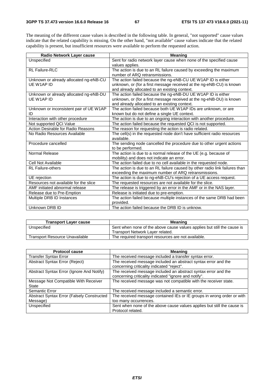The meaning of the different cause values is described in the following table. In general, "not supported" cause values indicate that the related capability is missing. On the other hand, "not available" cause values indicate that the related capability is present, but insufficient resources were available to perform the requested action.

| Radio Network Layer cause               | <b>Meaning</b>                                                              |
|-----------------------------------------|-----------------------------------------------------------------------------|
| Unspecified                             | Sent for radio network layer cause when none of the specified cause         |
|                                         | values applies.                                                             |
| RL Failure-RLC                          | The action is due to an RL failure caused by exceeding the maximum          |
|                                         | number of ARQ retransmissions.                                              |
| Unknown or already allocated ng-eNB-CU  | The action failed because the ng-eNB-CU UE W1AP ID is either                |
| UE W1AP ID                              | unknown, or (for a first message received at the ng-eNB-CU) is known        |
|                                         | and already allocated to an existing context.                               |
| Unknown or already allocated ng-eNB-DU  | The action failed because the ng-eNB-DU UE W1AP ID is either                |
| UE W1AP ID                              | unknown, or (for a first message received at the ng-eNB-DU) is known        |
|                                         | and already allocated to an existing context.                               |
| Unknown or inconsistent pair of UE W1AP | The action failed because both UE W1AP IDs are unknown, or are              |
| ID                                      | known but do not define a single UE context.                                |
| Interaction with other procedure        | The action is due to an ongoing interaction with another procedure.         |
| Not supported QCI Value                 | The action failed because the requested QCI is not supported.               |
| Action Desirable for Radio Reasons      | The reason for requesting the action is radio related.                      |
| No Radio Resources Available            | The cell(s) in the requested node don't have sufficient radio resources     |
|                                         | available.                                                                  |
| Procedure cancelled                     | The sending node cancelled the procedure due to other urgent actions        |
|                                         | to be performed.                                                            |
| Normal Release                          | The action is due to a normal release of the UE (e.g. because of            |
|                                         | mobility) and does not indicate an error.                                   |
| Cell Not Available                      | The action failed due to no cell available in the requested node.           |
| <b>RL Failure-others</b>                | The action is due to an RL failure caused by other radio link failures than |
|                                         | exceeding the maximum number of ARQ retransmissions.                        |
| UE rejection                            | The action is due to ng-eNB-CU's rejection of a UE access request.          |
| Resources not available for the slice   | The requested resources are not available for the slice.                    |
| AMF initiated abnormal release          | The release is triggered by an error in the AMF or in the NAS layer.        |
| Release due to Pre-Emption              | Release is initiated due to pre-emption.                                    |
| Multiple DRB ID Instances               | The action failed because multiple instances of the same DRB had been       |
|                                         | provided.                                                                   |
| Unknown DRB ID                          | The action failed because the DRB ID is unknow.                             |

| <b>Transport Layer cause</b>          | <b>Meaning</b>                                                          |  |  |
|---------------------------------------|-------------------------------------------------------------------------|--|--|
| Unspecified                           | Sent when none of the above cause values applies but still the cause is |  |  |
|                                       | Transport Network Layer related.                                        |  |  |
| <b>Transport Resource Unavailable</b> | The required transport resources are not available.                     |  |  |

| <b>Protocol cause</b>                                          | <b>Meaning</b>                                                                                                          |  |
|----------------------------------------------------------------|-------------------------------------------------------------------------------------------------------------------------|--|
| <b>Transfer Syntax Error</b>                                   | The received message included a transfer syntax error.                                                                  |  |
| Abstract Syntax Error (Reject)                                 | The received message included an abstract syntax error and the<br>concerning criticality indicated "reject".            |  |
| Abstract Syntax Error (Ignore And Notify)                      | The received message included an abstract syntax error and the<br>concerning criticality indicated "ignore and notify". |  |
| Message Not Compatible With Receiver<br>State                  | The received message was not compatible with the receiver state.                                                        |  |
| Semantic Error                                                 | The received message included a semantic error.                                                                         |  |
| <b>Abstract Syntax Error (Falsely Constructed)</b><br>Message) | The received message contained IEs or IE groups in wrong order or with<br>too many occurrences.                         |  |
| Unspecified                                                    | Sent when none of the above cause values applies but still the cause is<br>Protocol related.                            |  |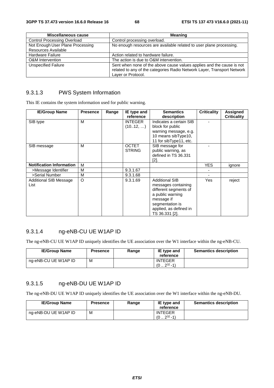| Miscellaneous cause                | <b>Meaning</b>                                                                                                                                                         |  |  |
|------------------------------------|------------------------------------------------------------------------------------------------------------------------------------------------------------------------|--|--|
| <b>Control Processing Overload</b> | Control processing overload.                                                                                                                                           |  |  |
| Not Enough User Plane Processing   | No enough resources are available related to user plane processing.                                                                                                    |  |  |
| Resources Available                |                                                                                                                                                                        |  |  |
| <b>Hardware Failure</b>            | Action related to hardware failure.                                                                                                                                    |  |  |
| <b>O&amp;M</b> Intervention        | The action is due to O&M intervention.                                                                                                                                 |  |  |
| <b>Unspecified Failure</b>         | Sent when none of the above cause values applies and the cause is not<br>related to any of the categories Radio Network Layer, Transport Network<br>Layer or Protocol. |  |  |

#### 9.3.1.3 PWS System Information

This IE contains the system information used for public warning.

| <b>IE/Group Name</b>            | <b>Presence</b> | Range | IE type and    | <b>Semantics</b>        | <b>Criticality</b> | Assigned           |
|---------------------------------|-----------------|-------|----------------|-------------------------|--------------------|--------------------|
|                                 |                 |       | reference      | description             |                    | <b>Criticality</b> |
| SIB type                        | M               |       | <b>INTEGER</b> | Indicates a certain SIB |                    |                    |
|                                 |                 |       | (1012, )       | block for public        |                    |                    |
|                                 |                 |       |                | warning message, e.g.   |                    |                    |
|                                 |                 |       |                | 10 means sibType10,     |                    |                    |
|                                 |                 |       |                | 11 for sibType11, etc.  |                    |                    |
| SIB message                     | М               |       | <b>OCTET</b>   | SIB message for         |                    |                    |
|                                 |                 |       | <b>STRING</b>  | public warning, as      |                    |                    |
|                                 |                 |       |                | defined in TS 36.331    |                    |                    |
|                                 |                 |       |                | [2].                    |                    |                    |
| <b>Notification Information</b> | M               |       |                |                         | <b>YES</b>         | ignore             |
| >Message Identifier             | М               |       | 9.3.1.67       |                         |                    |                    |
| >Serial Number                  | М               |       | 9.3.1.68       |                         |                    |                    |
| Additional SIB Message          | O               |       | 9.3.1.69       | <b>Additional SIB</b>   | Yes                | reject             |
| List                            |                 |       |                | messages containing     |                    |                    |
|                                 |                 |       |                | different segments of   |                    |                    |
|                                 |                 |       |                | a public warning        |                    |                    |
|                                 |                 |       |                | message if              |                    |                    |
|                                 |                 |       |                | segmentation is         |                    |                    |
|                                 |                 |       |                | applied, as defined in  |                    |                    |
|                                 |                 |       |                | TS 36.331 [2].          |                    |                    |

# 9.3.1.4 ng-eNB-CU UE W1AP ID

The ng-eNB-CU UE W1AP ID uniquely identifies the UE association over the W1 interface within the ng-eNB-CU.

| <b>IE/Group Name</b> | <b>Presence</b> | Range | IE type and<br>reference                    | <b>Semantics description</b> |
|----------------------|-----------------|-------|---------------------------------------------|------------------------------|
| ng-eNB-CU UE W1AP ID | M               |       | <b>INTEGER</b><br>$232 - 11$<br>$(0 \ldots$ |                              |

# 9.3.1.5 ng-eNB-DU UE W1AP ID

The ng-eNB-DU UE W1AP ID uniquely identifies the UE association over the W1 interface within the ng-eNB-DU.

| <b>IE/Group Name</b> | <b>Presence</b> | Range | IE type and<br>reference             | <b>Semantics description</b> |
|----------------------|-----------------|-------|--------------------------------------|------------------------------|
| ng-eNB-DU UE W1AP ID | М               |       | <b>INTEGER</b><br>$232 - 1)$<br>(02) |                              |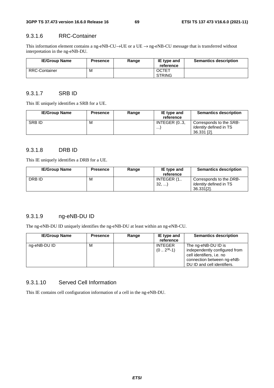#### 9.3.1.6 RRC-Container

This information element contains a ng-eNB-CU→UE or a UE → ng-eNB-CU message that is transferred without interpretation in the ng-eNB-DU.

| <b>IE/Group Name</b> | <b>Presence</b> | Range | IE type and<br>reference      | <b>Semantics description</b> |
|----------------------|-----------------|-------|-------------------------------|------------------------------|
| <b>RRC-Container</b> | М               |       | <b>OCTET</b><br><b>STRING</b> |                              |

#### 9.3.1.7 SRB ID

This IE uniquely identifies a SRB for a UE.

| <b>IE/Group Name</b> | <b>Presence</b> | Range | IE type and<br>reference | <b>Semantics description</b>                                            |
|----------------------|-----------------|-------|--------------------------|-------------------------------------------------------------------------|
| <b>SRBID</b>         | М               |       | INTEGER (03,<br>$\cdots$ | Corresponds to the SRB-<br><i>Identity</i> defined in TS<br>36.331 [2]. |

# 9.3.1.8 DRB ID

This IE uniquely identifies a DRB for a UE.

| <b>IE/Group Name</b> | <b>Presence</b> | Range | IE type and | <b>Semantics description</b>  |
|----------------------|-----------------|-------|-------------|-------------------------------|
|                      |                 |       | reference   |                               |
| DRB ID               | М               |       | INTEGER (1  | Corresponds to the DRB-       |
|                      |                 |       | 32,         | <i>Identity</i> defined in TS |
|                      |                 |       |             | 36.331[2].                    |

# 9.3.1.9 ng-eNB-DU ID

The ng-eNB-DU ID uniquely identifies the ng-eNB-DU at least within an ng-eNB-CU.

| <b>IE/Group Name</b> | <b>Presence</b> | Range | IE type and<br>reference        | <b>Semantics description</b>                                                                                                                   |
|----------------------|-----------------|-------|---------------------------------|------------------------------------------------------------------------------------------------------------------------------------------------|
| ng-eNB-DU ID         | м               |       | <b>INTEGER</b><br>$(02^{36}-1)$ | The ng-eNB-DU ID is<br>independently configured from<br>cell identifiers, i.e. no<br>connection between ng-eNB-<br>DU ID and cell identifiers. |

#### 9.3.1.10 Served Cell Information

This IE contains cell configuration information of a cell in the ng-eNB-DU.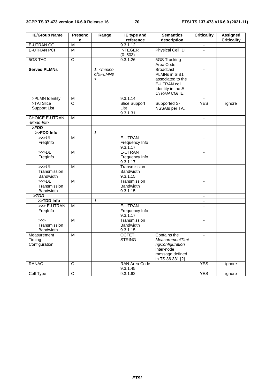| <b>IE/Group Name</b>                     | <b>Presenc</b><br>e     | Range                                                            | IE type and<br>reference                     | <b>Semantics</b><br>description                                                                               | <b>Criticality</b>       | <b>Assigned</b><br><b>Criticality</b> |
|------------------------------------------|-------------------------|------------------------------------------------------------------|----------------------------------------------|---------------------------------------------------------------------------------------------------------------|--------------------------|---------------------------------------|
| <b>E-UTRAN CGI</b>                       | $\overline{\mathsf{M}}$ |                                                                  | 9.3.1.12                                     |                                                                                                               |                          |                                       |
| <b>E-UTRAN PCI</b>                       | $\overline{M}$          |                                                                  | <b>INTEGER</b>                               | Physical Cell ID                                                                                              | $\overline{a}$           |                                       |
|                                          |                         |                                                                  | (0.503)                                      |                                                                                                               |                          |                                       |
| <b>5GS TAC</b>                           | $\overline{O}$          |                                                                  | 9.3.1.26                                     | <b>5GS Tracking</b>                                                                                           | $\overline{\phantom{a}}$ |                                       |
|                                          |                         |                                                                  |                                              | Area Code                                                                                                     |                          |                                       |
| <b>Served PLMNs</b>                      |                         | $1.5$ <maxno<br><i>ofBPLMNs</i><br/><math>\geq</math></maxno<br> |                                              | <b>Broadcast</b><br>PLMNs in SIB1<br>associated to the<br>E-UTRAN cell<br>Identity in the E-<br>UTRAN CGI IE. | $\blacksquare$           |                                       |
| >PLMN Identity                           | M                       |                                                                  | 9.3.1.14                                     |                                                                                                               |                          |                                       |
| >TAI Slice<br><b>Support List</b>        | O                       |                                                                  | <b>Slice Support</b><br>List<br>9.3.1.31     | Supported S-<br>NSSAIs per TA.                                                                                | <b>YES</b>               | ignore                                |
| <b>CHOICE E-UTRAN</b><br>-Mode-Info      | M                       |                                                                  |                                              |                                                                                                               | $\overline{\phantom{a}}$ |                                       |
| > FDD                                    |                         |                                                                  |                                              |                                                                                                               |                          |                                       |
| >>FDD Info                               |                         | $\mathbf{1}$                                                     |                                              |                                                                                                               | $\blacksquare$           |                                       |
| >>UL<br>FreqInfo                         | M                       |                                                                  | E-UTRAN<br>Frequency Info<br>9.3.1.17        |                                                                                                               |                          |                                       |
| >>DL<br>FreqInfo                         | M                       |                                                                  | E-UTRAN<br>Frequency Info<br>9.3.1.17        |                                                                                                               | $\mathbf{r}$             |                                       |
| >>UL<br>Transmission<br><b>Bandwidth</b> | $\overline{M}$          |                                                                  | Transmission<br><b>Bandwidth</b><br>9.3.1.15 |                                                                                                               |                          |                                       |
| >>DL<br>Transmission<br>Bandwidth        | M                       |                                                                  | Transmission<br><b>Bandwidth</b><br>9.3.1.15 |                                                                                                               | $\blacksquare$           |                                       |
| >TDD                                     |                         |                                                                  |                                              |                                                                                                               | $\blacksquare$           |                                       |
| >>TDD Info                               |                         | $\mathbf{1}$                                                     |                                              |                                                                                                               |                          |                                       |
| >>> E-UTRAN<br>Freginfo                  | M                       |                                                                  | E-UTRAN<br>Frequency Info<br>9.3.1.17        |                                                                                                               |                          |                                       |
| >><br>Transmission<br>Bandwidth          | M                       |                                                                  | Transmission<br><b>Bandwidth</b><br>9.3.1.15 |                                                                                                               | $\blacksquare$           |                                       |
| Measurement<br>Timing<br>Configuration   | M                       |                                                                  | <b>OCTET</b><br><b>STRING</b>                | Contains the<br>MeasurementTimi<br>ngConfiguration<br>inter-node<br>message defined<br>in TS 36.331 [2].      | $\blacksquare$           |                                       |
| <b>RANAC</b>                             | O                       |                                                                  | RAN Area Code<br>9.3.1.45                    |                                                                                                               | <b>YES</b>               | ignore                                |
| Cell Type                                | $\overline{O}$          |                                                                  | 9.3.1.62                                     |                                                                                                               | <b>YES</b>               | ignore                                |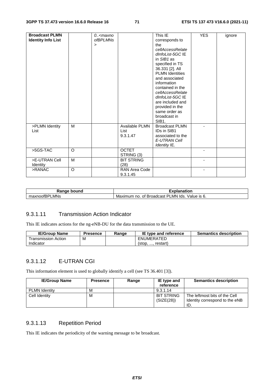| <b>Broadcast PLMN</b><br><b>Identity Info List</b> |          | 0 <maxno<br><i>ofBPLMNs</i><br/><math>\geq</math></maxno<br> |                                    | This IE<br>corresponds to<br>the<br>cellAccessRelate<br>dInfoList-5GC IE<br>in $SIB1$ as<br>specified in TS<br>36.331 [2]. All<br><b>PLMN Identities</b><br>and associated<br>information<br>contained in the<br>cellAccessRelate<br>dInfoList-5GC IE<br>are included and<br>provided in the<br>same order as<br>broadcast in<br>SIB <sub>1</sub> . | <b>YES</b> | ignore |
|----------------------------------------------------|----------|--------------------------------------------------------------|------------------------------------|-----------------------------------------------------------------------------------------------------------------------------------------------------------------------------------------------------------------------------------------------------------------------------------------------------------------------------------------------------|------------|--------|
| >PLMN Identity<br>List                             | M        |                                                              | Available PLMN<br>List<br>9.3.1.47 | <b>Broadcast PLMN</b><br>IDs in SIB1<br>associated to the<br>E-UTRAN Cell<br>Identity IE.                                                                                                                                                                                                                                                           |            |        |
| >5GS-TAC                                           | $\Omega$ |                                                              | <b>OCTET</b><br>STRING (3)         |                                                                                                                                                                                                                                                                                                                                                     |            |        |
| >E-UTRAN Cell<br>Identity                          | M        |                                                              | <b>BIT STRING</b><br>(28)          |                                                                                                                                                                                                                                                                                                                                                     |            |        |
| >RANAC                                             | $\circ$  |                                                              | RAN Area Code<br>9.3.1.45          |                                                                                                                                                                                                                                                                                                                                                     |            |        |

| Ranαe<br>bound<br>٦a           | -<br>anation                                                                          |  |  |  |
|--------------------------------|---------------------------------------------------------------------------------------|--|--|--|
| LMNs<br>$\sim$<br>…u∧∩00IBH' " | LMN<br>וס<br>lds<br>Broadcast<br>Maximum<br>$\sim$<br>Value<br>no.<br>Οt<br>O.<br>- ت |  |  |  |

#### 9.3.1.11 Transmission Action Indicator

This IE indicates actions for the ng-eNB-DU for the data transmission to the UE.

| <b>IE/Group Name</b> | Presence | Range | IE type and reference | <b>Semantics description</b> |
|----------------------|----------|-------|-----------------------|------------------------------|
| ⊺ransmission Action  | M        |       | ENUMERATED            |                              |
| Indicator            |          |       | restart<br>$5$        |                              |

# 9.3.1.12 E-UTRAN CGI

This information element is used to globally identify a cell (see TS 36.401 [3]).

| <b>IE/Group Name</b> | <b>Presence</b> | Range | IE type and<br>reference        | <b>Semantics description</b>                                           |
|----------------------|-----------------|-------|---------------------------------|------------------------------------------------------------------------|
| <b>PLMN Identity</b> | м               |       | 9.3.1.14                        |                                                                        |
| Cell Identity        | м               |       | <b>BIT STRING</b><br>(SIZE(28)) | The leftmost bits of the Cell<br>Identity correspond to the eNB<br>ID. |

# 9.3.1.13 Repetition Period

This IE indicates the periodicity of the warning message to be broadcast.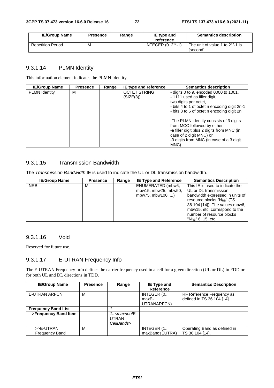| <b>IE/Group Name</b>     | <b>Presence</b> | Range | IE type and<br>reference | <b>Semantics description</b>                       |
|--------------------------|-----------------|-------|--------------------------|----------------------------------------------------|
| <b>Repetition Period</b> | M               |       | INTEGER $(02^{17}-1)$    | The unit of value 1 to $2^{17}$ -1 is<br>[second]. |

## 9.3.1.14 PLMN Identity

This information element indicates the PLMN Identity.

| <b>IE/Group Name</b> | <b>Presence</b> | Range | IE type and reference            | <b>Semantics description</b>                                                                                                                    |
|----------------------|-----------------|-------|----------------------------------|-------------------------------------------------------------------------------------------------------------------------------------------------|
| <b>PLMN</b> Identity | М               |       | <b>OCTET STRING</b><br>(SIZE(3)) | - digits 0 to 9, encoded 0000 to $1001$ ,<br>- 1111 used as filler digit,<br>two digits per octet,                                              |
|                      |                 |       |                                  | - bits 4 to 1 of octet n encoding digit 2n-1<br>- bits 8 to 5 of octet n encoding digit 2n                                                      |
|                      |                 |       |                                  | -The PLMN identity consists of 3 digits<br>from MCC followed by either<br>-a filler digit plus 2 digits from MNC (in<br>case of 2 digit MNC) or |
|                      |                 |       |                                  | -3 digits from MNC (in case of a 3 digit<br>MNC).                                                                                               |

# 9.3.1.15 Transmission Bandwidth

The *Transmission Bandwidth* IE is used to indicate the UL or DL transmission bandwidth.

| <b>IE/Group Name</b> | <b>Presence</b> | Range | <b>IE Type and Reference</b> | <b>Semantics Description</b>           |
|----------------------|-----------------|-------|------------------------------|----------------------------------------|
| <b>NRB</b>           | м               |       | ENUMERATED (mbw6,            | This IE is used to indicate the        |
|                      |                 |       | mbw15, mbw25, mbw50,         | UL or DL transmission                  |
|                      |                 |       | mbw75, mbw100, )             | bandwidth expressed in units of        |
|                      |                 |       |                              | resource blocks "N <sub>RB</sub> " (TS |
|                      |                 |       |                              | 36.104 [14]). The values mbw6,         |
|                      |                 |       |                              | mbw15, etc. correspond to the          |
|                      |                 |       |                              | number of resource blocks              |
|                      |                 |       |                              | $"N_{RB}"$ 6, 15, etc.                 |

# 9.3.1.16 Void

Reserved for future use.

# 9.3.1.17 E-UTRAN Frequency Info

The E-UTRAN Frequency Info defines the carrier frequency used in a cell for a given direction (UL or DL) in FDD or for both UL and DL directions in TDD.

| <b>IE/Group Name</b>               | <b>Presence</b> | Range                         | IE Type and<br><b>Reference</b>    | <b>Semantics Description</b>                            |
|------------------------------------|-----------------|-------------------------------|------------------------------------|---------------------------------------------------------|
| <b>E-UTRAN ARFCN</b>               | м               |                               | INTEGER (0<br>maxE-<br>UTRANARFCN) | RF Reference Frequency as<br>defined in TS 36.104 [14]. |
| <b>Frequency Band List</b>         |                 |                               |                                    |                                                         |
| >Frequency Band Item               |                 | $1. maxnoofE-UTRANCellBands>$ |                                    |                                                         |
| >>E-UTRAN<br><b>Frequency Band</b> | м               |                               | INTEGER (1<br>maxBandsEUTRA)       | Operating Band as defined in<br>TS 36.104 [14].         |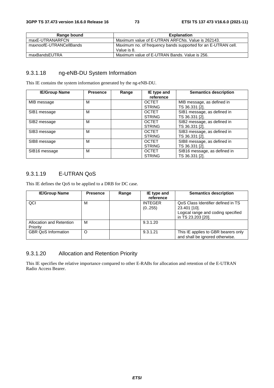| Range bound             | <b>Explanation</b>                                                           |
|-------------------------|------------------------------------------------------------------------------|
| maxE-UTRANARFCN         | Maximum value of E-UTRAN ARFCNs. Value is 262143.                            |
| maxnoofE-UTRANCellBands | Maximum no. of frequency bands supported for an E-UTRAN cell.<br>Value is 8. |
| maxBandsEUTRA           | Maximum value of E-UTRAN Bands, Value is 256.                                |

### 9.3.1.18 ng-eNB-DU System Information

This IE contains the system information generated by the ng-eNB-DU.

| <b>IE/Group Name</b> | <b>Presence</b> | Range | IE type and<br>reference      | <b>Semantics description</b>                   |
|----------------------|-----------------|-------|-------------------------------|------------------------------------------------|
| MIB message          | M               |       | <b>OCTET</b><br><b>STRING</b> | MIB message, as defined in<br>TS 36.331 [2].   |
| SIB1 message         | М               |       | <b>OCTET</b><br><b>STRING</b> | SIB1 message, as defined in<br>TS 36.331 [2].  |
| SIB2 message         | M               |       | <b>OCTET</b><br><b>STRING</b> | SIB2 message, as defined in<br>TS 36.331 [2].  |
| SIB3 message         | М               |       | <b>OCTET</b><br><b>STRING</b> | SIB3 message, as defined in<br>TS 36.331 [2].  |
| SIB8 message         | M               |       | <b>OCTET</b><br><b>STRING</b> | SIB8 message, as defined in<br>TS 36.331 [2].  |
| SIB16 message        | M               |       | <b>OCTET</b><br><b>STRING</b> | SIB16 message, as defined in<br>TS 36.331 [2]. |

# 9.3.1.19 E-UTRAN QoS

This IE defines the QoS to be applied to a DRB for DC case.

| <b>IE/Group Name</b>       | <b>Presence</b> | Range | IE type and    | <b>Semantics description</b>        |
|----------------------------|-----------------|-------|----------------|-------------------------------------|
|                            |                 |       | reference      |                                     |
| QCI                        | М               |       | <b>INTEGER</b> | QoS Class Identifier defined in TS  |
|                            |                 |       | (0255)         | 23.401 [10].                        |
|                            |                 |       |                | Logical range and coding specified  |
|                            |                 |       |                | in TS 23.203 [20].                  |
| Allocation and Retention   | м               |       | 9.3.1.20       |                                     |
| Priority                   |                 |       |                |                                     |
| <b>GBR QoS Information</b> | O               |       | 9.3.1.21       | This IE applies to GBR bearers only |
|                            |                 |       |                | and shall be ignored otherwise.     |

# 9.3.1.20 Allocation and Retention Priority

This IE specifies the relative importance compared to other E-RABs for allocation and retention of the E-UTRAN Radio Access Bearer.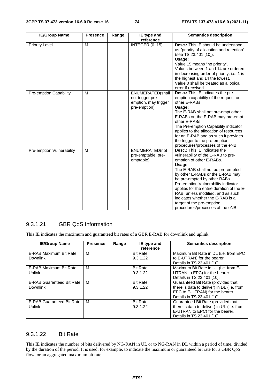| <b>IE/Group Name</b>          | <b>Presence</b> | Range | IE type and                                                                  | <b>Semantics description</b>                                                                                                                                                                                                                                                                                                                                                                                                                           |
|-------------------------------|-----------------|-------|------------------------------------------------------------------------------|--------------------------------------------------------------------------------------------------------------------------------------------------------------------------------------------------------------------------------------------------------------------------------------------------------------------------------------------------------------------------------------------------------------------------------------------------------|
| <b>Priority Level</b>         | M               |       | reference<br><b>INTEGER (015)</b>                                            | <b>Desc.:</b> This IE should be understood<br>as "priority of allocation and retention"<br>(see TS 23.401 [10]).<br>Usage:<br>Value 15 means "no priority".<br>Values between 1 and 14 are ordered<br>in decreasing order of priority, i.e. 1 is<br>the highest and 14 the lowest.<br>Value 0 shall be treated as a logical<br>error if received.                                                                                                      |
| <b>Pre-emption Capability</b> | M               |       | ENUMERATED(shall<br>not trigger pre-<br>emption, may trigger<br>pre-emption) | <b>Desc.:</b> This IE indicates the pre-<br>emption capability of the request on<br>other E-RABs<br>Usage:<br>The E-RAB shall not pre-empt other<br>E-RABs or, the E-RAB may pre-empt<br>other E-RABs<br>The Pre-emption Capability indicator<br>applies to the allocation of resources<br>for an E-RAB and as such it provides<br>the trigger to the pre-emption<br>procedures/processes of the eNB.                                                  |
| Pre-emption Vulnerability     | M               |       | ENUMERATED(not<br>pre-emptable, pre-<br>emptable)                            | <b>Desc.:</b> This IE indicates the<br>vulnerability of the E-RAB to pre-<br>emption of other E-RABs.<br>Usage:<br>The E-RAB shall not be pre-empted<br>by other E-RABs or the E-RAB may<br>be pre-empted by other RABs.<br>Pre-emption Vulnerability indicator<br>applies for the entire duration of the E-<br>RAB, unless modified, and as such<br>indicates whether the E-RAB is a<br>target of the pre-emption<br>procedures/processes of the eNB. |

# 9.3.1.21 GBR QoS Information

This IE indicates the maximum and guaranteed bit rates of a GBR E-RAB for downlink and uplink.

| <b>IE/Group Name</b>                                | <b>Presence</b> | Range | IE type and<br>reference    | <b>Semantics description</b>                                                                                                                      |
|-----------------------------------------------------|-----------------|-------|-----------------------------|---------------------------------------------------------------------------------------------------------------------------------------------------|
| E-RAB Maximum Bit Rate<br><b>Downlink</b>           | M               |       | <b>Bit Rate</b><br>9.3.1.22 | Maximum Bit Rate in DL (i.e. from EPC<br>to E-UTRAN) for the bearer.<br>Details in TS 23.401 [10].                                                |
| E-RAB Maximum Bit Rate<br><b>Uplink</b>             | м               |       | <b>Bit Rate</b><br>9.3.1.22 | Maximum Bit Rate in UL (i.e. from E-<br>UTRAN to EPC) for the bearer.<br>Details in TS 23.401 [10].                                               |
| <b>E-RAB Guaranteed Bit Rate</b><br><b>Downlink</b> | м               |       | <b>Bit Rate</b><br>9.3.1.22 | Guaranteed Bit Rate (provided that<br>there is data to deliver) in DL (i.e. from<br>EPC to E-UTRAN) for the bearer.<br>Details in TS 23.401 [10]. |
| E-RAB Guaranteed Bit Rate<br>Uplink                 | м               |       | <b>Bit Rate</b><br>9.3.1.22 | Guaranteed Bit Rate (provided that<br>there is data to deliver) in UL (i.e. from<br>E-UTRAN to EPC) for the bearer.<br>Details in TS 23.401 [10]. |

#### 9.3.1.22 Bit Rate

This IE indicates the number of bits delivered by NG-RAN in UL or to NG-RAN in DL within a period of time, divided by the duration of the period. It is used, for example, to indicate the maximum or guaranteed bit rate for a GBR QoS flow, or an aggregated maximum bit rate.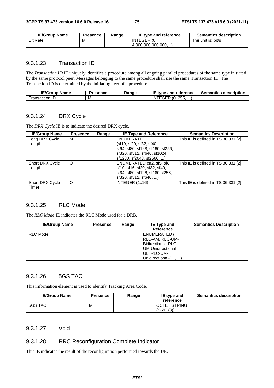| <b>IE/Group Name</b> | <b>Presence</b> | Range | IE type and reference | <b>Semantics description</b> |
|----------------------|-----------------|-------|-----------------------|------------------------------|
| <b>Bit Rate</b>      | M               |       | INTEGER (0            | The unit is: bit/s           |
|                      |                 |       | (4.000.000.000.000)   |                              |

#### 9.3.1.23 Transaction ID

The *Transaction ID* IE uniquely identifies a procedure among all ongoing parallel procedures of the same type initiated by the same protocol peer. Messages belonging to the same procedure shall use the same Transaction ID. The Transaction ID is determined by the initiating peer of a procedure.

| <b>IE/Group</b><br><b>Name</b> | <b>Presence</b> | Ranɑe | IE<br>type and reference          | <b>Semantics description</b> |
|--------------------------------|-----------------|-------|-----------------------------------|------------------------------|
| ransaction<br>. IL/            | M               |       | つらら<br>ີ (0255, …,<br>IN<br>r Grk |                              |

#### 9.3.1.24 DRX Cycle

The *DRX Cycle* IE is to indicate the desired DRX cycle.

| <b>IE/Group Name</b>   | <b>Presence</b> | Range | <b>IE Type and Reference</b>     | <b>Semantics Description</b>        |
|------------------------|-----------------|-------|----------------------------------|-------------------------------------|
| Long DRX Cycle         | М               |       | ENUMERATED                       | This IE is defined in TS 36.331 [2] |
| Length                 |                 |       | (sf10, sf20, sf32, sf40,         |                                     |
|                        |                 |       | sf64, sf80, sf128, sf160, sf256, |                                     |
|                        |                 |       | sf320, sf512, sf640, sf1024,     |                                     |
|                        |                 |       | sf1280, sf2048, sf2560, )        |                                     |
| <b>Short DRX Cycle</b> | O               |       | ENUMERATED (sf2, sf5, sf8,       | This IE is defined in TS 36.331 [2] |
| Length                 |                 |       | sf10, sf16, sf20, sf32, sf40,    |                                     |
|                        |                 |       | sf64, sf80, sf128, sf160, sf256, |                                     |
|                        |                 |       | $sf320, sf512, sf640, \ldots$    |                                     |
| <b>Short DRX Cycle</b> | O               |       | <b>INTEGER (116)</b>             | This IE is defined in TS 36.331 [2] |
| Timer                  |                 |       |                                  |                                     |

# 9.3.1.25 RLC Mode

The *RLC Mode* IE indicates the RLC Mode used for a DRB.

| <b>IE/Group Name</b> | <b>Presence</b> | Range | IE Type and<br><b>Reference</b>                                                                                   | <b>Semantics Description</b> |
|----------------------|-----------------|-------|-------------------------------------------------------------------------------------------------------------------|------------------------------|
| RLC Mode             |                 |       | ENUMERATED (<br>RLC-AM, RLC-UM-<br>Bidirectional, RLC-<br>UM-Unidirectional-<br>UL, RLC-UM-<br>Unidirectional-DL, |                              |

## 9.3.1.26 5GS TAC

This information element is used to identify Tracking Area Code.

| <b>IE/Group Name</b> | <b>Presence</b> | Range | IE type and<br>reference | <b>Semantics description</b> |
|----------------------|-----------------|-------|--------------------------|------------------------------|
| 5GS TAC              | М               |       | <b>OCTET STRING</b>      |                              |
|                      |                 |       | (SIZE (3))               |                              |

#### 9.3.1.27 Void

#### 9.3.1.28 RRC Reconfiguration Complete Indicator

This IE indicates the result of the reconfiguration performed towards the UE.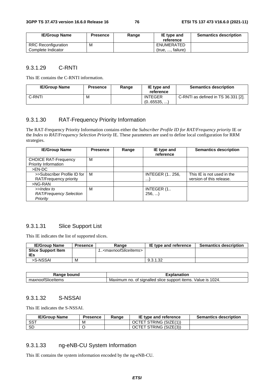| <b>IE/Group Name</b> | <b>Presence</b> | Range | IE type and<br>reference | <b>Semantics description</b> |
|----------------------|-----------------|-------|--------------------------|------------------------------|
| RRC Reconfiguration  | M               |       | ENUMERATED               |                              |
| Complete Indicator   |                 |       | (true, , failure)        |                              |

#### 9.3.1.29 C-RNTI

This IE contains the C-RNTI information.

| <b>IE/Group Name</b> | <b>Presence</b> | Range | IE type and<br>reference    | <b>Semantics description</b>        |
|----------------------|-----------------|-------|-----------------------------|-------------------------------------|
| C-RNTI               | M               |       | <b>INTEGER</b><br>(065535,) | C-RNTI as defined in TS 36.331 [2]. |

# 9.3.1.30 RAT-Frequency Priority Information

The RAT-Frequency Priority Information contains either the *Subscriber Profile ID for RAT/Frequency priority* IE or the *Index to RAT/Frequency Selection Priority* IE. These parameters are used to define local configuration for RRM strategies.

| <b>IE/Group Name</b>                                     | <b>Presence</b> | Range | IE type and<br>reference           | <b>Semantics description</b>                           |
|----------------------------------------------------------|-----------------|-------|------------------------------------|--------------------------------------------------------|
| <b>CHOICE RAT-Frequency</b><br>Priority Information      | м               |       |                                    |                                                        |
| $>EN-DC$                                                 |                 |       |                                    |                                                        |
| >>Subscriber Profile ID for<br>RAT/Frequency priority    | м               |       | <b>INTEGER (1 256,</b><br>$\cdots$ | This IE is not used in the<br>version of this release. |
| $>NG-RAN$                                                |                 |       |                                    |                                                        |
| >>Index to<br><b>RAT/Frequency Selection</b><br>Priority | м               |       | INTEGER (1.<br>256,                |                                                        |

#### 9.3.1.31 Slice Support List

This IE indicates the list of supported slices.

| <b>IE/Group Name</b>      | <b>Presence</b> | Range                                     | IE type and reference | <b>Semantics description</b> |
|---------------------------|-----------------|-------------------------------------------|-----------------------|------------------------------|
| <b>Slice Support Item</b> |                 | 1 <maxnoofsliceitems></maxnoofsliceitems> |                       |                              |
| IEs                       |                 |                                           |                       |                              |
| >S-NSSAI                  | M               |                                           | 9.3.1.32              |                              |

| Range                                   | $- - -$                                                                                                     |
|-----------------------------------------|-------------------------------------------------------------------------------------------------------------|
| bound                                   | anation                                                                                                     |
| $\cdots$<br>'SliceItems<br>maλ<br>noor: | 1024.<br>signalled<br>Value<br>support<br>items<br>no<br>ıs<br>slice<br>num<br>$\frac{1}{2}$<br>Maxır<br>οt |

#### 9.3.1.32 S-NSSAI

This IE indicates the S-NSSAI.

| <b>IE/Group Name</b> | <b>Presence</b> | Range | IE type and reference  | <b>Semantics description</b> |
|----------------------|-----------------|-------|------------------------|------------------------------|
| SST                  | M               |       | OCTET STRING (SIZE(1)) |                              |
| <b>SD</b>            |                 |       | OCTET STRING (SIZE(3)) |                              |

#### 9.3.1.33 ng-eNB-CU System Information

This IE contains the system information encoded by the ng-eNB-CU.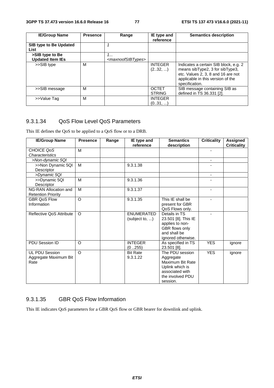| <b>IE/Group Name</b>           | <b>Presence</b> | Range                               | IE type and                   | <b>Semantics description</b>                                                                                                                                          |
|--------------------------------|-----------------|-------------------------------------|-------------------------------|-----------------------------------------------------------------------------------------------------------------------------------------------------------------------|
|                                |                 |                                     | reference                     |                                                                                                                                                                       |
| SIB type to Be Updated<br>List |                 |                                     |                               |                                                                                                                                                                       |
| >SIB type to Be                |                 | 1                                   |                               |                                                                                                                                                                       |
| <b>Updated Item IEs</b>        |                 | <maxnoofsibtypes></maxnoofsibtypes> |                               |                                                                                                                                                                       |
| >>SIB type                     | м               |                                     | <b>INTEGER</b><br>(232, )     | Indicates a certain SIB block, e.g. 2<br>means sibType2, 3 for sibType3,<br>etc. Values 2, 3, 8 and 16 are not<br>applicable in this version of the<br>specification. |
| >>SIB message                  | M               |                                     | <b>OCTET</b><br><b>STRING</b> | SIB message containing SIB as<br>defined in TS 36.331 [2].                                                                                                            |
| >>Value Tag                    | м               |                                     | <b>INTEGER</b><br>(031, )     |                                                                                                                                                                       |

### 9.3.1.34 QoS Flow Level QoS Parameters

This IE defines the QoS to be applied to a QoS flow or to a DRB.

| <b>IE/Group Name</b>                                   | <b>Presence</b> | Range | IE type and<br>reference            | <b>Semantics</b><br>description                                                                                        | <b>Criticality</b> | Assigned<br><b>Criticality</b> |
|--------------------------------------------------------|-----------------|-------|-------------------------------------|------------------------------------------------------------------------------------------------------------------------|--------------------|--------------------------------|
| CHOICE QoS<br>Characteristics                          | M               |       |                                     |                                                                                                                        | ٠                  |                                |
| >Non-dynamic 5QI                                       |                 |       |                                     |                                                                                                                        | $\blacksquare$     |                                |
| >>Non Dynamic 5QI<br>Descriptor                        | M               |       | 9.3.1.38                            |                                                                                                                        |                    |                                |
| >Dynamic 5QI                                           |                 |       |                                     |                                                                                                                        | ۰                  |                                |
| >>Dynamic 5QI<br><b>Descriptor</b>                     | M               |       | 9.3.1.36                            |                                                                                                                        |                    |                                |
| NG-RAN Allocation and<br><b>Retention Priority</b>     | M               |       | 9.3.1.37                            |                                                                                                                        | ٠                  |                                |
| <b>GBR OoS Flow</b><br>Information                     | $\Omega$        |       | 9.3.1.35                            | This IE shall be<br>present for GBR<br>QoS Flows only.                                                                 |                    |                                |
| Reflective QoS Attribute                               | $\Omega$        |       | <b>ENUMERATED</b><br>(subject to, ) | Details in TS<br>23.501 [8]. This IE<br>applies to non-<br>GBR flows only<br>and shall be<br>ignored otherwise.        |                    |                                |
| PDU Session ID                                         | O               |       | <b>INTEGER</b><br>(0255)            | As specified in TS<br>23.501 [8].                                                                                      | <b>YES</b>         | ignore                         |
| <b>UL PDU Session</b><br>Aggregate Maximum Bit<br>Rate | $\Omega$        |       | <b>Bit Rate</b><br>9.3.1.22         | The PDU session<br>Aggregate<br>Maximum Bit Rate<br>Uplink which is<br>associated with<br>the involved PDU<br>session. | <b>YES</b>         | ignore                         |

### 9.3.1.35 GBR QoS Flow Information

This IE indicates QoS parameters for a GBR QoS flow or GBR bearer for downlink and uplink.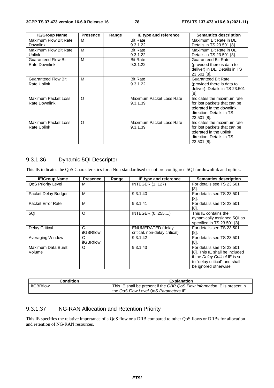| <b>IE/Group Name</b>       | <b>Presence</b> | Range | IE type and reference    | <b>Semantics description</b>   |
|----------------------------|-----------------|-------|--------------------------|--------------------------------|
| Maximum Flow Bit Rate      | м               |       | <b>Bit Rate</b>          | Maximum Bit Rate in DL.        |
| <b>Downlink</b>            |                 |       | 9.3.1.22                 | Details in TS 23.501 [8].      |
| Maximum Flow Bit Rate      | M               |       | <b>Bit Rate</b>          | Maximum Bit Rate in UL.        |
| Uplink                     |                 |       | 9.3.1.22                 | Details in TS 23.501 [8].      |
| <b>Guaranteed Flow Bit</b> | M               |       | <b>Bit Rate</b>          | <b>Guaranteed Bit Rate</b>     |
| Rate Downlink              |                 |       | 9.3.1.22                 | (provided there is data to     |
|                            |                 |       |                          | deliver) in DL. Details in TS  |
|                            |                 |       |                          | 23.501 [8].                    |
| <b>Guaranteed Flow Bit</b> | м               |       | <b>Bit Rate</b>          | Guaranteed Bit Rate            |
| Rate Uplink                |                 |       | 9.3.1.22                 | (provided there is data to     |
|                            |                 |       |                          | deliver). Details in TS 23.501 |
|                            |                 |       |                          | [8].                           |
| Maximum Packet Loss        | O               |       | Maximum Packet Loss Rate | Indicates the maximum rate     |
| Rate Downlink              |                 |       | 9.3.1.39                 | for lost packets that can be   |
|                            |                 |       |                          | tolerated in the downlink      |
|                            |                 |       |                          | direction. Details in TS       |
|                            |                 |       |                          | 23.501 [8].                    |
| Maximum Packet Loss        | O               |       | Maximum Packet Loss Rate | Indicates the maximum rate     |
| Rate Uplink                |                 |       | 9.3.1.39                 | for lost packets that can be   |
|                            |                 |       |                          | tolerated in the uplink        |
|                            |                 |       |                          | direction. Details in TS       |
|                            |                 |       |                          | 23.501 [8].                    |

# 9.3.1.36 Dynamic 5QI Descriptor

This IE indicates the QoS Characteristics for a Non-standardised or not pre-configured 5QI for downlink and uplink.

| <b>IE/Group Name</b>  | <b>Presence</b> | Range | IE type and reference         | <b>Semantics description</b>    |
|-----------------------|-----------------|-------|-------------------------------|---------------------------------|
| QoS Priority Level    | м               |       | <b>INTEGER (1127)</b>         | For details see TS 23.501       |
|                       |                 |       |                               | [8].                            |
| Packet Delay Budget   | м               |       | 9.3.1.40                      | For details see TS 23.501       |
|                       |                 |       |                               | [8].                            |
| Packet Error Rate     | М               |       | 9.3.1.41                      | For details see TS 23.501       |
|                       |                 |       |                               | [8].                            |
| 5QI                   | $\circ$         |       | INTEGER (0255,)               | This IE contains the            |
|                       |                 |       |                               | dynamically assigned 5QI as     |
|                       |                 |       |                               | specified in TS 23.501 [8].     |
| <b>Delay Critical</b> | $C-$            |       | <b>ENUMERATED (delay</b>      | For details see TS 23.501       |
|                       | ifGBRflow       |       | critical, non-delay critical) | [8].                            |
| Averaging Window      | C-              |       | 9.3.1.42                      | For details see TS 23.501       |
|                       | ifGBRflow       |       |                               | [8]                             |
| Maximum Data Burst    | O               |       | 9.3.1.43                      | For details see TS 23.501       |
| Volume                |                 |       |                               | [8]. This IE shall be included  |
|                       |                 |       |                               | if the Delay Critical IE is set |
|                       |                 |       |                               | to "delay critical" and shall   |
|                       |                 |       |                               | be ignored otherwise.           |

| <b>Condition</b> | <b>Explanation</b>                                                        |
|------------------|---------------------------------------------------------------------------|
| ifGBRflow        | This IE shall be present if the GBR QoS Flow Information IE is present in |
|                  | the QoS Flow Level QoS Parameters IE.                                     |

# 9.3.1.37 NG-RAN Allocation and Retention Priority

This IE specifies the relative importance of a QoS flow or a DRB compared to other QoS flows or DRBs for allocation and retention of NG-RAN resources.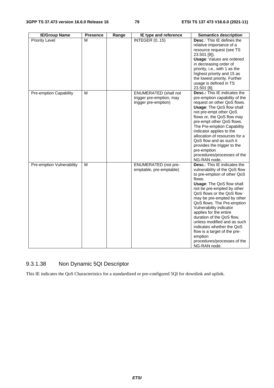| <b>IE/Group Name</b>          | <b>Presence</b> | Range | IE type and reference                                                            | <b>Semantics description</b>                                                                                                                                                                                                                                                                                                                                                                                                                                                                                     |
|-------------------------------|-----------------|-------|----------------------------------------------------------------------------------|------------------------------------------------------------------------------------------------------------------------------------------------------------------------------------------------------------------------------------------------------------------------------------------------------------------------------------------------------------------------------------------------------------------------------------------------------------------------------------------------------------------|
| <b>Priority Level</b>         | М               |       | <b>INTEGER (015)</b>                                                             | Desc.: This IE defines the<br>relative importance of a<br>resource request (see TS<br>23.501 [8]).<br><b>Usage: Values are ordered</b><br>in decreasing order of<br>priority, i.e., with 1 as the<br>highest priority and 15 as<br>the lowest priority. Further<br>usage is defined in TS<br>23.501 [8].                                                                                                                                                                                                         |
| <b>Pre-emption Capability</b> | М               |       | <b>ENUMERATED</b> (shall not<br>trigger pre-emption, may<br>trigger pre-emption) | <b>Desc.:</b> This IE indicates the<br>pre-emption capability of the<br>request on other QoS flows.<br><b>Usage: The QoS flow shall</b><br>not pre-empt other QoS<br>flows or, the QoS flow may<br>pre-empt other QoS flows.<br>The Pre-emption Capability<br>indicator applies to the<br>allocation of resources for a<br>QoS flow and as such it<br>provides the trigger to the<br>pre-emption<br>procedures/processes of the<br>NG-RAN node.                                                                  |
| Pre-emption Vulnerability     | м               |       | <b>ENUMERATED</b> (not pre-<br>emptable, pre-emptable)                           | <b>Desc.:</b> This IE indicates the<br>vulnerability of the QoS flow<br>to pre-emption of other QoS<br>flows.<br><b>Usage: The QoS flow shall</b><br>not be pre-empted by other<br>QoS flows or the QoS flow<br>may be pre-empted by other<br>QoS flows. The Pre-emption<br>Vulnerability indicator<br>applies for the entire<br>duration of the QoS flow,<br>unless modified and as such<br>indicates whether the QoS<br>flow is a target of the pre-<br>emption<br>procedures/processes of the<br>NG-RAN node. |

# 9.3.1.38 Non Dynamic 5QI Descriptor

This IE indicates the QoS Characteristics for a standardized or pre-configured 5QI for downlink and uplink.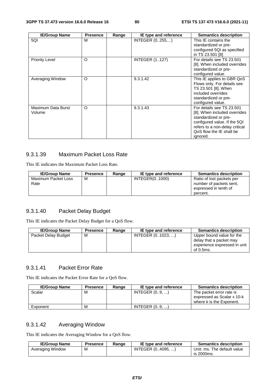| <b>IE/Group Name</b>         | <b>Presence</b> | Range | IE type and reference | <b>Semantics description</b>                                                                                                                                                                |
|------------------------------|-----------------|-------|-----------------------|---------------------------------------------------------------------------------------------------------------------------------------------------------------------------------------------|
| 5QI                          | м               |       | INTEGER (0255,)       | This IE contains the<br>standardized or pre-<br>configured 5QI as specified<br>in TS 23.501 [8]                                                                                             |
| <b>Priority Level</b>        | O               |       | <b>INTEGER (1127)</b> | For details see TS 23.501<br>[8]. When included overrides<br>standardized or pre-<br>configured value.                                                                                      |
| Averaging Window             | O               |       | 9.3.1.42              | This IE applies to GBR QoS<br>Flows only. For details see<br>TS 23.501 [8]. When<br>included overrides<br>standardized or pre-<br>configured value.                                         |
| Maximum Data Burst<br>Volume | O               |       | 9.3.1.43              | For details see TS 23.501<br>[8]. When included overrides<br>standardized or pre-<br>configured value. If the 5QI<br>refers to a non-delay critical<br>QoS flow the IE shall be<br>ignored. |

# 9.3.1.39 Maximum Packet Loss Rate

This IE indicates the Maximum Packet Loss Rate.

| <b>IE/Group Name</b>        | <b>Presence</b> | Range | IE type and reference | <b>Semantics description</b>                                                              |
|-----------------------------|-----------------|-------|-----------------------|-------------------------------------------------------------------------------------------|
| Maximum Packet Loss<br>Rate | м               |       | INTEGER(01000)        | Ratio of lost packets per<br>number of packets sent.<br>expressed in tenth of<br>percent. |

# 9.3.1.40 Packet Delay Budget

This IE indicates the Packet Delay Budget for a QoS flow.

| <b>IE/Group Name</b> | <b>Presence</b> | Range | IE type and reference | <b>Semantics description</b>                                                                      |
|----------------------|-----------------|-------|-----------------------|---------------------------------------------------------------------------------------------------|
| Packet Delay Budget  | м               |       | INTEGER (01023. )     | Upper bound value for the<br>delay that a packet may<br>experience expressed in unit<br>of 0.5ms. |

### 9.3.1.41 Packet Error Rate

This IE indicates the Packet Error Rate for a QoS flow.

| <b>IE/Group Name</b> | <b>Presence</b> | Range | IE type and reference | <b>Semantics description</b>                                                       |
|----------------------|-----------------|-------|-----------------------|------------------------------------------------------------------------------------|
| Scalar               | м               |       | INTEGR (09, )         | The packet error rate is<br>expressed as Scalar x 10-k<br>where k is the Exponent. |
| Exponent             | м               |       | INTEGR(09, )          |                                                                                    |

# 9.3.1.42 Averaging Window

This IE indicates the Averaging Window for a QoS flow.

| <b>IE/Group Name</b> | <b>Presence</b> | Range | IE type and reference | <b>Semantics description</b>              |
|----------------------|-----------------|-------|-----------------------|-------------------------------------------|
| Averaging Window     | M               |       | INTEGER (04095. )     | Unit: ms. The default value<br>is 2000ms. |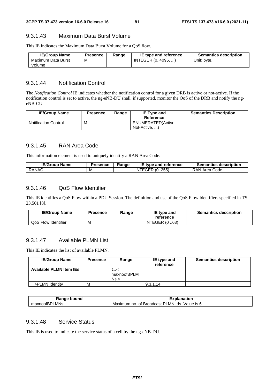#### 9.3.1.43 Maximum Data Burst Volume

This IE indicates the Maximum Data Burst Volume for a QoS flow.

| <b>IE/Group Name</b> | <b>Presence</b> | Range | IE type and reference | <b>Semantics description</b> |
|----------------------|-----------------|-------|-----------------------|------------------------------|
| Maximum Data Burst   | M               |       | INTEGER (04095, )     | Unit: byte.                  |
| Volume               |                 |       |                       |                              |

#### 9.3.1.44 Notification Control

The *Notification Control* IE indicates whether the notification control for a given DRB is active or not-active. If the notification control is set to active, the ng-eNB-DU shall, if supported, monitor the QoS of the DRB and notify the ngeNB-CU.

| <b>IE/Group Name</b>        | Presence | Range | <b>IE Type and</b><br>Reference     | <b>Semantics Description</b> |
|-----------------------------|----------|-------|-------------------------------------|------------------------------|
| <b>Notification Control</b> | M        |       | ENUMERATED(Active,<br>Not-Active, ) |                              |

#### 9.3.1.45 RAN Area Code

This information element is used to uniquely identify a RAN Area Code.

| <b>IE/Group</b><br>⊦ Name | <b>Presence</b> | Range | ΙE<br>type and reference. | <b>Semantics description</b> |
|---------------------------|-----------------|-------|---------------------------|------------------------------|
| <b>RANAC</b>              | м               |       | INTEGER (0255)            | RAN A<br>l Area Code         |

#### 9.3.1.46 QoS Flow Identifier

This IE identifies a QoS Flow within a PDU Session. The definition and use of the QoS Flow Identifiers specified in TS 23.501 [8].

| <b>IE/Group Name</b> | Presence | Range | IE type and<br>reference | <b>Semantics description</b> |
|----------------------|----------|-------|--------------------------|------------------------------|
| QoS Flow Identifier  | M        |       | <b>INTEGER (0.63)</b>    |                              |

# 9.3.1.47 Available PLMN List

This IE indicates the list of available PLMN.

| <b>IE/Group Name</b>           | <b>Presence</b> | Range                   | IE type and<br>reference | <b>Semantics description</b> |
|--------------------------------|-----------------|-------------------------|--------------------------|------------------------------|
| <b>Available PLMN Item IEs</b> |                 | >/<br>maxnoofBPLM<br>Ns |                          |                              |
| >PLMN Identity                 | M               |                         | 9.3.1.14                 |                              |

| ⊀anqe<br>bound                | <b>TAP 60</b><br>าnation<br>ла<br>.А                                         |
|-------------------------------|------------------------------------------------------------------------------|
| LMNs<br>וחס<br>maxnoofL<br>n- | lds.<br>Value is 6.<br>_MN.<br><b>Broadcast</b><br>Maximum<br>◡<br>no.<br>Οt |

## 9.3.1.48 Service Status

This IE is used to indicate the service status of a cell by the ng-eNB-DU.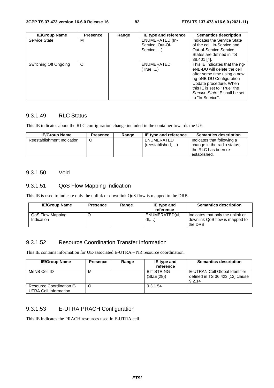| <b>IE/Group Name</b>  | <b>Presence</b> | Range | IE type and reference                                    | <b>Semantics description</b>                                                                                                                                                                                                           |
|-----------------------|-----------------|-------|----------------------------------------------------------|----------------------------------------------------------------------------------------------------------------------------------------------------------------------------------------------------------------------------------------|
| Service State         | м               |       | <b>ENUMERATED (In-</b><br>Service, Out-Of-<br>Service, ) | Indicates the Service State<br>of the cell. In-Service and<br><b>Out-of-Service Service</b><br>States are defined in TS<br>38.401 [4].                                                                                                 |
| Switching Off Ongoing | $\circ$         |       | <b>ENUMERATED</b><br>(True, )                            | This IE indicates that the ng-<br>eNB-DU will delete the cell<br>after some time using a new<br>ng-eNB-DU Configuration<br>Update procedure. When<br>this IE is set to "True" the<br>Service State IE shall be set<br>to "In-Service". |

# 9.3.1.49 RLC Status

This IE indicates about the RLC configuration change included in the container towards the UE.

| <b>IE/Group Name</b>       | <b>Presence</b> | Range | IE type and reference           | <b>Semantics description</b>                                                                      |
|----------------------------|-----------------|-------|---------------------------------|---------------------------------------------------------------------------------------------------|
| Reestablishment Indication |                 |       | ENUMERATED<br>(reestablished, ) | Indicates that following a<br>change in the radio status,<br>the RLC has been re-<br>established. |

#### 9.3.1.50 Void

### 9.3.1.51 QoS Flow Mapping Indication

This IE is used to indicate only the uplink or downlink QoS flow is mapped to the DRB.

| <b>IE/Group Name</b>           | <b>Presence</b> | Range | IE type and<br>reference | <b>Semantics description</b>                                                   |
|--------------------------------|-----------------|-------|--------------------------|--------------------------------------------------------------------------------|
| QoS Flow Mapping<br>Indication |                 |       | ENUMERATED(ul.<br>dl     | Indicates that only the uplink or<br>downlink QoS flow is mapped to<br>the DRB |

### 9.3.1.52 Resource Coordination Transfer Information

This IE contains information for UE-associated E-UTRA – NR resource coordination.

| <b>IE/Group Name</b>                                     | <b>Presence</b> | Range | IE type and                     | <b>Semantics description</b>                                                 |
|----------------------------------------------------------|-----------------|-------|---------------------------------|------------------------------------------------------------------------------|
|                                                          |                 |       | reference                       |                                                                              |
| MeNB Cell ID                                             | M               |       | <b>BIT STRING</b><br>(SIZE(28)) | E-UTRAN Cell Global Identifier<br>defined in TS 36.423 [12] clause<br>9.2.14 |
| <b>Resource Coordination E-</b><br>UTRA Cell Information |                 |       | 9.3.1.54                        |                                                                              |

# 9.3.1.53 E-UTRA PRACH Configuration

This IE indicates the PRACH resources used in E-UTRA cell.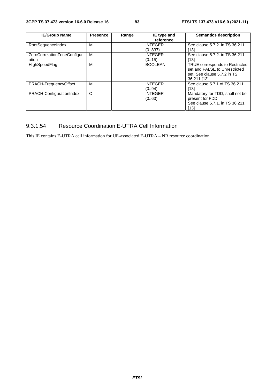| <b>IE/Group Name</b>        | <b>Presence</b> | Range | IE type and    | <b>Semantics description</b>    |
|-----------------------------|-----------------|-------|----------------|---------------------------------|
|                             |                 |       | reference      |                                 |
| RootSequenceIndex           | M               |       | <b>INTEGER</b> | See clause 5.7.2. in TS 36.211  |
|                             |                 |       | (0.837)        | [13]                            |
| ZeroCorrelationZoneConfigur | м               |       | <b>INTEGER</b> | See clause 5.7.2. in TS 36.211  |
| ation                       |                 |       | (0.15)         | [13]                            |
| HighSpeedFlag               | M               |       | <b>BOOLEAN</b> | TRUE corresponds to Restricted  |
|                             |                 |       |                | set and FALSE to Unrestricted   |
|                             |                 |       |                | set. See clause 5.7.2 in TS     |
|                             |                 |       |                | 36.211 [13]                     |
| PRACH-FrequencyOffset       | м               |       | <b>INTEGER</b> | See clause 5.7.1 of TS 36.211   |
|                             |                 |       | (0.,94)        | [13]                            |
| PRACH-ConfigurationIndex    | O               |       | <b>INTEGER</b> | Mandatory for TDD, shall not be |
|                             |                 |       | (063)          | present for FDD.                |
|                             |                 |       |                | See clause 5.7.1, in TS 36.211  |
|                             |                 |       |                | [13]                            |

# 9.3.1.54 Resource Coordination E-UTRA Cell Information

This IE contains E-UTRA cell information for UE-associated E-UTRA – NR resource coordination.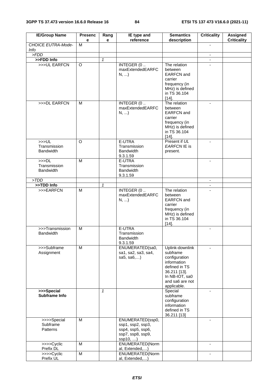| <b>IE/Group Name</b>                     | <b>Presenc</b><br>е | Rang<br>e    | IE type and<br>reference                                                                    | <b>Semantics</b><br>description                                                                                                                  | <b>Criticality</b> | <b>Assigned</b><br><b>Criticality</b> |
|------------------------------------------|---------------------|--------------|---------------------------------------------------------------------------------------------|--------------------------------------------------------------------------------------------------------------------------------------------------|--------------------|---------------------------------------|
| CHOICE EUTRA-Mode-<br>Info               | м                   |              |                                                                                             |                                                                                                                                                  |                    |                                       |
| > FDD                                    |                     |              |                                                                                             |                                                                                                                                                  | $\blacksquare$     |                                       |
| >>FDD Info                               |                     | $\mathbf{1}$ |                                                                                             |                                                                                                                                                  | $\blacksquare$     |                                       |
| >>>UL EARFCN                             | O                   |              | INTEGER (0.<br>maxExtendedEARFC<br>N,                                                       | The relation<br>between<br><b>EARFCN</b> and<br>carrier<br>frequency (in<br>MHz) is defined<br>in TS 36.104<br>$[14]$ .                          |                    |                                       |
| >>>DL EARFCN                             | м                   |              | INTEGER (0.<br>maxExtendedEARFC<br>$N, $ )                                                  | The relation<br>between<br><b>EARFCN</b> and<br>carrier<br>frequency (in<br>MHz) is defined<br>in TS 36.104<br>$[14]$ .                          | $\blacksquare$     |                                       |
| >>UL<br>Transmission<br><b>Bandwidth</b> | O                   |              | E-UTRA<br>Transmission<br><b>Bandwidth</b><br>9.3.1.59                                      | Present if UL<br>EARFCN IE is<br>present.                                                                                                        |                    |                                       |
| >>DL<br>Transmission<br><b>Bandwidth</b> | M                   |              | E-UTRA<br>Transmission<br><b>Bandwidth</b><br>9.3.1.59                                      |                                                                                                                                                  |                    |                                       |
| > TDD                                    |                     |              |                                                                                             |                                                                                                                                                  | $\blacksquare$     |                                       |
| >>TDD Info                               |                     | $\mathbf{1}$ |                                                                                             |                                                                                                                                                  |                    |                                       |
| >>>EARFCN                                | M                   |              | INTEGER (0<br>maxExtendedEARFC<br>$N, $ )                                                   | The relation<br>between<br><b>EARFCN</b> and<br>carrier<br>frequency (in<br>MHz) is defined<br>in TS 36.104<br>$[14]$ .                          | $\mathbf{r}$       |                                       |
| >>>Transmission<br><b>Bandwidth</b>      | M                   |              | E-UTRA<br>Transmission<br>Bandwidth<br>9.3.1.59                                             |                                                                                                                                                  | $\blacksquare$     |                                       |
| >>>Subframe<br>Assignment                | M                   |              | ENUMERATED(sa0,<br>sa1, sa2, sa3, sa4,<br>sa $5,$ sa $6,$                                   | Uplink-downlink<br>subframe<br>configuration<br>information<br>defined in TS<br>36.211 [13].<br>In NB-IOT, sa0<br>and sa6 are not<br>applicable. | $\blacksquare$     |                                       |
| >>>Special<br>Subframe Info              |                     | $\mathbf{1}$ |                                                                                             | Special<br>subframe<br>configuration<br>information<br>defined in TS<br>36.211 [13]                                                              |                    |                                       |
| >>>>Special<br>Subframe<br>Patterns      | M                   |              | ENUMERATED(ssp0,<br>ssp1, ssp2, ssp3,<br>ssp4, ssp5, ssp6,<br>ssp7, ssp8, ssp9,<br>ssp10, ) |                                                                                                                                                  | $\blacksquare$     |                                       |
| >>>>Cyclic<br>Prefix DL                  | M                   |              | ENUMERATED(Norm<br>al, Extended,)                                                           |                                                                                                                                                  | $\blacksquare$     |                                       |
| >>>>Cyclic<br>Prefix UL                  | M                   |              | ENUMERATED(Norm<br>al, Extended,)                                                           |                                                                                                                                                  | $\blacksquare$     |                                       |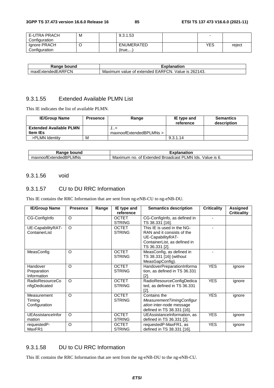| E-UTRA PRACH  | М | 9.3.1.53          |     |        |
|---------------|---|-------------------|-----|--------|
| Configuration |   |                   |     |        |
| Ignore PRACH  |   | <b>ENUMERATED</b> | YES | reject |
| Configuration |   | (true,)           |     |        |

| bound<br>Range          | Explanation                                                                      |
|-------------------------|----------------------------------------------------------------------------------|
| ExtendedEARFCN<br>maxE, | 262143.<br>TCN.<br><b>EARFO</b><br>Value is<br>⊧of extended.<br>Maximum<br>value |

# 9.3.1.55 Extended Available PLMN List

This IE indicates the list of available PLMN.

| <b>IE/Group Name</b>           | <b>Presence</b> | Range                   | IE type and<br>reference | <b>Semantics</b><br>description |
|--------------------------------|-----------------|-------------------------|--------------------------|---------------------------------|
| <b>Extended Available PLMN</b> |                 | >/                      |                          |                                 |
| <b>Item IEs</b>                |                 | maxnoofExtendedBPLMNs > |                          |                                 |
| >PLMN Identity                 | M               |                         | 9.3.1.14                 |                                 |

| วนทc<br>nae.<br>וונזו<br>٦a                                                    | ----<br>nation                                                                                       |
|--------------------------------------------------------------------------------|------------------------------------------------------------------------------------------------------|
| ∟MNs<br>$\overline{\phantom{0}}$<br>∟xter<br>under:<br>axnoor<br>115 F<br>l lo | יכ<br>_MN<br>alue/<br>lds.<br>Broadcast<br>IS.<br><b>Extended</b><br>Maxir<br>nc<br>0t<br>num<br>. ب |

#### 9.3.1.56 void

#### 9.3.1.57 CU to DU RRC Information

This IE contains the RRC Information that are sent from ng-eNB-CU to ng-eNB-DU.

| <b>IE/Group Name</b>                    | <b>Presence</b> | Range | IE type and<br>reference      | <b>Semantics description</b>                                                                                                    | <b>Criticality</b> | Assigned<br><b>Criticality</b> |
|-----------------------------------------|-----------------|-------|-------------------------------|---------------------------------------------------------------------------------------------------------------------------------|--------------------|--------------------------------|
| CG-Configlnfo                           | $\circ$         |       | <b>OCTET</b><br><b>STRING</b> | CG-ConfigInfo, as defined in<br>TS 38.331 [16].                                                                                 |                    |                                |
| UE-CapabilityRAT-<br>ContainerList      | $\circ$         |       | <b>OCTET</b><br><b>STRING</b> | This IE is used in the NG-<br>RAN and it consists of the<br>UE-CapabilityRAT-<br>ContainerList, as defined in<br>TS 36.331 [2]. |                    |                                |
| MeasConfig                              | $\circ$         |       | <b>OCTET</b><br><b>STRING</b> | MeasConfig, as defined in<br>TS 38.331 [16] (without<br>MeasGapConfig).                                                         |                    |                                |
| Handover<br>Preparation<br>Information  | $\circ$         |       | <b>OCTET</b><br><b>STRING</b> | HandoverPreparationInforma<br>tion, as defined in TS 36.331<br>[2].                                                             | <b>YES</b>         | ignore                         |
| <b>RadioResourceCo</b><br>nfigDedicated | $\Omega$        |       | <b>OCTET</b><br><b>STRING</b> | RadioResourceConfigDedica<br>ted, as defined in TS 36.331<br>[2]                                                                | <b>YES</b>         | ignore                         |
| Measurement<br>Timing<br>Configuration  | $\Omega$        |       | <b>OCTET</b><br><b>STRING</b> | Contains the<br>MeasurementTimingConfigur<br>ation inter-node message<br>defined in TS 38.331 [16].                             | <b>YES</b>         | ignore                         |
| UEAssistanceInfor<br>mation             | $\Omega$        |       | <b>OCTET</b><br><b>STRING</b> | UEAssistanceInformation, as<br>defined in TS 36.331 [2].                                                                        | <b>YES</b>         | ignore                         |
| requestedP-<br>MaxFR1                   | $\circ$         |       | <b>OCTET</b><br><b>STRING</b> | requestedP-MaxFR1, as<br>defined in TS 38.331 [16].                                                                             | <b>YES</b>         | ignore                         |

## 9.3.1.58 DU to CU RRC Information

This IE contains the RRC Information that are sent from the ng-eNB-DU to the ng-eNB-CU.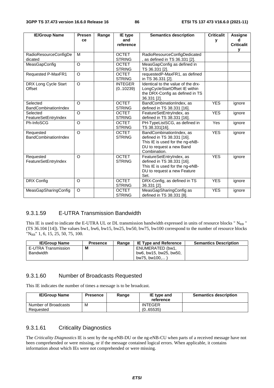| <b>IE/Group Name</b>                     | Presen         | Range | IE type                       | <b>Semantics description</b>                                                                                                          | <b>Criticalit</b> | <b>Assigne</b>         |
|------------------------------------------|----------------|-------|-------------------------------|---------------------------------------------------------------------------------------------------------------------------------------|-------------------|------------------------|
|                                          | ce             |       | and<br>reference              |                                                                                                                                       | у                 | d<br><b>Criticalit</b> |
|                                          |                |       |                               |                                                                                                                                       |                   | у                      |
| RadioResourceConfigDe<br>dicated         | M              |       | <b>OCTET</b><br><b>STRING</b> | RadioResourceConfigDedicated<br>as defined in TS 36.331 [2].                                                                          |                   |                        |
| MeasGapConfig                            | O              |       | <b>OCTET</b><br><b>STRING</b> | MeasGapConfig as defined in<br>TS 36.331 [2].                                                                                         |                   |                        |
| Requested P-MaxFR1                       | O              |       | <b>OCTET</b><br><b>STRING</b> | requestedP-MaxFR1, as defined<br>in TS 36.331 [2].                                                                                    |                   |                        |
| DRX Long Cycle Start<br>Offset           | $\overline{O}$ |       | <b>INTEGER</b><br>(0.10239)   | Identical to the value of the drx-<br>LongCycleStartOffset IE within<br>the DRX-Config as defined in TS<br>36.331 [2].                |                   |                        |
| Selected<br><b>BandCombinationIndex</b>  | O              |       | <b>OCTET</b><br><b>STRING</b> | BandCombinationIndex, as<br>defined in TS 38.331 [16].                                                                                | <b>YES</b>        | ignore                 |
| Selected<br>FeatureSetEntryIndex         | O              |       | <b>OCTET</b><br><b>STRING</b> | FeatureSetEntryIndex, as<br>defined in TS 38.331 [16].                                                                                | <b>YES</b>        | ignore                 |
| Ph-InfoSCG                               | $\circ$        |       | <b>OCTET</b><br><b>STRING</b> | PH-TypeListSCG, as defined in<br>TS 38.331[16].                                                                                       | Yes               | ignore                 |
| Requested<br><b>BandCombinationIndex</b> | $\Omega$       |       | <b>OCTET</b><br><b>STRING</b> | BandCombinationIndex, as<br>defined in TS 38.331 [16].<br>This IE is used for the ng-eNB-<br>DU to request a new Band<br>Combination. | <b>YES</b>        | ignore                 |
| Requested<br>FeatureSetEntryIndex        | O              |       | <b>OCTET</b><br><b>STRING</b> | FeatureSetEntryIndex, as<br>defined in TS 38.331 [16].<br>This IE is used for the ng-eNB-<br>DU to request a new Feature<br>Set.      | <b>YES</b>        | ignore                 |
| DRX Config                               | O              |       | <b>OCTET</b><br><b>STRING</b> | DRX-Config, as defined in TS<br>36.331 [2].                                                                                           | <b>YES</b>        | ignore                 |
| <b>MeasGapSharingConfig</b>              | O              |       | <b>OCTET</b><br><b>STRING</b> | MeasGapSharingConfig as<br>defined in TS 38.331 [8].                                                                                  | <b>YES</b>        | ignore                 |

#### 9.3.1.59 E-UTRA Transmission Bandwidth

This IE is used to indicate the E-UTRA UL or DL transmission bandwidth expressed in units of resource blocks " N<sub>RB</sub> " (TS 36.104 [14]). The values bw1, bw6, bw15, bw25, bw50, bw75, bw100 correspond to the number of resource blocks "NRB" 1, 6, 15, 25, 50, 75, 100.

| <b>IE/Group Name</b> | <b>Presence</b> | Range | <b>IE Type and Reference</b> | <b>Semantics Description</b> |
|----------------------|-----------------|-------|------------------------------|------------------------------|
| E-UTRA Transmission  | M               |       | ENUMERATED (bw1,             |                              |
| <b>Bandwidth</b>     |                 |       | bw6, bw15, bw25, bw50,       |                              |
|                      |                 |       | bw75. bw100                  |                              |

#### 9.3.1.60 Number of Broadcasts Requested

This IE indicates the number of times a message is to be broadcast.

| <b>IE/Group Name</b> | <b>Presence</b> | Range | IE type and<br>reference | <b>Semantics description</b> |
|----------------------|-----------------|-------|--------------------------|------------------------------|
| Number of Broadcasts | M               |       | <b>INTEGER</b>           |                              |
| Requested            |                 |       | (0.65535)                |                              |

# 9.3.1.61 Criticality Diagnostics

The *Criticality Diagnostics* IE is sent by the ng-eNB-DU or the ng-eNB-CU when parts of a received message have not been comprehended or were missing, or if the message contained logical errors. When applicable, it contains information about which IEs were not comprehended or were missing.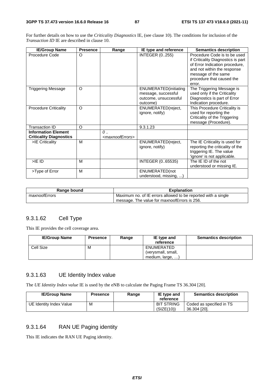For further details on how to use the *Criticality Diagnostics* IE, (see clause 10). The conditions for inclusion of the *Transaction ID* IE are described in clause 10.

| <b>IE/Group Name</b>                                         | <b>Presence</b> | Range                                       | IE type and reference                                                                     | <b>Semantics description</b>                                                                                                                                                                      |
|--------------------------------------------------------------|-----------------|---------------------------------------------|-------------------------------------------------------------------------------------------|---------------------------------------------------------------------------------------------------------------------------------------------------------------------------------------------------|
| Procedure Code                                               | O               |                                             | <b>INTEGER (0255)</b>                                                                     | Procedure Code is to be used<br>if Criticality Diagnostics is part<br>of Error Indication procedure,<br>and not within the response<br>message of the same<br>procedure that caused the<br>error. |
| <b>Triggering Message</b>                                    | $\circ$         |                                             | <b>ENUMERATED</b> (initiating<br>message, successful<br>outcome, unsuccessful<br>outcome) | The Triggering Message is<br>used only if the Criticality<br>Diagnostics is part of Error<br>Indication procedure.                                                                                |
| <b>Procedure Criticality</b>                                 | $\circ$         |                                             | ENUMERATED(reject,<br>ignore, notify)                                                     | This Procedure Criticality is<br>used for reporting the<br>Criticality of the Triggering<br>message (Procedure).                                                                                  |
| <b>Transaction ID</b>                                        | $\circ$         |                                             | 9.3.1.23                                                                                  |                                                                                                                                                                                                   |
| <b>Information Element</b><br><b>Criticality Diagnostics</b> |                 | $\theta$<br><maxnooferrors></maxnooferrors> |                                                                                           |                                                                                                                                                                                                   |
| >IE Criticality                                              | M               |                                             | ENUMERATED(reject,<br>ignore, notify)                                                     | The IE Criticality is used for<br>reporting the criticality of the<br>triggering IE. The value<br>'ignore' is not applicable.                                                                     |
| $>$ IE ID                                                    | M               |                                             | INTEGER (065535)                                                                          | The IE ID of the not<br>understood or missing IE.                                                                                                                                                 |
| >Type of Error                                               | M               |                                             | ENUMERATED(not<br>understood, missing,                                                    |                                                                                                                                                                                                   |

| Range bound   | <b>Explanation</b>                                            |
|---------------|---------------------------------------------------------------|
| maxnoofErrors | Maximum no. of IE errors allowed to be reported with a single |
|               | message. The value for maxnoofErrors is 256.                  |

### 9.3.1.62 Cell Type

This IE provides the cell coverage area.

| <b>IE/Group Name</b> | <b>Presence</b> | Range | IE type and<br>reference | <b>Semantics description</b> |
|----------------------|-----------------|-------|--------------------------|------------------------------|
| Cell Size            | M               |       | ENUMERATED               |                              |
|                      |                 |       | (verysmall, small,       |                              |
|                      |                 |       | medium, large, )         |                              |

#### 9.3.1.63 UE Identity Index value

The *UE Identity Index value* IE is used by the eNB to calculate the Paging Frame TS 36.304 [20].

| <b>IE/Group Name</b>    | <b>Presence</b> | Range | IE type and<br>reference        | <b>Semantics description</b>             |
|-------------------------|-----------------|-------|---------------------------------|------------------------------------------|
| UE Identity Index Value | M               |       | <b>BIT STRING</b><br>(SIZE(10)) | Coded as specified in TS<br>36.304 [20]. |

# 9.3.1.64 RAN UE Paging identity

This IE indicates the RAN UE Paging identity.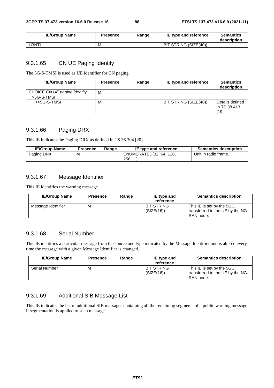| <b>IE/Group Name</b> | Presence | Range | IE type and reference | <b>Semantics</b><br>description |
|----------------------|----------|-------|-----------------------|---------------------------------|
| I-RNTI               | M        |       | BIT STRING (SIZE(40)) |                                 |

### 9.3.1.65 CN UE Paging Identity

The 5G-S-TMSI is used as UE identifier for CN paging.

| <b>IE/Group Name</b>         | <b>Presence</b> | Range | IE type and reference | <b>Semantics</b><br>description         |
|------------------------------|-----------------|-------|-----------------------|-----------------------------------------|
| CHOICE CN UE paging identity | м               |       |                       |                                         |
| >5G-S-TMSL                   |                 |       |                       |                                         |
| $>5G-S-TMSI$                 | M               |       | BIT STRING (SIZE(48)) | Details defined<br>in TS 38.413<br>[19] |

# 9.3.1.66 Paging DRX

This IE indicates the Paging DRX as defined in TS 36.304 [20].

| <b>IE/Group Name</b> | <b>Presence</b> | Range | IE type and reference   | <b>Semantics description</b> |
|----------------------|-----------------|-------|-------------------------|------------------------------|
| Paging DRX           | М               |       | ENUMERATED(32, 64, 128, | Unit in radio frame.         |
|                      |                 |       | 256,                    |                              |

#### 9.3.1.67 Message Identifier

This IE identifies the warning message.

| <b>IE/Group Name</b> | <b>Presence</b> | Range | IE type and<br>reference        | <b>Semantics description</b>                                                |
|----------------------|-----------------|-------|---------------------------------|-----------------------------------------------------------------------------|
| Message Identifier   | м               |       | <b>BIT STRING</b><br>(SIZE(16)) | This IE is set by the 5GC.<br>transferred to the UE by the NG-<br>RAN node. |

#### 9.3.1.68 Serial Number

This IE identifies a particular message from the source and type indicated by the Message Identifier and is altered every time the message with a given Message Identifier is changed.

| <b>IE/Group Name</b> | <b>Presence</b> | Range | IE type and<br>reference        | <b>Semantics description</b>                                                |
|----------------------|-----------------|-------|---------------------------------|-----------------------------------------------------------------------------|
| <b>Serial Number</b> | м               |       | <b>BIT STRING</b><br>(SIZE(16)) | This IE is set by the 5GC.<br>transferred to the UE by the NG-<br>RAN node. |

# 9.3.1.69 Additional SIB Message List

This IE indicates the list of additional SIB messages containing all the remaining segments of a public warning message if segmentation is applied to such message.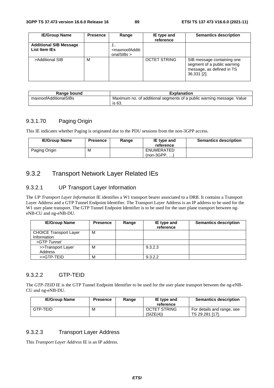| <b>IE/Group Name</b>                           | <b>Presence</b> | Range                                                               | IE type and<br>reference | <b>Semantics description</b>                                                                          |
|------------------------------------------------|-----------------|---------------------------------------------------------------------|--------------------------|-------------------------------------------------------------------------------------------------------|
| <b>Additional SIB Message</b><br>List Item IEs |                 | <br><maxnoofadditi<br>onalSIBs <math>&gt;</math></maxnoofadditi<br> |                          |                                                                                                       |
| >Additional SIB                                | M               |                                                                     | <b>OCTET STRING</b>      | SIB message containing one<br>segment of a public warning<br>message, as defined in TS<br>36.331 [2]. |

| Range bound           | <b>Explanation</b>                                                              |  |  |
|-----------------------|---------------------------------------------------------------------------------|--|--|
| maxnoofAdditionalSIBs | Maximum no. of additional segments of a public warning message. Value<br>is 63. |  |  |

### 9.3.1.70 Paging Origin

This IE indicates whether Paging is originated due to the PDU sessions from the non-3GPP access.

| <b>IE/Group Name</b> | Presence | Range | IE type and<br>reference     | <b>Semantics description</b> |
|----------------------|----------|-------|------------------------------|------------------------------|
| Paging Origin        | M        |       | ENUMERATED<br>$(non-3GPP, )$ |                              |

# 9.3.2 Transport Network Layer Related IEs

### 9.3.2.1 UP Transport Layer Information

The *UP Transport Layer Information* IE identifies a W1 transport bearer associated to a DRB. It contains a Transport Layer Address and a GTP Tunnel Endpoint Identifier. The Transport Layer Address is an IP address to be used for the W1 user plane transport. The GTP Tunnel Endpoint Identifier is to be used for the user plane transport between ngeNB-CU and ng-eNB-DU.

| <b>IE/Group Name</b>          | <b>Presence</b> | Range | IE type and<br>reference | <b>Semantics description</b> |
|-------------------------------|-----------------|-------|--------------------------|------------------------------|
| <b>CHOICE Transport Layer</b> | M               |       |                          |                              |
| Information                   |                 |       |                          |                              |
| $>GTP$ Tunnel                 |                 |       |                          |                              |
| >>Transport Layer             | м               |       | 9.3.2.3                  |                              |
| Address                       |                 |       |                          |                              |
| >>GTP-TEID                    | M               |       | 9.3.2.2                  |                              |

#### 9.3.2.2 GTP-TEID

The *GTP-TEID* IE is the GTP Tunnel Endpoint Identifier to be used for the user plane transport between the ng-eNB-CU and ng-eNB-DU.

| <b>IE/Group Name</b> | <b>Presence</b> | Range | IE type and<br>reference         | <b>Semantics description</b>                  |
|----------------------|-----------------|-------|----------------------------------|-----------------------------------------------|
| GTP-TEID             | М               |       | <b>OCTET STRING</b><br>(SIZE(4)) | For details and range, see<br>TS 29.281 [17]. |

#### 9.3.2.3 Transport Layer Address

This *Transport Layer Address* IE is an IP address.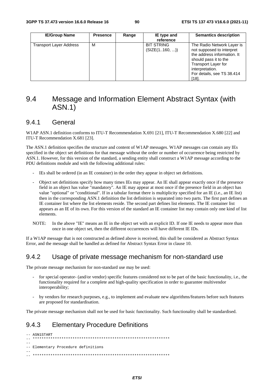| <b>IE/Group Name</b>    | <b>Presence</b> | Range | IE type and<br>reference           | <b>Semantics description</b>                                                                                                                                                                            |
|-------------------------|-----------------|-------|------------------------------------|---------------------------------------------------------------------------------------------------------------------------------------------------------------------------------------------------------|
| Transport Layer Address | м               |       | <b>BIT STRING</b><br>(SIZE(1160, ) | The Radio Network Layer is<br>not supposed to interpret<br>the address information. It<br>should pass it to the<br><b>Transport Layer for</b><br>interpretation.<br>For details, see TS 38.414<br>[18]. |

# 9.4 Message and Information Element Abstract Syntax (with ASN.1)

### 9.4.1 General

W1AP ASN.1 definition conforms to ITU-T Recommendation X.691 [21], ITU-T Recommendation X.680 [22] and ITU-T Recommendation X.681 [23].

The ASN.1 definition specifies the structure and content of W1AP messages. W1AP messages can contain any IEs specified in the object set definitions for that message without the order or number of occurrence being restricted by ASN.1. However, for this version of the standard, a sending entity shall construct a W1AP message according to the PDU definitions module and with the following additional rules:

- IEs shall be ordered (in an IE container) in the order they appear in object set definitions.
- Object set definitions specify how many times IEs may appear. An IE shall appear exactly once if the presence field in an object has value "mandatory". An IE may appear at most once if the presence field in an object has value "optional" or "conditional". If in a tabular format there is multiplicity specified for an IE (i.e., an IE list) then in the corresponding ASN.1 definition the list definition is separated into two parts. The first part defines an IE container list where the list elements reside. The second part defines list elements. The IE container list appears as an IE of its own. For this version of the standard an IE container list may contain only one kind of list elements.
- NOTE: In the above "IE" means an IE in the object set with an explicit ID. If one IE needs to appear more than once in one object set, then the different occurrences will have different IE IDs.

If a W1AP message that is not constructed as defined above is received, this shall be considered as Abstract Syntax Error, and the message shall be handled as defined for Abstract Syntax Error in clause 10.

# 9.4.2 Usage of private message mechanism for non-standard use

The private message mechanism for non-standard use may be used:

- for special operator- (and/or vendor) specific features considered not to be part of the basic functionality, i.e., the functionality required for a complete and high-quality specification in order to guarantee multivendor interoperability;
- by vendors for research purposes, e.g., to implement and evaluate new algorithms/features before such features are proposed for standardisation.

The private message mechanism shall not be used for basic functionality. Such functionality shall be standardised.

# 9.4.3 Elementary Procedure Definitions

```
-- ASN1START 
-- ************************************************************** 
-- 
-- Elementary Procedure definitions 
-- 
-- **************************************************************
```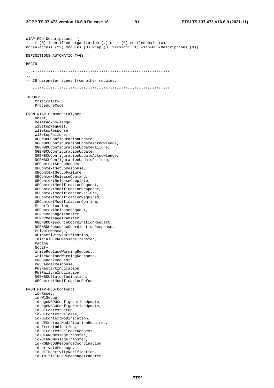91

W1AP-PDU-Descriptions { itu-t (0) identified-organization (4) etsi (0) mobileDomain (0) ngran-access (22) modules (3) wlap (3) version1 (1) wlap-PDU-Descriptions (0)} DEFINITIONS AUTOMATIC TAGS ::= **BEGIN**  $\sim$   $\sim$ -- IE parameter types from other modules.  $\sim$ IMPORTS Criticality. ProcedureCode FROM W1AP-CommonDataTypes Reset. ResetAcknowledge, W1SetupRequest, W1SetupResponse, WlSetupFailure, NGENBDUConfigurationUpdate, NGENBDUConfigurationUpdateAcknowledge, NGENBDUConfigurationUpdateFailure, NGENBCUConfigurationUpdate, NGENBCUConfigurationUpdateAcknowledge, NGENBCUConfigurationUpdateFailure, UEContextSetupRequest, UEContextSetupResponse, UEContextSetupFailure, UEContextReleaseCommand, UEContextReleaseComplete, UEContextModificationRequest, UEContextModificationResponse, UEContextModificationFailure. UEContextModificationRequired, UEContextModificationConfirm, ErrorIndication, UEContextReleaseRequest, DLRRCMessageTransfer, ULRRCMessageTransfer, NGENBDUResourceCoordinationRequest, NGENBDUResourceCoordinationResponse, PrivateMessage, UEInactivityNotification, InitialULRRCMessageTransfer, Paging. Notify, WriteReplaceWarningRequest, WriteReplaceWarningResponse, PWSCancelRequest, PWSCancelResponse, PWSRestartIndication. PWSFailureIndication, NGENBDUStatusIndication, UEContextModificationRefuse FROM W1AP-PDU-Contents id-Reset, id-W1Setup, id-nqeNBDUConfigurationUpdate, id-ngeNBCUConfigurationUpdate, id-UEContextSetup, id-UEContextRelease, id-UEContextModification, id-UEContextModificationRequired, id-ErrorIndication, id-UEContextReleaseRequest, id-DLRRCMessageTransfer, id-ULRRCMessageTransfer, id-NGENBDUResourceCoordination, id-privateMessage, id-UEInactivityNotification, id-InitialULRRCMessageTransfer,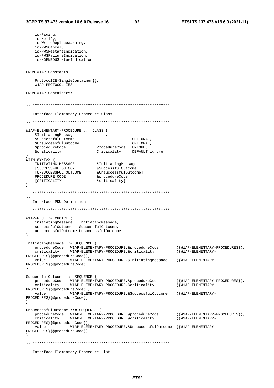```
id-Paging,
    id-Notify,
    id-WriteReplaceWarning,
    id-PWSCancel.
    id-PWSRestartIndication,
    id-PWSFailureIndication,
    id-NGENBDUStatusIndication
FROM W1AP-Constants
    ProtocolIE-SingleContainer },
    W1AP-PROTOCOL-IES
FROM W1AP-Containers;
\equiv-- Interface Elementary Procedure Class
W1AP-ELEMENTARY-PROCEDURE :: CLASS {
    &InitiatingMessage
    &SuccessfulOutcome
                                                   OPTIONAL.
    &Successrunourcome<br>
&UnsuccessfulOutcome<br>
&procedureCode ProcedureCode UNIQUE,<br>
^ witicality DEFAULT ignore
WITH SYNTAX {
   A SINIAA {<br>
INITIATING MESSAGE \begin{array}{lll} \text{EINITATING} \text{MESSAGE} & \text{\&} \text{AntitatingMessage} \ \text{[SUCCESSPUL OUTCOME} & & \text{\&} \text{SUCCESSFUL OUTCOME} & & \text{\&} \text{MnsuccessfulOutcome} \ \text{PROCEDURE CODRE CODIRE CODER} & & \text{\&} \text{CODE} & & \text{CovedureCode} \end{array}&procedureCode
    PROCEDURE CODE
    [CRITICALITY
                                  &criticality]
\left\{ \right.-- Interface PDU Definition
W1AP-PDU ::= CHOICE {
    initiatingMessage InitiatingMessage,<br>successfulOutcome SuccessfulOutcome,
    unsuccessfulOutcome UnsuccessfulOutcome
\left\{ \right\}InitiatingMessage ::= SEQUENCE {
   ({W1AP-ELEMENTARY-PROCEDURES}).
                                                                         ({W1AP-ELEMENTARY-
PROCEDURES } {@procedureCode}),
   value
             W1AP-ELEMENTARY-PROCEDURE. & Initiating Message
                                                                         (\{W1AP - ELEMENTARY -PROCEDURES } { @procedureCode } )
\rightarrowSuccessfulOutcome ::= SEQUENCE {
   procedureCode WIAP-ELEMENTARY-PROCEDURE.&procedureCode<br>criticality WIAP-ELEMENTARY-PROCEDURE.&criticality
                                                                          (\{W1AP - E1, EMENTARY - PROCFDITERS\}).
                                                                          ({W1AP-ELEMENTARY-
PROCEDURES}{@procedureCode}),
               W1AP-ELEMENTARY-PROCEDURE.&SuccessfulOutcome
   value
                                                                          ({W1AP-ELEMENTARY-
PROCEDURES } { @procedureCode } )
- }
UnsuccessfulOutcome ::= SEQUENCE {
  procedureCode W1AP-ELEMENTARY-PROCEDURE.&procedureCode<br>criticality W1AP-ELEMENTARY-PROCEDURE.&criticality
                                                                         ({W1AP - ELEMENTARY - PROCEDURES}),
                                                                          (\{W1AP - ELEMENTARY -PROCEDURES } {@procedureCode}),
                    W1AP-ELEMENTARY-PROCEDURE.&UnsuccessfulOutcome ({W1AP-ELEMENTARY-
    value
PROCEDURES } { @procedureCode } )
\}-- Interface Elementary Procedure List
```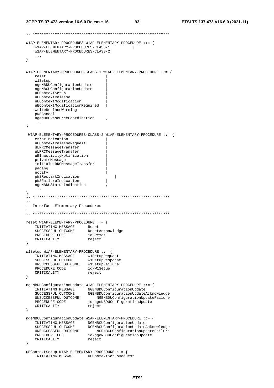```
-- ************************************************************** 
W1AP-ELEMENTARY-PROCEDURES W1AP-ELEMENTARY-PROCEDURE ::= { 
    W1AP-ELEMENTARY-PROCEDURES-CLASS-1 | 
    W1AP-ELEMENTARY-PROCEDURES-CLASS-2, 
     ... 
} 
W1AP-ELEMENTARY-PROCEDURES-CLASS-1 W1AP-ELEMENTARY-PROCEDURE ::= { 
    reset | 
    w1Setup | 
    ngeNBDUConfigurationUpdate | 
    ngeNBCUConfigurationUpdate | 
    uEContextSetup | 
    uEContextRelease | 
    uEContextModification | 
    uEContextModificationRequired | 
    writeReplaceWarning | 
    pWSCancel | 
    ngeNBDUResourceCoordination , 
    ... 
} 
  W1AP-ELEMENTARY-PROCEDURES-CLASS-2 W1AP-ELEMENTARY-PROCEDURE ::= { 
    errorIndication | 
    uEContextReleaseRequest | 
    dLRRCMessageTransfer | 
    uLRRCMessageTransfer | 
    uEInactivityNotification | 
    privateMessage | 
    initialULRRCMessageTransfer | 
    paging | 
    notify | 
    pWSRestartIndication | 
    pWSFailureIndication | 
    ngeNBDUStatusIndication , 
    ... 
} 
 -- ************************************************************** 
-- 
-- Interface Elementary Procedures 
-- 
-- ************************************************************** 
reset W1AP-ELEMENTARY-PROCEDURE ::= { 
    INITIATING MESSAGE Reset 
 SUCCESSFUL OUTCOME ResetAcknowledge 
 PROCEDURE CODE id-Reset 
CRITICALITY reject
} 
w1Setup W1AP-ELEMENTARY-PROCEDURE ::= { 
 INITIATING MESSAGE W1SetupRequest 
 SUCCESSFUL OUTCOME W1SetupResponse 
 UNSUCCESSFUL OUTCOME W1SetupFailure 
 PROCEDURE CODE id-W1Setup 
   PROCEDURE CODE id-W1S<br>CRITICALITY reject
} 
ngeNBDUConfigurationUpdate W1AP-ELEMENTARY-PROCEDURE ::= { 
 INITIATING MESSAGE NGENBDUConfigurationUpdate 
 SUCCESSFUL OUTCOME NGENBDUConfigurationUpdateAcknowledge 
 UNSUCCESSFUL OUTCOME NGENBDUConfigurationUpdateFailure 
PROCEDURE CODE id-ngeNBDUConfigurationUpdate
CRITICALITY reject
} 
ngeNBCUConfigurationUpdate W1AP-ELEMENTARY-PROCEDURE ::= { 
 INITIATING MESSAGE NGENBCUConfigurationUpdate 
 SUCCESSFUL OUTCOME NGENBCUConfigurationUpdateAcknowledge 
 UNSUCCESSFUL OUTCOME NGENBCUConfigurationUpdateFailure 
 PROCEDURE CODE id-ngeNBCUConfigurationUpdate 
CRITICALITY reject
} 
uEContextSetup W1AP-ELEMENTARY-PROCEDURE ::= { 
    INITIATING MESSAGE UEContextSetupRequest
```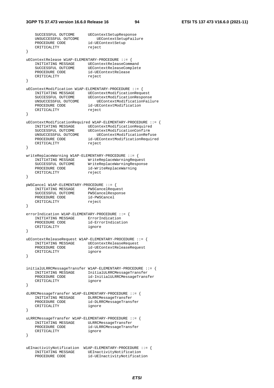```
SUCCESSFUL OUTCOME UEContextSetupResponse
    UNSUCCESSFUL OUTCOME UEContextSetupFailure 
 PROCEDURE CODE id-UEContextSetup 
CRITICALITY reject
} 
uEContextRelease W1AP-ELEMENTARY-PROCEDURE ::= { 
 INITIATING MESSAGE UEContextReleaseCommand 
 SUCCESSFUL OUTCOME UEContextReleaseComplete 
PROCEDURE CODE id-UEContextRelease
CRITICALITY reject
} 
uEContextModification W1AP-ELEMENTARY-PROCEDURE ::= { 
 INITIATING MESSAGE UEContextModificationRequest 
 SUCCESSFUL OUTCOME UEContextModificationResponse 
 UNSUCCESSFUL OUTCOME UEContextModificationFailure 
 PROCEDURE CODE id-UEContextModification 
CRITICALITY reject
} 
uEContextModificationRequired W1AP-ELEMENTARY-PROCEDURE ::= { 
 INITIATING MESSAGE UEContextModificationRequired 
 SUCCESSFUL OUTCOME UEContextModificationConfirm 
 UNSUCCESSFUL OUTCOME UEContextModificationRefuse 
 PROCEDURE CODE id-UEContextModificationRequired 
CRITICALITY reject
} 
writeReplaceWarning W1AP-ELEMENTARY-PROCEDURE ::= { 
 INITIATING MESSAGE WriteReplaceWarningRequest 
 SUCCESSFUL OUTCOME WriteReplaceWarningResponse 
 PROCEDURE CODE id-WriteReplaceWarning 
CRITICALITY reject
} 
pWSCancel W1AP-ELEMENTARY-PROCEDURE ::= { 
 INITIATING MESSAGE PWSCancelRequest 
 SUCCESSFUL OUTCOME PWSCancelResponse 
 PROCEDURE CODE id-PWSCancel 
CRITICALITY reject
} 
errorIndication W1AP-ELEMENTARY-PROCEDURE ::= { 
   INITIATING MESSAGE ErrorIndication<br>PROCEDURE CODE id-ErrorIndication
   INITIATIVE ID-ERROGEDURE CODE
    CRITICALITY ignore 
} 
uEContextReleaseRequest W1AP-ELEMENTARY-PROCEDURE ::= { 
    INITIATING MESSAGE UEContextReleaseRequest 
 PROCEDURE CODE id-UEContextReleaseRequest 
CRITICALITY ignore
} 
initialULRRCMessageTransfer W1AP-ELEMENTARY-PROCEDURE ::= { 
    INITIATING MESSAGE InitialULRRCMessageTransfer 
 PROCEDURE CODE id-InitialULRRCMessageTransfer 
 CRITICALITY ignore 
} 
dLRRCMessageTransfer W1AP-ELEMENTARY-PROCEDURE ::= { 
    INITIATING MESSAGE DLRRCMessageTransfer 
                        id-DLRRCMessageTransfer
    CRITICALITY ignore 
} 
uLRRCMessageTransfer W1AP-ELEMENTARY-PROCEDURE ::= { 
    INITIATING MESSAGE ULRRCMessageTransfer 
                       id-ULRRCMessageTransfer
    CRITICALITY ignore 
} 
uEInactivityNotification W1AP-ELEMENTARY-PROCEDURE ::= { 
   INITIATING MESSAGE UEInactivityNotification
    PROCEDURE CODE id-UEInactivityNotification
```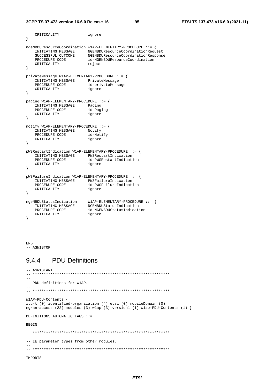#### **3GPP TS 37.473 version 16.6.0 Release 16 95 ETSI TS 137 473 V16.6.0 (2021-11)**

```
CRITICALITY ignore
} 
ngeNBDUResourceCoordination W1AP-ELEMENTARY-PROCEDURE ::= { 
 INITIATING MESSAGE NGENBDUResourceCoordinationRequest 
 SUCCESSFUL OUTCOME NGENBDUResourceCoordinationResponse 
 PROCEDURE CODE id-NGENBDUResourceCoordination 
CRITICALITY reject
} 
privateMessage W1AP-ELEMENTARY-PROCEDURE ::= { 
   INITIATING MESSAGE PrivateMessage
   PROCEDURE CODE id-privateMessage
    CRITICALITY ignore 
} 
paging W1AP-ELEMENTARY-PROCEDURE ::= { 
   INITIATING MESSAGE Paging<br>PROCEDURE CODE id-Paging
   PROCEDURE CODE id-Paging id-Paging CRITICALITY
   CRITICALITY
} 
notify W1AP-ELEMENTARY-PROCEDURE ::= { 
    INITIATING MESSAGE Notify 
   PROCEDURE CODE id-Notify
    CRITICALITY ignore 
} 
pWSRestartIndication W1AP-ELEMENTARY-PROCEDURE ::= { 
    INITIATING MESSAGE PWSRestartIndication 
 PROCEDURE CODE id-PWSRestartIndication 
 CRITICALITY ignore 
} 
pWSFailureIndication W1AP-ELEMENTARY-PROCEDURE ::= { 
   INITIATING MESSAGE PWSFailureIndication
   PROCEDURE CODE id-PWSFailureIndication<br>CRITICALITY ignore
   INITIATING THEORICE<br>PROCEDURE CODE id-PWS<br>CRITICALITY ignore
} 
ngeNBDUStatusIndication W1AP-ELEMENTARY-PROCEDURE ::= { 
 INITIATING MESSAGE NGENBDUStatusIndication 
 PROCEDURE CODE id-NGENBDUStatusIndication 
 CRITICALITY ignore 
}
```
END  $--$  ASN1STOP

# 9.4.4 PDU Definitions

```
-- ASN1START 
-- ************************************************************** 
--- PDU definitions for W1AP. 
-- 
-- ************************************************************** 
W1AP-PDU-Contents { 
itu-t (0) identified-organization (4) etsi (0) mobileDomain (0) 
ngran-access (22) modules (3) w1ap (3) version1 (1) w1ap-PDU-Contents (1) } 
DEFINITIONS AUTOMATIC TAGS ::= 
BEGIN 
\hspace{1.3cm} - \hspace{1.3cm} - \hspace{1.3cm}--- IE parameter types from other modules. 
-- 
-- ************************************************************** 
IMPORTS
```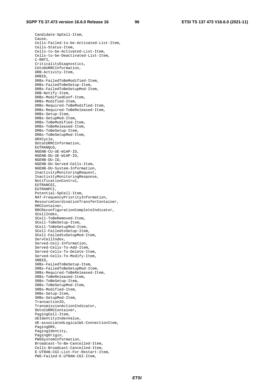Candidate-SpCell-Item, Cause, Cells-Failed-to-be-Activated-List-Item, Cells-Status-Item, Cells-to-be-Activated-List-Item, Cells-to-be-Deactivated-List-Item, C-RNTI, CriticalityDiagnostics, CUtoDURRCInformation, DRB-Activity-Item, DRBID, DRBs-FailedToBeModified-Item, DRBs-FailedToBeSetup-Item, DRBs-FailedToBeSetupMod-Item, DRB-Notify-Item, DRBs-ModifiedConf-Item, DRBs-Modified-Item, DRBs-Required-ToBeModified-Item, DRBs-Required-ToBeReleased-Item, DRBs-Setup-Item, DRBs-SetupMod-Item, DRBs-ToBeModified-Item, DRBs-ToBeReleased-Item, DRBs-ToBeSetup-Item, DRBs-ToBeSetupMod-Item, DRXCycle, DUtoCURRCInformation, EUTRANQoS, NGENB-CU-UE-W1AP-ID, NGENB-DU-UE-W1AP-ID, NGENB-DU-ID, NGENB-DU-Served-Cells-Item, NGENB-DU-System-Information, InactivityMonitoringRequest, InactivityMonitoringResponse, NotificationControl, EUTRANCGI, EUTRANPCI, Potential-SpCell-Item, RAT-FrequencyPriorityInformation, ResourceCoordinationTransferContainer, RRCContainer, RRCReconfigurationCompleteIndicator, SCellIndex, SCell-ToBeRemoved-Item, SCell-ToBeSetup-Item, SCell-ToBeSetupMod-Item, SCell-FailedtoSetup-Item, SCell-FailedtoSetupMod-Item, ServCellIndex, Served-Cell-Information, Served-Cells-To-Add-Item, Served-Cells-To-Delete-Item, Served-Cells-To-Modify-Item, SRBID, SRBs-FailedToBeSetup-Item, SRBs-FailedToBeSetupMod-Item, SRBs-Required-ToBeReleased-Item, SRBs-ToBeReleased-Item, SRBs-ToBeSetup-Item, SRBs-ToBeSetupMod-Item, SRBs-Modified-Item, SRBs-Setup-Item, SRBs-SetupMod-Item, TransactionID. TransmissionActionIndicator, DUtoCURRCContainer, PagingCell-Item, UEIdentityIndexValue, UE-associatedLogicalW1-ConnectionItem, PagingDRX, PagingIdentity, PagingOrigin, PWSSystemInformation, Broadcast-To-Be-Cancelled-Item, Cells-Broadcast-Cancelled-Item, E-UTRAN-CGI-List-For-Restart-Item, PWS-Failed-E-UTRAN-CGI-Item,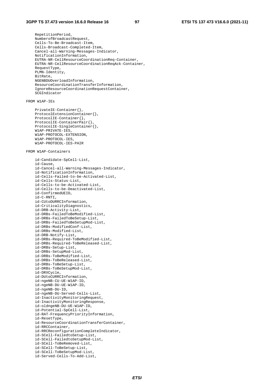RepetitionPeriod, NumberofBroadcastRequest, Cells-To-Be-Broadcast-Item, Cells-Broadcast-Completed-Item, Cancel-all-Warning-Messages-Indicator, NotificationInformation, EUTRA-NR-CellResourceCoordinationReq-Container, EUTRA-NR-CellResourceCoordinationReqAck-Container, RequestType, PLMN-Identity, BitRate, NGENBDUOverloadInformation, ResourceCoordinationTransferInformation, IgnoreResourceCoordinationRequestContainer, SCGIndicator

#### FROM W1AP-IEs

```
 PrivateIE-Container{}, 
 ProtocolExtensionContainer{}, 
 ProtocolIE-Container{}, 
 ProtocolIE-ContainerPair{}, 
 ProtocolIE-SingleContainer{}, 
 W1AP-PRIVATE-IES, 
 W1AP-PROTOCOL-EXTENSION, 
 W1AP-PROTOCOL-IES, 
 W1AP-PROTOCOL-IES-PAIR
```
#### FROM W1AP-Containers

 id-Candidate-SpCell-List, id-Cause, id-Cancel-all-Warning-Messages-Indicator, id-NotificationInformation, id-Cells-Failed-to-be-Activated-List, id-Cells-Status-List, id-Cells-to-be-Activated-List, id-Cells-to-be-Deactivated-List, id-ConfirmedUEID, id-C-RNTI, id-CUtoDURRCInformation, id-CriticalityDiagnostics, id-DRB-Activity-List, id-DRBs-FailedToBeModified-List, id-DRBs-FailedToBeSetup-List, id-DRBs-FailedToBeSetupMod-List, id-DRBs-ModifiedConf-List, id-DRBs-Modified-List, id-DRB-Notify-List, id-DRBs-Required-ToBeModified-List, id-DRBs-Required-ToBeReleased-List, id-DRBs-Setup-List, id-DRBs-SetupMod-List, id-DRBs-ToBeModified-List, id-DRBs-ToBeReleased-List, id-DRBs-ToBeSetup-List, id-DRBs-ToBeSetupMod-List, id-DRXCycle, id-DUtoCURRCInformation, id-ngeNB-CU-UE-W1AP-ID, id-ngeNB-DU-UE-W1AP-ID, id-ngeNB-DU-ID, id-ngeNB-DU-Served-Cells-List, id-InactivityMonitoringRequest, id-InactivityMonitoringResponse, id-oldngeNB-DU-UE-W1AP-ID, id-Potential-SpCell-List, id-RAT-FrequencyPriorityInformation, id-ResetType, id-ResourceCoordinationTransferContainer, id-RRCContainer, id-RRCReconfigurationCompleteIndicator, id-SCell-FailedtoSetup-List, id-SCell-FailedtoSetupMod-List, id-SCell-ToBeRemoved-List, id-SCell-ToBeSetup-List, id-SCell-ToBeSetupMod-List, id-Served-Cells-To-Add-List,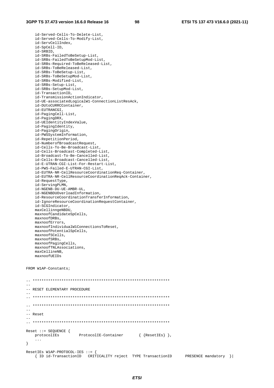id-Served-Cells-To-Delete-List, id-Served-Cells-To-Modify-List, id-ServCellIndex, id-SpCell-ID, id-SRBID, id-SRBs-FailedToBeSetup-List, id-SRBs-FailedToBeSetupMod-List, id-SRBs-Required-ToBeReleased-List, id-SRBs-ToBeReleased-List, id-SRBs-ToBeSetup-List, id-SRBs-ToBeSetupMod-List, id-SRBs-Modified-List, id-SRBs-Setup-List, id-SRBs-SetupMod-List, id-TransactionID, id-TransmissionActionIndicator, id-UE-associatedLogicalW1-ConnectionListResAck, id-DUtoCURRCContainer, id-EUTRANCGI, id-PagingCell-List, id-PagingDRX, id-UEIdentityIndexValue, id-PagingIdentity, id-PagingOrigin, id-PWSSystemInformation, id-RepetitionPeriod, id-NumberofBroadcastRequest, id-Cells-To-Be-Broadcast-List, id-Cells-Broadcast-Completed-List, id-Broadcast-To-Be-Cancelled-List, id-Cells-Broadcast-Cancelled-List, id-E-UTRAN-CGI-List-For-Restart-List, id-PWS-Failed-E-UTRAN-CGI-List, id-EUTRA-NR-CellResourceCoordinationReq-Container, id-EUTRA-NR-CellResourceCoordinationReqAck-Container, id-RequestType, id-ServingPLMN, id-NGENB-DU-UE-AMBR-UL, id-NGENBDUOverloadInformation, id-ResourceCoordinationTransferInformation, id-IgnoreResourceCoordinationRequestContainer, id-SCGIndicator, maxCellinngeNBDU, maxnoofCandidateSpCells, maxnoofDRBs, maxnoofErrors, maxnoofIndividualW1ConnectionsToReset, maxnoofPotentialSpCells, maxnoofSCells, maxnoofSRBs, maxnoofPagingCells, maxnoofTNLAssociations, maxCellineNB, maxnoofUEIDs

FROM W1AP-Constants;

-- \*\*\*\*\*\*\*\*\*\*\*\*\*\*\*\*\*\*\*\*\*\*\*\*\*\*\*\*\*\*\*\*\*\*\*\*\*\*\*\*\*\*\*\*\*\*\*\*\*\*\*\*\*\*\*\*\*\*\*\*\*\*  $-$ -- RESET ELEMENTARY PROCEDURE -- -- \*\*\*\*\*\*\*\*\*\*\*\*\*\*\*\*\*\*\*\*\*\*\*\*\*\*\*\*\*\*\*\*\*\*\*\*\*\*\*\*\*\*\*\*\*\*\*\*\*\*\*\*\*\*\*\*\*\*\*\*\*\* -- \*\*\*\*\*\*\*\*\*\*\*\*\*\*\*\*\*\*\*\*\*\*\*\*\*\*\*\*\*\*\*\*\*\*\*\*\*\*\*\*\*\*\*\*\*\*\*\*\*\*\*\*\*\*\*\*\*\*\*\*\*\* -- -- Reset -- -- \*\*\*\*\*\*\*\*\*\*\*\*\*\*\*\*\*\*\*\*\*\*\*\*\*\*\*\*\*\*\*\*\*\*\*\*\*\*\*\*\*\*\*\*\*\*\*\*\*\*\*\*\*\*\*\*\*\*\*\*\*\* Reset ::= SEQUENCE { protocolIEs ProtocolIE-Container { {ResetIEs} }, ... } ResetIEs W1AP-PROTOCOL-IES ::= { { ID id-TransactionID CRITICALITY reject TYPE TransactionID PRESENCE mandatory }|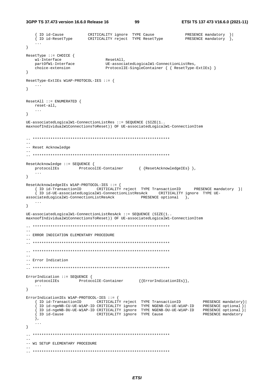3GPP TS 37.473 version 16.6.0 Release 16

99

```
\ldots\}ResetType ::= CHOICE {
   wl-Interface
                             ResetAll,
   partOfW1-Interface
                             UE-associatedLogicalW1-ConnectionListRes,
   choice-extension
                             ProtocolIE-SingleContainer { { ResetType-ExtIEs} }
\}ResetType-ExtIEs W1AP-PROTOCOL-IES ::= {
  \sim \sim\mathcal{E}ResetAll :: = ENUMERATED {
  reset-all,
   \sim \sim \sim\left\{ \right\}UE-associatedLogicalW1-ConnectionListRes ::= SEQUENCE (SIZE(1..
maxnoofIndividualW1ConnectionsToReset)) OF UE-associatedLogicalW1-ConnectionItem
--- Reset Acknowledge
ResetAcknowledge ::= SEQUENCE {
  protocolIEs ProtocolIE-Container { {ResetAcknowledgeIEs} },
   \sim 10 .
\}ResetAcknowledgeIEs W1AP-PROTOCOL-IES ::= {
  { ID id-TransactionID CRITICALITY reject TYPE TransactionID PRESENCE mandatory }|
   { ID id-UE-associatedLogicalW1-ConnectionListResAck CRITICALITY ignore TYPE UE-
\texttt{associatedLogicalW1-ConnectionListResack}\textbf{C}\texttt{R} \texttt{ESENCE} \texttt{optional} \quad \texttt{\textcolor{red}{},}\sim \sim \sim\rightarrowUE\text{-}associatedLogicalW1\text{-}ConnectionListResack ::= SEQUENCE (SIZE(1..maxnoofIndividualW1ConnectionsToReset)) OF UE-associatedLogicalW1-ConnectionItem
\frac{1}{2}-- ERROR INDICATION ELEMENTARY PROCEDURE
-- Error Indication
\frac{1}{2}ErrorIndication ::= SEQUENCE {
  protocolIEs ProtocolIE-Container {{ErrorIndicationIEs}},
   \sim .
\left\{ \right\}ErrorIndicationIEs W1AP-PROTOCOL-IES ::= {
   FINICALIONIES WIRP-PROTOCOL-LES ... [<br>
{ ID id-TransactionID CRITICALITY reject TYPE TransactionID PRESENCE mandatory}<br>
{ ID id-ngeNB-CU-UE-WIAP-ID CRITICALITY ignore TYPE NGENB-DU-UE-WIAP-ID PRESENCE optional}<br>
{ ID id-ng
                                                                 PRESENCE mandatory } |
   \},
   \sim \sim \sim\}-- W1 SETUP ELEMENTARY PROCEDURE
```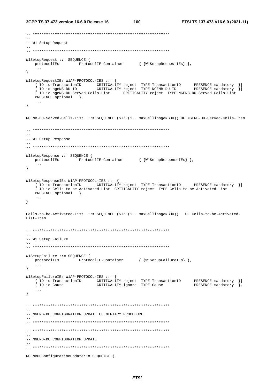100

```
-- W1 Setup Request
\frac{1}{2}W1SetupRequest ::= SEOUENCE {
  \texttt{protocolIES} \qquad \qquad \texttt{ProtocolIE-Container} \qquad \qquad \left\{ \text{ (W1SetupRequestIES)} \right\},\sim .
\}W1SetupRequestIEs W1AP-PROTOCOL-IES ::= {
   { ID id-ngeNB-DU-Served-Cells-List CRITICALITY reject TYPE NGENB-DU-Served-Cells-List
  PRESENCE optional },
\}NGENB-DU-Served-Cells-List ::= SEQUENCE (SIZE(1.. maxCellinnqeNBDU)) OF NGENB-DU-Served-Cells-Item
--- W1 Setup Response
W1SetupResponse ::= SEOUENCE {
  protocolIEs ProtocolIE-Container { {W1SetupResponseIEs} },
  \sim \sim \sim\mathcal{F}W1SetupResponseIEs W1AP-PROTOCOL-IES ::= {
  { ID id-TransactionID CRITICALITY reject TYPE TransactionID PRESENCE mandatory }|
   In id-Cells-to-be-Activated-List CRITICALITY reject TYPE Cells-to-be-Activated-List
  PRESENCE optional },
  \sim . \sim\left\{ \right.Cells-to-be-Activated-List ::= SEQUENCE (SIZE(1.. maxCellinngeNBDU)) OF Cells-to-be-Activated-
List-Tfem-- W1 Setup Failure
\sim \simW1SetupFailure ::= SEOUENCE {
 protocolIEs ProtocolIE-Container { {W1SetupFailureIEs} },
  \sim 100\left\{ \right.W1SetupFailureIEs W1AP-PROTOCOL-IES ::= {
  Variation of the interest of the contract of the interest of the id-TransactionID<br>{ ID id-TransactionID CRITICALITY reject TYPE Cause
                                                     PRESENCE mandatory } |
                                                     PRESENCE mandatory \left.\right\},
  \sim . \sim\mathcal{E}-- NGENB-DU CONFIGURATION UPDATE ELEMENTARY PROCEDURE
- --- NGENB-DU CONFIGURATION UPDATE
NGENBDUConfigurationUpdate::= SEQUENCE {
```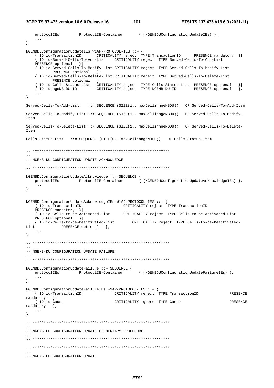**3GPP TS 37.473 version 16.6.0 Release 16 101 ETSI TS 137 473 V16.6.0 (2021-11)**

```
 protocolIEs ProtocolIE-Container { {NGENBDUConfigurationUpdateIEs} }, 
    ... 
} 
NGENBDUConfigurationUpdateIEs W1AP-PROTOCOL-IES ::= { 
    { ID id-TransactionID CRITICALITY reject TYPE TransactionID PRESENCE mandatory }| 
     { ID id-Served-Cells-To-Add-List CRITICALITY reject TYPE Served-Cells-To-Add-List 
    PRESENCE optional }| 
    { ID id-Served-Cells-To-Modify-List CRITICALITY reject TYPE Served-Cells-To-Modify-List 
           PRESENCE optional } |
    { ID id-Served-Cells-To-Delete-List CRITICALITY reject TYPE Served-Cells-To-Delete-List 
 PRESENCE optional }| 
 { ID id-Cells-Status-List CRITICALITY reject TYPE Cells-Status-List PRESENCE optional }| 
 { ID id-ngeNB-DU-ID CRITICALITY reject TYPE NGENB-DU-ID PRESENCE optional }, 
    ... 
} 
Served-Cells-To-Add-List ::= SEQUENCE (SIZE(1.. maxCellinngeNBDU)) OF Served-Cells-To-Add-Item
Served-Cells-To-Modify-List ::= SEQUENCE (SIZE(1.. maxCellinngeNBDU)) OF Served-Cells-To-Modify-
Item 
Served-Cells-To-Delete-List ::= SEQUENCE (SIZE(1.. maxCellinngeNBDU)) OF Served-Cells-To-Delete-
Item 
Cells-Status-List ::= SEQUENCE (SIZE(0.. maxCellinngeNBDU)) OF Cells-Status-Item 
-- ************************************************************** 
-- 
-- NGENB-DU CONFIGURATION UPDATE ACKNOWLEDGE
-- 
-- ************************************************************** 
NGENBDUConfigurationUpdateAcknowledge ::= SEQUENCE { 
    protocolIEs ProtocolIE-Container { {NGENBDUConfigurationUpdateAcknowledgeIEs} }, 
    ... 
} 
NGENBDUConfigurationUpdateAcknowledgeIEs W1AP-PROTOCOL-IES ::= { 
                           { ID id-TransactionID CRITICALITY reject TYPE TransactionID 
    PRESENCE mandatory }| 
    { ID id-Cells-to-be-Activated-List CRITICALITY reject TYPE Cells-to-be-Activated-List 
    PRESENCE optional }| 
    { ID id-Cells-to-be-Deactivated-List CRITICALITY reject TYPE Cells-to-be-Deactivated-
List PRESENCE optional },
 ... 
} 
-- ************************************************************** 
-- 
-- NGENB-DU CONFIGURATION UPDATE FAILURE 
-- 
-- ************************************************************** 
NGENBDUConfigurationUpdateFailure ::= SEQUENCE { 
   protocolIEs ProtocolIE-Container { {NGENBDUConfigurationUpdateFailureIEs} }, 
    ... 
} 
NGENBDUConfigurationUpdateFailureIEs W1AP-PROTOCOL-IES ::= { 
    { ID id-TransactionID CRITICALITY reject TYPE TransactionID PRESENCE 
mandatory } |<br>{ ID id-Cause
                                    CRITICALITY ignore TYPE Cause PRESENCE
mandatory },
    ... 
} 
-- ************************************************************** 
-- 
-- NGENB-CU CONFIGURATION UPDATE ELEMENTARY PROCEDURE 
-- 
-- ************************************************************** 
-- ************************************************************** 
-- 
-- NGENB-CU CONFIGURATION UPDATE
```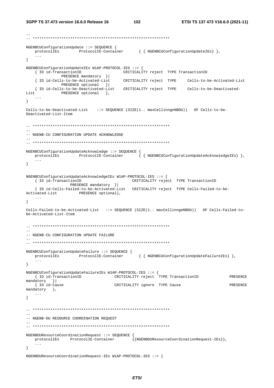102

```
NGENBCUConfigurationUpdate ::= SEQUENCE {
  \verb|protocolIES| \hspace{2.5cm} \verb|ProtocolIE-Container| \hspace{1.5cm} \{ \hspace{2.5cm} \verb|NGENBCUConfigurationUpdateIES| \hspace{1.5cm} \},\sim \sim \sim\mathcal{E}NGENBCUConfigurationUpdateIEs W1AP-PROTOCOL-IES ::= {
   { ID id-TransactionID
                                 CRITICALITY reject TYPE TransactionID
            PRESENCE mandatory } |
   { ID id-Cells-to-be-Activated-List CRITICALITY reject TYPE Cells-to-be-Activated-List
            PRESENCE optional }|
   { ID id-Cells-to-be-Deactivated-List CRITICALITY reject TYPE    Cells-to-be-Deactivated-
List
    PRESENCE optional },
   \ldots\left\{ \right\}Cells-to-be-Deactivated-List ::= SEQUENCE (SIZE(1.. maxCellinngeNBDU)) OF Cells-to-be-
Deactivated-List-Item
-- NGENB-CU CONFIGURATION UPDATE ACKNOWLEDGE
NGENBCUConfigurationUpdateAcknowledge ::= SEQUENCE {
  protocolIEs ProtocolIE-Container { { NGENBCUConfigurationUpdateAcknowledgeIEs} },
   \mathbf{1}\rightarrowNGENBCUConfigurationUpdateAcknowledgeIEs W1AP-PROTOCOL-IES : = {
  { ID id-TransactionID
                                   CRITICALITY reject TYPE TransactionID
              PRESENCE mandatory }|
   { ID id-Cells-Failed-to-be-Activated-List CRITICALITY reject TYPE Cells-Failed-to-be-
Activated-List PRESENCE optional},
  \sim . . .
\rightarrowCells-Failed-to-be-Activated-List ::= SEQUENCE (SIZE(1.. maxCellinngeNBDU)) OF Cells-Failed-to-
be-Activated-List-Item
\frac{1}{2}-- NGENB-CU CONFIGURATION UPDATE FAILURE
NGENBCUConfigurationUpdateFailure ::= SEQUENCE {
  protocolIEs ProtocolIE-Container
                                        { { NGENBCUConfigurationUpdateFailureIEs} },
   \ldots\rightarrowNGENBCUConfigurationUpdateFailureIEs W1AP-PROTOCOL-IES ::= {
   { ID id-TransactionID CRITICALITY reject TYPE TransactionID
                                                                           PRESENCE
mandatory }
  { ID id-Cause
                               CRITICALITY ignore TYPE Cause
                                                                           PRESENCE
mandatory },
  \cdots\rightarrow-- NGENB-DU RESOURCE COORDINATION REQUEST
NGENBDUResourceCoordinationRequest ::= SEOUENCE {
                                       {{NGENBDUResourceCoordinationRequest-IEs}},
   protocolIEs ProtocolIE-Container
   \sim \sim \sim\}
```
NGENBDUResourceCoordinationRequest-IEs W1AP-PROTOCOL-IES ::= {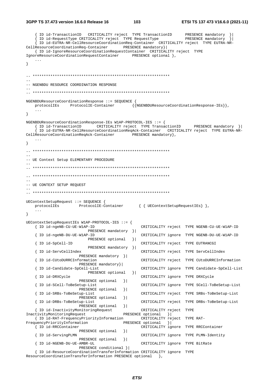#### 3GPP TS 37.473 version 16.6.0 Release 16

103

{ ID id-TransactionID CRITICALITY reject TYPE TransactionID PRESENCE mandatory ID id-RequestType CRITICALITY reject TYPE RequestType PRESENCE mandatory ID id-EUTRA-NR-CellResourceCoordinationReq-Container CRITICALITY reject TYPE EUTRA-NR-CellResourceCoordinationReq-Container PRESENCE mandatory} { ID id-IgnoreResourceCoordinationRequestContainer CRITICALITY reject TYPE IgnoreResourceCoordinationRequestContainer PRESENCE optional },  $\sim$  . . .  $\mathcal{V}$  $-$ -- NGENBDU RESOURCE COORDINATION RESPONSE NGENBDUResourceCoordinationResponse ::= SEQUENCE {  ${\tt protocolIES} \hspace{1.5cm} {\tt ProtocolIE-Container} \hspace{1.5cm} \{ {\tt NGENBUIResourceCoordinate} \} \} \, ,$  $\sim$   $\sim$   $\sim$  $\left\{ \right\}$ NGENBDUResourceCoordinationResponse-IEs W1AP-PROTOCOL-IES : = { { ID id-TransactionID CRITICALITY reject TYPE TransactionID PRESENCE mandatory } { ID id-EUTRA-NR-CellResourceCoordinationReqAck-Container CRITICALITY reject TYPE EUTRA-NR-CellResourceCoordinationReqAck-Container PRESENCE mandatory },  $\left\{ \right.$  $\sim$ -- UE Context Setup ELEMENTARY PROCEDURE -- UE CONTEXT SETUP REQUEST  $\sim$   $\sim$ UEContextSetupRequest ::= SEQUENCE {  $\verb|protocolIES| \hspace{2.5cm} \verb|ProtocolIE-Container| \hspace{1.5cm} { \verb| UEContextSetupRequestIES| } \hspace{1.5cm} },$  $\ldots$  $\left\{ \right\}$ UEContextSetupRequestIEs W1AP-PROTOCOL-IES ::= { CRITICALITY reject TYPE NGENB-CU-UE-W1AP-ID { ID id-ngeNB-CU-UE-W1AP-ID PRESENCE mandatory } | { ID id-ngeNB-DU-UE-W1AP-ID CRITICALITY ignore TYPE NGENB-DU-UE-W1AP-ID PRESENCE optional } | CRITICALITY reject TYPE EUTRANCGI { ID id-SpCell-ID PRESENCE mandatory }| { ID id-ServCellIndex CRITICALITY reject TYPE ServCellIndex PRESENCE mandatory } | { ID id-CUtoDURRCInformation CRITICALITY reject TYPE CUtoDURRCInformation PRESENCE mandatory } | { ID id-Candidate-SpCell-List CRITICALITY ignore TYPE Candidate-SpCell-List PRESENCE optional }| CRITICALITY ignore TYPE DRXCycle { ID id-DRXCycle PRESENCE optional  $\vert \cdot \vert$ { ID id-SCell-ToBeSetup-List CRITICALITY ignore TYPE SCell-ToBeSetup-List PRESENCE optional  $\vert$ { ID id-SRBs-ToBeSetup-List CRITICALITY reject TYPE SRBs-ToBeSetup-List PRESENCE optional  $\vert$ { ID id-DRBs-ToBeSetup-List CRITICALITY reject TYPE DRBs-ToBeSetup-List PRESENCE optional  $\vert$ { ID id-InactivityMonitoringRequest CRITICALITY reject TYPE InactivityMonitoringRequest PRESENCE optional } { ID id-RAT-FrequencyPriorityInformation CRITICALITY reject TYPE RAT-PRESENCE optional } FrequencyPriorityInformation { ID id-RRCContainer CRITICALITY ignore TYPE RRCContainer PRESENCE optional  $\vert \vert$ CRITICALITY ignore TYPE PLMN-Identity { ID id-ServingPLMN PRESENCE optional  $\vert \vert$ { ID id-NGENB-DU-UE-AMBR-UL CRITICALITY ignore TYPE BitRate PRESENCE conditional } | { ID id-ResourceCoordinationTransferInformation CRITICALITY ignore TYPE

ResourceCoordinationTransferInformation PRESENCE optional },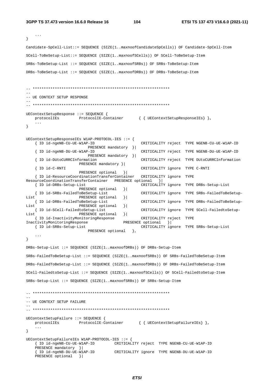104

```
\sim \sim\mathcal{E}Candidate-SpCell-List::= SEQUENCE (SIZE(1..maxnoofCandidateSpCells)) OF Candidate-SpCell-Item
SCell-ToBeSetup-List::= SEQUENCE (SIZE(1..maxnoofSCells)) OF SCell-ToBeSetup-Item
SRBs-ToBeSetup-List ::= SEOUENCE (SIZE(1..maxnoofSRBs)) OF SRBs-ToBeSetup-Item
DRBs-ToBeSetup-List ::= SEQUENCE (SIZE(1..maxnoofDRBs)) OF DRBs-ToBeSetup-Item
-- UE CONTEXT SETUP RESPONSE
UEContextSetupResponse ::= SEQUENCE {
   protocolIEs ProtocolIE-Container { { UEContextSetupResponseIEs} },
   \sim \sim \sim\}UEContextSetupResponseIEs W1AP-PROTOCOL-IES ::= {
   { ID id-ngeNB-CU-UE-W1AP-ID
                                               CRITICALITY reject TYPE NGENB-CU-UE-W1AP-ID
                         PRESENCE mandatory } |
   { ID id-ngeNB-DU-UE-W1AP-ID
                                               CRITICALITY reject TYPE NGENB-DU-UE-W1AP-ID
                         PRESENCE mandatory } |
                                               CRITICALITY reject TYPE DUtoCURRCInformation
   { ID id-DUtoCURRCInformation
                    PRESENCE mandatory }|
   { ID id-C-RNTI
                                               CRITICALITY ignore TYPE C-RNTI
                     PRESENCE optional }
   { ID id-ResourceCoordinationTransferContainer
                                               CRITICALITY ignore TYPE
ResourceCoordinationTransferContainer PRESENCE optional }
   { ID id-DRBs-Setup-List
                                               CRITICALITY ignore TYPE DRBs-Setup-List
                     PRESENCE optional } |
                                               CRITICALITY ignore TYPE SRBs-FailedToBeSetup-
   { ID id-SRBs-FailedToBeSetup-List
List
                     PRESENCE optional } |
   { ID id-DRBs-FailedToBeSetup-List
                                               CRITICALITY ignore TYPE DRBs-FailedToBeSetup-
ListPRESENCE optional
                                       \vert{ ID id-SCell-FailedtoSetup-List
                                               CRITICALITY ignore TYPE SCell-FailedtoSetup-
List
                     PRESENCE optional
                                       \vert{ ID id-InactivityMonitoringResponse
                                              CRITICALITY reject TYPE
InactivityMonitoringResponse
                                       PRESENCE optional }
                                              CRITICALITY ignore TYPE SRBs-Setup-List
  { ID id-SRBs-Setup-List
                         PRESENCE optional },
   \ddots .
\}DRBs-Setup-List ::= SEQUENCE (SIZE(1..maxnoofDRBs)) OF DRBs-Setup-Item
SRBs-FailedToBeSetup-List ::= SEQUENCE (SIZE(1..maxnoofSRBs)) OF SRBs-FailedToBeSetup-Item
DRBs-FailedToBeSetup-List ::= SEQUENCE (SIZE(1, maxnoofDRBs)) OF DRBs-FailedToBeSetup-Item
SCell-FailedtoSetup-List ::= SEQUENCE (SIZE(1..maxnoofSCells)) OF SCell-FailedtoSetup-Item
SRBs-Setup-List :: = SEOUENCE (SIZE(1..maxnoof SRBs)) OF SRBs-Setup-Item-- UE CONTEXT SETUP FAILURE
IIEContextSet <math>\in</math> : = <math>\text{SRCATE}</math> {protocolIEs ProtocolIE-Container { { UEContextSetupFailureIEs} },
   \sim \sim \sim\left\{ \right\}UEContextSetupFailureIEs W1AP-PROTOCOL-IES ::= {
   { ID id-ngeNB-CU-UE-W1AP-ID CRITICALITY reject TYPE NGENB-CU-UE-W1AP-ID
   PRESENCE mandatory } |
   { ID id-ngeNB-DU-UE-W1AP-ID
                                  CRITICALITY ignore TYPE NGENB-DU-UE-W1AP-ID
   PRESENCE optional } |
```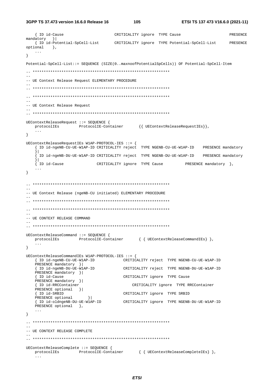3GPP TS 37.473 version 16.6.0 Release 16

105

```
{ ID id-Cause
                              CRITICALITY ignore TYPE Cause
                                                                        PRESENCE
mandatory }
 {ID id-Potential-SpCell-List CRITICALITY ignore TYPE Potential-SpCell-List PRESENCE
optional,
  \sim \sim \sim\mathcal{E}Potential - SnCell - List ::= SEOUENCE (SIZR(0, maxnonfPotentialSnCells)) OF Potential-SpCell-Item
- --- UE Context Release Request ELEMENTARY PROCEDURE
-- UE Context Release Request
UEContextReleaseRequest ::= SEQUENCE {
  \texttt{protocolIES} \qquad \qquad \texttt{ProtocolIE-Container} \qquad \qquad \{\{ \texttt{UEContextReleaseRequestIES} \}\},\sim \sim \sim\}UEContextReleaseRequestIEs W1AP-PROTOCOL-IES ::= {
   { ID id-ngeNB-CU-UE-W1AP-ID CRITICALITY reject TYPE NGENB-CU-UE-W1AP-ID PRESENCE mandatory
   \vert.<br>{ ID id-ngeNB-DU-UE-W1AP-ID CRITICALITY reject TYPE NGENB-DU-UE-W1AP-ID PRESENCE mandatory
   |1|\int ID id-Cause
                        CRITICALITY ignore TYPE Cause
                                                       PRESENCE mandatory },
   \sim .
\left\{ \right.\frac{1}{2}-- UE Context Release (ngeNB-CU initiated) ELEMENTARY PROCEDURE
\sim-- UE CONTEXT RELEASE COMMAND
UEContextReleaseCommand ::= SEQUENCE {
  protocolIEs ProtocolIE-Container { { UEContextReleaseCommandIEs} },
   \sim . \sim\}UEContextReleaseCommandIEs W1AP-PROTOCOL-IES ::= {
  { ID id-ngeNB-CU-UE-W1AP-ID CRITICALITY reject TYPE NGENB-CU-UE-W1AP-ID
  PRESENCE mandatory }|
   \{ ID id-ngeNB-DU-UE-W1AP-ID
                                 CRITICALITY reject TYPE NGENB-DU-UE-W1AP-ID
  PRESENCE mandatory }|
                             CRITICALITY ignore TYPE Cause
   { ID id-Cause
  PRESENCE mandatory }|
   { ID id-RRCContainer
                                    CRITICALITY ignore TYPE RRCContainer
  PRESENCE optional }
   { ID id-SRBID
                                 CRITICALITY ignore TYPE SRBID
                 \begin{array}{c} \begin{array}{c} \end{array} \\ \begin{array}{c} \end{array} \end{array}PRESENCE optional
   The id-oldngeNB-DU-UE-WIAP-ID CRITICALITY ignore TYPE NGENB-DU-UE-WIAP-ID
  PRESENCE optional },
   \sim . \sim\left\{ \right.-- UE CONTEXT RELEASE COMPLETE
UEContextReleaseComplete ::= SEQUENCE {
  protocolIEs ProtocolIE-Container { { UEContextReleaseCompleteIEs} },
   \sim \sim \sim
```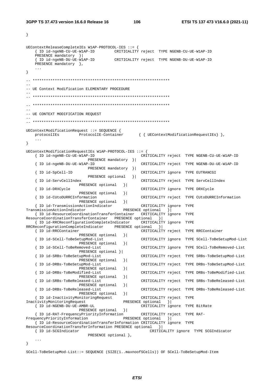$\left\{ \right\}$ 

106

```
UEContextReleaseCompleteIEs W1AP-PROTOCOL-IES ::= {
   { ID id-ngeNB-CU-UE-W1AP-ID CRITICALITY reject TYPE NGENB-CU-UE-W1AP-ID
   PRESENCE mandatory } |
   { ID id-ngeNB-DU-UE-W1AP-ID
                                  CRITICALITY reject TYPE NGENB-DU-UE-W1AP-ID
   PRESENCE mandatory },
\}\sim \sim-- UE Context Modification ELEMENTARY PROCEDURE
-- UE CONTEXT MODIFICATION REQUEST
UEContextModificationRequest ::= SEQUENCE {
   protocolIEs
                    ProtocolIE-Container { { UEContextModificationRequestIEs } }
\left\{ \right\}UEContextModificationRequestIEs W1AP-PROTOCOL-IES ::= {
   { ID id-ngeNB-CU-UE-W1AP-ID
                                                CRITICALITY reject TYPE NGENB-CU-UE-W1AP-ID
                         PRESENCE mandatory } |
   { ID id-ngeNB-DU-UE-W1AP-ID
                                                CRITICALITY reject TYPE NGENB-DU-UE-W1AP-ID
                         PRESENCE mandatory } |
   \{ID \text{ id-SnCell-ID}\}CRITICALITY ignore TYPE EUTRANCGI
                         PRESENCE optional } |
   { ID id-ServCellIndex
                                                CRITICALITY reject TYPE ServCellIndex
                     PRESENCE optional
                                        \vert{ ID id-DRXCycle
                                                CRITICALITY ignore TYPE DRXCycle
                      PRESENCE optional
                                        \vert{ ID id-CUtoDURRCInformation
                                                CRITICALITY reject TYPE CUtoDURRCInformation
                     PRESENCE optional
                                        \vert{ ID id-TransmissionActionIndicator
                                                CRITICALITY ignore TYPE
                                        PRESENCE optional
TransmissionActionIndicator
                                                           \downarrow{ ID id-ResourceCoordinationTransferContainer CRITICALITY ignore TYPE
ResourceCoordinationTransferContainer PRESENCE optional
                                                      \vert \vert{ ID id-RRCReconfigurationCompleteIndicator
                                               CRITICALITY ignore TYPE
RRCReconfigurationCompleteIndicator PRESENCE optional } |
   { ID id-RRCContainer
                                                CRITICALITY reject TYPE RRCContainer
                      PRESENCE optional
                                        \vert{ ID id-SCell-ToBeSetupMod-List
                                                CRITICALITY ignore TYPE SCell-ToBeSetupMod-List
                      PRESENCE optional
                                        \vertCRITICALITY ignore TYPE SCell-ToBeRemoved-List
   { ID id-SCell-ToBeRemoved-List
                      PRESENCE optional } |
                                                CRITICALITY reject TYPE SRBs-ToBeSetupMod-List
   { ID id-SRBs-ToBeSetupMod-List
                     PRESENCE optional
                                        \vert{ ID id-DRBs-ToBeSetupMod-List
                                               CRITICALITY reject TYPE DRBs-ToBeSetupMod-List
                      PRESENCE optional
                                        \vert{ ID id-DRBs-ToBeModified-List
                                                CRITICALITY reject TYPE DRBs-ToBeModified-List
                      PRESENCE optional
                                        \vert{ ID id-SRBs-ToBeReleased-List
                                                CRITICALITY reject TYPE SRBs-ToBeReleased-List
                      PRESENCE optional
                                         \vert{ ID id-DRBs-ToBeReleased-List
                                                CRITICALITY reject TYPE DRBs-ToBeReleased-List
                     PRESENCE optional
                                        \vert{ ID id-InactivityMonitoringRequest
                                                CRITICALITY reject TYPE
                                        PRESENCE optional
InactivityMonitoringRequest
                                                           \vert{ ID id-NGENB-DU-UE-AMBR-UL
                                               CRITICALITY ignore TYPE BitRate
                     PRESENCE optional
                                        \vert{ ID id-RAT-FrequencyPriorityInformation
                                               CRITICALITY reject TYPE RAT-
                                        PRESENCE optional }
FrequencyPriorityInformation
   { ID id-ResourceCoordinationTransferInformation CRITICALITY ignore TYPE
ResourceCoordinationTransferInformation PRESENCE optional }
   { ID id-SCGIndicator
                                                   CRITICALITY ignore TYPE SCGIndicator
                         PRESENCE optional },
    \ddots\left\{ \right\}
```
SCell-ToBeSetupMod-List::= SEQUENCE (SIZE(1..maxnoofSCells)) OF SCell-ToBeSetupMod-Item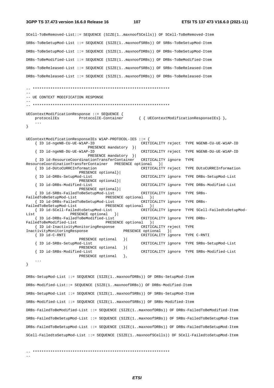107

```
SCell-ToBeRemoved-List::= SEQUENCE (SIZE(1..maxnoofSCells)) OF SCell-ToBeRemoved-Item
SRBs-ToBeSetupMod-List ::= SEQUENCE (SIZE(1..maxnoofSRBs)) OF SRBs-ToBeSetupMod-Item
DRBs-ToBeSetupMod-List ::= SEQUENCE (SIZE(1..maxnoofDRBs)) OF DRBs-ToBeSetupMod-Item
DRBs-ToBeModified-List ::= SEQUENCE (SIZE(1..maxnoofDRBs)) OF DRBs-ToBeModified-Item
SRBs-ToBeReleased-List ::= SEQUENCE (SIZE(1..maxnoofSRBs)) OF SRBs-ToBeReleased-Item
DRBs-ToBeReleased-List ::= SEQUENCE (SIZE(1..maxnoofDRBs)) OF DRBs-ToBeReleased-Item
-- UE CONTEXT MODIFICATION RESPONSE
UEContextModificationResponse ::= SEQUENCE {
                 ProtocolIE-Container
                                              { { UEContextModificationResponseIEs } },
   protocolIEs
   \ddots .
- }
UEContextModificationResponseIEs W1AP-PROTOCOL-IES ::= {
   { ID id-ngeNB-CU-UE-W1AP-ID
                                                 CRITICALITY reject TYPE NGENB-CU-UE-W1AP-ID
                          PRESENCE mandatory } |
   { ID id-ngeNB-DU-UE-W1AP-ID
                                                 CRITICALITY reject TYPE NGENB-DU-UE-W1AP-ID
                          PRESENCE mandatory } |
   { ID id-ResourceCoordinationTransferContainer
                                                CRITICALITY ignore TYPE
ResourceCoordinationTransferContainer PRESENCE optional
                                                         \rightarrow{ ID id-DUtoCURRCInformation
                                                 CRITICALITY reject TYPE DUtoCURRCInformation
                      PRESENCE optional}
   { ID id-DRBs-SetupMod-List
                                                 CRITICALITY ignore TYPE DRBs-SetupMod-List
                      PRESENCE optional}
   { ID id-DRBs-Modified-List
                                                 CRITICALITY ignore TYPE DRBs-Modified-List
                      PRESENCE optional}|
                                                 CRITICALITY ignore TYPE SRBs-
    { ID id-SRBs-FailedToBeSetupMod-List
                                  PRESENCE optional
FailedToBeSetupMod-List
                                                     \rightarrow{ ID id-DRBs-FailedToBeSetupMod-List
                                                 CRITICALITY ignore TYPE DRBs-
FailedToBeSetupMod-List
                                 PRESENCE optional }
   { ID id-SCell-FailedtoSetupMod-List
                                                 CRITICALITY ignore TYPE SCell-FailedtoSetupMod-
ListPRESENCE optional } |
    { ID id-DRBs-FailedToBeModified-List
                                                 CRITICALITY ignore TYPE DRBs-
FailedToBeModified-List
                                 PRESENCE optional }
   { ID id-InactivityMonitoringResponse
                                                CRITICALITY reject TYPE
InactivityMonitoringResponse
                                         PRESENCE optional
                                                            \rightarrow{ ID id-C-RNTI
                                                 CRITICALITY ignore TYPE C-RNTI
                      PRESENCE optional } |
   { ID id-SRBs-SetupMod-List
                                                 CRITICALITY ignore TYPE SRBs-SetupMod-List
                      PRESENCE optional
                                        \vert } |
    { ID id-SRBs-Modified-List
                                                CRITICALITY ignore TYPE SRBs-Modified-List
                      PRESENCE optional
                                          \lambda.
    \ddots\}DRBs-SetupMod-List ::= SEQUENCE (SIZE(1..maxnoofDRBs)) OF DRBs-SetupMod-Item
DRBs-Modified-List::= SEQUENCE (SIZE(1..maxnoofDRBs)) OF DRBs-Modified-Item
SRBs-SetupMod-List ::= SEQUENCE (SIZE(1..maxnoofSRBs)) OF SRBs-SetupMod-Item
SRBs-Modified-List ::= SEOUENCE (SIZE(1..maxnoofSRBs)) OF SRBs-Modified-Item
```
DRBs-FailedToBeModified-List ::= SEQUENCE (SIZE(1..maxnoofDRBs)) OF DRBs-FailedToBeModified-Item  $SRBs-Fa11edToBeSetuDMod-I.ist :: = SROIFNCF (STZR(1, maxnoofSRBs)) OF SRRs-Fa11edToBeSetuDMod-Ttem$ DRBs-FailedToBeSetupMod-List ::= SEQUENCE (SIZE(1..maxnoofDRBs)) OF DRBs-FailedToBeSetupMod-Item SCell-FailedtoSetupMod-List ::= SEQUENCE (SIZE(1..maxnoofSCells)) OF SCell-FailedtoSetupMod-Item

 $\frac{1}{2}$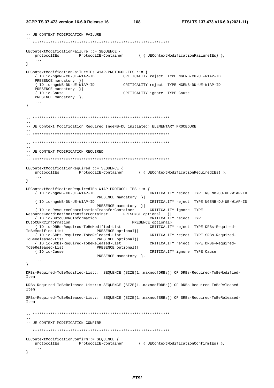```
-- UE CONTEXT MODIFICATION FAILURE
UEContextModificationFailure ::= SEQUENCE {
                                      { { UEContextModificationFailureIEs} },
  protocolIEs ProtocolIE-Container
   \cdots\lambdaUEContextModificationFailureIEs W1AP-PROTOCOL-IES : = {
   { ID id-ngeNB-CU-UE-W1AP-ID CRITICALITY reject TYPE NGENB-CU-UE-W1AP-ID
   PRESENCE mandatory } |
   { ID id-ngeNB-DU-UE-W1AP-ID CRITICALITY reject TYPE NGENB-DU-UE-W1AP-ID
   PRESENCE mandatory }|
   { ID id-Cause
                                   CRITICALITY ignore TYPE Cause
   PRESENCE mandatory \},
   \sim \sim \sim\}-- UE Context Modification Required (ngeNB-DU initiated) ELEMENTARY PROCEDURE
-- UE CONTEXT MODIFICATION REQUIRED
UEContextModificationRequired ::= SEQUENCE {
                                      { { UEContextModificationRequiredIEs } },
   protocolIEs ProtocolIE-Container
   \sim \sim \sim\left\{ \right\}\texttt{UEContextModificationRequest} \texttt{Wlap-PROTOCOL-IES} :: = \{{ ID id-ngeNB-CU-UE-W1AP-ID
                                               CRITICALITY reject TYPE NGENB-CU-UE-W1AP-ID
                          PRESENCE mandatory } |
   { ID id-ngeNB-DU-UE-W1AP-ID
                                               CRITICALITY reject TYPE NGENB-DU-UE-W1AP-ID
                          PRESENCE mandatory } |
   { ID id-ResourceCoordinationTransferContainer
                                              CRITICALITY ignore TYPE
ResourceCoordinationTransferContainer PRESENCE optional }<br>
{ID id-DUtoCURRCInformation CRITICALITY
                                              CRITICALITY reject TYPE
DUtoCURRCInformation
                                      PRESENCE optional}
                                              CRITICALITY reject TYPE DRBs-Required-
   { ID id-DRBs-Required-ToBeModified-List
ToBeModified-List
                         PRESENCE optional}|
   { ID id-SRBs-Required-ToBeReleased-List
                                              CRITICALITY reject TYPE SRBs-Required-
ToBeReleased-List
                      PRESENCE optional} |
                                              CRITICALITY reject TYPE DRBs-Required-
  { ID id-DRBs-Required-ToBeReleased-List
ToBeReleased-List
                          PRESENCE optional}|
  { ID id-Cause
                                              CRITICALITY ignore TYPE Cause
                          PRESENCE mandatory },
   \ldots\}DRBs-Required-ToBeModified-List::= SEQUENCE (SIZE(1..maxnoofDRBs)) OF DRBs-Required-ToBeModified-
Item
DRBs-Required-ToBeReleased-List::= SEQUENCE (SIZE(1..maxnoofDRBs)) OF DRBs-Required-ToBeReleased-
Item
SRBs-Required-ToBeReleased-List::= SEQUENCE (SIZE(1..maxnoofSRBs)) OF SRBs-Required-ToBeReleased-
T \uparrow \rho m\sim \sim-- UE CONTEXT MODIFICATION CONFIRM
UEContextModificationConfirm::= SEQUENCE {
              ProtocolIE-Container { { UEContextModificationConfirmIEs} },
   protocolIEs
   \ddots\left\{ \right\}
```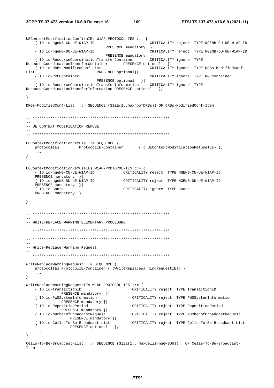```
UEContextModificationConfirmIEs W1AP-PROTOCOL-IES ::= {
   { ID id-ngeNB-CU-UE-W1AP-ID
                                                CRITICALITY reject TYPE NGENB-CU-UE-W1AP-ID
                              PRESENCE mandatory
                                                \vert{ ID id-ngeNB-DU-UE-W1AP-ID
                                                CRITICALITY reject TYPE NGENB-DU-UE-W1AP-ID
                             { ID id-ResourceCoordinationTransferContainer
ResourceCoordinationTransferContainer PRESENCE optional }<br>{ ID id-DRBs-ModifiedConf-List CRITICALIT
                                               CRITICALITY ignore TYPE DRBs-ModifiedConf-
List
                          PRESENCE optional}|
   { ID id-RRCContainer
                                                CRITICALITY ignore TYPE RRCContainer
   PRESENCE optional }<br>{ ID id-ResourceCoordinationTransferInformation cRITICALITY ignore TYPE
ResourceCoordinationTransferInformation PRESENCE optional },
   \sim \sim \sim\}DRBs-ModifiedConf-List ::= SEQUENCE (SIZE(1..maxnoofDRBs)) OF DRBs-ModifiedConf-Item
-- UE CONTEXT MODIFICATION REFUSE
UEContextModificationRefuse ::= SEQUENCE {
   protocolIEs ProtocolIE-Container { { UEContextModificationRefuseIEs} },
   \sim \sim \sim\}UEContextModificationRefuseIEs W1AP-PROTOCOL-IES ::= {
   { ID id-ngeNB-CU-UE-W1AP-ID
                                    CRITICALITY reject TYPE NGENB-CU-UE-W1AP-ID
   PRESENCE mandatory } |
   { ID id-ngeNB-DU-UE-WIAP-ID
                                    CRITICALITY reject TYPE NGENB-DU-UE-W1AP-ID
   PRESENCE mandatory }|
   { ID id-Cause
                                    CRITICALITY ignore TYPE Cause
   PRESENCE mandatory },
   \sim \sim \sim\left\{ \right\}-- WRITE-REPLACE WARNING ELEMENTARY PROCEDURE
\sim \sim-- Write-Replace Warning Request
WriteRenlaceWarning aRemin a Renen is: SEQUENCE \{protocolIEs ProtocolIE-Container { {WriteReplaceWarningRequestIEs} },
\left\{ \right\}WriteReplaceWarningRequestIEs W1AP-PROTOCOL-IES ::= {
   { ID id-TransactionID
                                         CRITICALITY reject TYPE TransactionID
             PRESENCE mandatory } |
   { ID id-PWSSystemInformation
                                        CRITICALITY reject TYPE PWSSystemInformation
             PRESENCE mandatory }|
                                        CRITICALITY reject TYPE RepetitionPeriod
   { ID id-RepetitionPeriod
             PRESENCE mandatory } |
   { ID id-NumberofBroadcastRequest
                                       CRITICALITY reject TYPE NumberofBroadcastRequest
                PRESENCE mandatory }|
   { ID id-Cells-To-Be-Broadcast-List
                                        CRITICALITY reject TYPE Cells-To-Be-Broadcast-List
                PRESENCE optional },
   \sim \sim \sim\}Cells-To-Be-Broadcast-List ::= SEQUENCE (SIZE(1.. maxCellinngeNBDU)) OF Cells-To-Be-Broadcast-
Item
```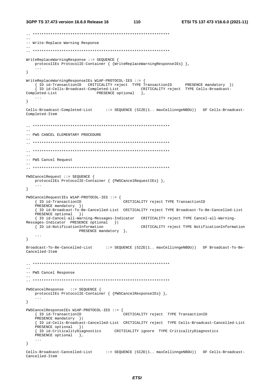```
-- Write-Replace Warning Response
WriteReplaceWarningResponse ::= SEOUENCE {
  protocolIEs ProtocolIE-Container { {WriteReplaceWarningResponseIEs} },
\}\verb|WriteReplaceWarningResponseIES W1AP-PROTOCOL-IES ::= {}(1) Id-TransactionID CRITICALITY reject TYPE TransactionID PRESENCE mandatory }<br>{ ID id-Cells-Broadcast-Completed-List CRITICALITY reject TYPE Cells-Broadcast-<br>leted-List PRESENCE optional },
Completed-List
   \sim \sim \sim\left\{ \right\}Cells-Broadcast-Completed-List ::= SEQUENCE (SIZE(1.. maxCellinngeNBDU)) OF Cells-Broadcast-
Completed-Item
-- PWS CANCEL ELEMENTARY PROCEDURE
\equiv\sim-- PWS Cancel Request
PWSCancelRequest ::= SEQUENCE {
  protocolIEs ProtocolIE-Container { {PWSCancelRequestIEs} },
   \sim \sim \sim\}{\tt PWSC} \texttt{ancelRequestIES} \texttt{ W1AP-PROTOCOL-IES} :: = \{{ ID id-TransactionID
                                    CRITICALITY reject TYPE TransactionID
   PRESENCE mandatory } |
   { ID id-Broadcast-To-Be-Cancelled-List CRITICALITY reject TYPE Broadcast-To-Be-Cancelled-List
   PRESENCE optional } |
   { ID id-Cancel-all-Warning-Messages-Indicator CRITICALITY reject TYPE Cancel-all-Warning-
Messages-Indicator PRESENCE optional }|
  { ID id-NotificationInformation
                                          CRITICALITY reject TYPE NotificationInformation
                   PRESENCE mandatory },
   \sim \sim \sim\}Broadcast-To-Be-Cancelled-List
                             ::= SEQUENCE (SIZE(1.. maxCellinngeNBDU)) OF Broadcast-To-Be-
Cancelled-Item
-- PWS Cancel Response
PWSCancelResponse ::= SEQUENCE {
  protocolIEs ProtocolIE-Container { {PWSCancelResponseIEs} },
\}PWSCance1ResponseIES W1AP-PROTOCOL-IES :: = {{ ID id-TransactionID
                                    .<br>CRITICALITY reject TYPE TransactionID
   PRESENCE mandatory } |
   { ID id-Cells-Broadcast-Cancelled-List CRITICALITY reject TYPE Cells-Broadcast-Cancelled-List
  PRESENCE optional }
   { ID id-CriticalityDiagnostics CRITICALITY ignore TYPE CriticalityDiagnostics
   PRESENCE optional },
   \sim . \sim\}Cells-Broadcast-Cancelled-List ::= SEQUENCE (SIZE(1.. maxCellinngeNBDU)) OF Cells-Broadcast-
Cancelled-Item
```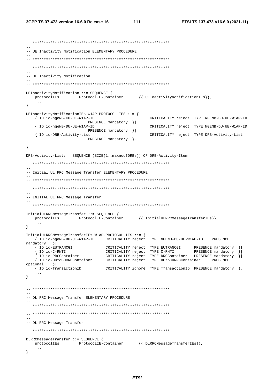```
\sim \sim-- UE Inactivity Notification ELEMENTARY PROCEDURE
-- UE Inactivity Notification
UEInactivityNotification ::= SEQUENCE {
  protocolIEs ProtocolIE-Container {{ UEInactivityNotificationIEs}},
\}UEInactivityNotificationIEs W1AP-PROTOCOL-IES ::= {
                                        CRITICALITY reject TYPE NGENB-CU-UE-W1AP-ID
  { ID id-ngeNB-CU-UE-W1AP-ID
                   PRESENCE mandatory } |
  { ID id-ngeNB-DU-UE-W1AP-ID
                                        CRITICALITY reject TYPE NGENB-DU-UE-W1AP-ID
                   PRESENCE mandatory }|
  { ID id-DRB-Activity-List
                                        CRITICALITY reject TYPE DRB-Activity-List
                   PRESENCE mandatory },
  \ldots\left\{ \right.DRB-Activity-List::= SEQUENCE (SIZE(1..maxnoofDRBs)) OF DRB-Activity-Item
-- Initial III, RRC Message Transfer ELEMENTARY PROCEDURE
\equiv-- INITIAL UL RRC Message Transfer
InitialULRRCMessageTransfer ::= SEQUENCE {
  protocolIEs ProtocolIE-Container {{ InitialULRRCMessageTransferIEs}},
  \ldots\}InitialULRRCMessageTransferIEs W1AP-PROTOCOL-IES ::= {
  { ID id-ngeNB-DU-UE-W1AP-ID CRITICALITY reject TYPE NGENB-DU-UE-W1AP-ID PRESENCE
mandatory
       \vert \vert\{ ID id-EUTRANCGI
                        CRITICALITY reject TYPE EUTRANCGI
                                                      PRESENCE mandatory
                                                                     \vertThe identification of the contract of the contract tendent of the contract of the contract of the contract of the contract of the contract of the contract of the contract of the contract of the contract of the contract of 
                                                                     \mathcal{V}optional }
  { ID id-TransactionID
                        CRITICALITY ignore TYPE TransactionID PRESENCE mandatory },
  \sim 10 \sim\}-- DL RRC Message Transfer ELEMENTARY PROCEDURE
=--- DL RRC Message Transfer
DLRRCMessageTransfer ::= SEQUENCE {
  protocolIEs ProtocolIE-Container {{DLRRCMessageTransferIEs}},
  \sim \sim \sim\left\{ \right\}
```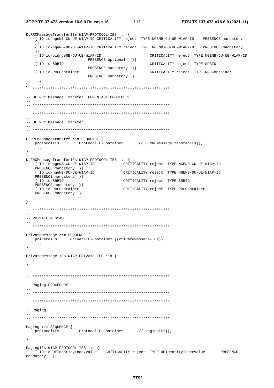3GPP TS 37.473 version 16.6.0 Release 16

```
DLRRCMessageTransferIEs W1AP-PROTOCOL-IES ::= {
    { ID id-ngeNB-CU-UE-W1AP-ID CRITICALITY reject TYPE NGENB-CU-UE-W1AP-ID PRESENCE mandatory
    \vert \vertID id-ngeNB-DU-UE-W1AP-ID CRITICALITY reject TYPE NGENB-DU-UE-W1AP-ID PRESENCE mandatory
    [ ID id-oldngeNB-DU-UE-W1AP-ID
                                                   CRITICALITY reject TYPE NGENB-DU-UE-W1AP-ID
                         PRESENCE optional }|
   { ID id-SRBID
                                                   CRITICALITY reject TYPE SRBID
                         PRESENCE mandatory } |
   { ID id-RRCContainer
                                                    CRITICALITY reject TYPE RRCContainer
                        PRESENCE mandatory },
\}-- UL RRC Message Transfer ELEMENTARY PROCEDURE
\sim \sim-- UL RRC Message Transfer
ULRRCMessageTransfer ::= SEQUENCE {
  protocolIEs
                    ProtocolIE-Container {{ ULRRCMessageTransferIEs}},
   \ldots\}ULRRCMessageTransferIEs W1AP-PROTOCOL-IES ::= {
   { ID id-ngeNB-CU-UE-W1AP-ID
                                       CRITICALITY reject TYPE NGENB-CU-UE-W1AP-ID
   PRESENCE mandatory } |
   The identical manual of the CRITICALITY reject TYPE NGENB-DU-UE-WIAP-ID
   PRESENCE mandatory }|
    { ID id-SRBID
                                       CRITICALITY reject TYPE SRBID
   PRESENCE mandatory }|
   { ID id-RRCContainer
                                       CRITICALITY reject TYPE RRCContainer
   PRESENCE mandatory },
   \sim \sim \sim\left\{ \right\}-- PRIVATE MESSAGE
PrivateMessage ::= SEQUENCE {
   privateIEs PrivateIE-Container {{PrivateMessage-IEs}},
   \sim \sim \sim\}PrivateMessage-IEs W1AP-PRIVATE-IES ::= {
   \ldots\lambda=--- Paging PROCEDURE
\frac{1}{2}-- Paging
\begin{aligned} \mathtt{Paging} &\texttt{::= SEQUENCE} \begin{cases} \\ \texttt{protocolIE-Container} \end{cases} \begin{cases} \mathtt{PagingIES} \end{cases}, \end{aligned}\left\{ \right.\begin{tabular}{lllll} \texttt{PagingIES Wlap-PROTOCOL-IES} & := & \small{\small \{ & \small \texttt{IRS} \cup \texttt{IQ} \in \texttt{R} & \small \texttt{C} & \small \texttt{R}} & \small \texttt{C} & \small \texttt{R} & \small \texttt{C} & \small \texttt{R} & \small \texttt{C} & \small \texttt{C} & \small \texttt{C} & \small \texttt{C} & \small \texttt{C} & \small \texttt{C} & \small \texttt{C} & \small \texttt{C} & \small \texttt{C} & \small \texttt{C} & \small \texttt{C} & \small \textPRESENCE
mandatory }
```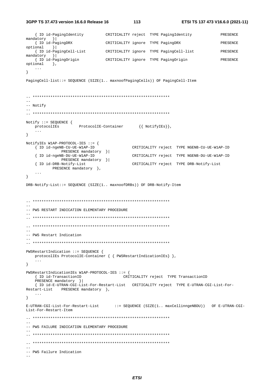3GPP TS 37.473 version 16.6.0 Release 16

```
{ ID id-PagingIdentity
                        CRITICALITY reject TYPE PagingIdentity
                                                                  PRESENCE
mandatory }
  { ID id-PagingDRX
                          CRITICALITY ignore TYPE PagingDRX
                                                                  PRESENCE
optional
       \vert } |
   { ID id-PagingCell-List
                          CRITICALITY ignore TYPE PagingCell-list
                                                                  PRESENCE
mandatory }
  { ID id-PagingOrigin
                          CRITICALITY ignore TYPE PagingOrigin
                                                                  PRESENCE
optional },
   \ddotsc\}PagingCell-list::= SEQUENCE (SIZE(1.. maxnoofPagingCells)) OF PagingCell-Item
--- Notify
Notify ::= SEQUENCE \{\texttt{protocolIES} \qquad \qquad \texttt{ProtocolIE-Container} \qquad \quad \{ \texttt{ NotifyIES} \},\sim \sim \sim\}NotifyIEs W1AP-PROTOCOL-IES ::= {
  { ID id-ngeNB-CU-UE-W1AP-ID
                                   CRITICALITY reject TYPE NGENB-CU-UE-W1AP-ID
           PRESENCE mandatory } |
   { ID id-ngeNB-DU-UE-W1AP-ID
                                   CRITICALITY reject TYPE NGENB-DU-UE-W1AP-ID
           PRESENCE mandatory } |
   { ID id-DRB-Notify-List
                                   CRITICALITY reject TYPE DRB-Notify-List
        PRESENCE mandatory },
\}DRB-Notify-List::= SEQUENCE (SIZE(1.. maxnoofDRBs)) OF DRB-Notify-Item
-- PWS RESTART INDICATION ELEMENTARY PROCEDURE
\frac{1}{2}-- PWS Restart Indication
PWSRestartIndication ::= SEQUENCE {
  protocolIEs ProtocolIE-Container { { PWSRestartIndicationIEs } },
   \ddots\}PWSRestartIndicationIEs W1AP-PROTOCOL-IES ::= {
                              CRITICALITY reject TYPE TransactionID
   { ID id-TransactionID
  PRESENCE mandatory }
   { ID id-E-UTRAN-CGI-List-For-Restart-List CRITICALITY reject TYPE E-UTRAN-CGI-List-For-
Restart-List PRESENCE mandatory },
  \sim .
\left\{ \right\}E-UTRAN-CGI-List-For-Restart-List
                            ::= SEQUENCE (SIZE(1.. maxCellinngeNBDU)) OF E-UTRAN-CGI-
List-For-Restart-Item
-- PWS FAILURE INDICATION ELEMENTARY PROCEDURE
-- PWS Failure Indication
\sim \sim
```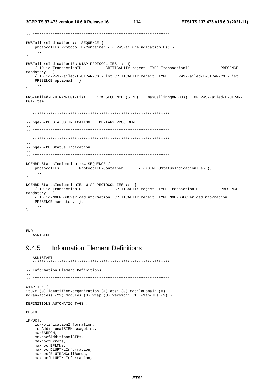```
PWSFailureIndication ::= SEOUENCE {
  protocolIEs ProtocolIE-Container { { PWSFailureIndicationIEs} },
\mathcal{F}PWSFailureIndicationIEs W1AP-PROTOCOL-IES ::= {
                           CRITICALITY reject TYPE TransactionID
  { ID id-TransactionID
                                                                   PRESENCE
mandatory
        \vert \vert{ ID id-PWS-Failed-E-UTRAN-CGI-List CRITICALITY reject TYPE PWS-Failed-E-UTRAN-CGI-List
  PRESENCE optional },
\mathcal{F}PWS-Failed-E-UTRAN-CGI-List
                       ::= SEQUENCE (SIZE(1.. maxCellinnqeNBDU)) OF PWS-Failed-E-UTRAN-
CGT - Tf \nightharpoonup m\frac{1}{2}-- ngeNB-DU STATUS INDICATION ELEMENTARY PROCEDURE
\equiv-- ngeNB-DU Status Indication
NGENBDUStatusIndication ::= SEQUENCE {
  protocolIEs ProtocolIE-Container { {NGENBDUStatusIndicationIEs} },
   \sim 10 .
\}NGENBDUStatusIndicationIEs W1AP-PROTOCOL-IES ::= {
  { ID id-TransactionID \overrightarrow{C}\text{RITICALITY}</math> reject <b>TYPE</b> TransactionID PRESENCEmandatory }
  { ID id-NGENBDUOverloadInformation CRITICALITY reject TYPE NGENBDUOverloadInformation
  PRESENCE mandatory \},
   \ddots\lambda
```

```
END
-- ASN1STOP
```
#### **Information Element Definitions** 9.4.5

```
-- ASN1START
-- Information Element Definitions
\equiv \equivW1AP-IES {
itu-t (0) identified-organization (4) etsi (0) mobileDomain (0)
ngran-access (22) modules (3) wlap (3) version1 (1) wlap-IEs (2) }
DEFINITIONS AUTOMATIC TAGS ::=
BEGIN
IMPORTS
  id-NotificationInformation,
   id-AdditionalSIBMessageList,
  maxEARFCN
  maxnoofAdditionalSIBs.
   maxnoofErrors,
  maxnoofBPLMNs,
   maxnoofDLUPTNLInformation,
  maxnoofE-UTRANCellBands.
   maxnoofULUPTNLInformation,
```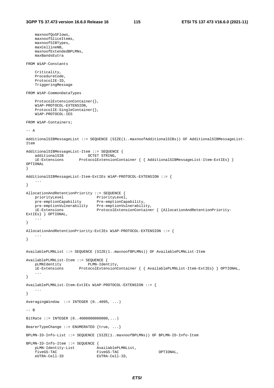```
 maxnoofQoSFlows, 
    maxnoofSliceItems, 
    maxnoofSIBTypes, 
    maxCellineNB, 
    maxnoofExtendedBPLMNs, 
    maxBandsEutra 
FROM W1AP-Constants 
     Criticality, 
     ProcedureCode, 
     ProtocolIE-ID, 
     TriggeringMessage 
FROM W1AP-CommonDataTypes 
     ProtocolExtensionContainer{}, 
     W1AP-PROTOCOL-EXTENSION, 
     ProtocolIE-SingleContainer{}, 
     W1AP-PROTOCOL-IES 
FROM W1AP-Containers; 
--- AAdditionalSIBMessageList ::= SEQUENCE (SIZE(1..maxnoofAdditionalSIBs)) OF AdditionalSIBMessageList-
Item 
AdditionalSIBMessageList-Item ::= SEQUENCE { 
   additionalSIB OCTET STRING,
     iE-Extensions ProtocolExtensionContainer { { AdditionalSIBMessageList-Item-ExtIEs} } 
OPTIONAL 
} 
AdditionalSIBMessageList-Item-ExtIEs W1AP-PROTOCOL-EXTENSION ::= { 
 ... 
} 
AllocationAndRetentionPriority ::= SEQUENCE { 
priorityLevel PriorityLevel,
 pre-emptionCapability Pre-emptionCapability, 
 pre-emptionVulnerability Pre-emptionVulnerability, 
 iE-Extensions ProtocolExtensionContainer { {AllocationAndRetentionPriority-
ExtIEs} } OPTIONAL, 
    ... 
} 
AllocationAndRetentionPriority-ExtIEs W1AP-PROTOCOL-EXTENSION ::= { 
    ... 
} 
AvailablePLMNList ::= SEQUENCE (SIZE(1..maxnoofBPLMNs)) OF AvailablePLMNList-Item 
AvailablePLMNList-Item ::= SEQUENCE { 
 pLMNIdentity PLMN-Identity, 
 iE-Extensions ProtocolExtensionContainer { { AvailablePLMNList-Item-ExtIEs} } OPTIONAL, 
     ... 
} 
AvailablePLMNList-Item-ExtIEs W1AP-PROTOCOL-EXTENSION ::= { 
    ... 
} 
AveragingWindow ::= INTEGER (0..4095, ...) 
-- B 
BitRate ::= INTEGER (0..4000000000000,...) 
BearerTypeChange ::= ENUMERATED {true, ...} 
BPLMN-ID-Info-List ::= SEQUENCE (SIZE(1..maxnoofBPLMNs)) OF BPLMN-ID-Info-Item 
BPLMN-ID-Info-Item ::= SEQUENCE { 
   pLMN-Identity-List <br>fiveGS-TAC FiveGS-TAC FiveGS-TAC
    fiveGS-TAC FiveGS-TAC FiveGS-TAC OPTIONAL,<br>eUTRA-Cell-ID EUTRA-Cell-ID.
                               EUTRA-Cell-ID,
```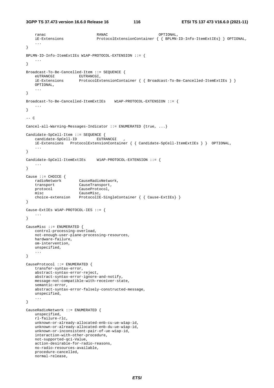**3GPP TS 37.473 version 16.6.0 Release 16 116 ETSI TS 137 473 V16.6.0 (2021-11)**

```
 ranac RANAC OPTIONAL, 
     iE-Extensions ProtocolExtensionContainer { { BPLMN-ID-Info-ItemExtIEs} } OPTIONAL, 
     ... 
} 
BPLMN-ID-Info-ItemExtIEs W1AP-PROTOCOL-EXTENSION ::= { 
 ... 
} 
Broadcast-To-Be-Cancelled-Item ::= SEQUENCE { 
    eUTRANCGI EUTRANCGI, 
     iE-Extensions ProtocolExtensionContainer { { Broadcast-To-Be-Cancelled-ItemExtIEs } }
    OPTIONAL, 
     ... 
} 
Broadcast-To-Be-Cancelled-ItemExtIEs W1AP-PROTOCOL-EXTENSION ::= { 
 ... 
} 
--- CCancel-all-Warning-Messages-Indicator ::= ENUMERATED {true, ...} 
Candidate-SpCell-Item ::= SEQUENCE { 
    candidate-SpCell-ID EUTRANCGI
     iE-Extensions ProtocolExtensionContainer { { Candidate-SpCell-ItemExtIEs } } OPTIONAL, 
     ... 
} 
Candidate-SpCell-ItemExtIEs W1AP-PROTOCOL-EXTENSION ::= { 
     ... 
} 
Cause ::= CHOICE \{ radioNetwork CauseRadioNetwork, 
    transport CauseTransport, 
    protocol CauseProtocol, 
    misc CauseMisc, 
    choice-extension ProtocolIE-SingleContainer { { Cause-ExtIEs} } 
} 
Cause-ExtIEs W1AP-PROTOCOL-IES ::= { 
     ... 
} 
CauseMisc ::= ENUMERATED { 
    control-processing-overload, 
    not-enough-user-plane-processing-resources, 
    hardware-failure, 
    om-intervention, 
    unspecified, 
     ... 
} 
CauseProtocol ::= ENUMERATED { 
     transfer-syntax-error, 
     abstract-syntax-error-reject, 
    abstract-syntax-error-ignore-and-notify, 
    message-not-compatible-with-receiver-state, 
    semantic-error, 
     abstract-syntax-error-falsely-constructed-message, 
    unspecified, 
     ... 
} 
CauseRadioNetwork ::= ENUMERATED { 
    unspecified, 
    rl-failure-rlc, 
    unknown-or-already-allocated-enb-cu-ue-w1ap-id, 
    unknown-or-already-allocated-enb-du-ue-w1ap-id, 
    unknown-or-inconsistent-pair-of-ue-w1ap-id, 
    interaction-with-other-procedure, 
    not-supported-qci-Value, 
    action-desirable-for-radio-reasons, 
    no-radio-resources-available, 
    procedure-cancelled, 
    normal-release,
```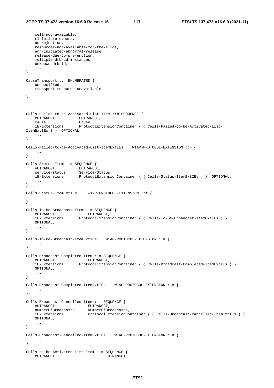```
 cell-not-available, 
    rl-failure-others, 
    ue-rejection, 
    resources-not-available-for-the-slice, 
    amf-initiated-abnormal-release, 
    release-due-to-pre-emption, 
    multiple-drb-id-instances, 
    unknown-drb-id, 
    ... 
} 
CauseTransport ::= ENUMERATED { 
    unspecified, 
    transport-resource-unavailable, 
    ... 
} 
Cells-Failed-to-be-Activated-List-Item ::= SEQUENCE { 
   eUTRANCGI EUTRANCGI,
 cause Cause, 
 iE-Extensions ProtocolExtensionContainer { { Cells-Failed-to-be-Activated-List-
ItemExtIEs } } OPTIONAL, 
    ... 
} 
Cells-Failed-to-be-Activated-List-ItemExtIEs W1AP-PROTOCOL-EXTENSION ::= { 
 ... 
} 
Cells-Status-Item ::= SEQUENCE {<br>eUTRANCGI EUTRANCG
eUTRANCGI EUTRANCGI,
 service-status Service-Status, 
                     ProtocolExtensionContainer { { Cells-Status-ItemExtIEs } } OPTIONAL,
 ... 
} 
Cells-Status-ItemExtIEs W1AP-PROTOCOL-EXTENSION ::= { 
    ... 
} 
Cells-To-Be-Broadcast-Item ::= SEQUENCE { 
eUTRANCGI EUTRANCGI,
 iE-Extensions ProtocolExtensionContainer { { Cells-To-Be-Broadcast-ItemExtIEs } }
    OPTIONAL, 
    ... 
} 
Cells-To-Be-Broadcast-ItemExtIEs W1AP-PROTOCOL-EXTENSION ::= { 
    ... 
} 
Cells-Broadcast-Completed-Item ::= SEQUENCE { 
   eUTRANCGI EUTRANCGI EUTRANCGI EUTRANCGI EUTRANCGI,
                     ProtocolExtensionContainer { Cells-Broadcast-Completed-ItemExtIES } }
    OPTIONAL, 
    ... 
} 
Cells-Broadcast-Completed-ItemExtIEs W1AP-PROTOCOL-EXTENSION ::= { 
    ... 
} 
Cells-Broadcast-Cancelled-Item ::= SEQUENCE { 
eUTRANCGI EUTRANCGI,
 numberOfBroadcasts NumberOfBroadcasts, 
 iE-Extensions ProtocolExtensionContainer { { Cells-Broadcast-Cancelled-ItemExtIEs } }
 OPTIONAL, 
 ... 
} 
Cells-Broadcast-Cancelled-ItemExtIEs W1AP-PROTOCOL-EXTENSION ::= { 
    ... 
} 
Cells-to-be-Activated-List-Item ::= SEQUENCE { 
   eUTRANCGI eUTRANCGI,
```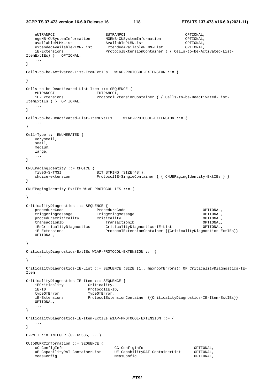```
 eUTRANPCI EUTRANPCI OPTIONAL, 
 ngeNB-CUSystemInformation NGENB-CUSystemInformation OPTIONAL, 
 availablePLMNList AvailablePLMNList OPTIONAL, 
 extendedAvailablePLMN-List ExtendedAvailablePLMN-List OPTIONAL, 
 iE-Extensions ProtocolExtensionContainer { { Cells-to-be-Activated-List-
ItemExtIEs} } OPTIONAL, 
    ... 
} 
Cells-to-be-Activated-List-ItemExtIEs W1AP-PROTOCOL-EXTENSION ::= { 
 ... 
} 
Cells-to-be-Deactivated-List-Item ::= SEQUENCE { 
                           EUTRANCGI,
    iE-Extensions ProtocolExtensionContainer { { Cells-to-be-Deactivated-List-
ItemExtIEs } } OPTIONAL, 
    ... 
} 
Ce11s-to-be-Deactivated-list-ItemExtIRS W1AP-PROTOCOL-EXTRNSTON ::= {
    ... 
} 
Cell-Type ::= ENUMERATED { 
    verysmall, 
    small, 
    medium, 
    large, 
    ... 
} 
CNUEPagingIdentity ::= CHOICE { 
   fiveG-S-TMSI BIT STRING (SIZE(48)),
   choice-extension ProtocolIE-SingleContainer { { CNUEPagingIdentity-ExtIEs } }
} 
CNUEPagingIdentity-ExtIEs W1AP-PROTOCOL-IES ::= { 
 ... 
} 
CriticalityDiagnostics ::= SEQUENCE { 
 procedureCode ProcedureCode OPTIONAL, 
 triggeringMessage TriggeringMessage OPTIONAL, 
   procedureCriticality Criticality Criticality Criticality OPTIONAL,
   transactionID TransactionID OPTIONAL,<br>iEsCriticalityDiagnostics CriticalityDiagnostics-IE-List OPTIONAL,<br>criticalityDiagnostics-E CriticalityDiagnostics-E CriticalityDiagnostics-E
                              CriticalityDiagnostics-IE-List OPTIONAL,
    iE-Extensions ProtocolExtensionContainer {{CriticalityDiagnostics-ExtIEs}} 
    OPTIONAL, 
    ... 
} 
CriticalityDiagnostics-ExtIEs W1AP-PROTOCOL-EXTENSION ::= { 
 ... 
} 
CriticalityDiagnostics-IE-List ::= SEQUENCE (SIZE (1.. maxnoofErrors)) OF CriticalityDiagnostics-IE-
Item 
CriticalityDiagnostics-IE-Item ::= SEQUENCE { 
    iECriticality Criticality, 
    iE-ID ProtocolIE-ID, 
    typeOfError TypeOfError, 
    iE-Extensions ProtocolExtensionContainer {{CriticalityDiagnostics-IE-Item-ExtIEs}}
    OPTIONAL, 
 ... 
} 
CriticalityDiagnostics-IE-Item-ExtIEs W1AP-PROTOCOL-EXTENSION ::= { 
    ... 
} 
C-RTI ::= INTEGER (0..65535, ...)CUtoDURRCInformation ::= SEQUENCE { 
    cG-ConfigInfo CG-ConfigInfo OPTIONAL, 
                                  UE-CapabilityRAT-ContainerList
    measConfig MeasConfig OPTIONAL,
```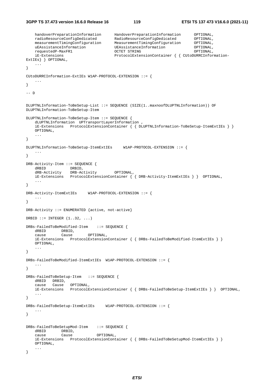```
 handoverPreparationInformation HandoverPreparationInformation OPTIONAL, 
 radioResourceConfigDedicated RadioResourceConfigDedicated OPTIONAL, 
 measurementTimingConfiguration MeasurementTimingConfiguration OPTIONAL, 
 uEAssistanceInformation UEAssistanceInformation OPTIONAL, 
 requestedP-MaxFR1 OCTET STRING OPTIONAL, 
    iE-Extensions ProtocolExtensionContainer { { CUtoDURRCInformation-
ExtIEs} } OPTIONAL, 
    ... 
} 
CUtoDURRCInformation-ExtIEs W1AP-PROTOCOL-EXTENSION ::= { 
 ... 
} 
-- D 
DLUPTNLInformation-ToBeSetup-List ::= SEQUENCE (SIZE(1..maxnoofDLUPTNLInformation)) OF 
DLUPTNLInformation-ToBeSetup-Item 
DLUPTNLInformation-ToBeSetup-Item ::= SEQUENCE { 
    dLUPTNLInformation UPTransportLayerInformation , 
    iE-Extensions ProtocolExtensionContainer { { DLUPTNLInformation-ToBeSetup-ItemExtIEs } }
    OPTIONAL, 
    ... 
} 
DLUPTNLInformation-ToBeSetup-ItemExtIEs W1AP-PROTOCOL-EXTENSION ::= { 
 ... 
} 
DRB-Activity-Item ::= SEQUENCE { 
dRBID DRBID,
 dRB-Activity DRB-Activity OPTIONAL, 
    iE-Extensions ProtocolExtensionContainer { { DRB-Activity-ItemExtIEs } } OPTIONAL, 
 ... 
} 
DRB-Activity-ItemExtIEs W1AP-PROTOCOL-EXTENSION ::= { 
    ... 
} 
DRB-Activity ::= ENUMERATED {active, not-active} 
DRBID  ::= INTEGER (1..32, ...)DRBs-FailedToBeModified-Item ::= SEQUENCE { 
    dRBID DRBID, 
    cause Cause OPTIONAL, 
    iE-Extensions ProtocolExtensionContainer { { DRBs-FailedToBeModified-ItemExtIEs } }
    OPTIONAL, 
 ... 
} 
DRBs-FailedToBeModified-ItemExtIEs W1AP-PROTOCOL-EXTENSION ::= { 
    ... 
} 
DRBs-FailedToBeSetup-Item ::= SEQUENCE { 
    dRBID DRBID, 
 cause Cause OPTIONAL, 
 iE-Extensions ProtocolExtensionContainer { { DRBs-FailedToBeSetup-ItemExtIEs } } OPTIONAL, 
    ... 
} 
DRBs-FailedToBeSetup-ItemExtIEs W1AP-PROTOCOL-EXTENSION ::= { 
    ... 
} 
DRBs-FailedToBeSetupMod-Item ::= SEQUENCE { 
    dRBID DRBID, 
    cause Cause OPTIONAL, 
    iE-Extensions ProtocolExtensionContainer { { DRBs-FailedToBeSetupMod-ItemExtIEs } }
    OPTIONAL, 
    ... 
}
```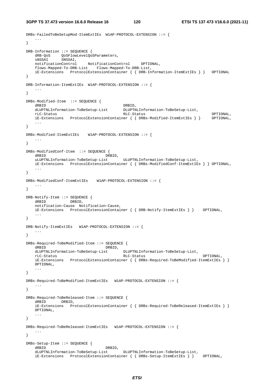**3GPP TS 37.473 version 16.6.0 Release 16 120 ETSI TS 137 473 V16.6.0 (2021-11)**

```
DRBs-FailedToBeSetupMod-ItemExtIEs W1AP-PROTOCOL-EXTENSION ::= { 
    ... 
} 
DRB-Information ::= SEQUENCE { 
dRB-QoS  QoSFlowLevelQoSParameters,
 sNSSAI SNSSAI, 
    notificationControl NotificationControl OPTIONAL, 
    flows-Mapped-To-DRB-List Flows-Mapped-To-DRB-List, 
    iE-Extensions ProtocolExtensionContainer { { DRB-Information-ItemExtIEs } } OPTIONAL 
} 
DRB-Information-ItemExtIEs W1AP-PROTOCOL-EXTENSION ::= { 
    ... 
} 
DRBs-Modified-Item ::= SEQUENCE { 
dRBID DRBID,
   dLUPTNLInformation-ToBeSetup-List DLUPTNLInformation-ToBeSetup-List,<br>
RLC-Status rLC-Status RLC-Status OPTIONAL, 
 iE-Extensions ProtocolExtensionContainer { { DRBs-Modified-ItemExtIEs } } OPTIONAL, 
    ... 
} 
DRBs-Modified-ItemExtIEs W1AP-PROTOCOL-EXTENSION ::= { 
 ... 
} 
DRBs-ModifiedConf-Item ::= SEQUENCE { 
    dRBID DRBID, 
    uLUPTNLInformation-ToBeSetup-List ULUPTNLInformation-ToBeSetup-List, 
    iE-Extensions ProtocolExtensionContainer { { DRBs-ModifiedConf-ItemExtIEs } } OPTIONAL, 
    ... 
} 
DRBs-ModifiedConf-ItemExtIEs W1AP-PROTOCOL-EXTENSION ::= { 
    ... 
} 
DRB-Notify-Item ::= SEQUENCE { 
    dRBID DRBID, 
    notification-Cause Notification-Cause, 
    iE-Extensions ProtocolExtensionContainer { { DRB-Notify-ItemExtIEs } } OPTIONAL, 
 ... 
} 
DRB-Notify-ItemExtIEs W1AP-PROTOCOL-EXTENSION ::= { 
 ... 
} 
DRBs-Required-ToBeModified-Item ::= SEQUENCE { 
   dRBID<br>dLUPTNLInformation-ToBeSetup-List DLUPTNLInformation-ToBeSetup-List,
   dLUPTNLInformation-ToBeSetup-List<br>rLC-Status
                                           rLC-Status RLC-Status OPTIONAL, 
    iE-Extensions ProtocolExtensionContainer { { DRBs-Required-ToBeModified-ItemExtIEs } }
    OPTIONAL, 
    ... 
} 
DRBs-Required-ToBeModified-ItemExtIEs W1AP-PROTOCOL-EXTENSION ::= { 
 ... 
} 
DRBs-Required-ToBeReleased-Item ::= SEQUENCE { 
    dRBID DRBID, 
    iE-Extensions ProtocolExtensionContainer { { DRBs-Required-ToBeReleased-ItemExtIEs } }
    OPTIONAL, 
    ... 
} 
DRBs-Required-ToBeReleased-ItemExtIEs W1AP-PROTOCOL-EXTENSION ::= { 
    ... 
} 
DRBs-Setup-Item ::= SEQUENCE { 
   dRBID<br>dLUPTNLInformation-ToBeSetup-List<br>DLUPTNLInformation-ToBeSetup-List<br>DLUPTNLInformation-ToBeSetup-List,
    dLUPTNLInformation-ToBeSetup-List DLUPTNLInformation-ToBeSetup-List, 
    iE-Extensions ProtocolExtensionContainer { { DRBs-Setup-ItemExtIEs } } OPTIONAL,
```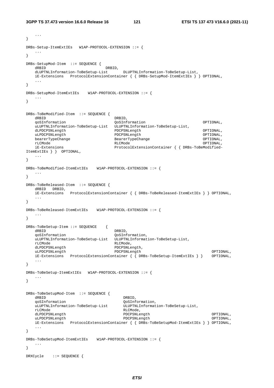```
3GPP TS 37.473 version 16.6.0 Release 16 121 ETSI TS 137 473 V16.6.0 (2021-11)
```
...

```
} 
DRBs-Setup-ItemExtIEs W1AP-PROTOCOL-EXTENSION ::= { 
    ... 
} 
DRBs-SetupMod-Item ::= SEQUENCE { 
dRBID DRBID,
    dLUPTNLInformation-ToBeSetup-List DLUPTNLInformation-ToBeSetup-List, 
 iE-Extensions ProtocolExtensionContainer { { DRBs-SetupMod-ItemExtIEs } } OPTIONAL, 
 ... 
} 
DRBs-SetupMod-ItemExtIEs W1AP-PROTOCOL-EXTENSION ::= { 
   ... 
} 
DRBs-ToBeModified-Item ::= SEQUENCE { 
  dRBID, DRBID,
    qoSInformation QoSInformation OPTIONAL, 
    uLUPTNLInformation-ToBeSetup-List ULUPTNLInformation-ToBeSetup-List, 
   dLPDCPSNLength PDCPSNLength OPTIONAL, 
  uLPDCPSNLength PDCPSNLength PDCPSNLength PDCPSNLength OPTIONAL,
   bearerTypeChange BearerTypeChange OPTIONAL, 
   rLCMode RLCMode OPTIONAL, 
    iE-Extensions ProtocolExtensionContainer { { DRBs-ToBeModified-
ItemExtIEs } } OPTIONAL, 
    ... 
} 
DRBs-ToBeModified-ItemExtIEs W1AP-PROTOCOL-EXTENSION ::= { 
 ... 
} 
DRBs-ToBeReleased-Item ::= SEQUENCE { 
   dRBID DRBID, 
   iE-Extensions ProtocolExtensionContainer { { DRBs-ToBeReleased-ItemExtIEs } } OPTIONAL, 
    ... 
} 
DRBs-ToBeReleased-ItemExtIEs W1AP-PROTOCOL-EXTENSION ::= { 
 ... 
} 
DRBs-ToBeSetup-Item ::= SEQUENCE { 
    dRBID DRBID, 
    qoSInformation QoSInformation, 
   uLUPTNLInformation-ToBeSetup-List ULUPTNLInformation-ToBeSetup-List, 
   rLCMode RLCMode, 
   dLPDCPSNLength PDCPSNLength, 
   uLPDCPSNLength PDCPSNLength OPTIONAL, 
    iE-Extensions ProtocolExtensionContainer { { DRBs-ToBeSetup-ItemExtIEs } } OPTIONAL, 
    ... 
} 
DRBs-ToBeSetup-ItemExtIEs W1AP-PROTOCOL-EXTENSION ::= { 
 ... 
} 
DRBs-ToBeSetupMod-Item ::= SEQUENCE { 
  dRBID, \overline{O} qoSInformation QoSInformation, 
  uLUPTNLInformation-ToBeSetup-List ULUPTNLInformation-ToBeSetup-List,<br>
rLCMode,
                                  RLCMode,<br>PDCPSNLength
   dLPDCPSNLength PDCPSNLength OPTIONAL, 
  uLPDCPSNLength PDCPSNLength PDCPSNLength OPTIONAL,
    iE-Extensions ProtocolExtensionContainer { { DRBs-ToBeSetupMod-ItemExtIEs } } OPTIONAL, 
    ... 
} 
DRBs-ToBeSetupMod-ItemExtIEs W1AP-PROTOCOL-EXTENSION ::= { 
   ... 
} 
DRXCycle ::= SEQUENCE {
```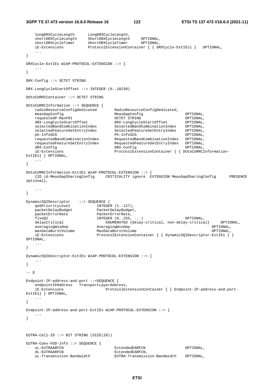**3GPP TS 37.473 version 16.6.0 Release 16 122 ETSI TS 137 473 V16.6.0 (2021-11)**

 longDRXCycleLength LongDRXCycleLength, shortDRXCycleLength ShortDRXCycleLength OPTIONAL, shortDRXCycleTimer ShortDRXCycleTimer OPTIONAL, iE-Extensions ProtocolExtensionContainer { { DRXCycle-ExtIEs} } OPTIONAL, ... } DRXCycle-ExtIEs W1AP-PROTOCOL-EXTENSION ::= { ... } DRX-Config ::= OCTET STRING DRX-LongCycleStartOffset ::= INTEGER (0..10239) DUtoCURRCContainer ::= OCTET STRING DUtoCURRCInformation ::= SEQUENCE { radioResourceConfigDedicated RadioResourceConfigDedicated,<br>measGapConfig<br>MeasGapConfig MeasGapConfig **Configure COPTIONAL**, requestedP-MaxFR1 OCTET STRING OPTIONAL, dRX-LongCycleStartOffset DRX-LongCycleStartOffset OPTIONAL, selectedBandCombinationIndex SelectedBandCombinationIndex OPTIONAL, selectedFeatureSetEntryIndex SelectedFeatureSetEntryIndex OPTIONAL, ph-InfoSCG Ph-InfoSCG OPTIONAL, requestedBandCombinationIndex RequestedBandCombinationIndex OPTIONAL, requestedFeatureSetEntryIndex RequestedFeatureSetEntryIndex OPTIONAL, dRX-Config DRX-Config OPTIONAL, iE-Extensions ProtocolExtensionContainer { { DUtoCURRCInformation-ExtIEs} } OPTIONAL, ... } DUtoCURRCInformation-ExtIEs W1AP-PROTOCOL-EXTENSION ::= { {ID id-MeasGapSharingConfig CRITICALITY ignore EXTENSION MeasGapSharingConfig PRESENCE optional}, ... } Dynamic5QIDescriptor ::= SEQUENCE { qoSPriorityLevel INTEGER (1..127), qoSPriorityLevel The Comment (1..127),<br>packetDelayBudget PacketDelayBudget, packetErrorRate PacketErrorRate, fiveQI INTEGER (0..255, ...) OPTIONAL, delayCritical ENUMERATED {delay-critical, non-delay-critical} OPTIONAL, averaging<br>Window Averaging<br>Window OPTIONAL, averagingWindow (2001) 2001 (2001) 2001 2013<br>AveragingWindow (2001) 2001<br>OPTIONAL, MaxDataBurstVolume (2001) maxDataBurstVolume MaxDataBurstVolume OPTIONAL, iE-Extensions ProtocolExtensionContainer { { Dynamic5QIDescriptor-ExtIEs } } OPTIONAL, ... } Dynamic5QIDescriptor-ExtIEs W1AP-PROTOCOL-EXTENSION ::= { ... } -- E Endpoint-IP-address-and-port ::=SEQUENCE { endpointIPAddress TransportLayerAddress, iE-Extensions ProtocolExtensionContainer { { Endpoint-IP-address-and-port-ExtIEs} } OPTIONAL, ... } Endpoint-IP-address-and-port-ExtIEs W1AP-PROTOCOL-EXTENSION ::= { ... } EUTRA-Cell-ID  $::=$  BIT STRING (SIZE(28)) EUTRA-Coex-FDD-Info ::= SEQUENCE { uL-EUTRAARFCN ExtendedEARFCN OPTIONAL,<br>dL-EUTRAARFCN ExtendedEARFCN, ExtendedEARFCN, uL-Transmission-Bandwidth EUTRA-Transmission-Bandwidth OPTIONAL,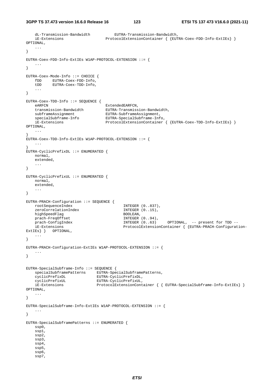```
 dL-Transmission-Bandwidth EUTRA-Transmission-Bandwidth, 
      iE-Extensions ProtocolExtensionContainer { {EUTRA-Coex-FDD-Info-ExtIEs} } 
OPTIONAL, 
      ... 
} 
EUTRA-Coex-FDD-Info-ExtIEs W1AP-PROTOCOL-EXTENSION ::= { 
 ... 
} 
EUTRA-Coex-Mode-Info ::= CHOICE { 
      fDD EUTRA-Coex-FDD-Info, 
      tDD EUTRA-Coex-TDD-Info, 
      ... 
} 
EUTRA-Coex-TDD-Info ::= SEQUENCE {<br>eARFCN
     eARFCN<br>transmission-Bandwidth EUTRA-Transmiss
    transmission-Bandwidth EUTRA-Transmission-Bandwidth,<br>subframeAssignment EUTRA-SubframeAssignment,
    subframeAssignment EUTRA-SubframeAssignment,<br>specialSubframe-Info EUTRA-SpecialSubframe-Inf
                                             specialSubframe-Info EUTRA-SpecialSubframe-Info, 
      iE-Extensions ProtocolExtensionContainer { {EUTRA-Coex-TDD-Info-ExtIEs} } 
OPTIONAL, 
      ... 
} 
EUTRA-Coex-TDD-Info-ExtIEs W1AP-PROTOCOL-EXTENSION ::= { 
     ... 
} 
EUTRA-CyclicPrefixDL ::= ENUMERATED { 
     normal, 
     extended, 
      ... 
} 
EUTRA-CyclicPrefixUL ::= ENUMERATED { 
     normal, 
     extended, 
      ... 
} 
EUTRA-PRACH-Configuration ::= SEQUENCE { 
    \begin{minipage}{.4cm} \begin{tabular}{l} \text{rootSequenceIndex} \end{tabular} \end{minipage} \begin{minipage}{.4cm} \begin{tabular}{l} \text{1} & \text{1} & \text{1} & \text{1} & \text{1} & \text{1} & \text{1} & \text{1} & \text{1} & \text{1} & \text{1} & \text{1} & \text{1} & \text{1} & \text{1} & \text{1} & \text{1} & \text{1} & \text{1} & \text{1} & \text{1} & \text{1} & \text{1} & \text{1} & \text{1} & \text{1} & \text{1} & \zeroCorrelationIndex
    highSpeedFlag BOOLEAN,
    prach-FreqOffset                                  INTEGER (0..94),<br>prach-ConfigIndex                           INTEGER (0..63)
    prach-ConfigIndex INTEGER (0..63) OPTIONAL, -- present for TDD --
     iE-Extensions ProtocolExtensionContainer { {EUTRA-PRACH-Configuration-
ExtIEs } } OPTIONAL,
     ... 
} 
EUTRA-PRACH-Configuration-ExtIEs W1AP-PROTOCOL-EXTENSION ::= { 
     ... 
} 
EUTRA-SpecialSubframe-Info ::= SEQUENCE { 
     specialSubframePatterns EUTRA-SpecialSubframePatterns, 
 cyclicPrefixDL EUTRA-CyclicPrefixDL, 
 cyclicPrefixUL EUTRA-CyclicPrefixUL, 
      iE-Extensions ProtocolExtensionContainer { { EUTRA-SpecialSubframe-Info-ExtIEs} } 
OPTIONAL, 
      ... 
} 
EUTRA-SpecialSubframe-Info-ExtIEs W1AP-PROTOCOL-EXTENSION ::= { 
     ... 
} 
EUTRA-SpecialSubframePatterns ::= ENUMERATED { 
      ssp0, 
      ssp1, 
      ssp2, 
      ssp3, 
      ssp4, 
      ssp5, 
      ssp6, 
      ssp7,
```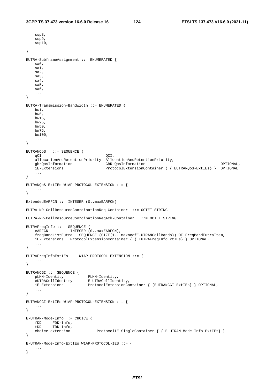```
 ssp8, 
    ssp9, 
    ssp10, 
     ... 
} 
EUTRA-SubframeAssignment ::= ENUMERATED { 
    sa0, 
    sa1, 
    sa2, 
    sa3, 
    sa4, 
    sa5, 
    sa6, 
    ... 
} 
EUTRA-Transmission-Bandwidth ::= ENUMERATED { 
    bw1, 
    bw6, 
    bw15, 
    bw25, 
    bw50, 
    bw75, 
    bw100, 
    ... 
} 
EUTRANQoS ::= SEQUENCE { 
qCI QCI,
 allocationAndRetentionPriority AllocationAndRetentionPriority, 
    gbrQosInformation GBR-QosInformation OPTIONAL, 
                                  ProtocolExtensionContainer { { EUTRANQoS-ExtIEs} } OPTIONAL,
     ... 
} 
EUTRANQoS-ExtIEs W1AP-PROTOCOL-EXTENSION ::= { 
    ... 
} 
ExtendedEARFCN ::= INTEGER (0..maxEARFCN) 
EUTRA-NR-CellResourceCoordinationReq-Container ::= OCTET STRING 
EUTRA-NR-CellResourceCoordinationReqAck-Container ::= OCTET STRING 
EUTRAFreqInfo ::= SEQUENCE { 
   eARFCN INTEGER (0..maxEARFCN),
    freqBandListEutra SEQUENCE (SIZE(1.. maxnoofE-UTRANCellBands)) OF FreqBandEutraItem, 
    iE-Extensions ProtocolExtensionContainer { { EUTRAFreqInfoExtIEs} } OPTIONAL, 
    ... 
} 
EUTRAFreqInfoExtIEs W1AP-PROTOCOL-EXTENSION ::= { 
   ... 
} 
EUTRANCGI ::= SEQUENCE { 
 pLMN-Identity PLMN-Identity, 
 eUTRACellIdentity E-UTRACellIdentity, 
    iE-Extensions ProtocolExtensionContainer { {EUTRANCGI-ExtIEs} } OPTIONAL, 
    ... 
} 
EUTRANCGI-ExtIEs W1AP-PROTOCOL-EXTENSION ::= { 
    ... 
} 
E-UTRAN-Mode-Info ::= CHOICE { 
    fDD FDD-Info, 
    tDD TDD-Info, 
    choice-extension ProtocolIE-SingleContainer { { E-UTRAN-Mode-Info-ExtIEs} } 
} 
E-UTRAN-Mode-Info-ExtIEs W1AP-PROTOCOL-IES ::= { 
    ... 
}
```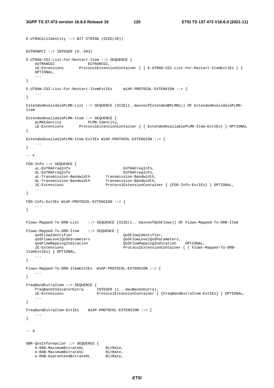$E$ -UTRACellIdentity ::= BIT STRING (SIZE(28))

```
EUTRANPCI ::= INTEGER (0..503)E-UTRAN-CGI-List-For-Restart-Item ::= SEQUENCE { 
eUTRANCGI EUTRANCGI,
 iE-Extensions ProtocolExtensionContainer { { E-UTRAN-CGI-List-For-Restart-ItemExtIEs } }
    OPTIONAL, 
    ... 
} 
E-UTRAN-CGI-List-For-Restart-ItemExtIEs W1AP-PROTOCOL-EXTENSION ::= {
    ... 
} 
ExtendedAvailablePLMN-List ::= SEQUENCE (SIZE(1..maxnoofExtendedBPLMNs)) OF ExtendedAvailablePLMN-
Item 
ExtendedAvailablePLMN-Item ::= SEQUENCE { 
    pLMNIdentity PLMN-Identity, 
    iE-Extensions ProtocolExtensionContainer { { ExtendedAvailablePLMN-Item-ExtIEs} } OPTIONAL 
} 
ExtendedAvailablePLMN-Item-ExtIEs W1AP-PROTOCOL-EXTENSION ::= { 
    ... 
} 
--- F
FDD-Info ::= SEQUENCE { 
   uL-EUTRAFreqInfo EUTRAFreqInfo, 
    dL-EUTRAFreqInfo EUTRAFreqInfo, 
 uL-Transmission-Bandwidth Transmission-Bandwidth, 
 dL-Transmission-Bandwidth Transmission-Bandwidth, 
    iE-Extensions ProtocolExtensionContainer { {FDD-Info-ExtIEs} } OPTIONAL, 
    ... 
} 
FDD-Info-ExtIEs W1AP-PROTOCOL-EXTENSION ::= { 
    ... 
} 
Flows-Mapped-To-DRB-List ::= SEQUENCE (SIZE(1.. maxnoofQoSFlows)) OF Flows-Mapped-To-DRB-Item 
Flows-Mapped-To-DRB-Item ::= SEQUENCE { 
    qoSFlowIdentifier QoSFlowIdentifier, 
    qoSFlowLevelQoSParameters QoSFlowLevelQoSParameters, 
    qoSFlowMappingIndication QoSFlowMappingIndication OPTIONAL, 
    iE-Extensions ProtocolExtensionContainer { { Flows-Mapped-To-DRB-
ItemExtIEs} } OPTIONAL, 
    ... 
} 
Flows-Mapped-To-DRB-ItemExtIEs W1AP-PROTOCOL-EXTENSION ::= { 
 ... 
} 
FreqBandEutraItem ::= SEQUENCE { 
 freqBandIndicatorEutra INTEGER (1.. maxBandsEutra), 
 iE-Extensions ProtocolExtensionContainer { {FreqBandEutraItem-ExtIEs} } OPTIONAL, 
 ... 
} 
FreqBandEutraItem-ExtIEs W1AP-PROTOCOL-EXTENSION ::= { 
    ... 
} 
-- G 
GBR-QosInformation ::= SEQUENCE { 
e-RAB-MaximumBitrateDL BitRate,
e-RAB-MaximumBitrateUL BitRate,
   e-RAB-GuaranteedBitrateDL BitRate,
```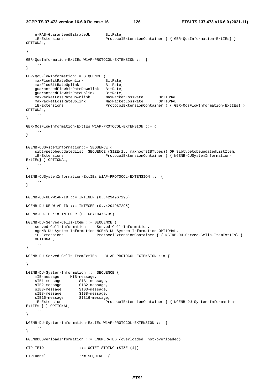```
e-RAB-GuaranteedBitrateUL BitRate,
    iE-Extensions ProtocolExtensionContainer { { GBR-QosInformation-ExtIEs} } 
OPTIONAL, 
 ... 
} 
GBR-QosInformation-ExtIEs W1AP-PROTOCOL-EXTENSION ::= { 
 ... 
} 
GBR-QoSFlowInformation::= SEQUENCE { 
   www.communited.community.community.community.community.community.community.community.com
   maxFlowBitRateUplink BitRate,
    guaranteedFlowBitRateDownlink BitRate, 
 guaranteedFlowBitRateUplink BitRate, 
 maxPacketLossRateDownlink MaxPacketLossRate OPTIONAL, 
 maxPacketLossRateUplink MaxPacketLossRate OPTIONAL, 
 iE-Extensions ProtocolExtensionContainer { { GBR-QosFlowInformation-ExtIEs} } 
OPTIONAL, 
    ... 
} 
GBR-QosFlowInformation-ExtIEs W1AP-PROTOCOL-EXTENSION ::= { 
    ... 
} 
NGENB-CUSystemInformation::= SEQUENCE { 
    sibtypetobeupdatedlist SEQUENCE (SIZE(1.. maxnoofSIBTypes)) OF SibtypetobeupdatedListItem, 
    iE-Extensions ProtocolExtensionContainer { { NGENB-CUSystemInformation-
ExtIEs} } OPTIONAL, 
    ... 
} 
NGENB-CUSystemInformation-ExtIEs W1AP-PROTOCOL-EXTENSION ::= { 
    ... 
} 
NGENB-CU-UE-W1AP-ID ::= INTEGER (0..4294967295) 
NGENB-DU-UE-W1AP-ID ::= INTEGR (0..4294967295)NGENB-DU-ID ::= INTEGER (0..68719476735) 
NGENB-DU-Served-Cells-Item ::= SEQUENCE { 
    served-Cell-Information Served-Cell-Information, 
    ngeNB-DU-System-Information NGENB-DU-System-Information OPTIONAL, 
    iE-Extensions ProtocolExtensionContainer { { NGENB-DU-Served-Cells-ItemExtIEs} }
    OPTIONAL, 
    ... 
} 
NGENB-DU-Served-Cells-ItemExtIEs W1AP-PROTOCOL-EXTENSION ::= { 
    ... 
} 
NGENB-DU-System-Information ::= SEQUENCE { 
   mIB-message MIB-message,
   sIB1-message SIB1-message,<br>sIB2-message since
   sIB2-message SIB2-message,
sIB3-message SIB3-message,
sIB8-message SIB8-message,
 sIB16-message SIB16-message, 
                     SIB16-message,<br>ProtocolExtensionContainer { { NGENB-DU-System-Information-
ExtIEs } } OPTIONAL, 
    ... 
} 
NGENB-DU-System-Information-ExtIEs W1AP-PROTOCOL-EXTENSION ::= { 
 ... 
} 
NGENBDUOverloadInformation ::= ENUMERATED {overloaded, not-overloaded} 
GTP-TEID ::= OCTET STRING (SIZE (4))
GTPTunnel ::= SEQUENCE {
```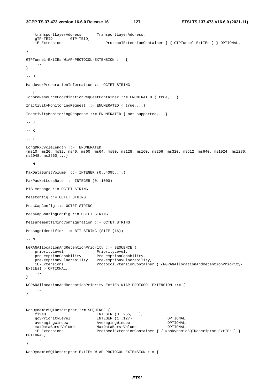```
3GPP TS 37.473 version 16.6.0 Release 16 127 ETSI TS 137 473 V16.6.0 (2021-11)
```

```
 transportLayerAddress TransportLayerAddress, 
    gTP-TEID GTP-TEID, 
    iE-Extensions ProtocolExtensionContainer { { GTPTunnel-ExtIEs } } OPTIONAL, 
 ... 
} 
GTPTunnel-ExtIEs W1AP-PROTOCOL-EXTENSION ::= { 
     ... 
} 
-- H 
HandoverPreparationInformation ::= OCTET STRING 
-- I 
IgnoreResourceCoordinationRequestContainer ::= ENUMERATED { true,...} 
InactivityMonitoringRequest ::= ENUMERATED { true,...} 
InactivityMonitoringResponse ::= ENUMERATED { not-supported,...} 
-- J 
-- K 
-- L 
LongDRXCycleLength ::= ENUMERATED 
{ms10, ms20, ms32, ms40, ms60, ms64, ms80, ms128, ms160, ms256, ms320, ms512, ms640, ms1024, ms1280, 
ms2048, ms2560,...} 
-- M 
MaxDataBurstVolume ::= INTEGER (0..4095,...) 
MaxPacketLossRate ::= INTEGER (0..1000) 
MIB-message ::= OCTET STRING 
MeasConfig ::= OCTET STRING 
MeasGapConfig ::= OCTET STRING 
MeasGapSharingConfig ::= OCTET STRING 
MeasurementTimingConfiguration ::= OCTET STRING 
MessageIdentifier ::= BIT STRING (SIZE (16)) 
-- N 
NGRANAllocationAndRetentionPriority ::= SEQUENCE { 
priorityLevel PriorityLevel,
 pre-emptionCapability Pre-emptionCapability, 
 pre-emptionVulnerability Pre-emptionVulnerability, 
    iE-Extensions ProtocolExtensionContainer { {NGRANAllocationAndRetentionPriority-
ExtIEs} } OPTIONAL, 
     ... 
} 
NGRANAllocationAndRetentionPriority-ExtIEs W1AP-PROTOCOL-EXTENSION ::= { 
    ... 
} 
NonDynamic5QIDescriptor ::= SEQUENCE { 
   fiveQI <br>
qoSPriorityLevel INTEGER (1..127)
                              INTEGER (1..127) OPTIONAL,
    averagingWindow AveragingWindow OPTIONAL, 
   maxDataBurstVolume MaxDataBurstVolume MaxDataBurstVolume OPTIONAL,
     iE-Extensions ProtocolExtensionContainer { { NonDynamic5QIDescriptor-ExtIEs } } 
OPTIONAL, 
     ... 
} 
NonDynamic5QIDescriptor-ExtIEs W1AP-PROTOCOL-EXTENSION ::= { 
     ...
```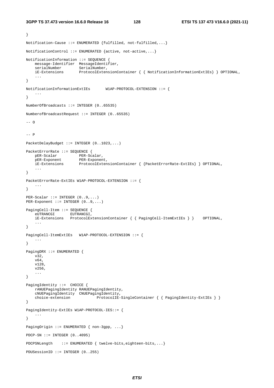```
} 
Notification-Cause ::= ENUMERATED {fulfilled, not-fulfilled,...} 
NotificationControl ::= ENUMERATED {active, not-active,...} 
NotificationInformation ::= SEQUENCE { 
    message-Identifier MessageIdentifier, 
    serialNumber SerialNumber,
     iE-Extensions ProtocolExtensionContainer { { NotificationInformationExtIEs} } OPTIONAL, 
     ... 
} 
NotificationInformationExtIEs W1AP-PROTOCOL-EXTENSION ::= { 
     ... 
} 
NumberOfBroadcasts ::= INTEGER (0..65535) 
NumberofBroadcastRequest ::= INTEGER (0..65535) 
-- O 
--- P
PacketDelayBudget ::= INTEGER (0..1023,...) 
PacketErrorRate ::= SEQUENCE { 
   pER-Scalar PER-Scalar,
    pER-Exponent PER-Exponent,<br>iE-Extensions ProtocolExten
                       ProtocolExtensionContainer { {PacketErrorRate-ExtIEs} } OPTIONAL,
     ... 
} 
PacketErrorRate-ExtIEs W1AP-PROTOCOL-EXTENSION ::= { 
     ... 
} 
PER-Scalar ::= INTEGER (0..9,...) 
PER-Exponent ::= INTEGER (0..9, ...)PagingCell-Item ::= SEQUENCE { 
     eUTRANCGI EUTRANCGI, 
     iE-Extensions ProtocolExtensionContainer { { PagingCell-ItemExtIEs } } OPTIONAL, 
     ... 
} 
PagingCell-ItemExtIEs W1AP-PROTOCOL-EXTENSION ::= { 
     ... 
} 
PagingDRX ::= ENUMERATED { 
     v32, 
     v64, 
     v128, 
     v256, 
     ... 
} 
PagingIdentity ::= CHOICE {
     rANUEPagingIdentity RANUEPagingIdentity, 
     cNUEPagingIdentity CNUEPagingIdentity, 
    choice-extension ProtocolIE-SingleContainer { { PagingIdentity-ExtIEs } }
} 
PagingIdentity-ExtIEs W1AP-PROTOCOL-IES::= { 
     ... 
} 
PagingOrigin ::= ENUMERATED { non-3gpp, ...}
PDCP-SN ::= INTEGER (0..4095) 
PDCPSNLength ::= ENUMERATED { twelve-bits,eighteen-bits,...}
PDUSessionID ::= INTEGER (0..255)
```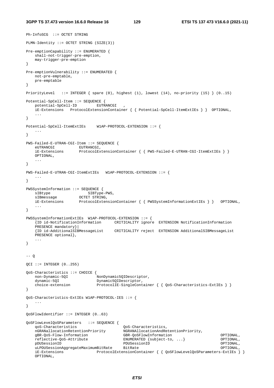```
3GPP TS 37.473 version 16.6.0 Release 16 129 ETSI TS 137 473 V16.6.0 (2021-11)
```

```
Ph-InfoSCG ::= OCTET STRING 
PLMN-Identity ::= OCTET STRING (SIZE(3)) 
Pre-emptionCapability ::= ENUMERATED { 
   shall-not-trigger-pre-emption, 
    may-trigger-pre-emption 
} 
Pre-emptionVulnerability ::= ENUMERATED { 
   not-pre-emptable, 
    pre-emptable 
} 
PriorityLevel ::= INTEGER { spare (0), highest (1), lowest (14), no-priority (15) } (0..15) 
Potential-SpCell-Item ::= SEQUENCE { 
    potential-SpCell-ID EUTRANCGI , 
    iE-Extensions ProtocolExtensionContainer { { Potential-SpCell-ItemExtIEs } } OPTIONAL, 
    ... 
} 
Potential-SpCell-ItemExtIEs W1AP-PROTOCOL-EXTENSION ::= { 
 ... 
} 
PWS-Failed-E-UTRAN-CGI-Item ::= SEQUENCE { 
eUTRANCGI EUTRANCGI,
 iE-Extensions ProtocolExtensionContainer { { PWS-Failed-E-UTRAN-CGI-ItemExtIEs } }
    OPTIONAL, 
 ... 
} 
PWS-Failed-E-UTRAN-CGI-ItemExtIEs W1AP-PROTOCOL-EXTENSION ::= { 
    ... 
} 
PWSSystemInformation ::= SEQUENCE { 
sIBtype SIBType-PWS,
sIBmessage OCTET STRING,
    iE-Extensions ProtocolExtensionContainer { { PWSSystemInformationExtIEs } } OPTIONAL, 
    ... 
} 
PWSSystemInformationExtIEs W1AP-PROTOCOL-EXTENSION ::= { 
    {ID id-NotificationInformation CRITICALITY ignore EXTENSION NotificationInformation 
    PRESENCE mandatory}| 
    {ID id-AdditionalSIBMessageList CRITICALITY reject EXTENSION AdditionalSIBMessageList 
    PRESENCE optional}, 
    ... 
} 
--- 0OCI ::= INTEGER (0.255)QoS-Characteristics ::= CHOICE { 
   non-Dynamic-5QI NonDynamic5QIDescriptor,
   dynamic-5QI Dynamic5OIDescriptor.
   choice-extension ProtocolIE-SingleContainer { { QoS-Characteristics-ExtIEs } }
} 
QoS-Characteristics-ExtIEs W1AP-PROTOCOL-IES ::= { 
 ... 
} 
QoSFlowIdentifier ::= INTEGER (0..63) 
QoSFlowLevelQoSParameters ::= SEQUENCE { 
    qoS-Characteristics QoS-Characteristics, 
    nGRANallocationRetentionPriority NGRANAllocationAndRetentionPriority, 
    gBR-QoS-Flow-Information GBR-QoSFlowInformation OPTIONAL, 
    reflective-QoS-Attribute ENUMERATED {subject-to, ...} OPTIONAL, 
    pDUSessionID PDUSessionID OPTIONAL, 
    uLPDUSessionAggregateMaximumBitRate BitRate OPTIONAL, 
    iE-Extensions ProtocolExtensionContainer { { QoSFlowLevelQoSParameters-ExtIEs } }
    OPTIONAL,
```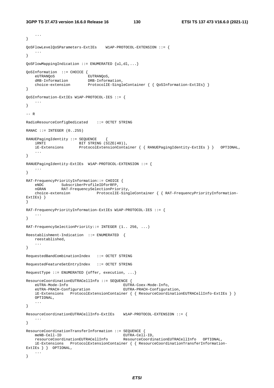```
 ... 
} 
QoSFlowLevelQoSParameters-ExtIEs W1AP-PROTOCOL-EXTENSION ::= { 
    ... 
} 
QoSFlowMappingIndication ::= ENUMERATED {ul,dl,...} 
QoSInformation ::= CHOICE { 
  eUTRANQoS EUTRANQoS,
 dRB-Information DRB-Information, 
 choice-extension ProtocolIE-SingleContainer { { QoSInformation-ExtIEs} } 
} 
QoSInformation-ExtIEs W1AP-PROTOCOL-IES ::= { 
   ... 
} 
--- RRadioResourceConfigDedicated ::= OCTET STRING 
RANAC ::= INTEGER (0..255)RANUEPagingIdentity ::= SEQUENCE { 
 iRNTI BIT STRING (SIZE(40)), 
 iE-Extensions ProtocolExtensionContainer { { RANUEPagingIdentity-ExtIEs } } OPTIONAL, 
 ... 
} 
RANUEPagingIdentity-ExtIEs W1AP-PROTOCOL-EXTENSION ::= { 
   ... 
} 
RAT-FrequencyPriorityInformation::= CHOICE { 
 eNDC SubscriberProfileIDforRFP, 
 nGRAN RAT-FrequencySelectionPriority, 
    choice-extension ProtocolIE-SingleContainer { { RAT-FrequencyPriorityInformation-
ExtIEs} } 
} 
RAT-FrequencyPriorityInformation-ExtIEs W1AP-PROTOCOL-IES ::= { 
 ... 
} 
RAT-FrequencySelectionPriority::= INTEGER (1.. 256, ...) 
Reestablishment-Indication ::= ENUMERATED { 
   reestablished, 
    ... 
} 
RequestedBandCombinationIndex ::= OCTET STRING 
RequestedFeatureSetEntryIndex ::= OCTET STRING 
RequestType  ::= ENUMERATED {offer, execution, ...}
ResourceCoordinationEUTRACellInfo ::= SEQUENCE { 
    eUTRA-Mode-Info EUTRA-Coex-Mode-Info, 
    eUTRA-PRACH-Configuration EUTRA-PRACH-Configuration, 
    iE-Extensions ProtocolExtensionContainer { { ResourceCoordinationEUTRACellInfo-ExtIEs } }
    OPTIONAL, 
    ... 
} 
ResourceCoordinationEUTRACellInfo-ExtIEs W1AP-PROTOCOL-EXTENSION ::= { 
 ... 
} 
ResourceCoordinationTransferInformation ::= SEQUENCE { 
  meNB-Cell-ID EUTRA-Cell-ID,
    resourceCoordinationEUTRACellInfo ResourceCoordinationEUTRACellInfo OPTIONAL, 
    iE-Extensions ProtocolExtensionContainer { { ResourceCoordinationTransferInformation-
ExtIEs } } OPTIONAL, 
    ... 
}
```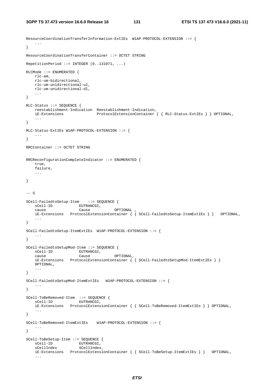```
ResourceCoordinationTransferInformation-ExtIEs W1AP-PROTOCOL-EXTENSION ::= { 
    ... 
} 
ResourceCoordinationTransferContainer ::= OCTET STRING 
RepetitionPeriod  ::= INTEGER (0..131071, ...)RLCMode ::= ENUMERATED { 
   rlc-am, 
    rlc-um-bidirectional, 
    rlc-um-unidirectional-ul, 
    rlc-um-unidirectional-dl, 
    ... 
} 
RLC-Status ::= SEQUENCE { 
    reestablishment-Indication Reestablishment-Indication, 
                              ProtocolExtensionContainer { { RLC-Status-ExtIEs } } OPTIONAL,
    ... 
} 
RLC-Status-ExtIEs W1AP-PROTOCOL-EXTENSION ::= { 
    ... 
} 
RRCContainer ::= OCTET STRING 
RRCReconfigurationCompleteIndicator ::= ENUMERATED { 
    true, 
    failure, 
    ... 
} 
-- S
SCell-FailedtoSetup-Item ::= SEQUENCE { 
   sCell-ID EUTRANCGI,
 cause Cause OPTIONAL , 
 iE-Extensions ProtocolExtensionContainer { { SCell-FailedtoSetup-ItemExtIEs } } OPTIONAL, 
    ... 
} 
SCell-FailedtoSetup-ItemExtIEs W1AP-PROTOCOL-EXTENSION ::= { 
    ... 
} 
SCell-FailedtoSetupMod-Item ::= SEQUENCE { 
sCell-ID EUTRANCGI,
 cause Cause OPTIONAL, 
    iE-Extensions ProtocolExtensionContainer { { SCell-FailedtoSetupMod-ItemExtIEs } }
    OPTIONAL, 
     ... 
} 
SCell-FailedtoSetupMod-ItemExtIEs W1AP-PROTOCOL-EXTENSION ::= { 
    ... 
} 
SCell-ToBeRemoved-Item ::= SEQUENCE { 
   sCell-ID EUTRANCGI,
    iE-Extensions ProtocolExtensionContainer { { SCell-ToBeRemoved-ItemExtIEs } } OPTIONAL, 
    ... 
} 
SCell-ToBeRemoved-ItemExtIEs W1AP-PROTOCOL-EXTENSION ::= { 
    ... 
} 
SCell-ToBeSetup-Item ::= SEQUENCE { 
sCell-ID EUTRANCGI,
sCellIndex SCellIndex,
    iE-Extensions ProtocolExtensionContainer { { SCell-ToBeSetup-ItemExtIEs } } OPTIONAL, 
     ...
```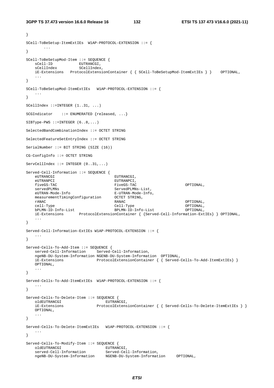}

```
SCell-ToBeSetup-ItemExtIEs W1AP-PROTOCOL-EXTENSION ::= { 
 ... 
} 
SCell-ToBeSetupMod-Item ::= SEQUENCE { 
sCell-ID EUTRANCGI,
sCellIndex SCellIndex,
    iE-Extensions ProtocolExtensionContainer { { SCell-ToBeSetupMod-ItemExtIEs } } OPTIONAL, 
 ... 
} 
SCell-ToBeSetupMod-ItemExtIEs W1AP-PROTOCOL-EXTENSION ::= { 
    ... 
} 
SCellIndex ::=INTEGER (1..31, ...) 
SCGIndicator ::= ENUMERATED {released, ...}
SIBType-PWS ::=INTER (6..8,...)SelectedBandCombinationIndex ::= OCTET STRING 
SelectedFeatureSetEntryIndex ::= OCTET STRING 
SerialNumber ::= BIT STRING (SIZE (16)) 
CG-ConfigInfo ::= OCTET STRING 
ServeCellIndex ::= INTEGR (0..31, ...)Served-Cell-Information ::= SEQUENCE { 
   eUTRANCGI EUTRANCGI,
    eUTRANPCI EUTRANPCI, 
    fiveGS-TAC FiveGS-TAC OPTIONAL, 
   servedPLMNs ServedPLMNs-List,
    eUTRAN-Mode-Info E-UTRAN-Mode-Info, 
    measurementTimingConfiguration OCTET STRING, 
 rANAC RANAC OPTIONAL, 
 cell-Type Cell-Type OPTIONAL, 
 bPLMN-ID-Info-List BPLMN-ID-Info-List OPTIONAL, 
 iE-Extensions ProtocolExtensionContainer { {Served-Cell-Information-ExtIEs} } OPTIONAL, 
    ... 
} 
Served-Cell-Information-ExtIEs W1AP-PROTOCOL-EXTENSION ::= { 
    ... 
} 
Served-Cells-To-Add-Item ::= SEQUENCE { 
   served-Cell-Information Served-Cell-Information, 
    ngeNB-DU-System-Information NGENB-DU-System-Information OPTIONAL, 
                        ProtocolExtensionContainer { { Served-Cells-To-Add-ItemExtIEs} }
    OPTIONAL, 
    ... 
} 
Served-Cells-To-Add-ItemExtIEs W1AP-PROTOCOL-EXTENSION ::= { 
 ... 
} 
Served-Cells-To-Delete-Item ::= SEQUENCE { 
  oldEUTRANCGI EUTRANCGI,<br>iE-Extensions ProtocolExtens
                          ProtocolExtensionContainer { { Served-Cells-To-Delete-ItemExtIEs } }
    OPTIONAL, 
    ... 
} 
Served-Cells-To-Delete-ItemExtIEs W1AP-PROTOCOL-EXTENSION ::= { 
    ... 
} 
Served-Cells-To-Modify-Item ::= SEQUENCE { 
oldEUTRANCGI EUTRANCGI,
 served-Cell-Information Served-Cell-Information, 
    ngeNB-DU-System-Information NGENB-DU-System-Information OPTIONAL,
```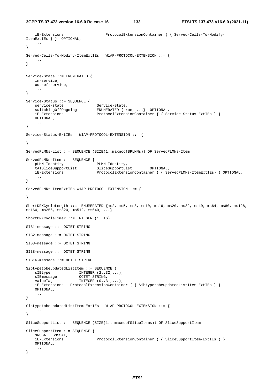```
 iE-Extensions ProtocolExtensionContainer { { Served-Cells-To-Modify-
ItemExtIEs } } OPTIONAL, 
     ... 
} 
Served-Cells-To-Modify-ItemExtIEs W1AP-PROTOCOL-EXTENSION ::= { 
 ... 
} 
Service-State ::= ENUMERATED { 
     in-service, 
     out-of-service, 
     ... 
} 
Service-Status ::= SEQUENCE { 
service-state Service-State,
 switchingOffOngoing ENUMERATED {true, ...} OPTIONAL, 
iE-Extensions ProtocolExtensionContainer { { Service-Status-ExtIEs } }
    OPTIONAL, 
     ... 
} 
Service-Status-ExtIEs W1AP-PROTOCOL-EXTENSION ::= { 
 ... 
} 
ServedPLMNs-List ::= SEQUENCE (SIZE(1..maxnoofBPLMNs)) OF ServedPLMNs-Item 
ServedPLMNs-Item ::= SEQUENCE {<br>pLMN-Identity PLMN-Identity,
   pLMN-Identity PLMN-Identity,<br>tAISliceSupportList SliceSupportList
     tAISliceSupportList SliceSupportList OPTIONAL, 
    iE-Extensions ProtocolExtensionContainer { { ServedPLMNs-ItemExtIEs} } OPTIONAL, 
     ... 
} 
ServedPLMNs-ItemExtIEs W1AP-PROTOCOL-EXTENSION ::= { 
    ... 
} 
ShortDRXCycleLength ::= ENUMERATED {ms2, ms5, ms8, ms10, ms16, ms20, ms32, ms40, ms64, ms80, ms128, 
\text{ms160}, \text{ms256}, \text{ms320}, \text{ms512}, \text{ms640}, \ldotsShortDRXCycleTimer ::= INTEGER (1..16) 
SIB1-message ::= OCTET STRING 
SIB2-message ::= OCTET STRING 
SIB3-message ::= OCTET STRING 
SIB8-message ::= OCTET STRING 
SIB16-message ::= OCTET STRING 
SibtypetobeupdatedListItem ::= SEQUENCE { 
   sIBtype INTEGER (2..32, ...),
   SIBtype -----<br>SIBmessage OCTET STRING,<br>המראשיתית המדינות המדינות המדינות ה
    valueTag INTEGER (0..31,...),
     iE-Extensions ProtocolExtensionContainer { { SibtypetobeupdatedListItem-ExtIEs } }
     OPTIONAL, 
     ... 
} 
SibtypetobeupdatedListItem-ExtIEs W1AP-PROTOCOL-EXTENSION ::= { 
    ... 
} 
SliceSupportList ::= SEQUENCE (SIZE(1.. maxnoofSliceItems)) OF SliceSupportItem
SliceSupportItem ::= SEQUENCE { 
   sNSSAI SNSSAI,<br>iE-Extensions
                                 ProtocolExtensionContainer { { SliceSupportItem-ExtIEs } }
    OPTIONAL, 
     ... 
}
```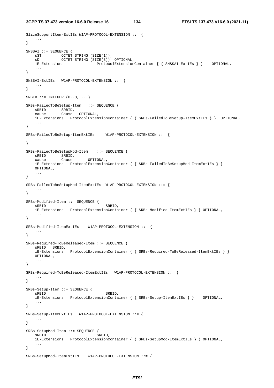```
3GPP TS 37.473 version 16.6.0 Release 16 134 ETSI TS 137 473 V16.6.0 (2021-11)
```

```
SliceSupportItem-ExtIEs W1AP-PROTOCOL-EXTENSION ::= { 
    ... 
} 
SNSSAI ::= SEQUENCE { 
 sST OCTET STRING (SIZE(1)), 
 sD OCTET STRING (SIZE(3)) OPTIONAL, 
    iE-Extensions ProtocolExtensionContainer { { SNSSAI-ExtIEs } } OPTIONAL, 
 ... 
} 
SNSSAI-ExtIEs W1AP-PROTOCOL-EXTENSION ::= { 
    ... 
} 
SRBID  ::= INTEGER (0..3, ...)SRBs-FailedToBeSetup-Item ::= SEQUENCE { 
    sRBID SRBID, 
    cause Cause OPTIONAL, 
    iE-Extensions ProtocolExtensionContainer { { SRBs-FailedToBeSetup-ItemExtIEs } } OPTIONAL, 
    ... 
} 
SRBs-FailedToBeSetup-ItemExtIEs W1AP-PROTOCOL-EXTENSION ::= { 
 ... 
} 
SRBs-FailedToBeSetupMod-Item ::= SEQUENCE { 
   sRBID SRBID,
    cause Cause OPTIONAL, 
    iE-Extensions ProtocolExtensionContainer { { SRBs-FailedToBeSetupMod-ItemExtIEs } }
    OPTIONAL, 
    ... 
} 
SRBs-FailedToBeSetupMod-ItemExtIEs W1AP-PROTOCOL-EXTENSION ::= { 
 ... 
} 
SRBs-Modified-Item ::= SEQUENCE { 
  sRBID SRBID,
    iE-Extensions ProtocolExtensionContainer { { SRBs-Modified-ItemExtIEs } } OPTIONAL, 
 ... 
} 
SRBs-Modified-ItemExtIEs W1AP-PROTOCOL-EXTENSION ::= { 
 ... 
} 
SRBs-Required-ToBeReleased-Item ::= SEQUENCE { 
    sRBID SRBID, 
    iE-Extensions ProtocolExtensionContainer { { SRBs-Required-ToBeReleased-ItemExtIEs } }
    OPTIONAL, 
    ... 
} 
SRBs-Required-ToBeReleased-ItemExtIEs W1AP-PROTOCOL-EXTENSION ::= { 
 ... 
} 
SRBs-Setup-Item ::= SEQUENCE { 
  sRBID SRBID,
    iE-Extensions ProtocolExtensionContainer { { SRBs-Setup-ItemExtIEs } } OPTIONAL, 
 ... 
} 
SRBs-Setup-ItemExtIEs W1AP-PROTOCOL-EXTENSION ::= { 
 ... 
} 
SRBs-SetupMod-Item ::= SEQUENCE { 
  sRBID SRBID,
    iE-Extensions ProtocolExtensionContainer { { SRBs-SetupMod-ItemExtIEs } } OPTIONAL, 
    ... 
} 
SRBs-SetupMod-ItemExtIEs W1AP-PROTOCOL-EXTENSION ::= {
```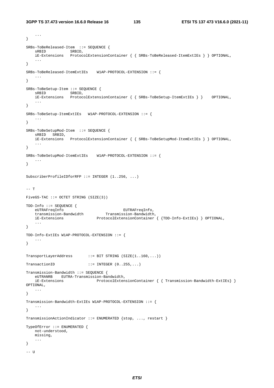...

```
} 
SRBs-ToBeReleased-Item ::= SEQUENCE { 
    sRBID SRBID, 
    iE-Extensions ProtocolExtensionContainer { { SRBs-ToBeReleased-ItemExtIEs } } OPTIONAL, 
     ... 
} 
SRBs-ToBeReleased-ItemExtIEs W1AP-PROTOCOL-EXTENSION ::= { 
    ... 
} 
SRBs-ToBeSetup-Item ::= SEQUENCE {<br>sRBID SRBID.
                   SRBID,
    iE-Extensions ProtocolExtensionContainer { { SRBs-ToBeSetup-ItemExtIEs } } OPTIONAL, 
 ... 
} 
SRBs-ToBeSetup-ItemExtIEs W1AP-PROTOCOL-EXTENSION ::= { 
    ... 
} 
SRBs-ToBeSetupMod-Item ::= SEQUENCE { 
    sRBID SRBID, 
    iE-Extensions ProtocolExtensionContainer { { SRBs-ToBeSetupMod-ItemExtIEs } } OPTIONAL, 
    ... 
} 
SRBs-ToBeSetupMod-ItemExtIEs W1AP-PROTOCOL-EXTENSION ::= { 
    ... 
} 
SubscriberProfileIDforRFP ::= INTEGER (1..256, ...) 
-- T 
FiveGS-TAC ::= OCTET STRING (SIZE(3)) 
TDD-Info ::= SEQUENCE {<br>eUTRAFreqInfo
 eUTRAFreqInfo EUTRAFreqInfo, 
 transmission-Bandwidth Transmission-Bandwidth, 
 iE-Extensions ProtocolExtensionContainer { {TDD-Info-ExtIEs} } OPTIONAL, 
    ... 
} 
TDD-Info-ExtIEs W1AP-PROTOCOL-EXTENSION ::= { 
   ... 
} 
TransportLayerAddress ::= BIT STRING (SIZE(1..160,...)) 
TransactionID ::= INTEGER (0..255...)Transmission-Bandwidth ::= SEQUENCE { 
    eUTRANRB EUTRA-Transmission-Bandwidth, 
    iE-Extensions ProtocolExtensionContainer { { Transmission-Bandwidth-ExtIEs} } 
OPTIONAL, 
    ... 
} 
Transmission-Bandwidth-ExtIEs W1AP-PROTOCOL-EXTENSION ::= { 
    ... 
} 
TransmissionActionIndicator ::= ENUMERATED {stop, ..., restart } 
TypeOfError ::= ENUMERATED { 
    not-understood, 
    missing, 
    ... 
} 
-- U
```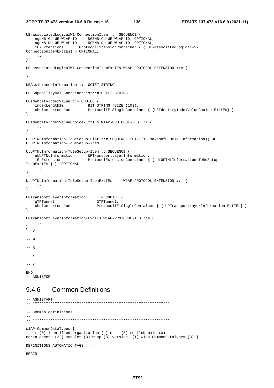**3GPP TS 37.473 version 16.6.0 Release 16 136 ETSI TS 137 473 V16.6.0 (2021-11)**

```
UE-associatedLogicalW1-ConnectionItem ::= SEQUENCE { 
 ngeNB-CU-UE-W1AP-ID NGENB-CU-UE-W1AP-ID OPTIONAL, 
 ngeNB-DU-UE-W1AP-ID NGENB-DU-UE-W1AP-ID OPTIONAL, 
    iE-Extensions ProtocolExtensionContainer { { UE-associatedLogicalW1-
ConnectionItemExtIEs} } OPTIONAL, 
     ... 
} 
UE-associatedLogicalW1-ConnectionItemExtIEs W1AP-PROTOCOL-EXTENSION ::= { 
     ... 
} 
UEAssistanceInformation ::= OCTET STRING 
UE-CapabilityRAT-ContainerList::= OCTET STRING 
UEIdentityIndexValue ::= CHOICE {<br>indexLength10 BIT S<br>choice-extension Proto
                            BIT STRING (SIZE (10)),
                           ProtocolIE-SingleContainer { {UEIdentityIndexValueChoice-ExtIEs} }
} 
UEIdentityIndexValueChoice-ExtIEs W1AP-PROTOCOL-IES ::= { 
    ... 
} 
ULUPTNLInformation-ToBeSetup-List ::= SEQUENCE (SIZE(1..maxnoofULUPTNLInformation)) OF 
ULUPTNLInformation-ToBeSetup-Item 
ULUPTNLInformation-ToBeSetup-Item ::=SEQUENCE { 
    uLUPTNLInformation UPTransportLayerInformation, 
     iE-Extensions ProtocolExtensionContainer { { ULUPTNLInformation-ToBeSetup-
ItemExtIEs } } OPTIONAL, 
     ... 
} 
ULUPTNLInformation-ToBeSetup-ItemExtIEs W1AP-PROTOCOL-EXTENSION ::= { 
     ... 
} 
UPTransportLayerInformation ::= CHOICE { 
   gTPTunnel GTPTunnel,<br>choice-extension ProtocolIE
                                 ProtocolIE-SingleContainer { ÜPTransportLayerInformation-ExtIES } }
} 
UPTransportLayerInformation-ExtIEs W1AP-PROTOCOL-IES ::= { 
    ... 
} 
-<br>-- v
-- W 
-- X 
-- Y
-- 7.END 
-- ASN1STOP 
9.4.6 Common Definitions 
- ASN1START
-- ************************************************************** 
-- 
-- Common definitions 
-- 
-- **************************************************************
```
W1AP-CommonDataTypes { itu-t (0) identified-organization (4) etsi (0) mobileDomain (0) ngran-access (22) modules (3) w1ap (3) version1 (1) w1ap-CommonDataTypes (3) }

DEFINITIONS AUTOMATIC TAGS ::=

BEGIN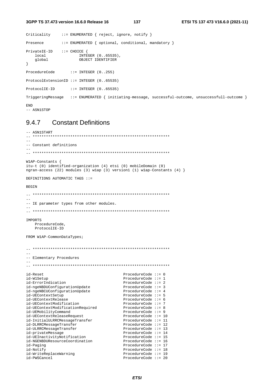```
3GPP TS 37.473 version 16.6.0 Release 16
```

```
Criticality
             ::= ENUMERATED { reject, ignore, notify }
Presence
              ::= ENUMERATED { optional, conditional, mandatory }
\texttt{PrivateIE-ID} \qquad :: = \texttt{CHOICE} \ \{ \\qlobal
                     OBJECT IDENTIFIER
\lambdaProcedureCode
                 ::= INTEGER (0..255)ProtocolExtensionID ::= INTEGER (0..65535)
ProtocolIE-ID
                 ::= INTEGER (0..65535)TriggeringMessage ::= ENUMERATED { initiating-message, successful-outcome, unsuccessfull-outcome }
END
-- ASN1STOP
```
### **Constant Definitions** 9.4.7

```
-- ASN1START
                   __ ****************
-- Constant definitions
W1AP-Constants {
itu-t (0) identified-organization (4) etsi (0) mobileDomain (0)
ngran-access (22) modules (3) wlap (3) version1 (1) wlap-Constants (4) }
DEFINITIONS AUTOMATIC TAGS ::=
BEGIN
-- IE parameter types from other modules.
IMPORTS
   ProcedureCode.
   ProtocolIE-ID
FROM W1AP-CommonDataTypes;
-- Elementary Procedures
id-Reset
                                           ProcedureCode ::= 0ProcedureCode ::= 1
id-W1Setup
                                          ProcedureCode ::= 2id-ErrorIndication
id-ngeNBDUConfigurationUpdate
entions de la component de la component de la component de la component de la component de la compo<br>de la component de la component de la component de la component de la component de la component de la componen<br>de la compo
                                          ProcedureCode ::= 3
                                    rrocedureCode ::= 3<br>ProcedureCode ::= 4
                                          ProcedureCode \mathbf{:=} 5
id-UEContextSetup
id-UEContextRelease
                                          ProcedureCode ::= 6
id-UEContextModification<br>
id-UEContextModificationRequired<br>
ProcedureCode ::= 8<br>
ProcedureCode ::= 9<br>
ProcedureCode ::= 9
id-UEMobilityCommand
                                    ProcedureCode ::= 10<br>ProcedureCode ::= 11<br>ProcedureCode ::= 12
id-UEContextReleaseRequest
id-InitialULRRCMessageTransfer
id-DLRRCMessageTransfer
                                          ProcedureCode ::= 13<br>ProcedureCode ::= 14
id-ULRRCMessageTransfer
id-privateMessage
                                          ProcedureCode ::= 15id-UEInactivityNotification
id-NGENBDUResourceCoordination
                                          ProcedureCode ::= 16
id-Paging
                                          ProcedureCode ::= 17
id-Notify
                                           ProcedureCode ::= 18id-WriteReplaceWarning
                                          ProcedureCode ::= 19id-PWSCancel
                                           ProcedureCode ::= 20
```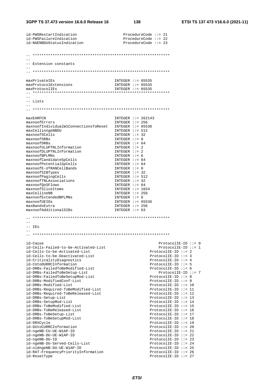| id-PWSRestartIndication                                          | ProcedureCode $::= 21$                         |
|------------------------------------------------------------------|------------------------------------------------|
| id-PWSFailureIndication                                          | ProcedureCode $::= 22$                         |
| id-NGENBDUStatusIndication                                       | ProcedureCode $::= 23$                         |
|                                                                  |                                                |
|                                                                  |                                                |
|                                                                  |                                                |
| -- Extension constants                                           |                                                |
|                                                                  |                                                |
|                                                                  |                                                |
|                                                                  |                                                |
| maxPrivateIEs<br>maxProtocolExtensions                           | INTEGER $::= 65535$<br>INTEGER $::= 65535$     |
| maxProtocolIEs                                                   | INTEGER $::= 65535$                            |
|                                                                  |                                                |
|                                                                  |                                                |
| -- Lists                                                         |                                                |
|                                                                  |                                                |
|                                                                  |                                                |
|                                                                  |                                                |
| maxEARFCN                                                        | INTEGER $::= 262143$                           |
| maxnoofErrors<br>maxnoofIndividualW1ConnectionsToReset           | INTEGER $::= 256$<br>INTEGER $::= 65536$       |
| maxCellinngeNBDU                                                 | INTEGER $::= 512$                              |
| maxnoofSCells                                                    | $INTER :: = 32$                                |
| maxnoofSRBs                                                      | INTEGER $::= 8$                                |
| maxnoofDRBs                                                      | INTEGER $::= 64$                               |
| maxnoofULUPTNLInformation                                        | $INTER :: = 2$                                 |
| maxnoofDLUPTNLInformation                                        | INTEGER $::= 2$                                |
| maxnoofBPLMNs                                                    | $INTER :: = 6$                                 |
| maxnoofCandidateSpCells                                          | INTEGER $::= 64$                               |
| maxnoofPotentialSpCells                                          | INTEGER $::= 64$                               |
| maxnoofE-UTRANCellBands                                          | INTEGER $::= 8$                                |
| maxnoofSIBTypes                                                  | INTEGER $::= 32$                               |
| maxnoofPagingCells<br>maxnoofTNLAssociations                     | INTEGER $::= 512$<br>$INTER :: = 32$           |
| maxnoofQoSFlows                                                  | INTEGER $::= 64$                               |
| maxnoofSliceItems                                                | INTEGER $::= 1024$                             |
| maxCellineNB                                                     | INTEGER $::= 256$                              |
| maxnoofExtendedBPLMNs                                            | $INTER :: = 6$                                 |
| maxnoofUEIDs                                                     | INTEGER $::= 65536$                            |
| maxBandsEutra                                                    | INTEGER $::= 256$                              |
| maxnoofAdditionalSIBs                                            | INTEGER $::= 63$                               |
|                                                                  |                                                |
|                                                                  |                                                |
| $--$ IEs                                                         |                                                |
|                                                                  |                                                |
|                                                                  |                                                |
| id-Cause                                                         | $ProtocolIE-ID :: = 0$                         |
| id-Cells-Failed-to-be-Activated-List                             | $ProtocolIE-ID ::= 1$                          |
| id-Cells-to-be-Activated-List                                    | $ProtocolIE-ID ::= 2$                          |
| id-Cells-to-be-Deactivated-List                                  | $ProtocolIE-ID ::= 3$                          |
| id-CriticalityDiagnostics                                        | ProtocolIE-ID ::= $4$                          |
| id-CUtoDURRCInformation                                          | ProtocolIE-ID $:= 5$                           |
| id-DRBs-FailedToBeModified-List                                  | ProtocolIE-ID $:= 6$                           |
| id-DRBs-FailedToBeSetup-List                                     | ProtocolIE-ID ::= 7                            |
| id-DRBs-FailedToBeSetupMod-List                                  | ProtocolIE-ID $:= 8$                           |
| id-DRBs-ModifiedConf-List<br>id-DRBs-Modified-List               | $ProtocolIE-ID ::= 9$<br>ProtocolIE-ID $:= 10$ |
| id-DRBs-Required-ToBeModified-List                               | ProtocolIE-ID $::= 11$                         |
| id-DRBs-Required-ToBeReleased-List                               | ProtocolIE-ID $::= 12$                         |
| id-DRBs-Setup-List                                               | ProtocolIE-ID $::= 13$                         |
| id-DRBs-SetupMod-List                                            | $ProtocolIE-ID ::= 14$                         |
| id-DRBs-ToBeModified-List                                        | $ProtocolIE-ID :: = 15$                        |
| id-DRBs-ToBeReleased-List                                        | ProtocolIE-ID $::= 16$                         |
| id-DRBs-ToBeSetup-List                                           | ProtocolIE-ID ::= 17                           |
| id-DRBs-ToBeSetupMod-List                                        | $ProtocolIE-ID ::= 18$                         |
| id-DRXCycle                                                      | $ProtocolIE-ID ::= 19$                         |
| id-DUtoCURRCInformation                                          | $ProtocolIE-ID ::= 20$                         |
| id-ngeNB-CU-UE-W1AP-ID                                           | $ProtocolIE-ID ::= 21$                         |
| id-ngeNB-DU-UE-W1AP-ID                                           | $ProtocolIE-ID ::= 22$                         |
|                                                                  |                                                |
| id-ngeNB-DU-ID                                                   | $ProtocolIE-ID ::= 23$                         |
| id-ngeNB-DU-Served-Cells-List                                    | ProtocolIE-ID ::= 24                           |
| id-oldngeNB-DU-UE-W1AP-ID<br>id-RAT-FrequencyPriorityInformation | ProtocolIE-ID $::= 25$<br>ProtocolIE-ID ::= 26 |

**ETSI**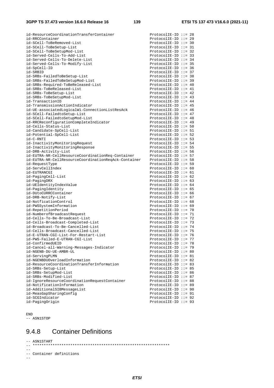| id-ResourceCoordinationTransferContainer                                    | ProtocolIE-ID ::= 28                               |  |
|-----------------------------------------------------------------------------|----------------------------------------------------|--|
| id-RRCContainer                                                             | ProtocolIE-ID $::= 29$                             |  |
| id-SCell-ToBeRemoved-List                                                   | $ProtocolIE-ID ::= 30$                             |  |
| id-SCell-ToBeSetup-List                                                     | ProtocolIE-ID ::= $31$                             |  |
| id-SCell-ToBeSetupMod-List                                                  | $ProtocolIE-ID ::= 32$                             |  |
| id-Served-Cells-To-Add-List                                                 | ProtocolIE-ID ::= 33                               |  |
| id-Served-Cells-To-Delete-List                                              | ProtocolIE-ID ::= $34$                             |  |
| id-Served-Cells-To-Modify-List                                              | $ProtocolIE-ID :: = 35$                            |  |
| id-SpCell-ID<br>id-SRBID                                                    | $ProtocolIE-ID :: = 36$<br>$ProtocolIE-ID :: = 37$ |  |
| id-SRBs-FailedToBeSetup-List                                                | $ProtocolIE-ID :: = 38$                            |  |
| id-SRBs-FailedToBeSetupMod-List                                             | $ProtocolIE-ID ::= 39$                             |  |
| id-SRBs-Required-ToBeReleased-List                                          | ProtocolIE-ID ::= $40$                             |  |
| id-SRBs-ToBeReleased-List                                                   | ProtocolIE-ID ::= $41$                             |  |
| id-SRBs-ToBeSetup-List                                                      | ProtocolIE-ID ::= $42$                             |  |
| id-SRBs-ToBeSetupMod-List                                                   | ProtocolIE-ID ::= $43$                             |  |
| id-TransactionID                                                            | ProtocolIE-ID ::= $44$                             |  |
| id-TransmissionActionIndicator                                              | ProtocolIE-ID ::= $45$                             |  |
| id-UE-associatedLogicalW1-ConnectionListResAck                              | ProtocolIE-ID ::= $46$                             |  |
| id-SCell-FailedtoSetup-List                                                 | ProtocolIE-ID ::= $47$                             |  |
| id-SCell-FailedtoSetupMod-List                                              | ProtocolIE-ID ::= $48$                             |  |
| id-RRCReconfigurationCompleteIndicator                                      | ProtocolIE-ID ::= $49$                             |  |
| id-Cells-Status-List                                                        | $ProtocolIE-ID :: = 50$                            |  |
| id-Candidate-SpCell-List                                                    | $ProtocolIE-ID :: = 51$                            |  |
| id-Potential-SpCell-List                                                    | $ProtocolIE-ID :: = 52$                            |  |
| id-C-RNTI                                                                   | ProtocolIE-ID $::= 53$                             |  |
| id-InactivityMonitoringRequest                                              | ProtocolIE-ID ::= $54$                             |  |
| id-InactivityMonitoringResponse                                             | ProtocolIE-ID ::= 55                               |  |
| id-DRB-Activity-List                                                        | ProtocolIE-ID $::= 56$                             |  |
| id-EUTRA-NR-CellResourceCoordinationReq-Container                           | ProtocolIE-ID ::= 57                               |  |
| id-EUTRA-NR-CellResourceCoordinationReqAck-Container                        | ProtocolIE-ID $:= 58$                              |  |
| id-RequestType                                                              | $ProtocolIE-ID :: = 59$                            |  |
| id-ServCellIndex                                                            | ProtocolIE-ID $::= 60$                             |  |
| id-EUTRANCGI<br>id-PagingCell-List                                          | ProtocolIE-ID ::= $61$<br>ProtocolIE-ID ::= $62$   |  |
| id-PagingDRX                                                                | ProtocolIE-ID ::= $63$                             |  |
| id-UEIdentityIndexValue                                                     | ProtocolIE-ID ::= $64$                             |  |
| id-PagingIdentity                                                           | $ProtocolIE-ID :: = 65$                            |  |
| id-DUtoCURRCContainer                                                       | $ProtocolIE-ID :: = 66$                            |  |
| id-DRB-Notify-List                                                          | ProtocolIE-ID ::= $67$                             |  |
| id-NotficationControl                                                       | ProtocolIE-ID ::= $68$                             |  |
| id-PWSSystemInformation                                                     | ProtocolIE-ID $::= 69$                             |  |
| id-RepetitionPeriod                                                         | ProtocolIE-ID ::= 70                               |  |
| id-NumberofBroadcastRequest                                                 | $ProtocolIE-ID ::= 71$                             |  |
| id-Cells-To-Be-Broadcast-List                                               | $ProtocolIE-ID :: = 72$                            |  |
| id-Cells-Broadcast-Completed-List                                           | ProtocolIE-ID ::= 73                               |  |
| id-Broadcast-To-Be-Cancelled-List                                           | ProtocolIE-ID ::= 74                               |  |
| id-Cells-Broadcast-Cancelled-List                                           | ProtocolIE-ID ::= 75                               |  |
| id-E-UTRAN-CGI-List-For-Restart-List                                        | $ProtocolIE-ID :: = 76$                            |  |
| id-PWS-Failed-E-UTRAN-CGI-List                                              | $ProtocolIE-ID :: = 77$                            |  |
| id-ConfirmedUEID                                                            | ProtocolIE-ID $::= 78$                             |  |
| id-Cancel-all-Warning-Messages-Indicator                                    | $ProtocolIE-ID :: = 79$                            |  |
| id-NGENB-DU-UE-AMBR-UL                                                      | ProtocolIE-ID $::= 80$                             |  |
| id-ServingPLMN                                                              | ProtocolIE-ID $::= 81$                             |  |
| id-NGENBDUOverloadInformation                                               | ProtocolIE-ID $::= 82$                             |  |
| id-ResourceCoordinationTransferInformation                                  | ProtocolIE-ID ::= 83                               |  |
| id-SRBs-Setup-List                                                          | $ProtocolIE-ID ::= 85$                             |  |
| id-SRBs-SetupMod-List                                                       | $ProtocolIE-ID :: = 86$                            |  |
| id-SRBs-Modified-List                                                       | ProtocolIE-ID ::= 87                               |  |
| id-IgnoreResourceCoordinationRequestContainer<br>id-NotificationInformation | $ProtocolIE-ID :: = 88$<br>$ProtocolIE-ID :: = 89$ |  |
| id-AdditionalSIBMessageList                                                 | $ProtocolIE-ID ::= 90$                             |  |
| id-MeasGapSharingConfig                                                     | $ProtocolIE-ID ::= 91$                             |  |
| id-SCGIndicator                                                             | $ProtocolIE-ID ::= 92$                             |  |
| id-PagingOrigin                                                             | $ProtocolIE-ID ::= 93$                             |  |
|                                                                             |                                                    |  |

END -- ASN1STOP

# 9.4.8 Container Definitions

```
-- ASN1START 
-- ************************************************************** 
--- Container definitions 
--
```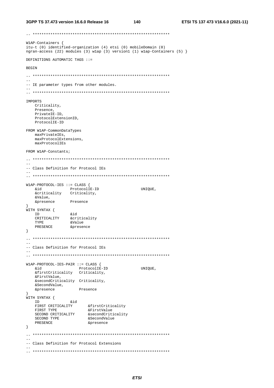```
W1AP-Containers {
itu-t (0) identified-organization (4) etsi (0) mobileDomain (0)
ngran-access (22) modules (3) wlap (3) version1 (1) wlap-Containers (5) }
DEFINITIONS AUTOMATIC TAGS ::=
RECIN
- --- IE parameter types from other modules.
TMPORTS
  Criticality,
  Presence,
   PrivateIE-ID,
  ProtocolExtensionID.
  ProtocolIE-ID
FROM W1AP-CommonDataTypes
  maxPrivateTEs.
   maxProtocolExtensions.
  maxProtocolIEs
FROM W1AP-Constants;
\pm \pm-- Class Definition for Protocol IEs
W1AP-PROTOCOL-IES ::= CLASS {
  &id ProtocolIE-ID<br>&criticality Criticality,
                                         UNIOUE,
  &id
  &Value,
  &presence
              Presence
\mathfrak{z},<br>WITH SYNTAX {
              \&id
  TDAN EXAMPLE EXAMPLE THE STRESS SERIES AND RESENCE ACCORDING THE SERIES OF A SAMPLE OF A SAMPLE OF A SAMPLE OF A SAMPLE OF A SAMPLE OF A SAMPLE OF A SAMPLE OF A SAMPLE OF A SAMPLE OF A SAMPLE OF A SAMPLE OF A SAMPLE OF A SAM
   PRESENCE
               &presence
\}\sim \sim-- Class Definition for Protocol IEs
\sim \simW1AP-PROTOCOL-IES-PAIR ::= CLASS {
                   ProtocolIE-ID
                                         UNIOUE,
  bia
  &firstCriticality Criticality,
   &FirstValue,
  &secondCriticality Criticality,
   &SecondValue,
  &presence
                  Presence
\rightarrow}<br>WITH SYNTAX {<br>&id
  EN EXAMPLE AND SECOND CRITICALITY<br>FIRST TYPE afirstValue<br>SECOND CRITICALITY asecondCriticality
  SECOND TYPE
                      &SecondValue
   PRESENCE
                      &presence
\}\frac{1}{2}-- Class Definition for Protocol Extensions
```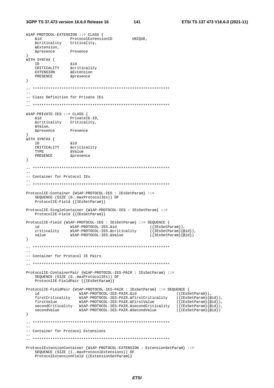```
3GPP TS 37.473 version 16.6.0 Release 16
```
W1AP-PROTOCOL-EXTENSION ::= CLASS {

```
ProtocolExtensionID<br>Criticality,
   biλ
                                      UNIOUE,
   &criticality
   &Extension,
   &presence
              Presence
WITH SYNTAX {
              h i xTDCRITICALITY & criticality
   EXTENSION & EXCELLENCE
               &Extension
\}-- Class Definition for Private IEs
W1AP-PRIVATE-IES ::= CLASS {
              PrivateIE-ID.
  hia
   &criticality Criticality,
   &Value,
   &presence
              Presence
WITH SYNTAX {
   ---------- \<br>ID &id<br>CRITICALITY &criticality<br>TYPE &Value
  ID
   TYPE
   PRESENCE
              &presence
\overline{\ }-- Container for Protocol IEs
ProtocolIE-Container {W1AP-PROTOCOL-IES : IEsSetParam} ::=
   SEQUENCE (SIZE (0..maxProtocolIEs)) OF
   ProtocolIE-Field { { IESSetParam}}
ProtocolIE-SingleContainer {W1AP-PROTOCOL-IES : IEsSetParam} ::=
   ProtocolIE-Field { {IESSetParam}}
ProtocolIE-Field {W1AP-PROTOCOL-IES : IEsSetParam} ::= SEQUENCE {
          WIAP-PROTOCOL-IES.&id<br>ty WIAP-PROTOCOL-IES.&criticality
                                  ({\{IESSetParam\}}),
  hr
   criticality
                                             (\{ \texttt{IESSetParam} \} \{ \texttt{old} \}),
   value
               W1AP-PROTOCOL-IES.&Value
                                             ({IEsSetParam}{@id})
\}\sim \sim-- Container for Protocol IE Pairs
ProtocolIE-ContainerPair {W1AP-PROTOCOL-IES-PAIR : IEsSetParam} ::=
   SEQUENCE (SIZE (0..maxProtocolIEs)) OF
   ProtocolIE-FieldPair { {IESSetParam}}
ProtocolIE-FieldPair {WIAP-PROTOCOL-IES-PAIR : IESSetParam} ::= SEQUENCE {
                 WIAP-PROTOCOL-IES-PAIR.&id
                                                   ({EssetParam}),
  hi
   ({\texttt{IESSetParam}}\{@id\}),
                                                      (\{IEsSetParam\} \{\emptyset id\}),firstValue
   secondCritically \qquad \mathtt{Wlap-PROTOCOL-IES-PAIR.} \& second Critically \qquad (\{\mathtt{IESSetParam}\{\emptyset id\}),\secondValue
                  W1AP-PROTOCOL-IES-PAIR.&SecondValue
                                                      (\{\texttt{IESSetParam}\}\{@id\})\mathcal{E}-- Container for Protocol Extensions
ProtocolExtensionContainer {W1AP-PROTOCOL-EXTENSION : ExtensionSetParam} : :=
   SEQUENCE (SIZE (1..maxProtocolExtensions)) OF
   ProtocolExtensionField {{ExtensionSetParam}}
```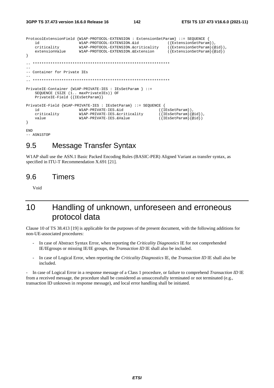```
ProtocolExtensionField {W1AP-PROTOCOL-EXTENSION : ExtensionSetParam} ::= SEQUENCE { 
     id MAP-PROTOCOL-EXTENSION. \&\text{d} \{ExtensionSetParam\}),<br>criticality MAP-PROTOCOL-EXTENSION. \&\text{criticality} \{ {ExtensionSetParam\}} \&\text{d}),criticality W1AP-PROTOCOL-EXTENSION.&criticality
      extensionValue W1AP-PROTOCOL-EXTENSION.&Extension ({ExtensionSetParam}{@id}) 
} 
   -- ************************************************************** 
-- 
-- Container for Private IEs 
-- 
\mathbf{1}PrivateIE-Container {W1AP-PRIVATE-IES : IEsSetParam } ::= 
      SEQUENCE (SIZE (1.. maxPrivateIEs)) OF 
      PrivateIE-Field {{IEsSetParam}} 
PrivateIE-Field {W1AP-PRIVATE-IES : IEsSetParam} ::= SEQUENCE { 
     id \begin{align} \texttt{W1AP-PRIVATE-IES}.\&\texttt{id} \qquad (\{\texttt{ISSetParam}\}),\ \texttt{criticality} \qquad \texttt{W1AP-PRIVATE-IES}.\&\texttt{criticality} \qquad (\{\texttt{ISSetParam}\}\&\texttt{id}),\ \end{align}criticality W1AP-PRIVATE-IES.&criticality<br>value W1AP-PRIVATE-IES.&Value
                                                                           (\overline{IEsSetParam}\overline{eid})} 
END 
-- ASN1STOP
```
## 9.5 Message Transfer Syntax

W1AP shall use the ASN.1 Basic Packed Encoding Rules (BASIC-PER) Aligned Variant as transfer syntax, as specified in ITU-T Recommendation X.691 [21].

## 9.6 Timers

Void

# 10 Handling of unknown, unforeseen and erroneous protocol data

Clause 10 of TS 38.413 [19] is applicable for the purposes of the present document, with the following additions for non-UE-associated procedures:

- In case of Abstract Syntax Error, when reporting the *Criticality Diagnostics* IE for not comprehended IE/IEgroups or missing IE/IE groups, the *Transaction ID* IE shall also be included.
- In case of Logical Error, when reporting the *Criticality Diagnostics* IE, the *Transaction ID* IE shall also be included.

- In case of Logical Error in a response message of a Class 1 procedure, or failure to comprehend *Transaction ID* IE from a received message, the procedure shall be considered as unsuccessfully terminated or not terminated (e.g., transaction ID unknown in response message), and local error handling shall be initiated.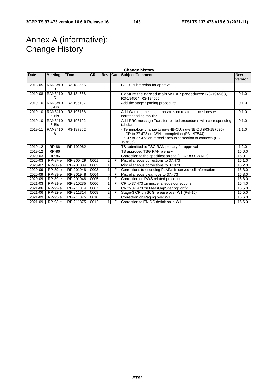# Annex A (informative): Change History

| <b>Change history</b> |                  |             |           |                |   |                                                                                                                                                                                        |                       |
|-----------------------|------------------|-------------|-----------|----------------|---|----------------------------------------------------------------------------------------------------------------------------------------------------------------------------------------|-----------------------|
| Date                  | <b>Meeting</b>   | <b>TDoc</b> | <b>CR</b> | Rev Cat        |   | Subject/Comment                                                                                                                                                                        | <b>New</b><br>version |
| 2018-05               | RAN3#10<br>0     | R3-183555   |           |                |   | BL TS submission for approval.                                                                                                                                                         |                       |
| 2019-08               | RAN3#10<br>5     | R3-184888   |           |                |   | Capture the agreed main W1 AP procedures: R3-194563,<br>R3-194564, R3-194565                                                                                                           | 0.1.0                 |
| 2019-10               | RAN3#10<br>5-Bis | R3-196137   |           |                |   | Add the stage3 paging procedure                                                                                                                                                        | 0.1.0                 |
| 2019-10               | RAN3#10<br>5-Bis | R3-196136   |           |                |   | Add Warning message transmission related procedures with<br>corresponding tabular                                                                                                      | 0.1.0                 |
| 2019-10               | RAN3#10<br>5-Bis | R3-196192   |           |                |   | Add RRC message Transfer related procedures with corresponding<br>tabular                                                                                                              | 0.1.0                 |
| 2019-11               | RAN3#10<br>6     | R3-197262   |           |                |   | - Terminology change to ng-eNB-CU, ng-eNB-DU (R3-197635)<br>- pCR to 37.473 on ASN.1 completion (R3-197544)<br>- pCR to 37.473 on miscellaneous correction to contexts (R3-<br>197636) | 1.1.0                 |
| 2019-12               | RP-86            | RP-192962   |           |                |   | TS submitted to TSG RAN plenary for approval                                                                                                                                           | 1.2.0                 |
| 2019-12               | <b>RP-86</b>     |             |           |                |   | TS approved TSG RAN plenary                                                                                                                                                            | 16.0.0                |
| 2020-03               | RP-86            |             |           |                |   | Correction to the specification title (E1AP ==> W1AP)                                                                                                                                  | 16.0.1                |
| 2020-03               | RP-87-e          | RP-200429   | 0001      | 2              | F | Miscellaneous corrections to 37.473                                                                                                                                                    | 16.1.0                |
| 2020-07               | RP-88-e          | RP-201084   | 0002      | $\mathbf{1}$   | F | Miscellaneous corrections to 37.473                                                                                                                                                    | 16.2.0                |
| 2020-09               | RP-89-e          | RP-201948   | 0003      | 1              | F | Corrections to encoding PLMNs in served cell information                                                                                                                               | 16.3.0                |
| 2020-09               | RP-89-e          | RP-201948   | 0004      |                | F | Miscellaneous clean-ups to 37.473                                                                                                                                                      | 16.3.0                |
| 2020-09               | RP-89-e          | RP-201948   | 0005      | 1              | F | Correction on PWS related procedure                                                                                                                                                    | 16.3.0                |
| 2021-03               | RP-91-e          | RP-210235   | 0006      | 1              | F | CR to 37.473 on miscellaneous corrections                                                                                                                                              | 16.4.0                |
| 2021-06               | RP-92-e          | RP-211314   | 0007      | 2              | F | CR to 37.473 on MeasGapSharingConfig                                                                                                                                                   | 16.5.0                |
| 2021-06               | RP-92-e          | RP-211314   | 0008      | $\overline{2}$ | F | Stage-3 CR on SCG release over W1 (Rel-16)                                                                                                                                             | 16.5.0                |
| 2021-09               | RP-93-e          | RP-211875   | 0010      |                | F | Correction on Paging over W1                                                                                                                                                           | 16.6.0                |
| 2021-09               | RP-93-e          | RP-211875   | 0012      | 1              | F | Correction to EN-DC definition in W1                                                                                                                                                   | 16.6.0                |